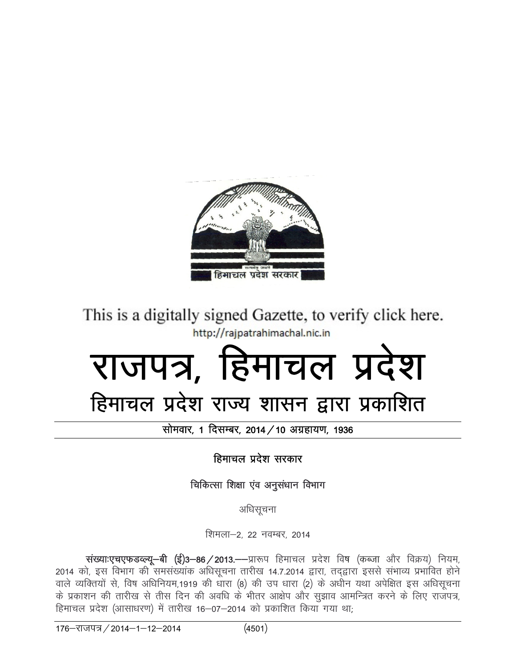

This is a digitally signed Gazette, to verify click here.

# Http://rajpatrahimachal.nic.in<br>2021 Toddy, Raymond B

# हिमाचल प्रदेश राज्य शासन द्वारा प्रकाशित

सोमवार, 1 दिसम्बर, 2014 / 10 अग्रहायण, 1936

हिमाचल प्रदेश सरकार

चिकित्सा शिक्षा एंव अनुसंधान विभाग

अधिसूचना

शिमला–2, 22 नवम्बर, 2014

संख्याःएचएफडल्ल्यू-बी (ई)3-86/2013.--प्रारूप हिमाचल प्रदेश विष (कब्जा और विक्रय) नियम, 2014 को, इस विभाग की समसंख्यांक अधिसूचना तारीख 14.7.2014 द्वारा, तद्द्वारा इससे संभाव्य प्रभावित होने वाले व्यक्तियों से, विष अधिनियम,1919 की धारा (8) की उप धारा (2) के अधीन यथा अपेक्षित इस अधिसूचना के प्रकाशन की तारीख से तीस दिन की अवधि के भीतर आक्षेप और सूझाव आमन्त्रित करने के लिए राजपत्र, हिमाचल प्रदेश (आसाधरण) में तारीख 16-07-2014 को प्रकाशित किया गया था;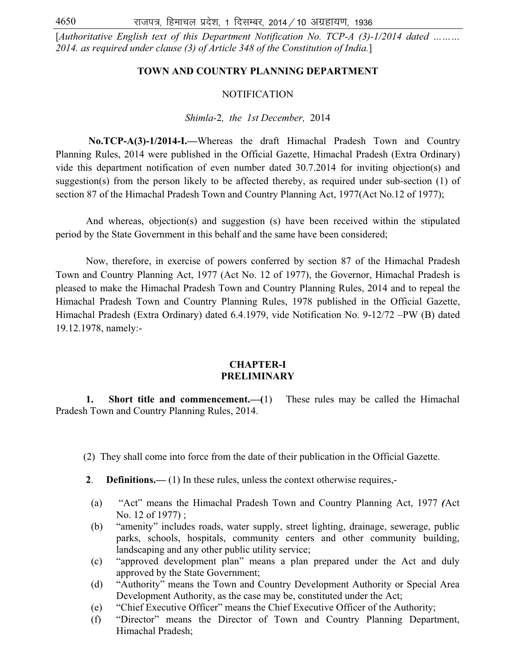[*Authoritative English text of this Department Notification No. TCP-A (3)-1/2014 dated ……… 2014. as required under clause (3) of Article 348 of the Constitution of India.*]

### **TOWN AND COUNTRY PLANNING DEPARTMENT**

### NOTIFICATION

### *Shimla-*2*, the 1st December,* 2014

**No.TCP-A(3)-1/2014-I.—**Whereas the draft Himachal Pradesh Town and Country Planning Rules, 2014 were published in the Official Gazette, Himachal Pradesh (Extra Ordinary) vide this department notification of even number dated 30.7.2014 for inviting objection(s) and suggestion(s) from the person likely to be affected thereby, as required under sub-section (1) of section 87 of the Himachal Pradesh Town and Country Planning Act, 1977(Act No.12 of 1977);

 And whereas, objection(s) and suggestion (s) have been received within the stipulated period by the State Government in this behalf and the same have been considered;

 Now, therefore, in exercise of powers conferred by section 87 of the Himachal Pradesh Town and Country Planning Act, 1977 (Act No. 12 of 1977), the Governor, Himachal Pradesh is pleased to make the Himachal Pradesh Town and Country Planning Rules, 2014 and to repeal the Himachal Pradesh Town and Country Planning Rules, 1978 published in the Official Gazette, Himachal Pradesh (Extra Ordinary) dated 6.4.1979, vide Notification No. 9-12/72 –PW (B) dated 19.12.1978, namely:-

### **CHAPTER-I PRELIMINARY**

 **1. Short title and commencement.—(**1) These rules may be called the Himachal Pradesh Town and Country Planning Rules, 2014.

- (2) They shall come into force from the date of their publication in the Official Gazette.
- **2**. **Definitions.—** (1) In these rules, unless the context otherwise requires,-
- (a) "Act" means the Himachal Pradesh Town and Country Planning Act, 1977 *(*Act No. 12 of 1977) ;
- (b) "amenity" includes roads, water supply, street lighting, drainage, sewerage, public parks, schools, hospitals, community centers and other community building, landscaping and any other public utility service;
- (c) "approved development plan" means a plan prepared under the Act and duly approved by the State Government;
- (d) "Authority" means the Town and Country Development Authority or Special Area Development Authority, as the case may be, constituted under the Act;
- (e) "Chief Executive Officer" means the Chief Executive Officer of the Authority;
- (f) "Director" means the Director of Town and Country Planning Department, Himachal Pradesh;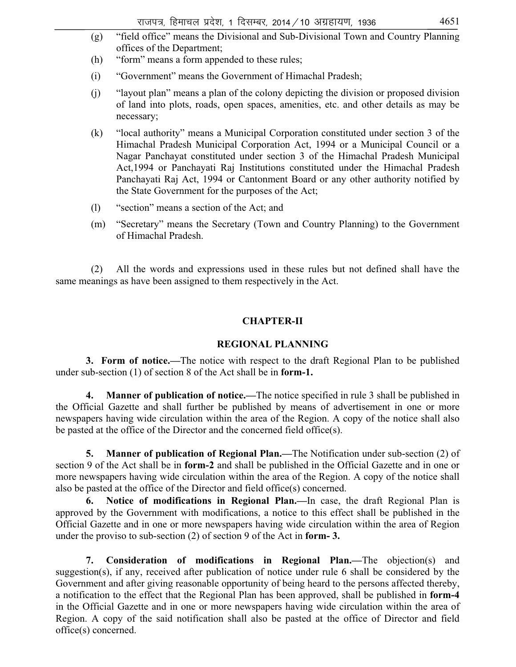- (g) "field office" means the Divisional and Sub-Divisional Town and Country Planning offices of the Department; (h) "form" means a form appended to these rules; (i) "Government" means the Government of Himachal Pradesh; (j) "layout plan" means a plan of the colony depicting the division or proposed division
- of land into plots, roads, open spaces, amenities, etc. and other details as may be necessary;
- (k) "local authority" means a Municipal Corporation constituted under section 3 of the Himachal Pradesh Municipal Corporation Act, 1994 or a Municipal Council or a Nagar Panchayat constituted under section 3 of the Himachal Pradesh Municipal Act,1994 or Panchayati Raj Institutions constituted under the Himachal Pradesh Panchayati Raj Act, 1994 or Cantonment Board or any other authority notified by the State Government for the purposes of the Act;
- (l) "section" means a section of the Act; and
- (m) "Secretary" means the Secretary (Town and Country Planning) to the Government of Himachal Pradesh.

 (2) All the words and expressions used in these rules but not defined shall have the same meanings as have been assigned to them respectively in the Act.

### **CHAPTER-II**

### **REGIONAL PLANNING**

**3. Form of notice.—**The notice with respect to the draft Regional Plan to be published under sub-section (1) of section 8 of the Act shall be in **form-1.** 

**4. Manner of publication of notice.—**The notice specified in rule 3 shall be published in the Official Gazette and shall further be published by means of advertisement in one or more newspapers having wide circulation within the area of the Region. A copy of the notice shall also be pasted at the office of the Director and the concerned field office(s).

**5. Manner of publication of Regional Plan.—**The Notification under sub-section (2) of section 9 of the Act shall be in **form-2** and shall be published in the Official Gazette and in one or more newspapers having wide circulation within the area of the Region. A copy of the notice shall also be pasted at the office of the Director and field office(s) concerned.

**6. Notice of modifications in Regional Plan.—**In case, the draft Regional Plan is approved by the Government with modifications, a notice to this effect shall be published in the Official Gazette and in one or more newspapers having wide circulation within the area of Region under the proviso to sub-section (2) of section 9 of the Act in **form- 3.** 

**7. Consideration of modifications in Regional Plan.—**The objection(s) and suggestion(s), if any, received after publication of notice under rule 6 shall be considered by the Government and after giving reasonable opportunity of being heard to the persons affected thereby, a notification to the effect that the Regional Plan has been approved, shall be published in **form-4**  in the Official Gazette and in one or more newspapers having wide circulation within the area of Region. A copy of the said notification shall also be pasted at the office of Director and field office(s) concerned.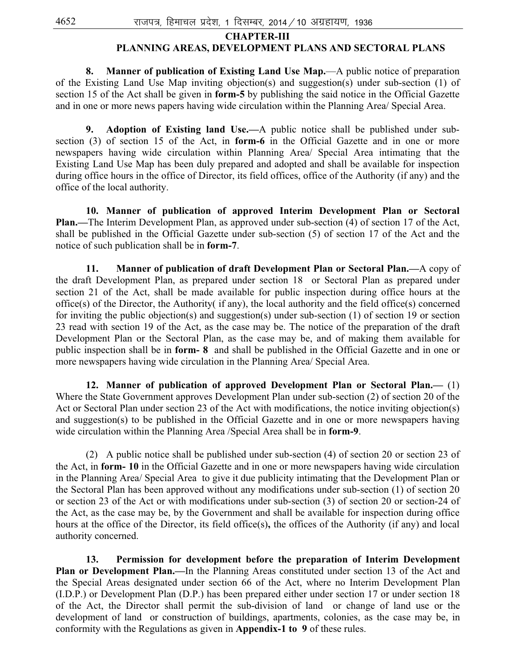### **CHAPTER-III**

### **PLANNING AREAS, DEVELOPMENT PLANS AND SECTORAL PLANS**

**8. Manner of publication of Existing Land Use Map.**—A public notice of preparation of the Existing Land Use Map inviting objection(s) and suggestion(s) under sub-section (1) of section 15 of the Act shall be given in **form-5** by publishing the said notice in the Official Gazette and in one or more news papers having wide circulation within the Planning Area/ Special Area.

 **9. Adoption of Existing land Use.—**A public notice shall be published under subsection (3) of section 15 of the Act, in **form-6** in the Official Gazette and in one or more newspapers having wide circulation within Planning Area/ Special Area intimating that the Existing Land Use Map has been duly prepared and adopted and shall be available for inspection during office hours in the office of Director, its field offices, office of the Authority (if any) and the office of the local authority.

 **10. Manner of publication of approved Interim Development Plan or Sectoral Plan.—**The Interim Development Plan, as approved under sub-section (4) of section 17 of the Act, shall be published in the Official Gazette under sub-section (5) of section 17 of the Act and the notice of such publication shall be in **form-7**.

**11. Manner of publication of draft Development Plan or Sectoral Plan.—**A copy of the draft Development Plan, as prepared under section 18 or Sectoral Plan as prepared under section 21 of the Act, shall be made available for public inspection during office hours at the office(s) of the Director, the Authority( if any), the local authority and the field office(s) concerned for inviting the public objection(s) and suggestion(s) under sub-section (1) of section 19 or section 23 read with section 19 of the Act, as the case may be. The notice of the preparation of the draft Development Plan or the Sectoral Plan, as the case may be, and of making them available for public inspection shall be in **form- 8** and shall be published in the Official Gazette and in one or more newspapers having wide circulation in the Planning Area/ Special Area.

 **12. Manner of publication of approved Development Plan or Sectoral Plan.—** (1) Where the State Government approves Development Plan under sub-section (2) of section 20 of the Act or Sectoral Plan under section 23 of the Act with modifications, the notice inviting objection(s) and suggestion(s) to be published in the Official Gazette and in one or more newspapers having wide circulation within the Planning Area /Special Area shall be in **form-9**.

 (2) A public notice shall be published under sub-section (4) of section 20 or section 23 of the Act, in **form- 10** in the Official Gazette and in one or more newspapers having wide circulation in the Planning Area/ Special Area to give it due publicity intimating that the Development Plan or the Sectoral Plan has been approved without any modifications under sub-section (1) of section 20 or section 23 of the Act or with modifications under sub-section (3) of section 20 or section-24 of the Act, as the case may be, by the Government and shall be available for inspection during office hours at the office of the Director, its field office(s)**,** the offices of the Authority (if any) and local authority concerned.

 **13. Permission for development before the preparation of Interim Development Plan or Development Plan.—**In the Planning Areas constituted under section 13 of the Act and the Special Areas designated under section 66 of the Act, where no Interim Development Plan (I.D.P.) or Development Plan (D.P.) has been prepared either under section 17 or under section 18 of the Act, the Director shall permit the sub-division of land or change of land use or the development of land or construction of buildings, apartments, colonies, as the case may be, in conformity with the Regulations as given in **Appendix-1 to 9** of these rules.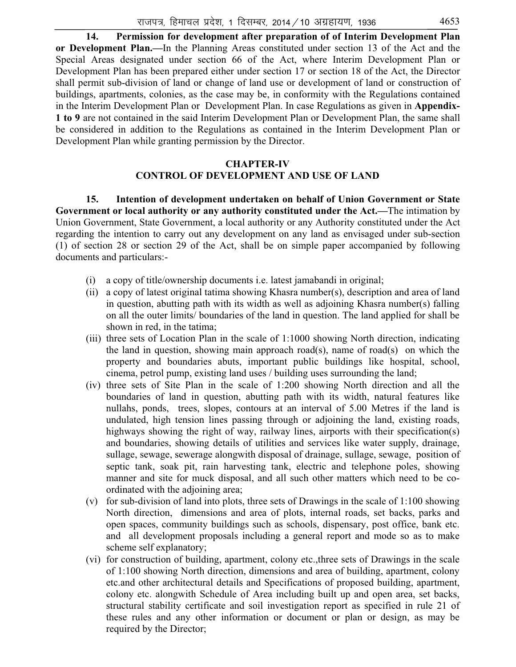**14. Permission for development after preparation of of Interim Development Plan or Development Plan.—**In the Planning Areas constituted under section 13 of the Act and the Special Areas designated under section 66 of the Act, where Interim Development Plan or Development Plan has been prepared either under section 17 or section 18 of the Act, the Director shall permit sub-division of land or change of land use or development of land or construction of buildings, apartments, colonies, as the case may be, in conformity with the Regulations contained in the Interim Development Plan or Development Plan. In case Regulations as given in **Appendix-1 to 9** are not contained in the said Interim Development Plan or Development Plan, the same shall be considered in addition to the Regulations as contained in the Interim Development Plan or Development Plan while granting permission by the Director.

### **CHAPTER-IV CONTROL OF DEVELOPMENT AND USE OF LAND**

**15. Intention of development undertaken on behalf of Union Government or State Government or local authority or any authority constituted under the Act.—**The intimation by Union Government, State Government, a local authority or any Authority constituted under the Act regarding the intention to carry out any development on any land as envisaged under sub-section (1) of section 28 or section 29 of the Act, shall be on simple paper accompanied by following documents and particulars:-

- (i) a copy of title/ownership documents i.e. latest jamabandi in original;
- (ii) a copy of latest original tatima showing Khasra number(s), description and area of land in question, abutting path with its width as well as adjoining Khasra number(s) falling on all the outer limits/ boundaries of the land in question. The land applied for shall be shown in red, in the tatima;
- (iii) three sets of Location Plan in the scale of 1:1000 showing North direction, indicating the land in question, showing main approach road(s), name of road(s) on which the property and boundaries abuts, important public buildings like hospital, school, cinema, petrol pump, existing land uses / building uses surrounding the land;
- (iv) three sets of Site Plan in the scale of 1:200 showing North direction and all the boundaries of land in question, abutting path with its width, natural features like nullahs, ponds, trees, slopes, contours at an interval of 5.00 Metres if the land is undulated, high tension lines passing through or adjoining the land, existing roads, highways showing the right of way, railway lines, airports with their specification(s) and boundaries, showing details of utilities and services like water supply, drainage, sullage, sewage, sewerage alongwith disposal of drainage, sullage, sewage, position of septic tank, soak pit, rain harvesting tank, electric and telephone poles, showing manner and site for muck disposal, and all such other matters which need to be coordinated with the adjoining area;
- (v) for sub-division of land into plots, three sets of Drawings in the scale of 1:100 showing North direction, dimensions and area of plots, internal roads, set backs, parks and open spaces, community buildings such as schools, dispensary, post office, bank etc. and all development proposals including a general report and mode so as to make scheme self explanatory;
- (vi) for construction of building, apartment, colony etc.,three sets of Drawings in the scale of 1:100 showing North direction, dimensions and area of building, apartment, colony etc.and other architectural details and Specifications of proposed building, apartment, colony etc. alongwith Schedule of Area including built up and open area, set backs, structural stability certificate and soil investigation report as specified in rule 21 of these rules and any other information or document or plan or design, as may be required by the Director;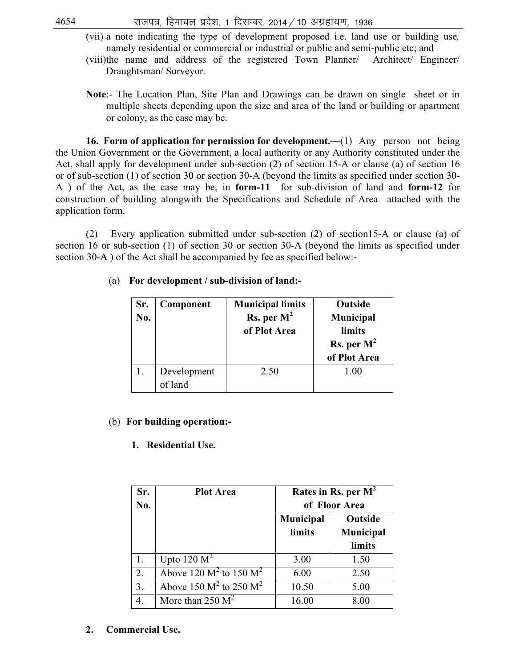- (vii) a note indicating the type of development proposed i.e. land use or building use*,* namely residential or commercial or industrial or public and semi-public etc; and
- (viii)the name and address of the registered Town Planner/ Architect/ Engineer/ Draughtsman/ Surveyor.
- **Note**:- The Location Plan, Site Plan and Drawings can be drawn on single sheet or in multiple sheets depending upon the size and area of the land or building or apartment or colony, as the case may be.

**16. Form of application for permission for development.—**(1) Any person not being the Union Government or the Government, a local authority or any Authority constituted under the Act, shall apply for development under sub-section (2) of section 15-A or clause (a) of section 16 or of sub-section (1) of section 30 or section 30-A (beyond the limits as specified under section 30- A ) of the Act, as the case may be, in **form-11** for sub-division of land and **form-12** for construction of building alongwith the Specifications and Schedule of Area attached with the application form.

 (2) Every application submitted under sub-section (2) of section15-A or clause (a) of section 16 or sub-section (1) of section 30 or section 30-A (beyond the limits as specified under section 30-A ) of the Act shall be accompanied by fee as specified below:-

| Sr.<br>No. | Component              | <b>Municipal limits</b><br>Rs. per $M^2$<br>of Plot Area | <b>Outside</b><br><b>Municipal</b><br>limits<br>Rs. per $M^2$<br>of Plot Area |
|------------|------------------------|----------------------------------------------------------|-------------------------------------------------------------------------------|
|            | Development<br>of land | 2.50                                                     | 1.00                                                                          |

### (a) **For development / sub-division of land:-**

### (b) **For building operation:-**

### **1. Residential Use.**

| Sr.<br>No. | <b>Plot Area</b>                             | Rates in Rs. per $M^2$<br>of Floor Area |                                |
|------------|----------------------------------------------|-----------------------------------------|--------------------------------|
|            |                                              | Municipal<br>limits                     | Outside<br>Municipal<br>limits |
| 1.         | Upto $120 \text{ M}^2$                       | 3.00                                    | 1.50                           |
| 2.         | Above $120 \text{ M}^2$ to $150 \text{ M}^2$ | 6.00                                    | 2.50                           |
| 3.         | Above 150 $M^2$ to 250 $M^2$                 | 10.50                                   | 5.00                           |
| 4.         | More than $250 \text{ M}^2$                  | 16.00                                   | 8.00                           |

**2. Commercial Use.**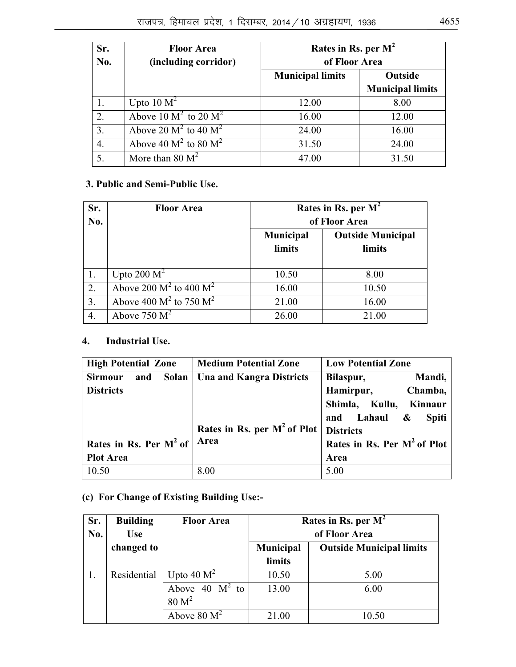| Sr.<br>No. | <b>Floor Area</b><br>(including corridor)        | Rates in Rs. per $M^2$<br>of Floor Area |                         |  |
|------------|--------------------------------------------------|-----------------------------------------|-------------------------|--|
|            |                                                  | <b>Municipal limits</b><br>Outside      |                         |  |
|            |                                                  |                                         | <b>Municipal limits</b> |  |
| 1.         | Upto $10 M2$                                     | 12.00                                   | 8.00                    |  |
| 2.         | Above 10 $\overline{M^2}$ to 20 $\overline{M^2}$ | 16.00                                   | 12.00                   |  |
| 3.         | Above 20 $M^2$ to 40 $M^2$                       | 24.00                                   | 16.00                   |  |
| 4.         | Above 40 $M^2$ to 80 $M^2$                       | 31.50                                   | 24.00                   |  |
| 5.         | More than $80 \text{ M}^2$                       | 47.00                                   | 31.50                   |  |

### **3. Public and Semi-Public Use.**

| Sr.<br>No. | <b>Floor Area</b>            | Rates in Rs. per $M^2$<br>of Floor Area |                                    |  |
|------------|------------------------------|-----------------------------------------|------------------------------------|--|
|            |                              | <b>Municipal</b><br><b>limits</b>       | <b>Outside Municipal</b><br>limits |  |
|            | Upto 200 $M^2$               | 10.50                                   | 8.00                               |  |
| 2.         | Above 200 $M^2$ to 400 $M^2$ | 16.00                                   | 10.50                              |  |
| 3.         | Above 400 $M^2$ to 750 $M^2$ | 21.00                                   | 16.00                              |  |
| 4.         | Above 750 $M^2$              | 26.00                                   | 21.00                              |  |

# **4. Industrial Use.**

| <b>High Potential Zone</b>     | <b>Medium Potential Zone</b>    | <b>Low Potential Zone</b>               |  |
|--------------------------------|---------------------------------|-----------------------------------------|--|
| Solan<br><b>Sirmour</b><br>and | <b>Una and Kangra Districts</b> | Mandi,<br>Bilaspur,                     |  |
| <b>Districts</b>               |                                 | Hamirpur,<br>Chamba,                    |  |
|                                |                                 | Shimla, Kullu,<br>Kinnaur               |  |
|                                |                                 | and Lahaul &<br><b>Spiti</b>            |  |
|                                | Rates in Rs. per $M^2$ of Plot  | <b>Districts</b>                        |  |
| Rates in Rs. Per $M2$ of       | Area                            | Rates in Rs. Per M <sup>2</sup> of Plot |  |
| <b>Plot Area</b>               |                                 | Area                                    |  |
| 10.50                          | 8.00                            | 5.00                                    |  |

# **(c) For Change of Existing Building Use:-**

| Sr. | <b>Building</b> | <b>Floor Area</b> | Rates in Rs. per $M^2$                       |               |  |  |
|-----|-----------------|-------------------|----------------------------------------------|---------------|--|--|
| No. | <b>Use</b>      |                   |                                              | of Floor Area |  |  |
|     | changed to      |                   | Municipal<br><b>Outside Municipal limits</b> |               |  |  |
|     |                 |                   | limits                                       |               |  |  |
|     | Residential     | Upto 40 $M^2$     | 10.50                                        | 5.00          |  |  |
|     |                 | Above 40 $M^2$ to | 13.00                                        | 6.00          |  |  |
|     |                 | 80 M <sup>2</sup> |                                              |               |  |  |
|     |                 | Above $80 M2$     | 21.00                                        | 10.50         |  |  |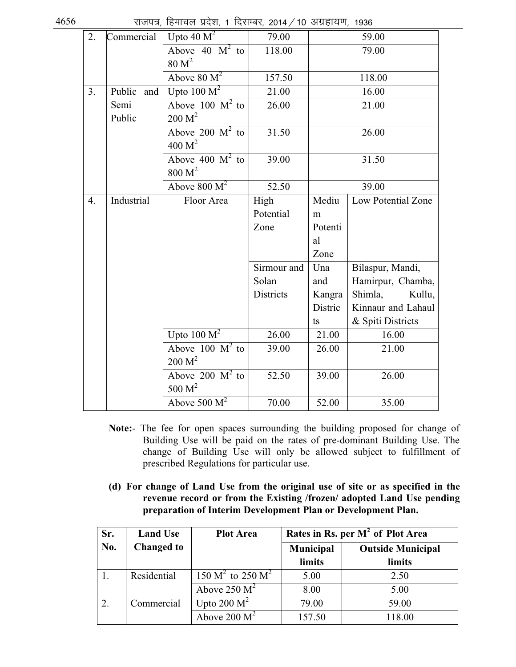$4656$  , साजपत्र, हिमाचल प्रदेश, 1 दिसम्बर, 2014 / 10 अग्रहायण, 1936

| 2.               | Commercial    | Upto $\overline{40 M^2}$      | 79.00            |         | 59.00              |
|------------------|---------------|-------------------------------|------------------|---------|--------------------|
|                  |               | Above 40 $M^2$ to             | 118.00           |         | 79.00              |
|                  |               | 80 M <sup>2</sup>             |                  |         |                    |
|                  |               | Above $80 M2$                 | 157.50           |         | 118.00             |
| 3.               | Public<br>and | Upto $100 M^2$                | 21.00            |         | 16.00              |
|                  | Semi          | Above $100 \text{ M}^2$ to    | 26.00            |         | 21.00              |
|                  | Public        | 200 M <sup>2</sup>            |                  |         |                    |
|                  |               | Above 200 $M^2$ to            | 31.50            |         | 26.00              |
|                  |               | 400 M <sup>2</sup>            |                  |         |                    |
|                  |               | Above 400 $M^2$ to            | 39.00            |         | 31.50              |
|                  |               | 800 M <sup>2</sup>            |                  |         |                    |
|                  |               | Above $800 M2$                | 52.50            |         | 39.00              |
| $\overline{4}$ . | Industrial    | Floor Area                    | High             | Mediu   | Low Potential Zone |
|                  |               |                               | Potential        | m       |                    |
|                  |               |                               | Zone             | Potenti |                    |
|                  |               |                               |                  | al      |                    |
|                  |               |                               |                  | Zone    |                    |
|                  |               |                               | Sirmour and      | Una     | Bilaspur, Mandi,   |
|                  |               |                               | Solan            | and     | Hamirpur, Chamba,  |
|                  |               |                               | <b>Districts</b> | Kangra  | Shimla,<br>Kullu,  |
|                  |               |                               |                  | Distric | Kinnaur and Lahaul |
|                  |               |                               |                  | ts      | & Spiti Districts  |
|                  |               | Upto $100 M2$                 | 26.00            | 21.00   | 16.00              |
|                  |               | Above $100 \text{ M}^2$ to    | 39.00            | 26.00   | 21.00              |
|                  |               | 200 M <sup>2</sup>            |                  |         |                    |
|                  |               | Above 200 $\overline{M}^2$ to | 52.50            | 39.00   | 26.00              |
|                  |               | 500 $M2$                      |                  |         |                    |
|                  |               | Above 500 $\overline{M}^2$    | 70.00            | 52.00   | 35.00              |

- **Note:** The fee for open spaces surrounding the building proposed for change of Building Use will be paid on the rates of pre-dominant Building Use. The change of Building Use will only be allowed subject to fulfillment of prescribed Regulations for particular use.
- **(d) For change of Land Use from the original use of site or as specified in the revenue record or from the Existing /frozen/ adopted Land Use pending preparation of Interim Development Plan or Development Plan.**

| Sr. | <b>Land Use</b>   | <b>Plot Area</b>                       | Rates in Rs. per $M^2$ of Plot Area |                          |  |
|-----|-------------------|----------------------------------------|-------------------------------------|--------------------------|--|
| No. | <b>Changed to</b> |                                        | Municipal                           | <b>Outside Municipal</b> |  |
|     |                   |                                        | limits                              | limits                   |  |
|     | Residential       | $150 \text{ M}^2$ to $250 \text{ M}^2$ | 5.00                                | 2.50                     |  |
|     |                   | Above 250 $M^2$                        | 8.00                                | 5.00                     |  |
| 2.  | Commercial        | Upto 200 $M^2$                         | 79.00                               | 59.00                    |  |
|     |                   | Above 200 $M^2$                        | 157.50                              | 118.00                   |  |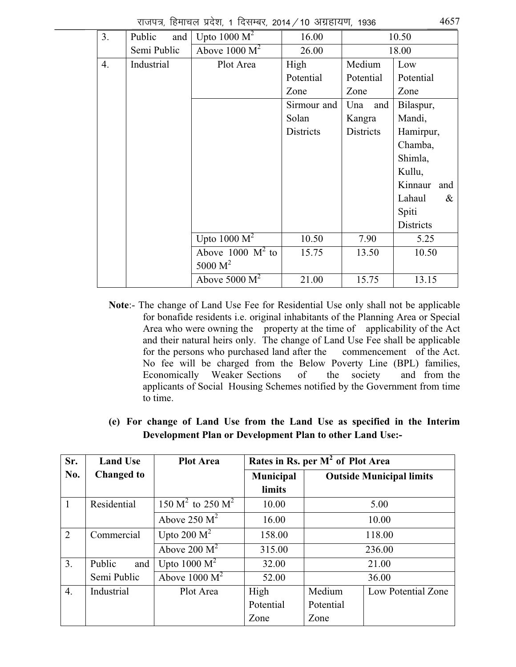|  |  |  | राजपत्र, हिमाचल प्रदेश, 1 दिसम्बर, 2014 / 10 अग्रहायण, 1936 |  | 4657 |
|--|--|--|-------------------------------------------------------------|--|------|
|  |  |  |                                                             |  |      |

| 3. | and<br>Public | Upto $1000 M^2$            | 16.00            |            | 10.50            |
|----|---------------|----------------------------|------------------|------------|------------------|
|    | Semi Public   | Above $1000 M^2$           | 26.00            |            | 18.00            |
| 4. | Industrial    | Plot Area                  | High             | Medium     | Low              |
|    |               |                            | Potential        | Potential  | Potential        |
|    |               |                            | Zone             | Zone       | Zone             |
|    |               |                            | Sirmour and      | Una<br>and | Bilaspur,        |
|    |               |                            | Solan            | Kangra     | Mandi,           |
|    |               |                            | <b>Districts</b> | Districts  | Hamirpur,        |
|    |               |                            |                  |            | Chamba,          |
|    |               |                            |                  |            | Shimla,          |
|    |               |                            |                  |            | Kullu,           |
|    |               |                            |                  |            | Kinnaur<br>and   |
|    |               |                            |                  |            | Lahaul<br>&      |
|    |               |                            |                  |            | Spiti            |
|    |               |                            |                  |            | <b>Districts</b> |
|    |               | Upto 1000 $\overline{M}^2$ | 10.50            | 7.90       | 5.25             |
|    |               | Above 1000 $M^2$ to        | 15.75            | 13.50      | 10.50            |
|    |               | 5000 $M^2$                 |                  |            |                  |
|    |               | Above 5000 $M^2$           | 21.00            | 15.75      | 13.15            |

- **Note**:- The change of Land Use Fee for Residential Use only shall not be applicable for bonafide residents i.e. original inhabitants of the Planning Area or Special Area who were owning the property at the time of applicability of the Act and their natural heirs only. The change of Land Use Fee shall be applicable for the persons who purchased land after the commencement of the Act. No fee will be charged from the Below Poverty Line (BPL) families, Economically Weaker Sections of the society and from the applicants of Social Housing Schemes notified by the Government from time to time.
- **(e) For change of Land Use from the Land Use as specified in the Interim Development Plan or Development Plan to other Land Use:-**

| Sr.            | <b>Land Use</b>   | <b>Plot Area</b>           | Rates in Rs. per M <sup>2</sup> of Plot Area |           |                                 |  |
|----------------|-------------------|----------------------------|----------------------------------------------|-----------|---------------------------------|--|
| No.            | <b>Changed to</b> |                            | Municipal                                    |           | <b>Outside Municipal limits</b> |  |
|                |                   |                            | limits                                       |           |                                 |  |
| $\mathbf{1}$   | Residential       | 150 $M^2$ to 250 $M^2$     | 10.00                                        |           | 5.00                            |  |
|                |                   | Above 250 $M^2$            | 16.00                                        | 10.00     |                                 |  |
| $\overline{2}$ | Commercial        | Upto 200 $M^2$             | 158.00                                       | 118.00    |                                 |  |
|                |                   | Above 200 $M^2$            | 315.00                                       |           | 236.00                          |  |
| 3.             | Public<br>and     | Upto 1000 $\overline{M^2}$ | 32.00                                        |           | 21.00                           |  |
|                | Semi Public       | Above $1000 M2$            | 52.00                                        |           | 36.00                           |  |
| 4.             | Industrial        | Plot Area                  | High                                         | Medium    | Low Potential Zone              |  |
|                |                   |                            | Potential                                    | Potential |                                 |  |
|                |                   |                            | Zone                                         | Zone      |                                 |  |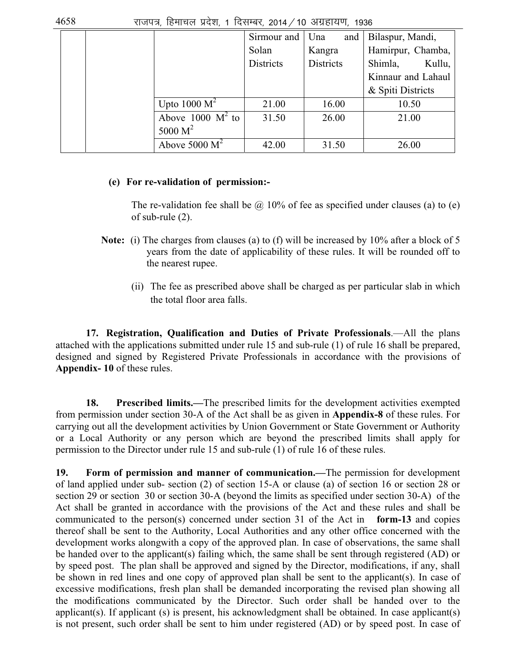|  |                     | Sirmour and      | Una<br>and       | Bilaspur, Mandi,   |
|--|---------------------|------------------|------------------|--------------------|
|  |                     | Solan            | Kangra           | Hamirpur, Chamba,  |
|  |                     | <b>Districts</b> | <b>Districts</b> | Shimla,<br>Kullu,  |
|  |                     |                  |                  | Kinnaur and Lahaul |
|  |                     |                  |                  | & Spiti Districts  |
|  | Upto $1000 M^2$     | 21.00            | 16.00            | 10.50              |
|  | Above 1000 $M^2$ to | 31.50            | 26.00            | 21.00              |
|  | 5000 $M^2$          |                  |                  |                    |
|  | Above $5000 M^2$    | 42.00            | 31.50            | 26.00              |

### **(e) For re-validation of permission:-**

The re-validation fee shall be  $\omega$  10% of fee as specified under clauses (a) to (e) of sub-rule (2).

- **Note:** (i) The charges from clauses (a) to (f) will be increased by 10% after a block of 5 years from the date of applicability of these rules. It will be rounded off to the nearest rupee.
	- (ii) The fee as prescribed above shall be charged as per particular slab in which the total floor area falls.

 **17. Registration, Qualification and Duties of Private Professionals**.—All the plans attached with the applications submitted under rule 15 and sub-rule (1) of rule 16 shall be prepared, designed and signed by Registered Private Professionals in accordance with the provisions of **Appendix- 10** of these rules.

 **18. Prescribed limits.—**The prescribed limits for the development activities exempted from permission under section 30-A of the Act shall be as given in **Appendix-8** of these rules. For carrying out all the development activities by Union Government or State Government or Authority or a Local Authority or any person which are beyond the prescribed limits shall apply for permission to the Director under rule 15 and sub-rule (1) of rule 16 of these rules.

**19. Form of permission and manner of communication.—**The permission for development of land applied under sub- section (2) of section 15-A or clause (a) of section 16 or section 28 or section 29 or section 30 or section 30-A (beyond the limits as specified under section 30-A) of the Act shall be granted in accordance with the provisions of the Act and these rules and shall be communicated to the person(s) concerned under section 31 of the Act in **form-13** and copies thereof shall be sent to the Authority, Local Authorities and any other office concerned with the development works alongwith a copy of the approved plan. In case of observations, the same shall be handed over to the applicant(s) failing which, the same shall be sent through registered (AD) or by speed post. The plan shall be approved and signed by the Director, modifications, if any, shall be shown in red lines and one copy of approved plan shall be sent to the applicant(s). In case of excessive modifications, fresh plan shall be demanded incorporating the revised plan showing all the modifications communicated by the Director. Such order shall be handed over to the applicant(s). If applicant (s) is present, his acknowledgment shall be obtained. In case applicant(s) is not present, such order shall be sent to him under registered (AD) or by speed post. In case of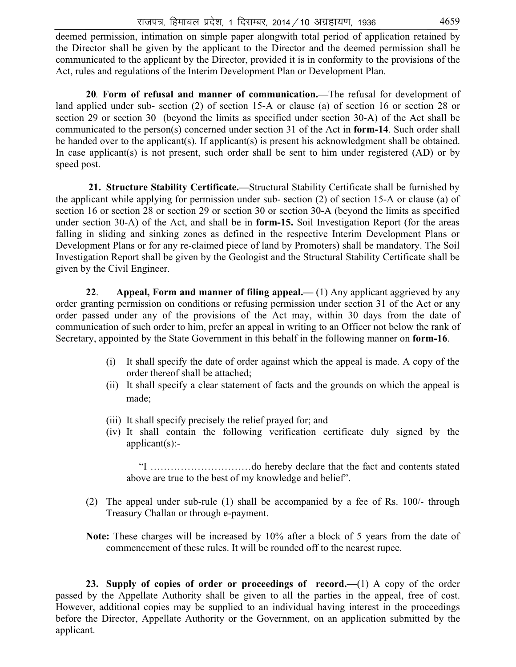deemed permission, intimation on simple paper alongwith total period of application retained by the Director shall be given by the applicant to the Director and the deemed permission shall be communicated to the applicant by the Director, provided it is in conformity to the provisions of the Act, rules and regulations of the Interim Development Plan or Development Plan.

 **20***.* **Form of refusal and manner of communication.—**The refusal for development of land applied under sub- section (2) of section 15-A or clause (a) of section 16 or section 28 or section 29 or section 30 (beyond the limits as specified under section 30-A) of the Act shall be communicated to the person(s) concerned under section 31 of the Act in **form-14**. Such order shall be handed over to the applicant(s). If applicant(s) is present his acknowledgment shall be obtained. In case applicant(s) is not present, such order shall be sent to him under registered (AD) or by speed post.

 **21. Structure Stability Certificate.—**Structural Stability Certificate shall be furnished by the applicant while applying for permission under sub- section (2) of section 15-A or clause (a) of section 16 or section 28 or section 29 or section 30 or section 30-A (beyond the limits as specified under section 30-A) of the Act, and shall be in **form-15.** Soil Investigation Report (for the areas falling in sliding and sinking zones as defined in the respective Interim Development Plans or Development Plans or for any re-claimed piece of land by Promoters) shall be mandatory. The Soil Investigation Report shall be given by the Geologist and the Structural Stability Certificate shall be given by the Civil Engineer.

 **22**. **Appeal, Form and manner of filing appeal.—** (1) Any applicant aggrieved by any order granting permission on conditions or refusing permission under section 31 of the Act or any order passed under any of the provisions of the Act may, within 30 days from the date of communication of such order to him, prefer an appeal in writing to an Officer not below the rank of Secretary, appointed by the State Government in this behalf in the following manner on **form-16**.

- (i) It shall specify the date of order against which the appeal is made. A copy of the order thereof shall be attached;
- (ii) It shall specify a clear statement of facts and the grounds on which the appeal is made;
- (iii) It shall specify precisely the relief prayed for; and
- (iv) It shall contain the following verification certificate duly signed by the applicant(s):-

 "I …………………………do hereby declare that the fact and contents stated above are true to the best of my knowledge and belief".

- (2) The appeal under sub-rule (1) shall be accompanied by a fee of Rs. 100/- through Treasury Challan or through e-payment.
- **Note:** These charges will be increased by 10% after a block of 5 years from the date of commencement of these rules. It will be rounded off to the nearest rupee.

 **23. Supply of copies of order or proceedings of record.—**(1) A copy of the order passed by the Appellate Authority shall be given to all the parties in the appeal, free of cost. However, additional copies may be supplied to an individual having interest in the proceedings before the Director, Appellate Authority or the Government, on an application submitted by the applicant.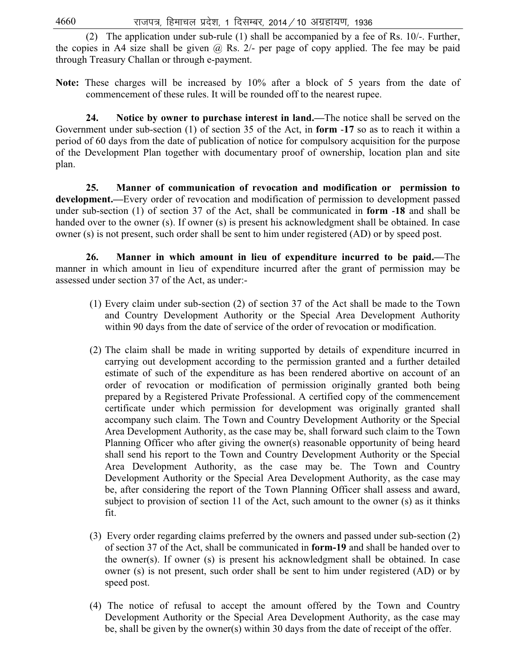(2) The application under sub-rule (1) shall be accompanied by a fee of Rs. 10/-. Further, the copies in A4 size shall be given  $\omega$  Rs. 2/- per page of copy applied. The fee may be paid through Treasury Challan or through e-payment.

**Note:** These charges will be increased by 10% after a block of 5 years from the date of commencement of these rules. It will be rounded off to the nearest rupee.

 **24. Notice by owner to purchase interest in land.—**The notice shall be served on the Government under sub-section (1) of section 35 of the Act, in **form** -**17** so as to reach it within a period of 60 days from the date of publication of notice for compulsory acquisition for the purpose of the Development Plan together with documentary proof of ownership, location plan and site plan.

 **25. Manner of communication of revocation and modification or permission to development.—**Every order of revocation and modification of permission to development passed under sub-section (1) of section 37 of the Act, shall be communicated in **form** -**18** and shall be handed over to the owner (s). If owner (s) is present his acknowledgment shall be obtained. In case owner (s) is not present, such order shall be sent to him under registered (AD) or by speed post.

 **26. Manner in which amount in lieu of expenditure incurred to be paid.—**The manner in which amount in lieu of expenditure incurred after the grant of permission may be assessed under section 37 of the Act, as under:-

- (1) Every claim under sub-section (2) of section 37 of the Act shall be made to the Town and Country Development Authority or the Special Area Development Authority within 90 days from the date of service of the order of revocation or modification.
- (2) The claim shall be made in writing supported by details of expenditure incurred in carrying out development according to the permission granted and a further detailed estimate of such of the expenditure as has been rendered abortive on account of an order of revocation or modification of permission originally granted both being prepared by a Registered Private Professional. A certified copy of the commencement certificate under which permission for development was originally granted shall accompany such claim. The Town and Country Development Authority or the Special Area Development Authority, as the case may be, shall forward such claim to the Town Planning Officer who after giving the owner(s) reasonable opportunity of being heard shall send his report to the Town and Country Development Authority or the Special Area Development Authority, as the case may be. The Town and Country Development Authority or the Special Area Development Authority, as the case may be, after considering the report of the Town Planning Officer shall assess and award, subject to provision of section 11 of the Act, such amount to the owner (s) as it thinks fit.
- (3) Every order regarding claims preferred by the owners and passed under sub-section (2) of section 37 of the Act, shall be communicated in **form-19** and shall be handed over to the owner(s). If owner (s) is present his acknowledgment shall be obtained. In case owner (s) is not present, such order shall be sent to him under registered (AD) or by speed post.
- (4) The notice of refusal to accept the amount offered by the Town and Country Development Authority or the Special Area Development Authority, as the case may be, shall be given by the owner(s) within 30 days from the date of receipt of the offer.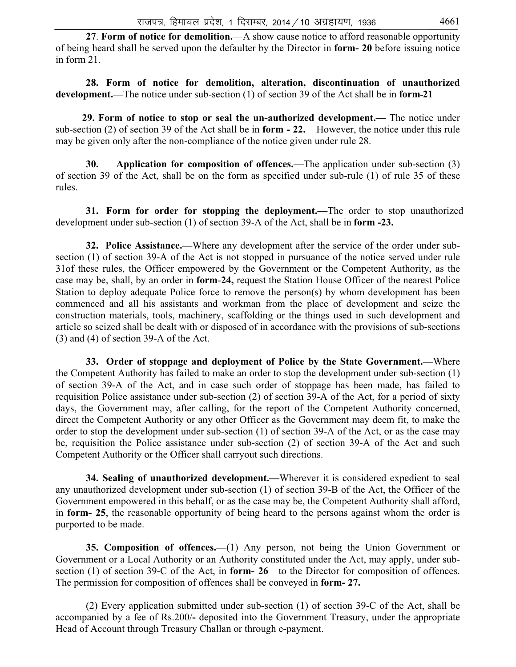**27**. **Form of notice for demolition.**—A show cause notice to afford reasonable opportunity of being heard shall be served upon the defaulter by the Director in **form- 20** before issuing notice in form 21.

 **28. Form of notice for demolition, alteration, discontinuation of unauthorized development.—**The notice under sub-section (1) of section 39 of the Act shall be in **form 21** 

**29. Form of notice to stop or seal the un-authorized development.—** The notice under sub-section (2) of section 39 of the Act shall be in **form - 22.** However, the notice under this rule may be given only after the non-compliance of the notice given under rule 28.

**30. Application for composition of offences.**—The application under sub-section (3) of section 39 of the Act, shall be on the form as specified under sub-rule (1) of rule 35 of these rules.

**31. Form for order for stopping the deployment.—**The order to stop unauthorized development under sub-section (1) of section 39-A of the Act, shall be in **form -23.**

 **32. Police Assistance.—**Where any development after the service of the order under subsection (1) of section 39-A of the Act is not stopped in pursuance of the notice served under rule 31of these rules, the Officer empowered by the Government or the Competent Authority, as the case may be, shall, by an order in **form**-**24,** request the Station House Officer of the nearest Police Station to deploy adequate Police force to remove the person(s) by whom development has been commenced and all his assistants and workman from the place of development and seize the construction materials, tools, machinery, scaffolding or the things used in such development and article so seized shall be dealt with or disposed of in accordance with the provisions of sub-sections (3) and (4) of section 39-A of the Act.

 **33. Order of stoppage and deployment of Police by the State Government.—**Where the Competent Authority has failed to make an order to stop the development under sub-section (1) of section 39-A of the Act, and in case such order of stoppage has been made, has failed to requisition Police assistance under sub-section (2) of section 39-A of the Act, for a period of sixty days, the Government may, after calling, for the report of the Competent Authority concerned, direct the Competent Authority or any other Officer as the Government may deem fit, to make the order to stop the development under sub-section (1) of section 39-A of the Act, or as the case may be, requisition the Police assistance under sub-section (2) of section 39-A of the Act and such Competent Authority or the Officer shall carryout such directions.

**34. Sealing of unauthorized development.—**Wherever it is considered expedient to seal any unauthorized development under sub-section (1) of section 39-B of the Act, the Officer of the Government empowered in this behalf, or as the case may be, the Competent Authority shall afford, in **form- 25**, the reasonable opportunity of being heard to the persons against whom the order is purported to be made.

 **35. Composition of offences.—**(1) Any person, not being the Union Government or Government or a Local Authority or an Authority constituted under the Act, may apply, under subsection (1) of section 39-C of the Act, in **form- 26** to the Director for composition of offences. The permission for composition of offences shall be conveyed in **form- 27.**

 (2) Every application submitted under sub-section (1) of section 39-C of the Act, shall be accompanied by a fee of Rs.200/**-** deposited into the Government Treasury, under the appropriate Head of Account through Treasury Challan or through e-payment.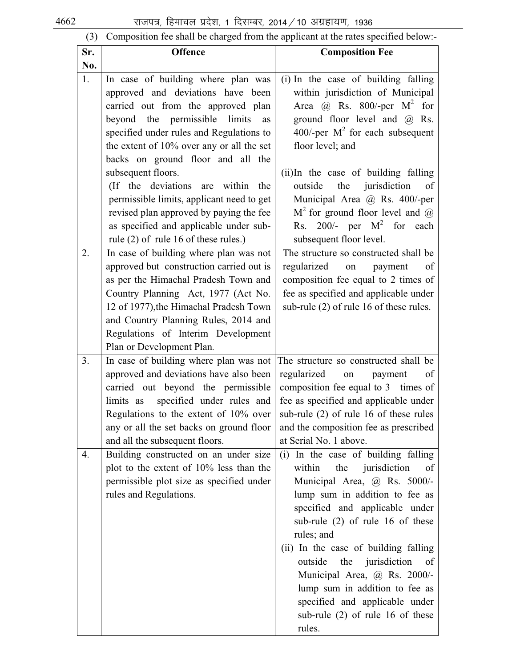(3) Composition fee shall be charged from the applicant at the rates specified below:-

| Sr. | <b>Offence</b>                                                                                                                                                                                                                                                                                                                                      | <b>Composition Fee</b>                                                                                                                                                                                                                                                                                                                                                                                                                                              |
|-----|-----------------------------------------------------------------------------------------------------------------------------------------------------------------------------------------------------------------------------------------------------------------------------------------------------------------------------------------------------|---------------------------------------------------------------------------------------------------------------------------------------------------------------------------------------------------------------------------------------------------------------------------------------------------------------------------------------------------------------------------------------------------------------------------------------------------------------------|
| No. |                                                                                                                                                                                                                                                                                                                                                     |                                                                                                                                                                                                                                                                                                                                                                                                                                                                     |
| 1.  | In case of building where plan was<br>approved and deviations have been<br>carried out from the approved plan<br>beyond the permissible<br>limits<br>as<br>specified under rules and Regulations to<br>the extent of $10\%$ over any or all the set<br>backs on ground floor and all the<br>subsequent floors.<br>(If the deviations are within the | (i) In the case of building falling<br>within jurisdiction of Municipal<br>Area @ Rs. 800/-per $M^2$ for<br>ground floor level and $\overline{a}$ Rs.<br>400/-per $M^2$ for each subsequent<br>floor level; and<br>(ii)In the case of building falling<br>jurisdiction<br>outside<br>the<br>of                                                                                                                                                                      |
|     | permissible limits, applicant need to get<br>revised plan approved by paying the fee<br>as specified and applicable under sub-<br>rule (2) of rule 16 of these rules.)                                                                                                                                                                              | Municipal Area @ Rs. 400/-per<br>$M2$ for ground floor level and $@$<br>Rs. 200/- per $M^2$ for each<br>subsequent floor level.                                                                                                                                                                                                                                                                                                                                     |
| 2.  | In case of building where plan was not<br>approved but construction carried out is<br>as per the Himachal Pradesh Town and<br>Country Planning Act, 1977 (Act No.<br>12 of 1977), the Himachal Pradesh Town<br>and Country Planning Rules, 2014 and<br>Regulations of Interim Development<br>Plan or Development Plan.                              | The structure so constructed shall be<br>regularized on<br>payment<br>of<br>composition fee equal to 2 times of<br>fee as specified and applicable under<br>sub-rule (2) of rule 16 of these rules.                                                                                                                                                                                                                                                                 |
| 3.  | In case of building where plan was not<br>approved and deviations have also been<br>carried out beyond the permissible<br>specified under rules and<br>limits as<br>Regulations to the extent of 10% over<br>any or all the set backs on ground floor<br>and all the subsequent floors.                                                             | The structure so constructed shall be<br>regularized<br>of<br>on<br>payment<br>composition fee equal to 3 times of<br>fee as specified and applicable under<br>sub-rule (2) of rule 16 of these rules<br>and the composition fee as prescribed<br>at Serial No. 1 above.                                                                                                                                                                                            |
| 4.  | Building constructed on an under size<br>plot to the extent of 10% less than the<br>permissible plot size as specified under<br>rules and Regulations.                                                                                                                                                                                              | (i) In the case of building falling<br>within<br>jurisdiction<br>the<br>of<br>Municipal Area, @ Rs. 5000/-<br>lump sum in addition to fee as<br>specified and applicable under<br>sub-rule $(2)$ of rule 16 of these<br>rules; and<br>(ii) In the case of building falling<br>outside<br>the jurisdiction<br>of<br>Municipal Area, @ Rs. 2000/-<br>lump sum in addition to fee as<br>specified and applicable under<br>sub-rule $(2)$ of rule 16 of these<br>rules. |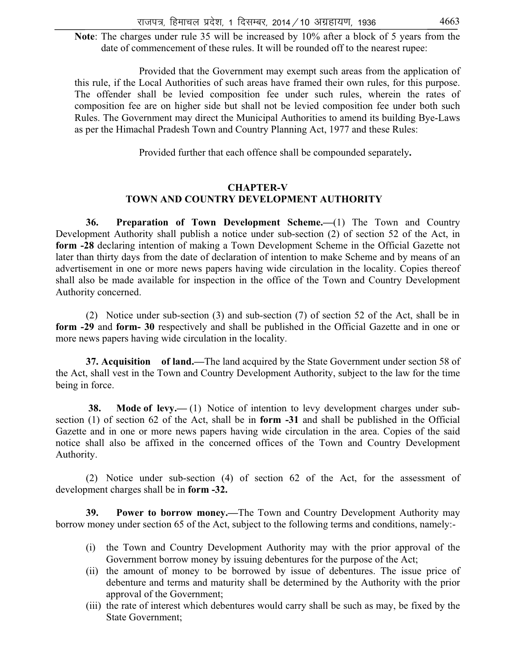Note: The charges under rule 35 will be increased by  $10\%$  after a block of 5 years from the date of commencement of these rules. It will be rounded off to the nearest rupee:

Provided that the Government may exempt such areas from the application of this rule, if the Local Authorities of such areas have framed their own rules, for this purpose. The offender shall be levied composition fee under such rules, wherein the rates of composition fee are on higher side but shall not be levied composition fee under both such Rules. The Government may direct the Municipal Authorities to amend its building Bye-Laws as per the Himachal Pradesh Town and Country Planning Act, 1977 and these Rules:

Provided further that each offence shall be compounded separately**.** 

### **CHAPTER-V TOWN AND COUNTRY DEVELOPMENT AUTHORITY**

 **36. Preparation of Town Development Scheme.—**(1) The Town and Country Development Authority shall publish a notice under sub-section (2) of section 52 of the Act, in **form -28** declaring intention of making a Town Development Scheme in the Official Gazette not later than thirty days from the date of declaration of intention to make Scheme and by means of an advertisement in one or more news papers having wide circulation in the locality. Copies thereof shall also be made available for inspection in the office of the Town and Country Development Authority concerned.

 (2) Notice under sub-section (3) and sub-section (7) of section 52 of the Act, shall be in **form -29** and **form- 30** respectively and shall be published in the Official Gazette and in one or more news papers having wide circulation in the locality.

 **37. Acquisition of land.—**The land acquired by the State Government under section 58 of the Act, shall vest in the Town and Country Development Authority, subject to the law for the time being in force.

**38. Mode of levy.— (1)** Notice of intention to levy development charges under subsection (1) of section 62 of the Act, shall be in **form -31** and shall be published in the Official Gazette and in one or more news papers having wide circulation in the area. Copies of the said notice shall also be affixed in the concerned offices of the Town and Country Development Authority.

 (2) Notice under sub-section (4) of section 62 of the Act, for the assessment of development charges shall be in **form -32.** 

**39. Power to borrow money.—**The Town and Country Development Authority may borrow money under section 65 of the Act, subject to the following terms and conditions, namely:-

- (i) the Town and Country Development Authority may with the prior approval of the Government borrow money by issuing debentures for the purpose of the Act;
- (ii) the amount of money to be borrowed by issue of debentures. The issue price of debenture and terms and maturity shall be determined by the Authority with the prior approval of the Government;
- (iii) the rate of interest which debentures would carry shall be such as may, be fixed by the State Government;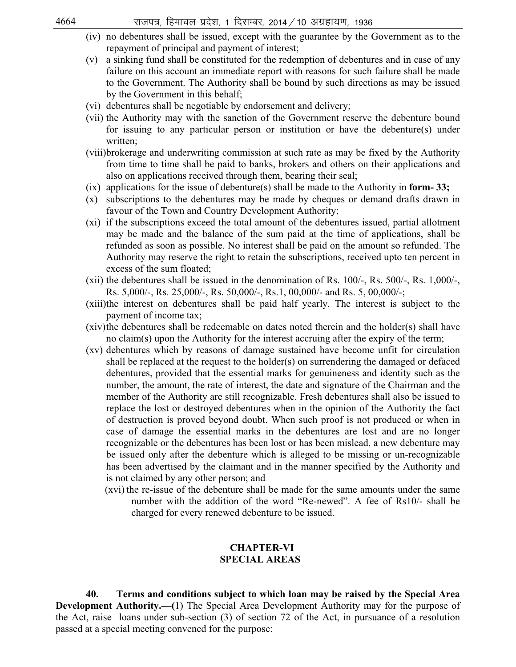- (iv) no debentures shall be issued, except with the guarantee by the Government as to the repayment of principal and payment of interest;
- (v) a sinking fund shall be constituted for the redemption of debentures and in case of any failure on this account an immediate report with reasons for such failure shall be made to the Government. The Authority shall be bound by such directions as may be issued by the Government in this behalf;
- (vi) debentures shall be negotiable by endorsement and delivery;
- (vii) the Authority may with the sanction of the Government reserve the debenture bound for issuing to any particular person or institution or have the debenture(s) under written;
- (viii)brokerage and underwriting commission at such rate as may be fixed by the Authority from time to time shall be paid to banks, brokers and others on their applications and also on applications received through them, bearing their seal;
- (ix) applications for the issue of debenture(s) shall be made to the Authority in **form- 33;**
- (x) subscriptions to the debentures may be made by cheques or demand drafts drawn in favour of the Town and Country Development Authority;
- (xi) if the subscriptions exceed the total amount of the debentures issued, partial allotment may be made and the balance of the sum paid at the time of applications, shall be refunded as soon as possible. No interest shall be paid on the amount so refunded. The Authority may reserve the right to retain the subscriptions, received upto ten percent in excess of the sum floated;
- (xii) the debentures shall be issued in the denomination of Rs. 100/-, Rs. 500/-, Rs. 1,000/-, Rs. 5,000/-, Rs. 25,000/-, Rs. 50,000/-, Rs.1, 00,000/- and Rs. 5, 00,000/-;
- (xiii)the interest on debentures shall be paid half yearly. The interest is subject to the payment of income tax;
- (xiv)the debentures shall be redeemable on dates noted therein and the holder(s) shall have no claim(s) upon the Authority for the interest accruing after the expiry of the term;
- (xv) debentures which by reasons of damage sustained have become unfit for circulation shall be replaced at the request to the holder(s) on surrendering the damaged or defaced debentures, provided that the essential marks for genuineness and identity such as the number, the amount, the rate of interest, the date and signature of the Chairman and the member of the Authority are still recognizable. Fresh debentures shall also be issued to replace the lost or destroyed debentures when in the opinion of the Authority the fact of destruction is proved beyond doubt. When such proof is not produced or when in case of damage the essential marks in the debentures are lost and are no longer recognizable or the debentures has been lost or has been mislead, a new debenture may be issued only after the debenture which is alleged to be missing or un-recognizable has been advertised by the claimant and in the manner specified by the Authority and is not claimed by any other person; and
	- (xvi) the re-issue of the debenture shall be made for the same amounts under the same number with the addition of the word "Re-newed". A fee of Rs10/- shall be charged for every renewed debenture to be issued.

### **CHAPTER-VI SPECIAL AREAS**

 **40. Terms and conditions subject to which loan may be raised by the Special Area Development Authority.—(**1) The Special Area Development Authority may for the purpose of the Act, raise loans under sub-section (3) of section 72 of the Act, in pursuance of a resolution passed at a special meeting convened for the purpose: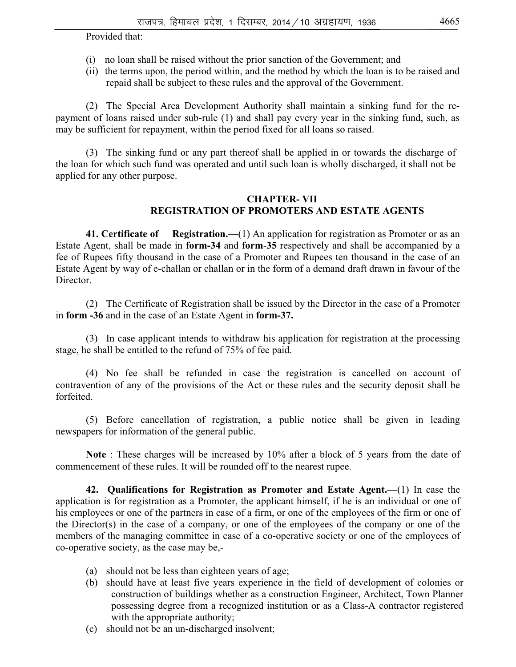Provided that:

- (i) no loan shall be raised without the prior sanction of the Government; and
- (ii) the terms upon, the period within, and the method by which the loan is to be raised and repaid shall be subject to these rules and the approval of the Government.

 (2) The Special Area Development Authority shall maintain a sinking fund for the repayment of loans raised under sub-rule (1) and shall pay every year in the sinking fund, such, as may be sufficient for repayment, within the period fixed for all loans so raised.

 (3) The sinking fund or any part thereof shall be applied in or towards the discharge of the loan for which such fund was operated and until such loan is wholly discharged, it shall not be applied for any other purpose.

### **CHAPTER- VII REGISTRATION OF PROMOTERS AND ESTATE AGENTS**

 **41. Certificate of Registration.—**(1) An application for registration as Promoter or as an Estate Agent, shall be made in **form-34** and **form**-**35** respectively and shall be accompanied by a fee of Rupees fifty thousand in the case of a Promoter and Rupees ten thousand in the case of an Estate Agent by way of e-challan or challan or in the form of a demand draft drawn in favour of the Director.

 (2) The Certificate of Registration shall be issued by the Director in the case of a Promoter in **form -36** and in the case of an Estate Agent in **form-37.** 

 (3) In case applicant intends to withdraw his application for registration at the processing stage, he shall be entitled to the refund of 75% of fee paid.

 (4) No fee shall be refunded in case the registration is cancelled on account of contravention of any of the provisions of the Act or these rules and the security deposit shall be forfeited.

 (5) Before cancellation of registration, a public notice shall be given in leading newspapers for information of the general public.

 **Note** : These charges will be increased by 10% after a block of 5 years from the date of commencement of these rules. It will be rounded off to the nearest rupee.

 **42. Qualifications for Registration as Promoter and Estate Agent.—**(1) In case the application is for registration as a Promoter, the applicant himself, if he is an individual or one of his employees or one of the partners in case of a firm, or one of the employees of the firm or one of the Director(s) in the case of a company, or one of the employees of the company or one of the members of the managing committee in case of a co-operative society or one of the employees of co-operative society, as the case may be,-

- (a) should not be less than eighteen years of age;
- (b) should have at least five years experience in the field of development of colonies or construction of buildings whether as a construction Engineer, Architect, Town Planner possessing degree from a recognized institution or as a Class-A contractor registered with the appropriate authority;
- (c) should not be an un-discharged insolvent;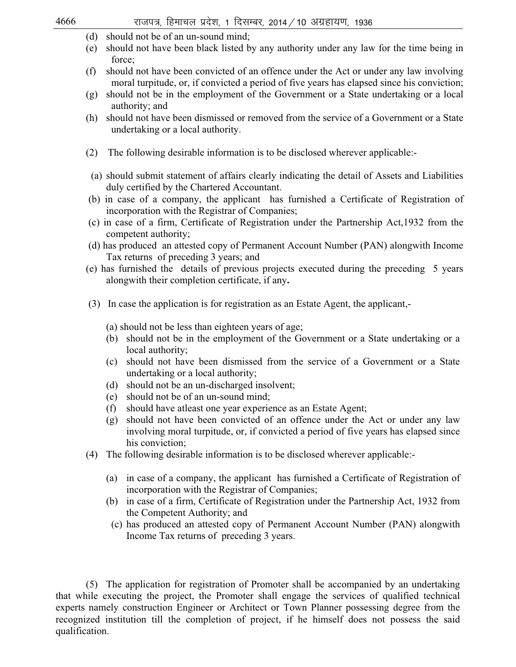| 4666 |     | राजपत्र, हिमाचल प्रदेश, 1 दिसम्बर, 2014 / 10 अग्रहायण, 1936                                                                                                                                   |
|------|-----|-----------------------------------------------------------------------------------------------------------------------------------------------------------------------------------------------|
|      | (d) | should not be of an un-sound mind;                                                                                                                                                            |
|      | (e) | should not have been black listed by any authority under any law for the time being in<br>force;                                                                                              |
|      | (f) | should not have been convicted of an offence under the Act or under any law involving<br>moral turpitude, or, if convicted a period of five years has elapsed since his conviction;           |
|      | (g) | should not be in the employment of the Government or a State undertaking or a local<br>authority; and                                                                                         |
|      | (h) | should not have been dismissed or removed from the service of a Government or a State<br>undertaking or a local authority.                                                                    |
|      | (2) | The following desirable information is to be disclosed wherever applicable:-                                                                                                                  |
|      |     | (a) should submit statement of affairs clearly indicating the detail of Assets and Liabilities<br>duly certified by the Chartered Accountant.                                                 |
|      |     | (b) in case of a company, the applicant has furnished a Certificate of Registration of<br>incorporation with the Registrar of Companies;                                                      |
|      |     | (c) in case of a firm, Certificate of Registration under the Partnership Act, 1932 from the<br>competent authority;                                                                           |
|      |     | (d) has produced an attested copy of Permanent Account Number (PAN) alongwith Income<br>Tax returns of preceding 3 years; and                                                                 |
|      |     | (e) has furnished the details of previous projects executed during the preceding 5 years<br>alongwith their completion certificate, if any.                                                   |
|      |     | (3) In case the application is for registration as an Estate Agent, the applicant,-                                                                                                           |
|      |     | (a) should not be less than eighteen years of age;                                                                                                                                            |
|      |     | should not be in the employment of the Government or a State undertaking or a<br>(b)<br>local authority;                                                                                      |
|      |     | should not have been dismissed from the service of a Government or a State<br>(c)<br>undertaking or a local authority;                                                                        |
|      |     | (d) should not be an un-discharged insolvent;                                                                                                                                                 |
|      |     | should not be of an un-sound mind;<br>(e)                                                                                                                                                     |
|      |     | should have atleast one year experience as an Estate Agent;<br>(f)                                                                                                                            |
|      |     | should not have been convicted of an offence under the Act or under any law<br>(g)<br>involving moral turpitude, or, if convicted a period of five years has elapsed since<br>his conviction; |
|      | (4) | The following desirable information is to be disclosed wherever applicable:-                                                                                                                  |
|      |     | in case of a company, the applicant has furnished a Certificate of Registration of<br>(a)<br>incorporation with the Registrar of Companies;                                                   |
|      |     | in case of a firm, Certificate of Registration under the Partnership Act, 1932 from<br>(b)<br>the Competent Authority; and                                                                    |
|      |     | (c) has produced an attested copy of Permanent Account Number (PAN) alongwith<br>Income Tax returns of preceding 3 years.                                                                     |
|      |     |                                                                                                                                                                                               |
|      | (5) | The application for registration of Promoter shall be accompanied by an undertaking                                                                                                           |

that while executing the project, the Promoter shall engage the services of qualified technical experts namely construction Engineer or Architect or Town Planner possessing degree from the recognized institution till the completion of project, if he himself does not possess the said qualification.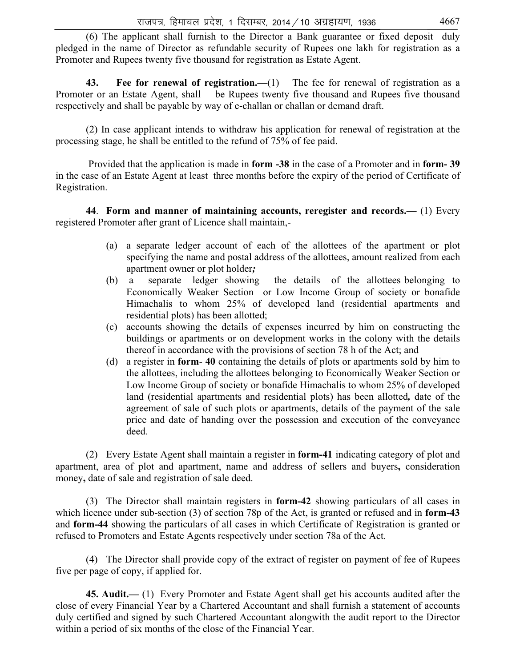(6) The applicant shall furnish to the Director a Bank guarantee or fixed deposit duly pledged in the name of Director as refundable security of Rupees one lakh for registration as a Promoter and Rupees twenty five thousand for registration as Estate Agent.

 **43. Fee for renewal of registration.—**(1)The fee for renewal of registration as a Promoter or an Estate Agent, shall be Rupees twenty five thousand and Rupees five thousand respectively and shall be payable by way of e-challan or challan or demand draft.

 (2) In case applicant intends to withdraw his application for renewal of registration at the processing stage, he shall be entitled to the refund of 75% of fee paid.

 Provided that the application is made in **form -38** in the case of a Promoter and in **form- 39**  in the case of an Estate Agent at least three months before the expiry of the period of Certificate of Registration.

 **44**. **Form and manner of maintaining accounts, reregister and records.—** (1) Every registered Promoter after grant of Licence shall maintain,-

- (a)a separate ledger account of each of the allottees of the apartment or plot specifying the name and postal address of the allottees, amount realized from each apartment owner or plot holder*;*
- (b) a separate ledger showing the details of the allottees belonging to Economically Weaker Section or Low Income Group of society or bonafide Himachalis to whom 25% of developed land (residential apartments and residential plots) has been allotted;
- (c) accounts showing the details of expenses incurred by him on constructing the buildings or apartments or on development works in the colony with the details thereof in accordance with the provisions of section 78 h of the Act; and
- (d) a register in **form 40** containing the details of plots or apartments sold by him to the allottees, including the allottees belonging to Economically Weaker Section or Low Income Group of society or bonafide Himachalis to whom 25% of developed land (residential apartments and residential plots) has been allotted*,* date of the agreement of sale of such plots or apartments, details of the payment of the sale price and date of handing over the possession and execution of the conveyance deed.

 (2) Every Estate Agent shall maintain a register in **form-41** indicating category of plot and apartment, area of plot and apartment, name and address of sellers and buyers**,** consideration money**,** date of sale and registration of sale deed.

 (3) The Director shall maintain registers in **form-42** showing particulars of all cases in which licence under sub-section (3) of section 78p of the Act, is granted or refused and in **form-43**  and **form-44** showing the particulars of all cases in which Certificate of Registration is granted or refused to Promoters and Estate Agents respectively under section 78a of the Act.

 (4) The Director shall provide copy of the extract of register on payment of fee of Rupees five per page of copy, if applied for.

 **45. Audit.—** (1) Every Promoter and Estate Agent shall get his accounts audited after the close of every Financial Year by a Chartered Accountant and shall furnish a statement of accounts duly certified and signed by such Chartered Accountant alongwith the audit report to the Director within a period of six months of the close of the Financial Year.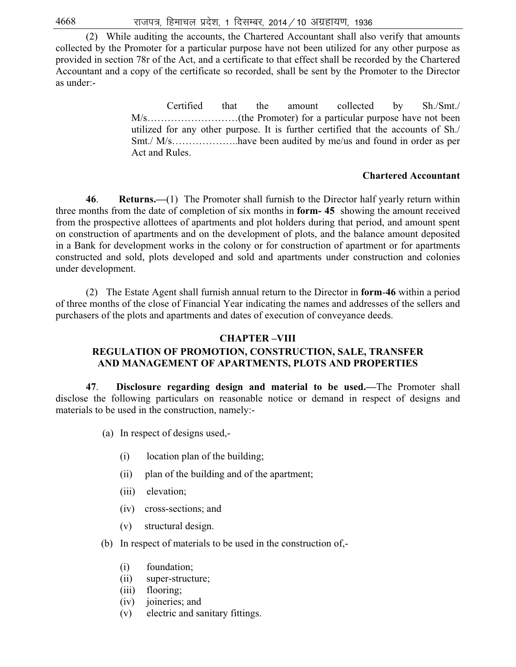(2) While auditing the accounts, the Chartered Accountant shall also verify that amounts collected by the Promoter for a particular purpose have not been utilized for any other purpose as provided in section 78r of the Act, and a certificate to that effect shall be recorded by the Chartered Accountant and a copy of the certificate so recorded, shall be sent by the Promoter to the Director as under:-

> Certified that the amount collected by Sh./Smt./ M/s………………………(the Promoter) for a particular purpose have not been utilized for any other purpose. It is further certified that the accounts of Sh./ Smt./ M/s………………..have been audited by me/us and found in order as per Act and Rules.

### **Chartered Accountant**

 **46**. **Returns.—**(1) The Promoter shall furnish to the Director half yearly return within three months from the date of completion of six months in **form- 45** showing the amount received from the prospective allottees of apartments and plot holders during that period, and amount spent on construction of apartments and on the development of plots, and the balance amount deposited in a Bank for development works in the colony or for construction of apartment or for apartments constructed and sold, plots developed and sold and apartments under construction and colonies under development.

 (2) The Estate Agent shall furnish annual return to the Director in **form**-**46** within a period of three months of the close of Financial Year indicating the names and addresses of the sellers and purchasers of the plots and apartments and dates of execution of conveyance deeds.

### **CHAPTER –VIII**

# **REGULATION OF PROMOTION, CONSTRUCTION, SALE, TRANSFER AND MANAGEMENT OF APARTMENTS, PLOTS AND PROPERTIES**

 **47**. **Disclosure regarding design and material to be used.—**The Promoter shall disclose the following particulars on reasonable notice or demand in respect of designs and materials to be used in the construction, namely:-

- (a) In respect of designs used,-
	- (i) location plan of the building;
	- (ii) plan of the building and of the apartment;
	- (iii) elevation;
	- (iv) cross-sections; and
	- (v) structural design.
- (b) In respect of materials to be used in the construction of,-
	- (i) foundation;
	- (ii) super-structure;
	- (iii) flooring;
	- (iv) joineries; and
	- (v) electric and sanitary fittings.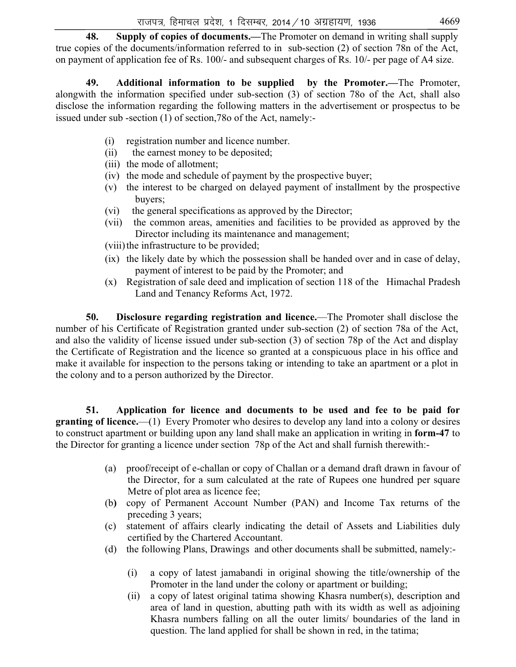**48. Supply of copies of documents.—**The Promoter on demand in writing shall supply true copies of the documents/information referred to in sub-section (2) of section 78n of the Act, on payment of application fee of Rs. 100/- and subsequent charges of Rs. 10/- per page of A4 size.

 **49. Additional information to be supplied by the Promoter.—**The Promoter, alongwith the information specified under sub-section (3) of section 78o of the Act, shall also disclose the information regarding the following matters in the advertisement or prospectus to be issued under sub -section (1) of section,78o of the Act, namely:-

- (i) registration number and licence number.
- (ii)the earnest money to be deposited;
- (iii) the mode of allotment;
- (iv)the mode and schedule of payment by the prospective buyer;
- (v) the interest to be charged on delayed payment of installment by the prospective buyers;
- (vi) the general specifications as approved by the Director;
- (vii) the common areas, amenities and facilities to be provided as approved by the Director including its maintenance and management;
- (viii) the infrastructure to be provided;
- (ix) the likely date by which the possession shall be handed over and in case of delay, payment of interest to be paid by the Promoter; and
- (x) Registration of sale deed and implication of section 118 of the Himachal Pradesh Land and Tenancy Reforms Act, 1972.

 **50. Disclosure regarding registration and licence.**—The Promoter shall disclose the number of his Certificate of Registration granted under sub-section (2) of section 78a of the Act, and also the validity of license issued under sub-section (3) of section 78p of the Act and display the Certificate of Registration and the licence so granted at a conspicuous place in his office and make it available for inspection to the persons taking or intending to take an apartment or a plot in the colony and to a person authorized by the Director.

 **51. Application for licence and documents to be used and fee to be paid for granting of licence.**—(1) Every Promoter who desires to develop any land into a colony or desires to construct apartment or building upon any land shall make an application in writing in **form-47** to the Director for granting a licence under section 78p of the Act and shall furnish therewith:-

- (a)proof/receipt of e-challan or copy of Challan or a demand draft drawn in favour of the Director, for a sum calculated at the rate of Rupees one hundred per square Metre of plot area as licence fee;
- (b**)** copy of Permanent Account Number (PAN) and Income Tax returns of the preceding 3 years;
- (c)statement of affairs clearly indicating the detail of Assets and Liabilities duly certified by the Chartered Accountant.
- (d) the following Plans, Drawings and other documents shall be submitted, namely:-
	- (i) a copy of latest jamabandi in original showing the title/ownership of the Promoter in the land under the colony or apartment or building;
	- (ii) a copy of latest original tatima showing Khasra number(s), description and area of land in question, abutting path with its width as well as adjoining Khasra numbers falling on all the outer limits/ boundaries of the land in question. The land applied for shall be shown in red, in the tatima;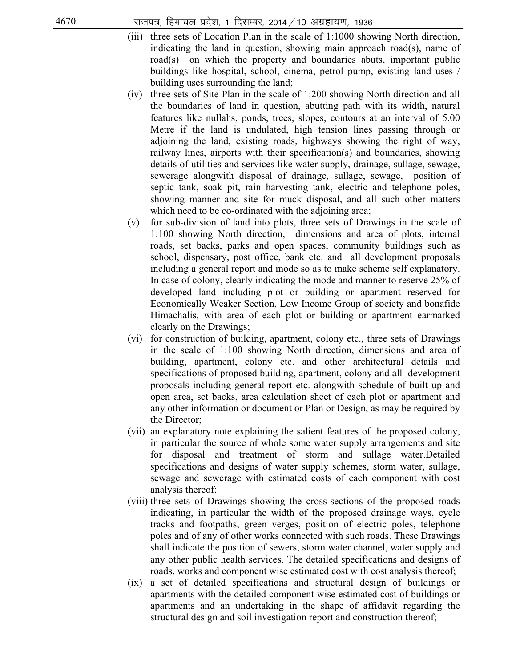- (iii) three sets of Location Plan in the scale of 1:1000 showing North direction, indicating the land in question, showing main approach road(s), name of road(s) on which the property and boundaries abuts, important public buildings like hospital, school, cinema, petrol pump, existing land uses / building uses surrounding the land;
- (iv) three sets of Site Plan in the scale of 1:200 showing North direction and all the boundaries of land in question, abutting path with its width, natural features like nullahs, ponds, trees, slopes, contours at an interval of 5.00 Metre if the land is undulated, high tension lines passing through or adjoining the land, existing roads, highways showing the right of way, railway lines, airports with their specification(s) and boundaries, showing details of utilities and services like water supply, drainage, sullage, sewage, sewerage alongwith disposal of drainage, sullage, sewage, position of septic tank, soak pit, rain harvesting tank, electric and telephone poles, showing manner and site for muck disposal, and all such other matters which need to be co-ordinated with the adjoining area;
- (v) for sub-division of land into plots, three sets of Drawings in the scale of 1:100 showing North direction, dimensions and area of plots, internal roads, set backs, parks and open spaces, community buildings such as school, dispensary, post office, bank etc. and all development proposals including a general report and mode so as to make scheme self explanatory. In case of colony, clearly indicating the mode and manner to reserve 25% of developed land including plot or building or apartment reserved for Economically Weaker Section, Low Income Group of society and bonafide Himachalis, with area of each plot or building or apartment earmarked clearly on the Drawings;
- (vi) for construction of building, apartment, colony etc., three sets of Drawings in the scale of 1:100 showing North direction, dimensions and area of building, apartment, colony etc. and other architectural details and specifications of proposed building, apartment, colony and all development proposals including general report etc. alongwith schedule of built up and open area, set backs, area calculation sheet of each plot or apartment and any other information or document or Plan or Design, as may be required by the Director;
- (vii) an explanatory note explaining the salient features of the proposed colony, in particular the source of whole some water supply arrangements and site for disposal and treatment of storm and sullage water.Detailed specifications and designs of water supply schemes, storm water, sullage, sewage and sewerage with estimated costs of each component with cost analysis thereof;
- (viii) three sets of Drawings showing the cross-sections of the proposed roads indicating, in particular the width of the proposed drainage ways, cycle tracks and footpaths, green verges, position of electric poles, telephone poles and of any of other works connected with such roads. These Drawings shall indicate the position of sewers, storm water channel, water supply and any other public health services. The detailed specifications and designs of roads, works and component wise estimated cost with cost analysis thereof;
- (ix) a set of detailed specifications and structural design of buildings or apartments with the detailed component wise estimated cost of buildings or apartments and an undertaking in the shape of affidavit regarding the structural design and soil investigation report and construction thereof;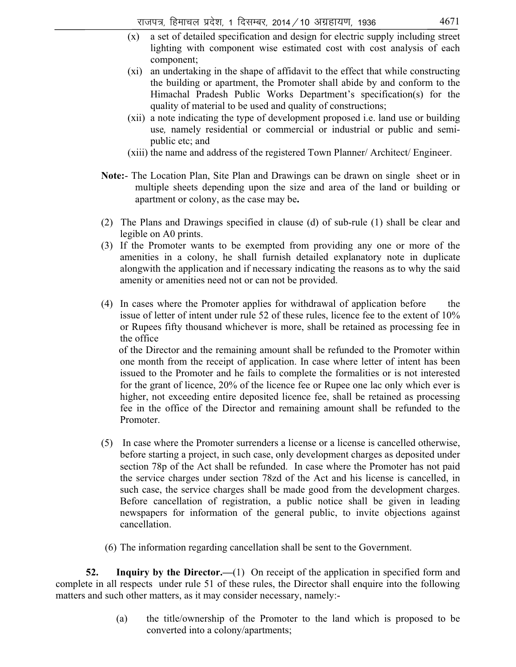- (x) a set of detailed specification and design for electric supply including street lighting with component wise estimated cost with cost analysis of each component;
- (xi) an undertaking in the shape of affidavit to the effect that while constructing the building or apartment, the Promoter shall abide by and conform to the Himachal Pradesh Public Works Department's specification(s) for the quality of material to be used and quality of constructions;
- (xii) a note indicating the type of development proposed i.e. land use or building use*,* namely residential or commercial or industrial or public and semipublic etc; and
- (xiii) the name and address of the registered Town Planner/ Architect/ Engineer.
- **Note:** The Location Plan, Site Plan and Drawings can be drawn on single sheet or in multiple sheets depending upon the size and area of the land or building or apartment or colony, as the case may be**.**
- (2)The Plans and Drawings specified in clause (d) of sub-rule (1) shall be clear and legible on A0 prints.
- (3) If the Promoter wants to be exempted from providing any one or more of the amenities in a colony, he shall furnish detailed explanatory note in duplicate alongwith the application and if necessary indicating the reasons as to why the said amenity or amenities need not or can not be provided.
- (4) In cases where the Promoter applies for withdrawal of application before the issue of letter of intent under rule 52 of these rules, licence fee to the extent of 10% or Rupees fifty thousand whichever is more, shall be retained as processing fee in the office

 of the Director and the remaining amount shall be refunded to the Promoter within one month from the receipt of application. In case where letter of intent has been issued to the Promoter and he fails to complete the formalities or is not interested for the grant of licence, 20% of the licence fee or Rupee one lac only which ever is higher, not exceeding entire deposited licence fee, shall be retained as processing fee in the office of the Director and remaining amount shall be refunded to the Promoter.

- (5) In case where the Promoter surrenders a license or a license is cancelled otherwise, before starting a project, in such case, only development charges as deposited under section 78p of the Act shall be refunded. In case where the Promoter has not paid the service charges under section 78zd of the Act and his license is cancelled, in such case, the service charges shall be made good from the development charges. Before cancellation of registration, a public notice shall be given in leading newspapers for information of the general public, to invite objections against cancellation.
- (6) The information regarding cancellation shall be sent to the Government.

**52.** Inquiry by the Director.—(1) On receipt of the application in specified form and complete in all respects under rule 51 of these rules, the Director shall enquire into the following matters and such other matters, as it may consider necessary, namely:-

> (a) the title/ownership of the Promoter to the land which is proposed to be converted into a colony/apartments;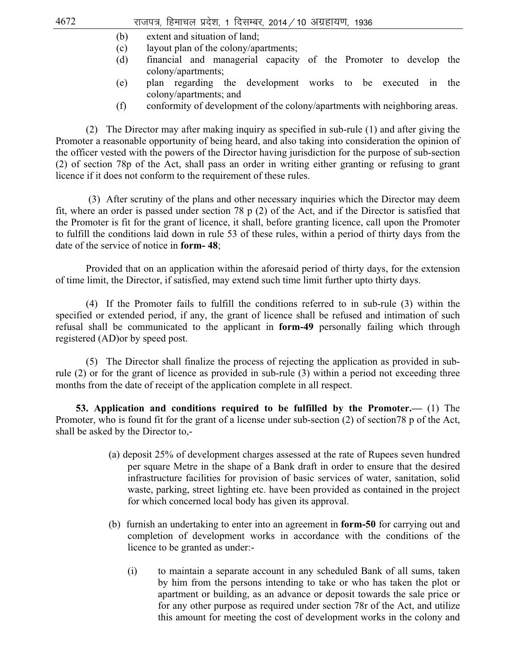- (b) extent and situation of land;
- (c) layout plan of the colony/apartments;
- (d) financial and managerial capacity of the Promoter to develop the colony/apartments;
- (e) plan regarding the development works to be executed in the colony/apartments; and
- (f) conformity of development of the colony/apartments with neighboring areas.

 (2) The Director may after making inquiry as specified in sub-rule (1) and after giving the Promoter a reasonable opportunity of being heard, and also taking into consideration the opinion of the officer vested with the powers of the Director having jurisdiction for the purpose of sub-section (2) of section 78p of the Act, shall pass an order in writing either granting or refusing to grant licence if it does not conform to the requirement of these rules.

 (3) After scrutiny of the plans and other necessary inquiries which the Director may deem fit, where an order is passed under section 78 p (2) of the Act, and if the Director is satisfied that the Promoter is fit for the grant of licence, it shall, before granting licence, call upon the Promoter to fulfill the conditions laid down in rule 53 of these rules, within a period of thirty days from the date of the service of notice in **form- 48**;

Provided that on an application within the aforesaid period of thirty days, for the extension of time limit, the Director, if satisfied, may extend such time limit further upto thirty days.

 (4)If the Promoter fails to fulfill the conditions referred to in sub-rule (3) within the specified or extended period, if any, the grant of licence shall be refused and intimation of such refusal shall be communicated to the applicant in **form-49** personally failing which through registered (AD)or by speed post.

 (5)The Director shall finalize the process of rejecting the application as provided in subrule (2) or for the grant of licence as provided in sub-rule (3) within a period not exceeding three months from the date of receipt of the application complete in all respect.

 **53. Application and conditions required to be fulfilled by the Promoter.—** (1) The Promoter, who is found fit for the grant of a license under sub-section (2) of section78 p of the Act, shall be asked by the Director to,-

- (a) deposit 25% of development charges assessed at the rate of Rupees seven hundred per square Metre in the shape of a Bank draft in order to ensure that the desired infrastructure facilities for provision of basic services of water, sanitation, solid waste, parking, street lighting etc. have been provided as contained in the project for which concerned local body has given its approval.
- (b) furnish an undertaking to enter into an agreement in **form-50** for carrying out and completion of development works in accordance with the conditions of the licence to be granted as under:-
	- (i) to maintain a separate account in any scheduled Bank of all sums, taken by him from the persons intending to take or who has taken the plot or apartment or building, as an advance or deposit towards the sale price or for any other purpose as required under section 78r of the Act, and utilize this amount for meeting the cost of development works in the colony and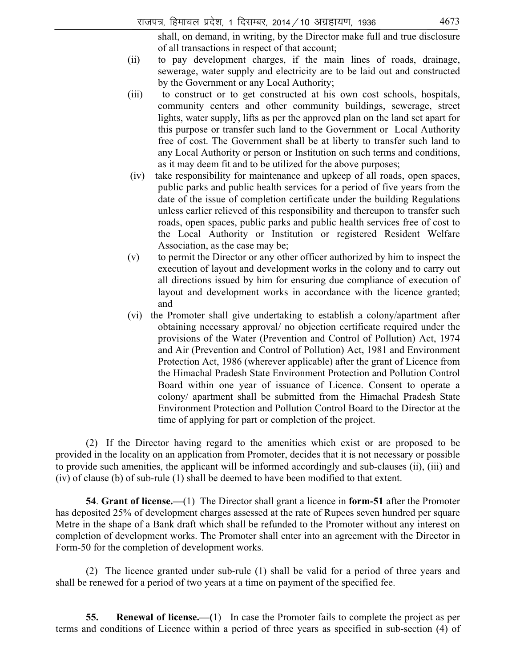shall, on demand, in writing, by the Director make full and true disclosure of all transactions in respect of that account;

- (ii) to pay development charges, if the main lines of roads, drainage, sewerage, water supply and electricity are to be laid out and constructed by the Government or any Local Authority;
- (iii) to construct or to get constructed at his own cost schools, hospitals, community centers and other community buildings, sewerage, street lights, water supply, lifts as per the approved plan on the land set apart for this purpose or transfer such land to the Government or Local Authority free of cost. The Government shall be at liberty to transfer such land to any Local Authority or person or Institution on such terms and conditions, as it may deem fit and to be utilized for the above purposes;
- (iv) take responsibility for maintenance and upkeep of all roads, open spaces, public parks and public health services for a period of five years from the date of the issue of completion certificate under the building Regulations unless earlier relieved of this responsibility and thereupon to transfer such roads, open spaces, public parks and public health services free of cost to the Local Authority or Institution or registered Resident Welfare Association, as the case may be;
- (v) to permit the Director or any other officer authorized by him to inspect the execution of layout and development works in the colony and to carry out all directions issued by him for ensuring due compliance of execution of layout and development works in accordance with the licence granted; and
- (vi) the Promoter shall give undertaking to establish a colony/apartment after obtaining necessary approval/ no objection certificate required under the provisions of the Water (Prevention and Control of Pollution) Act, 1974 and Air (Prevention and Control of Pollution) Act, 1981 and Environment Protection Act, 1986 (wherever applicable) after the grant of Licence from the Himachal Pradesh State Environment Protection and Pollution Control Board within one year of issuance of Licence. Consent to operate a colony/ apartment shall be submitted from the Himachal Pradesh State Environment Protection and Pollution Control Board to the Director at the time of applying for part or completion of the project.

 (2) If the Director having regard to the amenities which exist or are proposed to be provided in the locality on an application from Promoter, decides that it is not necessary or possible to provide such amenities, the applicant will be informed accordingly and sub-clauses (ii), (iii) and (iv) of clause (b) of sub-rule (1) shall be deemed to have been modified to that extent.

 **54**. **Grant of license.—**(1) The Director shall grant a licence in **form-51** after the Promoter has deposited 25% of development charges assessed at the rate of Rupees seven hundred per square Metre in the shape of a Bank draft which shall be refunded to the Promoter without any interest on completion of development works. The Promoter shall enter into an agreement with the Director in Form-50 for the completion of development works.

 (2) The licence granted under sub-rule (1) shall be valid for a period of three years and shall be renewed for a period of two years at a time on payment of the specified fee.

 **55. Renewal of license.—(**1) In case the Promoter fails to complete the project as per terms and conditions of Licence within a period of three years as specified in sub-section (4) of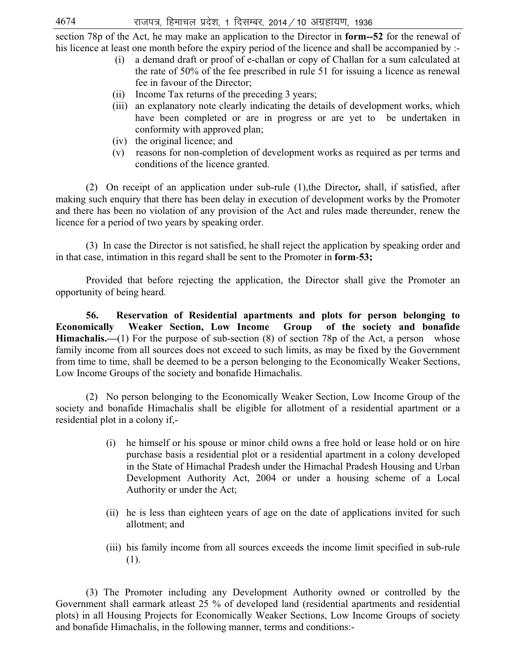section 78p of the Act, he may make an application to the Director in **form--52** for the renewal of his licence at least one month before the expiry period of the licence and shall be accompanied by :-

- (i) a demand draft or proof of e-challan or copy of Challan for a sum calculated at the rate of 50% of the fee prescribed in rule 51 for issuing a licence as renewal fee in favour of the Director;
- (ii) Income Tax returns of the preceding 3 years;
- (iii) an explanatory note clearly indicating the details of development works, which have been completed or are in progress or are yet to be undertaken in conformity with approved plan;
- (iv) the original licence; and
- (v) reasons for non-completion of development works as required as per terms and conditions of the licence granted.

 (2) On receipt of an application under sub-rule (1),the Director*,* shall, if satisfied, after making such enquiry that there has been delay in execution of development works by the Promoter and there has been no violation of any provision of the Act and rules made thereunder, renew the licence for a period of two years by speaking order.

 (3) In case the Director is not satisfied, he shall reject the application by speaking order and in that case, intimation in this regard shall be sent to the Promoter in **form**-**53;** 

 Provided that before rejecting the application, the Director shall give the Promoter an opportunity of being heard.

**56. Reservation of Residential apartments and plots for person belonging to Economically Weaker Section, Low Income Group of the society and bonafide Himachalis.—(1)** For the purpose of sub-section (8) of section 78p of the Act, a person whose family income from all sources does not exceed to such limits, as may be fixed by the Government from time to time, shall be deemed to be a person belonging to the Economically Weaker Sections, Low Income Groups of the society and bonafide Himachalis.

 (2) No person belonging to the Economically Weaker Section, Low Income Group of the society and bonafide Himachalis shall be eligible for allotment of a residential apartment or a residential plot in a colony if,-

- (i) he himself or his spouse or minor child owns a free hold or lease hold or on hire purchase basis a residential plot or a residential apartment in a colony developed in the State of Himachal Pradesh under the Himachal Pradesh Housing and Urban Development Authority Act, 2004 or under a housing scheme of a Local Authority or under the Act;
- (ii) he is less than eighteen years of age on the date of applications invited for such allotment; and
- (iii) his family income from all sources exceeds the income limit specified in sub-rule (1).

 (3) The Promoter including any Development Authority owned or controlled by the Government shall earmark atleast 25 % of developed land (residential apartments and residential plots) in all Housing Projects for Economically Weaker Sections, Low Income Groups of society and bonafide Himachalis, in the following manner, terms and conditions:-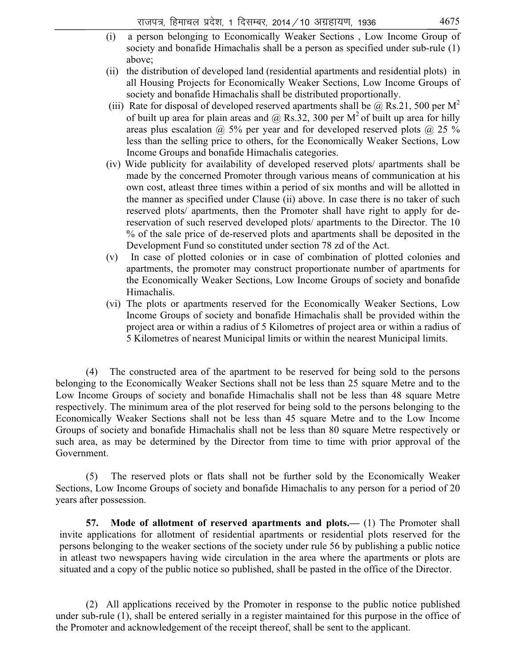- (i) a person belonging to Economically Weaker Sections , Low Income Group of society and bonafide Himachalis shall be a person as specified under sub-rule (1) above;
- (ii) the distribution of developed land (residential apartments and residential plots) in all Housing Projects for Economically Weaker Sections, Low Income Groups of society and bonafide Himachalis shall be distributed proportionally.
- (iii) Rate for disposal of developed reserved apartments shall be  $\omega$  Rs.21, 500 per M<sup>2</sup> of built up area for plain areas and  $\omega$  Rs.32, 300 per M<sup>2</sup> of built up area for hilly areas plus escalation  $\omega$  5% per year and for developed reserved plots  $\omega$  25 % less than the selling price to others, for the Economically Weaker Sections, Low Income Groups and bonafide Himachalis categories.
- (iv) Wide publicity for availability of developed reserved plots/ apartments shall be made by the concerned Promoter through various means of communication at his own cost, atleast three times within a period of six months and will be allotted in the manner as specified under Clause (ii) above. In case there is no taker of such reserved plots/ apartments, then the Promoter shall have right to apply for dereservation of such reserved developed plots/ apartments to the Director. The 10 % of the sale price of de-reserved plots and apartments shall be deposited in the Development Fund so constituted under section 78 zd of the Act.
- (v) In case of plotted colonies or in case of combination of plotted colonies and apartments, the promoter may construct proportionate number of apartments for the Economically Weaker Sections, Low Income Groups of society and bonafide Himachalis.
- (vi) The plots or apartments reserved for the Economically Weaker Sections, Low Income Groups of society and bonafide Himachalis shall be provided within the project area or within a radius of 5 Kilometres of project area or within a radius of 5 Kilometres of nearest Municipal limits or within the nearest Municipal limits.

 (4) The constructed area of the apartment to be reserved for being sold to the persons belonging to the Economically Weaker Sections shall not be less than 25 square Metre and to the Low Income Groups of society and bonafide Himachalis shall not be less than 48 square Metre respectively. The minimum area of the plot reserved for being sold to the persons belonging to the Economically Weaker Sections shall not be less than 45 square Metre and to the Low Income Groups of society and bonafide Himachalis shall not be less than 80 square Metre respectively or such area, as may be determined by the Director from time to time with prior approval of the Government.

 (5) The reserved plots or flats shall not be further sold by the Economically Weaker Sections, Low Income Groups of society and bonafide Himachalis to any person for a period of 20 years after possession.

 **57. Mode of allotment of reserved apartments and plots.—** (1) The Promoter shall invite applications for allotment of residential apartments or residential plots reserved for the persons belonging to the weaker sections of the society under rule 56 by publishing a public notice in atleast two newspapers having wide circulation in the area where the apartments or plots are situated and a copy of the public notice so published, shall be pasted in the office of the Director.

 (2) All applications received by the Promoter in response to the public notice published under sub-rule (1), shall be entered serially in a register maintained for this purpose in the office of the Promoter and acknowledgement of the receipt thereof, shall be sent to the applicant.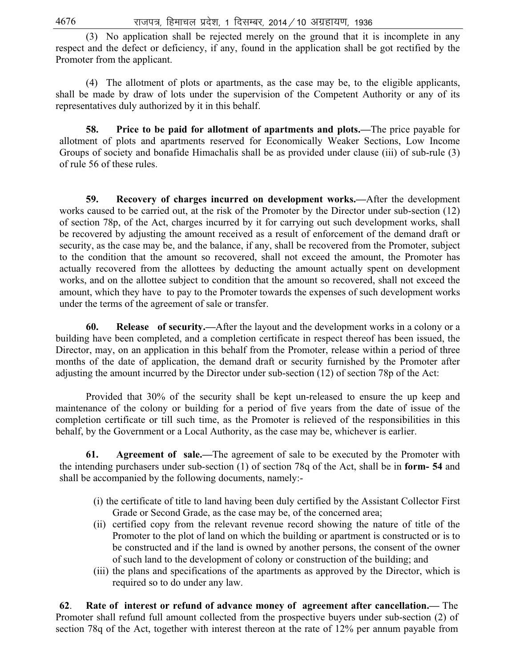(3) No application shall be rejected merely on the ground that it is incomplete in any respect and the defect or deficiency, if any, found in the application shall be got rectified by the Promoter from the applicant.

 (4) The allotment of plots or apartments, as the case may be, to the eligible applicants, shall be made by draw of lots under the supervision of the Competent Authority or any of its representatives duly authorized by it in this behalf.

 **58. Price to be paid for allotment of apartments and plots.—**The price payable for allotment of plots and apartments reserved for Economically Weaker Sections, Low Income Groups of society and bonafide Himachalis shall be as provided under clause (iii) of sub-rule (3) of rule 56 of these rules.

 **59. Recovery of charges incurred on development works.—**After the development works caused to be carried out, at the risk of the Promoter by the Director under sub-section (12) of section 78p, of the Act, charges incurred by it for carrying out such development works, shall be recovered by adjusting the amount received as a result of enforcement of the demand draft or security, as the case may be, and the balance, if any, shall be recovered from the Promoter, subject to the condition that the amount so recovered, shall not exceed the amount, the Promoter has actually recovered from the allottees by deducting the amount actually spent on development works, and on the allottee subject to condition that the amount so recovered, shall not exceed the amount, which they have to pay to the Promoter towards the expenses of such development works under the terms of the agreement of sale or transfer.

 **60. Release of security.—**After the layout and the development works in a colony or a building have been completed, and a completion certificate in respect thereof has been issued, the Director, may, on an application in this behalf from the Promoter, release within a period of three months of the date of application, the demand draft or security furnished by the Promoter after adjusting the amount incurred by the Director under sub-section (12) of section 78p of the Act:

 Provided that 30% of the security shall be kept un-released to ensure the up keep and maintenance of the colony or building for a period of five years from the date of issue of the completion certificate or till such time, as the Promoter is relieved of the responsibilities in this behalf, by the Government or a Local Authority, as the case may be, whichever is earlier.

 **61. Agreement of sale.—**The agreement of sale to be executed by the Promoter with the intending purchasers under sub-section (1) of section 78q of the Act, shall be in **form- 54** and shall be accompanied by the following documents, namely:-

- (i) the certificate of title to land having been duly certified by the Assistant Collector First Grade or Second Grade, as the case may be, of the concerned area;
- (ii) certified copy from the relevant revenue record showing the nature of title of the Promoter to the plot of land on which the building or apartment is constructed or is to be constructed and if the land is owned by another persons, the consent of the owner of such land to the development of colony or construction of the building; and
- (iii) the plans and specifications of the apartments as approved by the Director, which is required so to do under any law.

**62**. **Rate of interest or refund of advance money of agreement after cancellation.—** The Promoter shall refund full amount collected from the prospective buyers under sub-section (2) of section 78q of the Act, together with interest thereon at the rate of 12% per annum payable from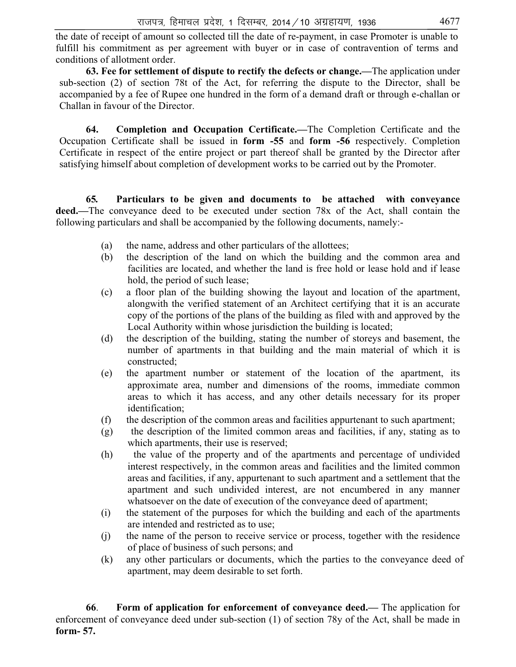the date of receipt of amount so collected till the date of re-payment, in case Promoter is unable to fulfill his commitment as per agreement with buyer or in case of contravention of terms and conditions of allotment order.

 **63. Fee for settlement of dispute to rectify the defects or change.—**The application under sub-section (2) of section 78t of the Act, for referring the dispute to the Director, shall be accompanied by a fee of Rupee one hundred in the form of a demand draft or through e-challan or Challan in favour of the Director.

 **64. Completion and Occupation Certificate.—**The Completion Certificate and the Occupation Certificate shall be issued in **form -55** and **form -56** respectively. Completion Certificate in respect of the entire project or part thereof shall be granted by the Director after satisfying himself about completion of development works to be carried out by the Promoter.

 **65***.* **Particulars to be given and documents to be attached with conveyance deed.—**The conveyance deed to be executed under section 78x of the Act, shall contain the following particulars and shall be accompanied by the following documents, namely:-

- (a) the name, address and other particulars of the allottees;
- (b) the description of the land on which the building and the common area and facilities are located, and whether the land is free hold or lease hold and if lease hold, the period of such lease;
- (c) a floor plan of the building showing the layout and location of the apartment, alongwith the verified statement of an Architect certifying that it is an accurate copy of the portions of the plans of the building as filed with and approved by the Local Authority within whose jurisdiction the building is located;
- (d) the description of the building, stating the number of storeys and basement, the number of apartments in that building and the main material of which it is constructed;
- (e) the apartment number or statement of the location of the apartment, its approximate area, number and dimensions of the rooms, immediate common areas to which it has access, and any other details necessary for its proper identification;
- (f) the description of the common areas and facilities appurtenant to such apartment;
- (g) the description of the limited common areas and facilities, if any, stating as to which apartments, their use is reserved;
- (h) the value of the property and of the apartments and percentage of undivided interest respectively, in the common areas and facilities and the limited common areas and facilities, if any, appurtenant to such apartment and a settlement that the apartment and such undivided interest, are not encumbered in any manner whatsoever on the date of execution of the conveyance deed of apartment;
- (i) the statement of the purposes for which the building and each of the apartments are intended and restricted as to use;
- (j) the name of the person to receive service or process, together with the residence of place of business of such persons; and
- (k) any other particulars or documents, which the parties to the conveyance deed of apartment, may deem desirable to set forth.

 **66**. **Form of application for enforcement of conveyance deed.—** The application for enforcement of conveyance deed under sub-section (1) of section 78y of the Act, shall be made in **form- 57.**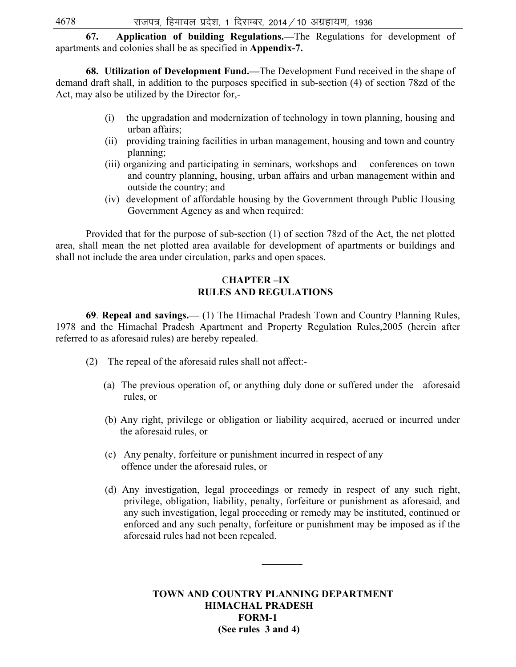**67. Application of building Regulations.—**The Regulations for development of apartments and colonies shall be as specified in **Appendix-7.**

 **68. Utilization of Development Fund.—**The Development Fund received in the shape of demand draft shall, in addition to the purposes specified in sub-section (4) of section 78zd of the Act, may also be utilized by the Director for,-

- (i) the upgradation and modernization of technology in town planning, housing and urban affairs;
- (ii) providing training facilities in urban management, housing and town and country planning;
- (iii) organizing and participating in seminars, workshops and conferences on town and country planning, housing, urban affairs and urban management within and outside the country; and
- (iv) development of affordable housing by the Government through Public Housing Government Agency as and when required:

 Provided that for the purpose of sub-section (1) of section 78zd of the Act, the net plotted area, shall mean the net plotted area available for development of apartments or buildings and shall not include the area under circulation, parks and open spaces.

### C**HAPTER –IX RULES AND REGULATIONS**

**69**. **Repeal and savings.—** (1) The Himachal Pradesh Town and Country Planning Rules, 1978 and the Himachal Pradesh Apartment and Property Regulation Rules,2005 (herein after referred to as aforesaid rules) are hereby repealed.

- (2) The repeal of the aforesaid rules shall not affect:-
	- (a) The previous operation of, or anything duly done or suffered under the aforesaid rules, or
	- (b) Any right, privilege or obligation or liability acquired, accrued or incurred under the aforesaid rules, or
	- (c) Any penalty, forfeiture or punishment incurred in respect of any offence under the aforesaid rules, or
	- (d) Any investigation, legal proceedings or remedy in respect of any such right, privilege, obligation, liability, penalty, forfeiture or punishment as aforesaid, and any such investigation, legal proceeding or remedy may be instituted, continued or enforced and any such penalty, forfeiture or punishment may be imposed as if the aforesaid rules had not been repealed.

**\_\_\_\_\_\_\_\_** 

**TOWN AND COUNTRY PLANNING DEPARTMENT HIMACHAL PRADESH FORM-1 (See rules 3 and 4)**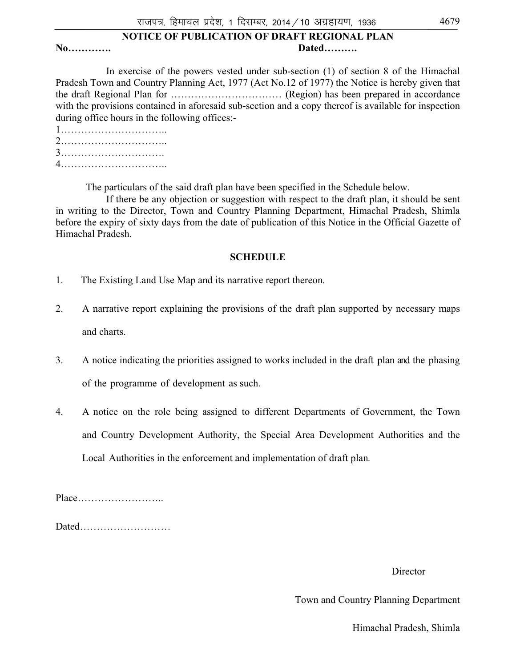### **NOTICE OF PUBLICATION OF DRAFT REGIONAL PLAN No…………. Dated……….**

 In exercise of the powers vested under sub-section (1) of section 8 of the Himachal Pradesh Town and Country Planning Act, 1977 (Act No.12 of 1977) the Notice is hereby given that the draft Regional Plan for …………………………… (Region) has been prepared in accordance with the provisions contained in aforesaid sub-section and a copy thereof is available for inspection during office hours in the following offices:-

The particulars of the said draft plan have been specified in the Schedule below.

 If there be any objection or suggestion with respect to the draft plan, it should be sent in writing to the Director, Town and Country Planning Department, Himachal Pradesh, Shimla before the expiry of sixty days from the date of publication of this Notice in the Official Gazette of Himachal Pradesh.

### **SCHEDULE**

- 1. The Existing Land Use Map and its narrative report thereon*.*
- 2. A narrative report explaining the provisions of the draft plan supported by necessary maps and charts.
- 3. A notice indicating the priorities assigned to works included in the draft plan and the phasing of the programme of development as such.
- 4. A notice on the role being assigned to different Departments of Government, the Town and Country Development Authority, the Special Area Development Authorities and the Local Authorities in the enforcement and implementation of draft plan*.*

Place……………………..

Dated………………………

### Director

Town and Country Planning Department

Himachal Pradesh, Shimla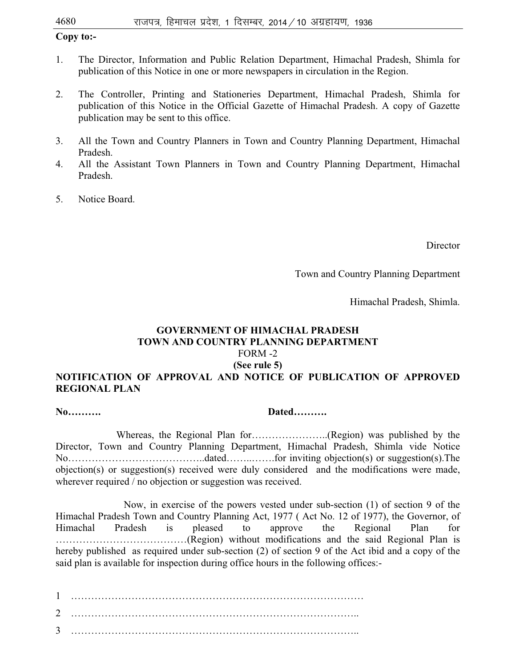### **Copy to:-**

- 1. The Director, Information and Public Relation Department, Himachal Pradesh, Shimla for publication of this Notice in one or more newspapers in circulation in the Region.
- 2. The Controller, Printing and Stationeries Department, Himachal Pradesh, Shimla for publication of this Notice in the Official Gazette of Himachal Pradesh. A copy of Gazette publication may be sent to this office.
- 3. All the Town and Country Planners in Town and Country Planning Department, Himachal Pradesh.
- 4. All the Assistant Town Planners in Town and Country Planning Department, Himachal Pradesh.
- 5. Notice Board.

Director

Town and Country Planning Department

Himachal Pradesh, Shimla.

# **GOVERNMENT OF HIMACHAL PRADESH TOWN AND COUNTRY PLANNING DEPARTMENT**  FORM -2 **(See rule 5)**

# **NOTIFICATION OF APPROVAL AND NOTICE OF PUBLICATION OF APPROVED REGIONAL PLAN**

### **No………. Dated……….**

Whereas, the Regional Plan for…………………..(Region) was published by the Director, Town and Country Planning Department, Himachal Pradesh, Shimla vide Notice No…………………………………..dated……..…….for inviting objection(s) or suggestion(s).The objection(s) or suggestion(s) received were duly considered and the modifications were made, wherever required / no objection or suggestion was received.

 Now, in exercise of the powers vested under sub-section (1) of section 9 of the Himachal Pradesh Town and Country Planning Act, 1977 ( Act No. 12 of 1977), the Governor, of Himachal Pradesh is pleased to approve the Regional Plan for …………………………………(Region) without modifications and the said Regional Plan is hereby published as required under sub-section (2) of section 9 of the Act ibid and a copy of the said plan is available for inspection during office hours in the following offices:-

1 …………………………………………………………………………… 2 ………………………………………………………………………….. 3 …………………………………………………………………………..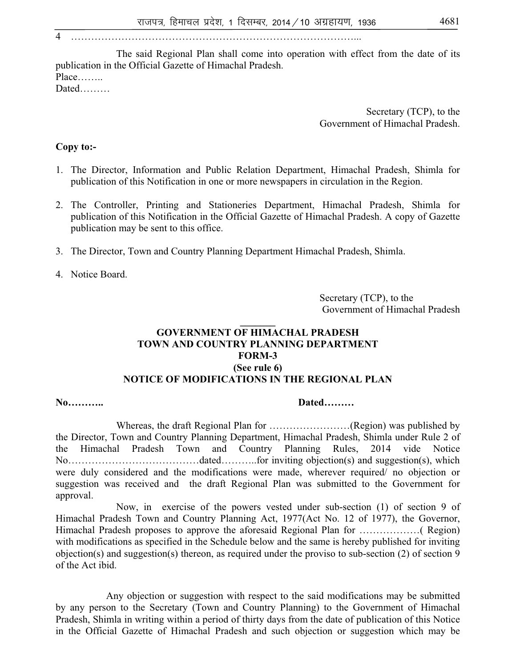4 …………………………………………………………………………...

The said Regional Plan shall come into operation with effect from the date of its publication in the Official Gazette of Himachal Pradesh. Place……..

Dated………

 Secretary (TCP), to the Government of Himachal Pradesh.

### **Copy to:-**

- 1. The Director, Information and Public Relation Department, Himachal Pradesh, Shimla for publication of this Notification in one or more newspapers in circulation in the Region.
- 2. The Controller, Printing and Stationeries Department, Himachal Pradesh, Shimla for publication of this Notification in the Official Gazette of Himachal Pradesh. A copy of Gazette publication may be sent to this office.
- 3. The Director, Town and Country Planning Department Himachal Pradesh, Shimla.

4. Notice Board.

 Secretary (TCP), to the Government of Himachal Pradesh

### **GOVERNMENT OF HIMACHAL PRADESH TOWN AND COUNTRY PLANNING DEPARTMENT FORM-3 (See rule 6) NOTICE OF MODIFICATIONS IN THE REGIONAL PLAN**

**\_\_\_\_\_\_\_** 

### **No……….. Dated………**

Whereas, the draft Regional Plan for ……………………(Region) was published by the Director, Town and Country Planning Department, Himachal Pradesh, Shimla under Rule 2 of the Himachal Pradesh Town and Country Planning Rules, 2014 vide Notice No…………………………………dated………..for inviting objection(s) and suggestion(s), which were duly considered and the modifications were made, wherever required/ no objection or suggestion was received and the draft Regional Plan was submitted to the Government for approval.

Now, in exercise of the powers vested under sub-section (1) of section 9 of Himachal Pradesh Town and Country Planning Act, 1977(Act No. 12 of 1977), the Governor, Himachal Pradesh proposes to approve the aforesaid Regional Plan for ………………( Region) with modifications as specified in the Schedule below and the same is hereby published for inviting objection(s) and suggestion(s) thereon, as required under the proviso to sub-section (2) of section 9 of the Act ibid.

 Any objection or suggestion with respect to the said modifications may be submitted by any person to the Secretary (Town and Country Planning) to the Government of Himachal Pradesh, Shimla in writing within a period of thirty days from the date of publication of this Notice in the Official Gazette of Himachal Pradesh and such objection or suggestion which may be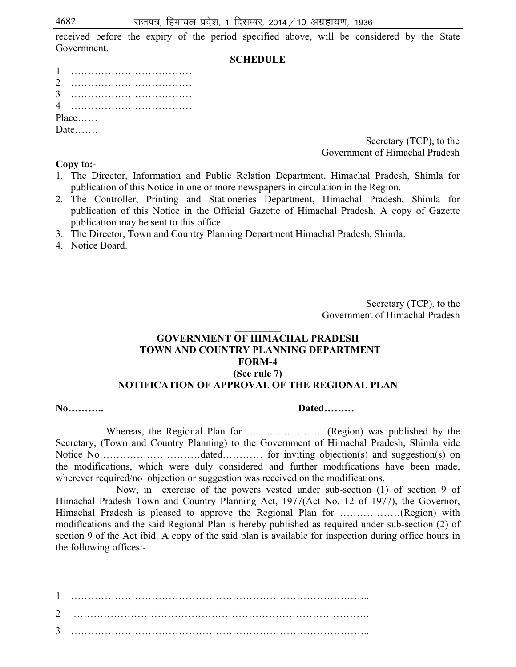received before the expiry of the period specified above, will be considered by the State Government.

### **SCHEDULE**

| 2     |  |  |  |  |  |  |  |  |  |  |  |  |  |  |  |  |  |  |
|-------|--|--|--|--|--|--|--|--|--|--|--|--|--|--|--|--|--|--|
|       |  |  |  |  |  |  |  |  |  |  |  |  |  |  |  |  |  |  |
|       |  |  |  |  |  |  |  |  |  |  |  |  |  |  |  |  |  |  |
| Place |  |  |  |  |  |  |  |  |  |  |  |  |  |  |  |  |  |  |
| Date  |  |  |  |  |  |  |  |  |  |  |  |  |  |  |  |  |  |  |

 Secretary (TCP), to the Government of Himachal Pradesh

### **Copy to:-**

- 1. The Director, Information and Public Relation Department, Himachal Pradesh, Shimla for publication of this Notice in one or more newspapers in circulation in the Region.
- 2. The Controller, Printing and Stationeries Department, Himachal Pradesh, Shimla for publication of this Notice in the Official Gazette of Himachal Pradesh. A copy of Gazette publication may be sent to this office.
- 3. The Director, Town and Country Planning Department Himachal Pradesh, Shimla.
- 4. Notice Board.

 Secretary (TCP), to the Government of Himachal Pradesh

### **GOVERNMENT OF HIMACHAL PRADESH TOWN AND COUNTRY PLANNING DEPARTMENT FORM-4 (See rule 7) NOTIFICATION OF APPROVAL OF THE REGIONAL PLAN**

**\_\_\_\_\_\_\_\_\_** 

### **No……….. Dated………**

 Whereas, the Regional Plan for ……………………(Region) was published by the Secretary, (Town and Country Planning) to the Government of Himachal Pradesh, Shimla vide Notice No…………………………dated………… for inviting objection(s) and suggestion(s) on the modifications, which were duly considered and further modifications have been made, wherever required/no objection or suggestion was received on the modifications.

Now, in exercise of the powers vested under sub-section (1) of section 9 of Himachal Pradesh Town and Country Planning Act, 1977(Act No. 12 of 1977), the Governor, Himachal Pradesh is pleased to approve the Regional Plan for ………………(Region) with modifications and the said Regional Plan is hereby published as required under sub-section (2) of section 9 of the Act ibid. A copy of the said plan is available for inspection during office hours in the following offices:-

1 …………………………………………………………………………….. 2 ……………………………………………………………………………. 3 ……………………………………………………………………………..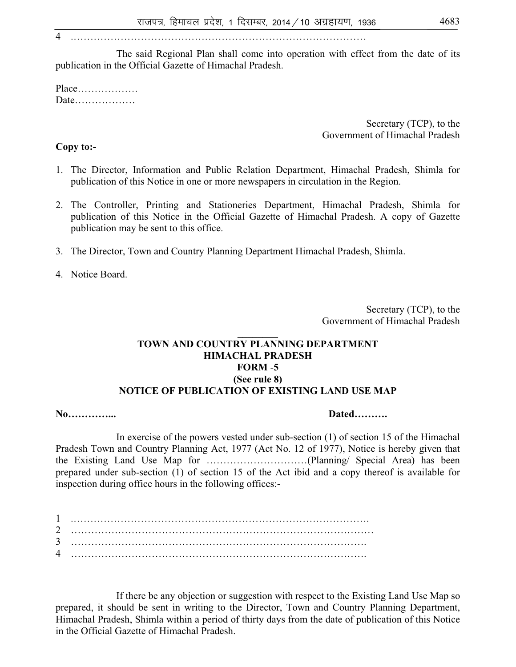4 .……………………………………………………………………………

The said Regional Plan shall come into operation with effect from the date of its publication in the Official Gazette of Himachal Pradesh.

Place……………… Date………………

> Secretary (TCP), to the Government of Himachal Pradesh

### **Copy to:-**

- 1. The Director, Information and Public Relation Department, Himachal Pradesh, Shimla for publication of this Notice in one or more newspapers in circulation in the Region.
- 2. The Controller, Printing and Stationeries Department, Himachal Pradesh, Shimla for publication of this Notice in the Official Gazette of Himachal Pradesh. A copy of Gazette publication may be sent to this office.
- 3. The Director, Town and Country Planning Department Himachal Pradesh, Shimla.

4. Notice Board.

 Secretary (TCP), to the Government of Himachal Pradesh

### **\_\_\_\_\_\_\_\_ TOWN AND COUNTRY PLANNING DEPARTMENT HIMACHAL PRADESH FORM** -**5 (See rule 8) NOTICE OF PUBLICATION OF EXISTING LAND USE MAP**

**No…………... Dated……….**

In exercise of the powers vested under sub-section (1) of section 15 of the Himachal Pradesh Town and Country Planning Act, 1977 (Act No. 12 of 1977), Notice is hereby given that the Existing Land Use Map for …………………………(Planning/ Special Area) has been prepared under sub-section (1) of section 15 of the Act ibid and a copy thereof is available for inspection during office hours in the following offices:-

If there be any objection or suggestion with respect to the Existing Land Use Map so prepared, it should be sent in writing to the Director, Town and Country Planning Department, Himachal Pradesh, Shimla within a period of thirty days from the date of publication of this Notice in the Official Gazette of Himachal Pradesh.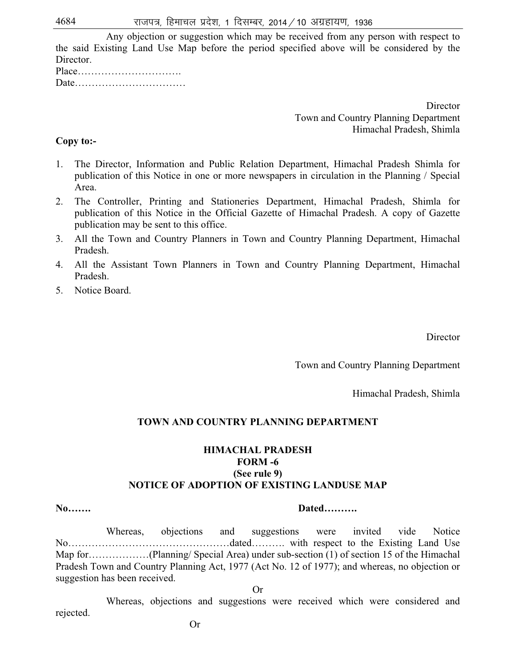Any objection or suggestion which may be received from any person with respect to the said Existing Land Use Map before the period specified above will be considered by the Director.

| $Place \dots \dots \dots \dots \dots \dots \dots \dots \dots \dots$ |  |  |  |  |  |  |  |  |  |  |
|---------------------------------------------------------------------|--|--|--|--|--|--|--|--|--|--|
|                                                                     |  |  |  |  |  |  |  |  |  |  |

**Director**  Town and Country Planning Department Himachal Pradesh, Shimla

### **Copy to:-**

- 1. The Director, Information and Public Relation Department, Himachal Pradesh Shimla for publication of this Notice in one or more newspapers in circulation in the Planning / Special Area.
- 2. The Controller, Printing and Stationeries Department, Himachal Pradesh, Shimla for publication of this Notice in the Official Gazette of Himachal Pradesh. A copy of Gazette publication may be sent to this office.
- 3. All the Town and Country Planners in Town and Country Planning Department, Himachal Pradesh.
- 4. All the Assistant Town Planners in Town and Country Planning Department, Himachal Pradesh.
- 5. Notice Board.

Director

Town and Country Planning Department

Himachal Pradesh, Shimla

### **TOWN AND COUNTRY PLANNING DEPARTMENT**

### **HIMACHAL PRADESH FORM -6 (See rule 9) NOTICE OF ADOPTION OF EXISTING LANDUSE MAP**

### **No……. Dated……….**

 Whereas, objections and suggestions were invited vide Notice No…………………………………………dated………. with respect to the Existing Land Use Map for………………(Planning/ Special Area) under sub-section (1) of section 15 of the Himachal Pradesh Town and Country Planning Act, 1977 (Act No. 12 of 1977); and whereas, no objection or suggestion has been received.

Or

 Whereas, objections and suggestions were received which were considered and rejected.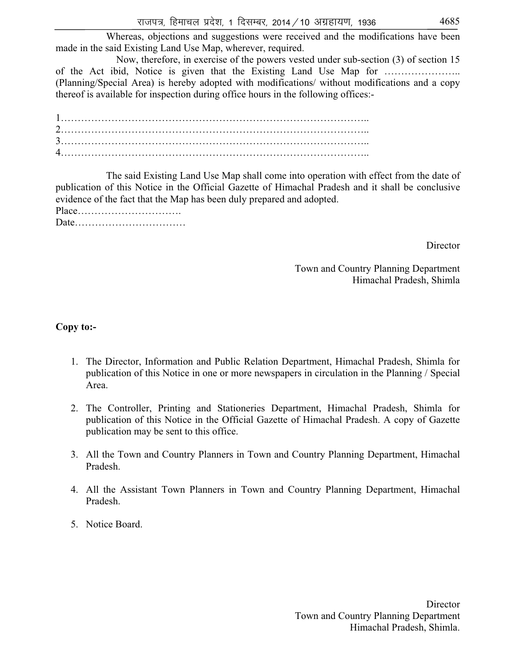Now, therefore, in exercise of the powers vested under sub-section (3) of section 15 of the Act ibid, Notice is given that the Existing Land Use Map for ………………….. (Planning/Special Area) is hereby adopted with modifications/ without modifications and a copy thereof is available for inspection during office hours in the following offices:-

1……………………………………………………………………………….. 2……………………………………………………………………………….. 3……………………………………………………………………………….. 4………………………………………………………………………………..

 The said Existing Land Use Map shall come into operation with effect from the date of publication of this Notice in the Official Gazette of Himachal Pradesh and it shall be conclusive evidence of the fact that the Map has been duly prepared and adopted.

Place…………………………. Date……………………………

**Director** 

Town and Country Planning Department Himachal Pradesh, Shimla

# **Copy to:-**

- 1. The Director, Information and Public Relation Department, Himachal Pradesh, Shimla for publication of this Notice in one or more newspapers in circulation in the Planning / Special Area.
- 2. The Controller, Printing and Stationeries Department, Himachal Pradesh, Shimla for publication of this Notice in the Official Gazette of Himachal Pradesh. A copy of Gazette publication may be sent to this office.
- 3. All the Town and Country Planners in Town and Country Planning Department, Himachal Pradesh.
- 4. All the Assistant Town Planners in Town and Country Planning Department, Himachal Pradesh.
- 5. Notice Board.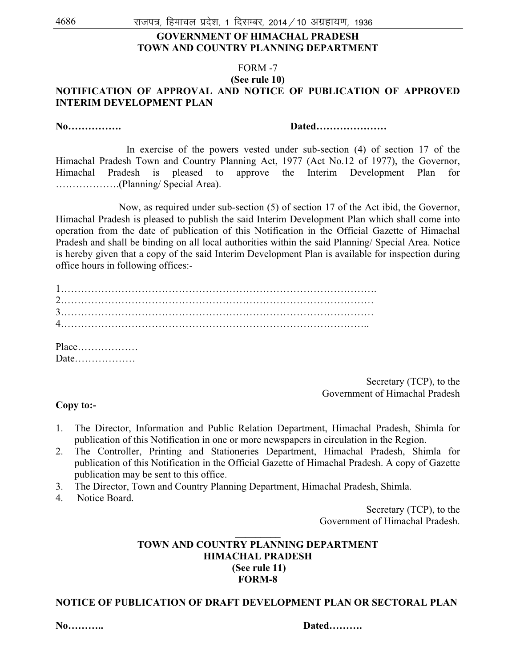### **GOVERNMENT OF HIMACHAL PRADESH TOWN AND COUNTRY PLANNING DEPARTMENT**

# FORM -7

#### **(See rule 10) NOTIFICATION OF APPROVAL AND NOTICE OF PUBLICATION OF APPROVED INTERIM DEVELOPMENT PLAN**

**No……………. Dated…………………** 

In exercise of the powers vested under sub-section (4) of section 17 of the Himachal Pradesh Town and Country Planning Act, 1977 (Act No.12 of 1977), the Governor, Himachal Pradesh is pleased to approve the Interim Development Plan for ……………….(Planning/ Special Area).

 Now, as required under sub-section (5) of section 17 of the Act ibid, the Governor, Himachal Pradesh is pleased to publish the said Interim Development Plan which shall come into operation from the date of publication of this Notification in the Official Gazette of Himachal Pradesh and shall be binding on all local authorities within the said Planning/ Special Area. Notice is hereby given that a copy of the said Interim Development Plan is available for inspection during office hours in following offices:-

Place……………… Date………………

> Secretary (TCP), to the Government of Himachal Pradesh

#### **Copy to:-**

- 1. The Director, Information and Public Relation Department, Himachal Pradesh, Shimla for publication of this Notification in one or more newspapers in circulation in the Region.
- 2. The Controller, Printing and Stationeries Department, Himachal Pradesh, Shimla for publication of this Notification in the Official Gazette of Himachal Pradesh. A copy of Gazette publication may be sent to this office.
- 3. The Director, Town and Country Planning Department, Himachal Pradesh, Shimla.
- 4. Notice Board.

 Secretary (TCP), to the Government of Himachal Pradesh.

### **\_\_\_\_\_\_\_\_\_ TOWN AND COUNTRY PLANNING DEPARTMENT HIMACHAL PRADESH (See rule 11) FORM-8**

#### **NOTICE OF PUBLICATION OF DRAFT DEVELOPMENT PLAN OR SECTORAL PLAN**

**No……….. Dated……….**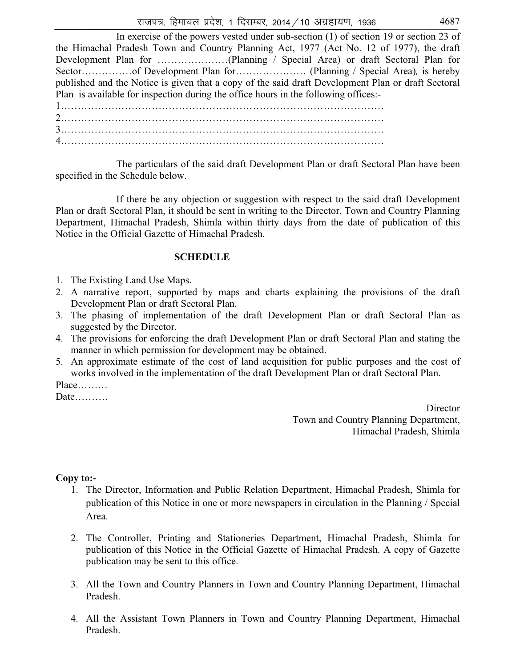| In exercise of the powers vested under sub-section $(1)$ of section 19 or section 23 of            |
|----------------------------------------------------------------------------------------------------|
| the Himachal Pradesh Town and Country Planning Act, 1977 (Act No. 12 of 1977), the draft           |
|                                                                                                    |
|                                                                                                    |
| published and the Notice is given that a copy of the said draft Development Plan or draft Sectoral |
| Plan is available for inspection during the office hours in the following offices:-                |
|                                                                                                    |
|                                                                                                    |
|                                                                                                    |

The particulars of the said draft Development Plan or draft Sectoral Plan have been specified in the Schedule below.

If there be any objection or suggestion with respect to the said draft Development Plan or draft Sectoral Plan, it should be sent in writing to the Director, Town and Country Planning Department, Himachal Pradesh, Shimla within thirty days from the date of publication of this Notice in the Official Gazette of Himachal Pradesh.

#### **SCHEDULE**

4……………………………………………………………………………………

- 1. The Existing Land Use Maps.
- 2. A narrative report, supported by maps and charts explaining the provisions of the draft Development Plan or draft Sectoral Plan.
- 3. The phasing of implementation of the draft Development Plan or draft Sectoral Plan as suggested by the Director.
- 4. The provisions for enforcing the draft Development Plan or draft Sectoral Plan and stating the manner in which permission for development may be obtained.
- 5. An approximate estimate of the cost of land acquisition for public purposes and the cost of works involved in the implementation of the draft Development Plan or draft Sectoral Plan.

Place………

Date……….

**Director**  Town and Country Planning Department, Himachal Pradesh, Shimla

#### **Copy to:-**

- 1. The Director, Information and Public Relation Department, Himachal Pradesh, Shimla for publication of this Notice in one or more newspapers in circulation in the Planning / Special Area.
- 2. The Controller, Printing and Stationeries Department, Himachal Pradesh, Shimla for publication of this Notice in the Official Gazette of Himachal Pradesh. A copy of Gazette publication may be sent to this office.
- 3. All the Town and Country Planners in Town and Country Planning Department, Himachal Pradesh.
- 4. All the Assistant Town Planners in Town and Country Planning Department, Himachal Pradesh.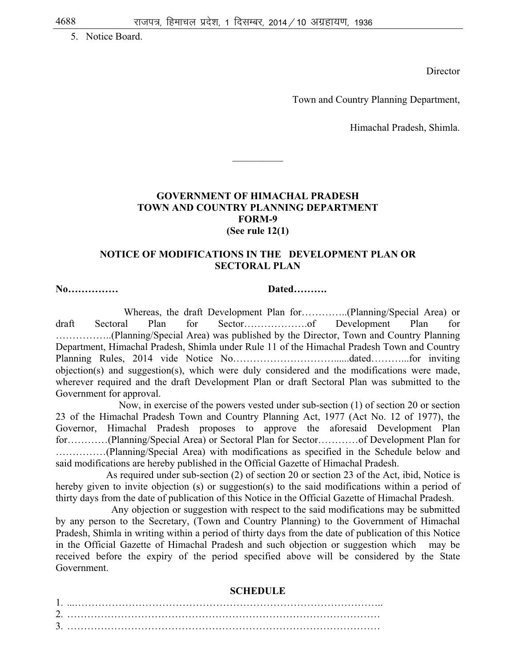5. Notice Board.

Director

Town and Country Planning Department,

Himachal Pradesh, Shimla.

#### **GOVERNMENT OF HIMACHAL PRADESH TOWN AND COUNTRY PLANNING DEPARTMENT FORM-9 (See rule 12(1)**

 $\frac{1}{2}$ 

#### **NOTICE OF MODIFICATIONS IN THE DEVELOPMENT PLAN OR SECTORAL PLAN**

#### **No…………… Dated……….**

Whereas, the draft Development Plan for…………..(Planning/Special Area) or draft Sectoral Plan for Sector……………….of Development Plan for ……………..(Planning/Special Area) was published by the Director, Town and Country Planning Department, Himachal Pradesh, Shimla under Rule 11 of the Himachal Pradesh Town and Country Planning Rules, 2014 vide Notice No…………………………......dated………...for inviting objection(s) and suggestion(s), which were duly considered and the modifications were made, wherever required and the draft Development Plan or draft Sectoral Plan was submitted to the Government for approval.

 Now, in exercise of the powers vested under sub-section (1) of section 20 or section 23 of the Himachal Pradesh Town and Country Planning Act, 1977 (Act No. 12 of 1977), the Governor, Himachal Pradesh proposes to approve the aforesaid Development Plan for…………(Planning/Special Area) or Sectoral Plan for Sector…………of Development Plan for ……………(Planning/Special Area) with modifications as specified in the Schedule below and said modifications are hereby published in the Official Gazette of Himachal Pradesh.

 As required under sub-section (2) of section 20 or section 23 of the Act, ibid, Notice is hereby given to invite objection (s) or suggestion(s) to the said modifications within a period of thirty days from the date of publication of this Notice in the Official Gazette of Himachal Pradesh.

 Any objection or suggestion with respect to the said modifications may be submitted by any person to the Secretary, (Town and Country Planning) to the Government of Himachal Pradesh, Shimla in writing within a period of thirty days from the date of publication of this Notice in the Official Gazette of Himachal Pradesh and such objection or suggestion which may be received before the expiry of the period specified above will be considered by the State Government.

#### **SCHEDULE**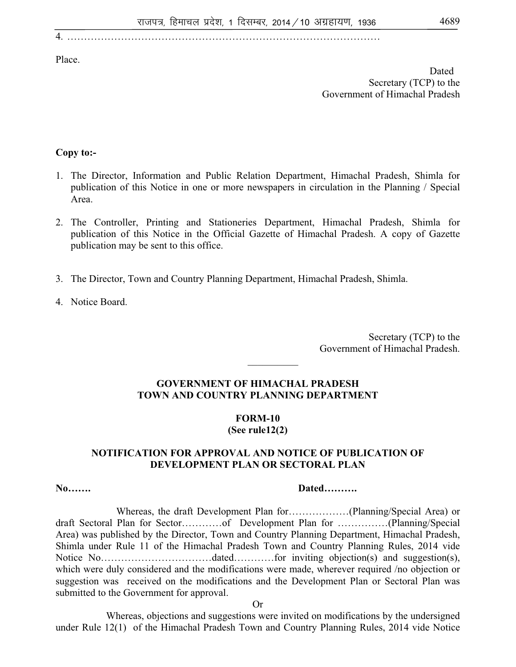Place.

Dated Secretary (TCP) to the Government of Himachal Pradesh

# **Copy to:-**

- 1. The Director, Information and Public Relation Department, Himachal Pradesh, Shimla for publication of this Notice in one or more newspapers in circulation in the Planning / Special Area.
- 2. The Controller, Printing and Stationeries Department, Himachal Pradesh, Shimla for publication of this Notice in the Official Gazette of Himachal Pradesh. A copy of Gazette publication may be sent to this office.
- 3. The Director, Town and Country Planning Department, Himachal Pradesh, Shimla.
- 4. Notice Board.

 Secretary (TCP) to the Government of Himachal Pradesh.

### **GOVERNMENT OF HIMACHAL PRADESH TOWN AND COUNTRY PLANNING DEPARTMENT**

 $\frac{1}{2}$ 

# **FORM-10**

# **(See rule12(2)**

#### **NOTIFICATION FOR APPROVAL AND NOTICE OF PUBLICATION OF DEVELOPMENT PLAN OR SECTORAL PLAN**

#### **No……. Dated……….**

Whereas, the draft Development Plan for………………(Planning/Special Area) or draft Sectoral Plan for Sector…………of Development Plan for ……………(Planning/Special Area) was published by the Director, Town and Country Planning Department, Himachal Pradesh, Shimla under Rule 11 of the Himachal Pradesh Town and Country Planning Rules, 2014 vide Notice No……………………………dated…………for inviting objection(s) and suggestion(s), which were duly considered and the modifications were made, wherever required /no objection or suggestion was received on the modifications and the Development Plan or Sectoral Plan was submitted to the Government for approval.

Or

 Whereas, objections and suggestions were invited on modifications by the undersigned under Rule 12(1) of the Himachal Pradesh Town and Country Planning Rules, 2014 vide Notice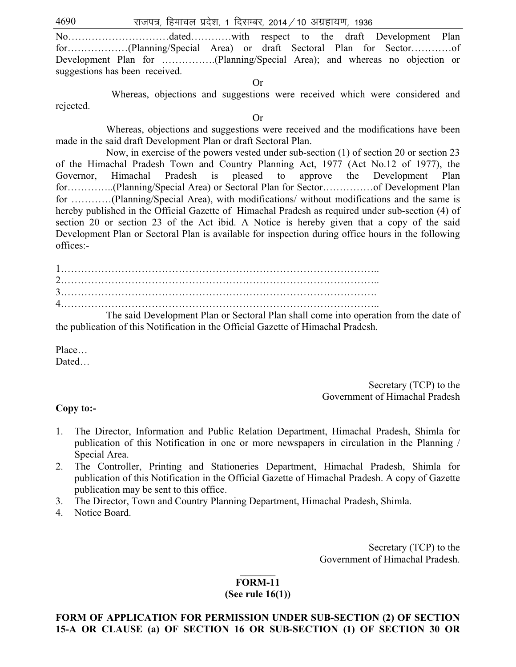$4690$  राजपत्र, हिमाचल प्रदेश, 1 दिसम्बर, 2014 / 10 अग्रहायण, 1936

No…………………………dated…………with respect to the draft Development Plan for………………(Planning/Special Area) or draft Sectoral Plan for Sector…………of Development Plan for …………….(Planning/Special Area); and whereas no objection or suggestions has been received.

Or

 Whereas, objections and suggestions were received which were considered and rejected.

Or

 Whereas, objections and suggestions were received and the modifications have been made in the said draft Development Plan or draft Sectoral Plan.

Now, in exercise of the powers vested under sub-section (1) of section 20 or section 23 of the Himachal Pradesh Town and Country Planning Act, 1977 (Act No.12 of 1977), the Governor, Himachal Pradesh is pleased to approve the Development Plan for…………..(Planning/Special Area) or Sectoral Plan for Sector……………of Development Plan for …………(Planning/Special Area), with modifications/ without modifications and the same is hereby published in the Official Gazette of Himachal Pradesh as required under sub-section (4) of section 20 or section 23 of the Act ibid. A Notice is hereby given that a copy of the said Development Plan or Sectoral Plan is available for inspection during office hours in the following offices:-

 The said Development Plan or Sectoral Plan shall come into operation from the date of the publication of this Notification in the Official Gazette of Himachal Pradesh.

Place… Dated…

> Secretary (TCP) to the Government of Himachal Pradesh

#### **Copy to:-**

- 1. The Director, Information and Public Relation Department, Himachal Pradesh, Shimla for publication of this Notification in one or more newspapers in circulation in the Planning / Special Area.
- 2. The Controller, Printing and Stationeries Department, Himachal Pradesh, Shimla for publication of this Notification in the Official Gazette of Himachal Pradesh. A copy of Gazette publication may be sent to this office.
- 3. The Director, Town and Country Planning Department, Himachal Pradesh, Shimla.
- 4. Notice Board.

 Secretary (TCP) to the Government of Himachal Pradesh.

### **\_\_\_\_\_\_\_ FORM-11**

#### **(See rule 16(1))**

#### **FORM OF APPLICATION FOR PERMISSION UNDER SUB-SECTION (2) OF SECTION 15-A OR CLAUSE (a) OF SECTION 16 OR SUB-SECTION (1) OF SECTION 30 OR**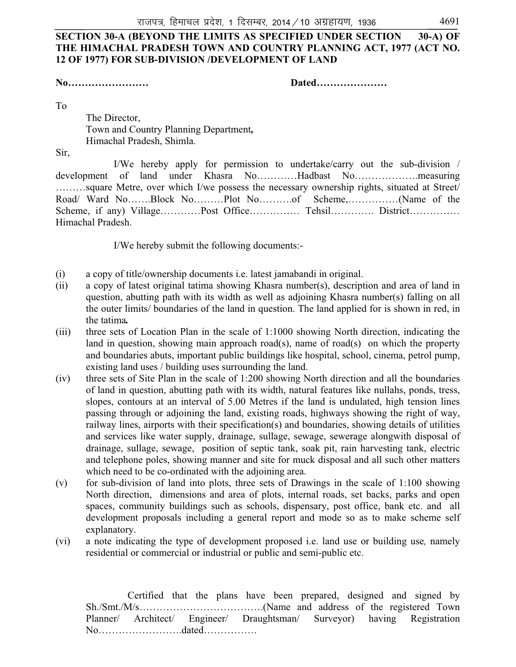# **SECTION 30-A (BEYOND THE LIMITS AS SPECIFIED UNDER SECTION 30-A) OF THE HIMACHAL PRADESH TOWN AND COUNTRY PLANNING ACT, 1977 (ACT NO. 12 OF 1977) FOR SUB-DIVISION /DEVELOPMENT OF LAND**

**No…………………… Dated…………………** 

To

 The Director, Town and Country Planning Department*,*  Himachal Pradesh, Shimla.

Sir,

 I/We hereby apply for permission to undertake/carry out the sub-division / development of land under Khasra No…………Hadbast No……………….measuring ………square Metre, over which I/we possess the necessary ownership rights, situated at Street/ Road/ Ward No…….Block No………Plot No……….of Scheme,……………(Name of the Scheme, if any) Village…………Post Office……………. Tehsil……………. District……………. Himachal Pradesh.

I/We hereby submit the following documents:-

- (i) a copy of title/ownership documents i.e. latest jamabandi in original.
- (ii) a copy of latest original tatima showing Khasra number(s), description and area of land in question, abutting path with its width as well as adjoining Khasra number(s) falling on all the outer limits/ boundaries of the land in question. The land applied for is shown in red, in the tatima*.*
- (iii) three sets of Location Plan in the scale of 1:1000 showing North direction, indicating the land in question, showing main approach road(s), name of road(s) on which the property and boundaries abuts, important public buildings like hospital, school, cinema, petrol pump, existing land uses / building uses surrounding the land.
- (iv) three sets of Site Plan in the scale of 1:200 showing North direction and all the boundaries of land in question, abutting path with its width, natural features like nullahs, ponds, tress, slopes, contours at an interval of 5.00 Metres if the land is undulated, high tension lines passing through or adjoining the land, existing roads, highways showing the right of way, railway lines, airports with their specification(s) and boundaries, showing details of utilities and services like water supply, drainage, sullage, sewage, sewerage alongwith disposal of drainage, sullage, sewage, position of septic tank, soak pit, rain harvesting tank, electric and telephone poles, showing manner and site for muck disposal and all such other matters which need to be co-ordinated with the adjoining area.
- (v) for sub-division of land into plots, three sets of Drawings in the scale of 1:100 showing North direction, dimensions and area of plots, internal roads, set backs, parks and open spaces, community buildings such as schools, dispensary, post office, bank etc. and all development proposals including a general report and mode so as to make scheme self explanatory.
- (vi) a note indicating the type of development proposed i.e. land use or building use*,* namely residential or commercial or industrial or public and semi-public etc.

Certified that the plans have been prepared, designed and signed by Sh./Smt./M/s……………………………….(Name and address of the registered Town Planner/ Architect/ Engineer/ Draughtsman/ Surveyor) having Registration No…………………….dated…………….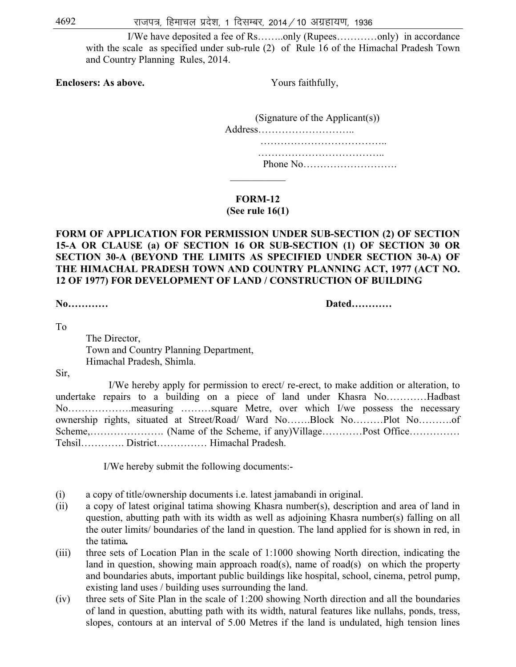I/We have deposited a fee of Rs……..only (Rupees…………only) in accordance with the scale as specified under sub-rule (2) of Rule 16 of the Himachal Pradesh Town and Country Planning Rules, 2014.

**Enclosers: As above. Yours faithfully,** 

| (Signature of the Applicant(s)) |
|---------------------------------|
| Address                         |
|                                 |
|                                 |
|                                 |
|                                 |

**FORM-12** 

**(See rule 16(1)**

# **FORM OF APPLICATION FOR PERMISSION UNDER SUB-SECTION (2) OF SECTION 15-A OR CLAUSE (a) OF SECTION 16 OR SUB-SECTION (1) OF SECTION 30 OR SECTION 30-A (BEYOND THE LIMITS AS SPECIFIED UNDER SECTION 30-A) OF THE HIMACHAL PRADESH TOWN AND COUNTRY PLANNING ACT, 1977 (ACT NO. 12 OF 1977) FOR DEVELOPMENT OF LAND / CONSTRUCTION OF BUILDING**

**No………… Dated…………** 

To

 The Director, Town and Country Planning Department, Himachal Pradesh, Shimla.

Sir,

 I/We hereby apply for permission to erect/ re-erect, to make addition or alteration, to undertake repairs to a building on a piece of land under Khasra No…………Hadbast No……………….measuring ………square Metre, over which I/we possess the necessary ownership rights, situated at Street/Road/ Ward No…….Block No………Plot No……….of Scheme,…………………. (Name of the Scheme, if any)Village…………Post Office…………… Tehsil…………. District…………… Himachal Pradesh.

I/We hereby submit the following documents:-

- (i) a copy of title/ownership documents i.e. latest jamabandi in original.
- (ii) a copy of latest original tatima showing Khasra number(s), description and area of land in question, abutting path with its width as well as adjoining Khasra number(s) falling on all the outer limits/ boundaries of the land in question. The land applied for is shown in red, in the tatima*.*
- (iii) three sets of Location Plan in the scale of 1:1000 showing North direction, indicating the land in question, showing main approach road(s), name of road(s) on which the property and boundaries abuts, important public buildings like hospital, school, cinema, petrol pump, existing land uses / building uses surrounding the land.
- (iv) three sets of Site Plan in the scale of 1:200 showing North direction and all the boundaries of land in question, abutting path with its width, natural features like nullahs, ponds, tress, slopes, contours at an interval of 5.00 Metres if the land is undulated, high tension lines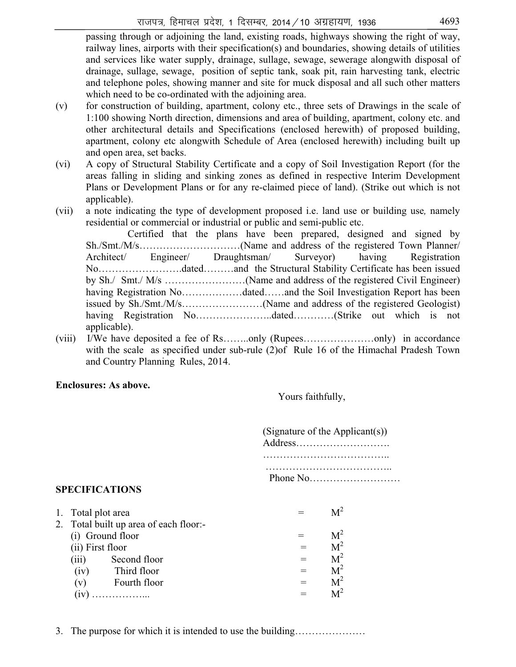passing through or adjoining the land, existing roads, highways showing the right of way, railway lines, airports with their specification(s) and boundaries, showing details of utilities and services like water supply, drainage, sullage, sewage, sewerage alongwith disposal of drainage, sullage, sewage, position of septic tank, soak pit, rain harvesting tank, electric and telephone poles, showing manner and site for muck disposal and all such other matters which need to be co-ordinated with the adjoining area.

- (v) for construction of building, apartment, colony etc., three sets of Drawings in the scale of 1:100 showing North direction, dimensions and area of building, apartment, colony etc. and other architectural details and Specifications (enclosed herewith) of proposed building, apartment, colony etc alongwith Schedule of Area (enclosed herewith) including built up and open area, set backs.
- (vi) A copy of Structural Stability Certificate and a copy of Soil Investigation Report (for the areas falling in sliding and sinking zones as defined in respective Interim Development Plans or Development Plans or for any re-claimed piece of land). (Strike out which is not applicable).
- (vii) a note indicating the type of development proposed i.e. land use or building use*,* namely residential or commercial or industrial or public and semi-public etc.

Certified that the plans have been prepared, designed and signed by Sh./Smt./M/s…………………………(Name and address of the registered Town Planner/ Architect/ Engineer/ Draughtsman/ Surveyor) having Registration No…………………….dated………and the Structural Stability Certificate has been issued by Sh./ Smt./ M/s ……………………(Name and address of the registered Civil Engineer) having Registration No………………dated……and the Soil Investigation Report has been issued by Sh./Smt./M/s……………………(Name and address of the registered Geologist) having Registration No……………………dated…………(Strike out which is not applicable).

(viii) I/We have deposited a fee of Rs……..only (Rupees…………………only) in accordance with the scale as specified under sub-rule (2)of Rule 16 of the Himachal Pradesh Town and Country Planning Rules, 2014.

#### **Enclosures: As above.**

Yours faithfully,

 (Signature of the Applicant(s)) Address………………………. ……………………………….. ……………………………….. Phone No………………………

# **SPECIFICATIONS**

1. Total plot area  $M^2 = M^2$ 2. Total built up area of each floor:- (i) Ground floor  $= M^2$ <br>
(ii) First floor  $= M^2$ (ii) First floor  $= M^2$ <br>(iii) Second floor  $= M^2$ (iii) Second floor =  $M^2$ <br>(iv) Third floor =  $M^2$  $(iv)$  Third floor  $=$ (v) Fourth floor  $= M^2$ <br>
(iv)  $\ldots$   $M^2 = M^2$  $(iv)$  ………………...  $=$ 

3. The purpose for which it is intended to use the building…………………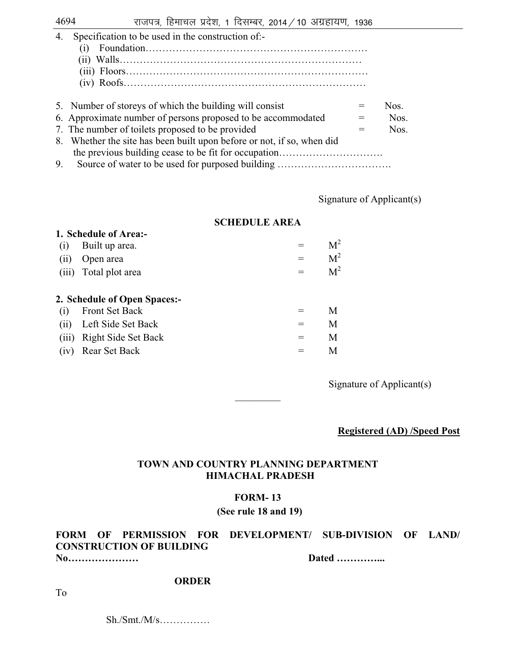| 4. | Specification to be used in the construction of:- |  |  |  |  |  |
|----|---------------------------------------------------|--|--|--|--|--|
|----|---------------------------------------------------|--|--|--|--|--|

- (i) Foundation…………………………………………………………
- (ii) Walls………………………………………………………………
- (iii) Floors………………………………………………………………
- (iv) Roofs………………………………………………………………

| 5. Number of storeys of which the building will consist                | Nos. |
|------------------------------------------------------------------------|------|
| 6. Approximate number of persons proposed to be accommodated           | Nos. |
| 7. The number of toilets proposed to be provided                       | Nos. |
| 8. Whether the site has been built upon before or not, if so, when did |      |
|                                                                        |      |
| Samoa af motor ta ha waad fan numaaad huildina.                        |      |

9. Source of water to be used for purposed building …………………………….

Signature of Applicant(s)

### **SCHEDULE AREA**

|       | 1. Schedule of Area:-        |     |                |
|-------|------------------------------|-----|----------------|
| (1)   | Built up area.               |     | $\rm M^2$      |
| (11)  | Open area                    | $=$ | M <sup>2</sup> |
| (iii) | Total plot area              | $=$ | M <sup>2</sup> |
|       | 2. Schedule of Open Spaces:- |     |                |
| (1)   | <b>Front Set Back</b>        |     | M              |
| (ii)  | Left Side Set Back           | $=$ | M              |
| (iii) | Right Side Set Back          | $=$ | M              |
|       | (iv) Rear Set Back           |     | Μ              |

Signature of Applicant(s)

**Registered (AD) /Speed Post** 

# **TOWN AND COUNTRY PLANNING DEPARTMENT HIMACHAL PRADESH**

 $\frac{1}{2}$ 

#### **FORM- 13**

#### **(See rule 18 and 19)**

# **FORM OF PERMISSION FOR DEVELOPMENT/ SUB-DIVISION OF LAND/ CONSTRUCTION OF BUILDING**

**No………………… Dated …………...** 

#### **ORDER**

To

 $\text{Sh./Smt./M/s}}$ ...............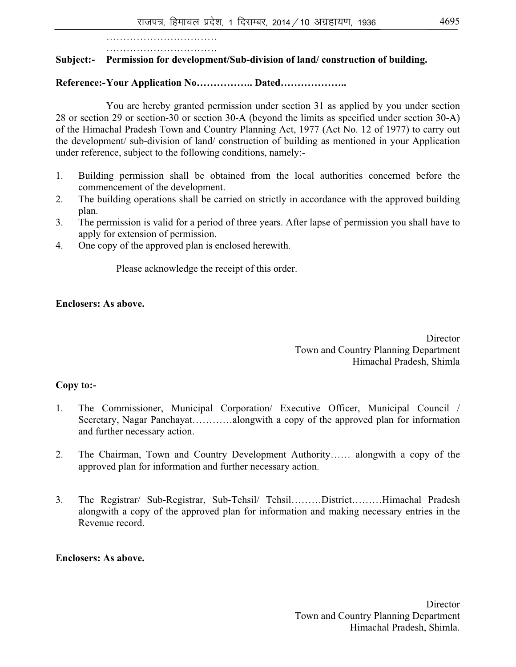……………………………………… ……………………………

# **Subject:- Permission for development/Sub-division of land/ construction of building.**

# **Reference:- Your Application No…………….. Dated………………..**

 You are hereby granted permission under section 31 as applied by you under section 28 or section 29 or section-30 or section 30-A (beyond the limits as specified under section 30-A) of the Himachal Pradesh Town and Country Planning Act, 1977 (Act No. 12 of 1977) to carry out the development/ sub-division of land/ construction of building as mentioned in your Application under reference, subject to the following conditions, namely:-

- 1. Building permission shall be obtained from the local authorities concerned before the commencement of the development.
- 2. The building operations shall be carried on strictly in accordance with the approved building plan.
- 3. The permission is valid for a period of three years. After lapse of permission you shall have to apply for extension of permission.
- 4. One copy of the approved plan is enclosed herewith.

Please acknowledge the receipt of this order.

# **Enclosers: As above.**

**Director**  Town and Country Planning Department Himachal Pradesh, Shimla

# **Copy to:-**

- 1. The Commissioner, Municipal Corporation/ Executive Officer, Municipal Council / Secretary, Nagar Panchayat…………alongwith a copy of the approved plan for information and further necessary action.
- 2. The Chairman, Town and Country Development Authority…… alongwith a copy of the approved plan for information and further necessary action.
- 3. The Registrar/ Sub-Registrar, Sub-Tehsil/ Tehsil………District………Himachal Pradesh alongwith a copy of the approved plan for information and making necessary entries in the Revenue record.

# **Enclosers: As above.**

**Director**  Town and Country Planning Department Himachal Pradesh, Shimla.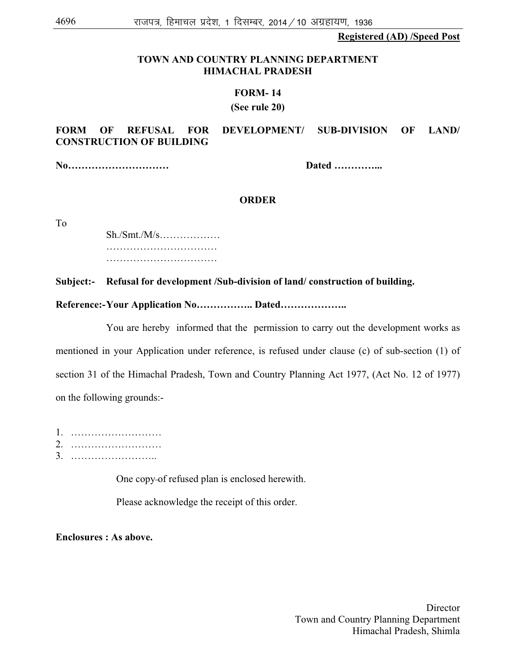**Registered (AD) /Speed Post**

#### **TOWN AND COUNTRY PLANNING DEPARTMENT HIMACHAL PRADESH**

#### **FORM- 14**

#### **(See rule 20)**

### **FORM OF REFUSAL FOR DEVELOPMENT/ SUB-DIVISION OF LAND/ CONSTRUCTION OF BUILDING**

**No………………………… Dated …………...** 

#### **ORDER**

To

 Sh./Smt./M/s……………… …………………………………… ………………………………

**Subject:- Refusal for development /Sub-division of land/ construction of building.** 

**Reference:- Your Application No…………….. Dated………………..** 

 You are hereby informed that the permission to carry out the development works as mentioned in your Application under reference, is refused under clause (c) of sub-section (1) of section 31 of the Himachal Pradesh, Town and Country Planning Act 1977, (Act No. 12 of 1977) on the following grounds:-

1. ……………………… 2. ………………………

3. ……………………..

One copy of refused plan is enclosed herewith.

Please acknowledge the receipt of this order.

**Enclosures : As above.** 

**Director**  Town and Country Planning Department Himachal Pradesh, Shimla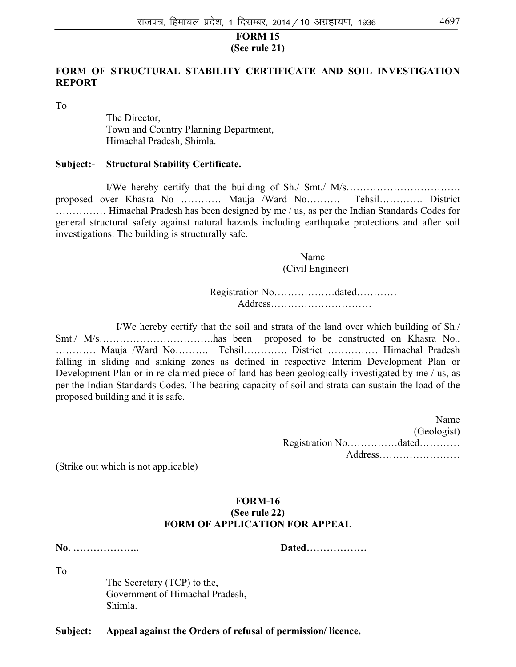#### **FORM 15 (See rule 21)**

### **FORM OF STRUCTURAL STABILITY CERTIFICATE AND SOIL INVESTIGATION REPORT**

To

 The Director, Town and Country Planning Department, Himachal Pradesh, Shimla.

#### **Subject:- Structural Stability Certificate.**

 I/We hereby certify that the building of Sh./ Smt./ M/s……………………………. proposed over Khasra No ………… Mauja /Ward No………. Tehsil…………. District …………… Himachal Pradesh has been designed by me / us, as per the Indian Standards Codes for general structural safety against natural hazards including earthquake protections and after soil investigations. The building is structurally safe.

> Name (Civil Engineer)

 Registration No………………dated………… Address…………………………

I/We hereby certify that the soil and strata of the land over which building of Sh./ Smt./ M/s…………………………….has been proposed to be constructed on Khasra No.. ………… Mauja /Ward No………. Tehsil…………. District …………… Himachal Pradesh falling in sliding and sinking zones as defined in respective Interim Development Plan or Development Plan or in re-claimed piece of land has been geologically investigated by me / us, as per the Indian Standards Codes. The bearing capacity of soil and strata can sustain the load of the proposed building and it is safe.

> Name (Geologist) Registration No……………dated………… Address……………………

(Strike out which is not applicable)

# **FORM-16 (See rule 22) FORM OF APPLICATION FOR APPEAL**

 $\frac{1}{2}$ 

**No. ……………….. Dated………………** 

To

 The Secretary (TCP) to the, Government of Himachal Pradesh, Shimla.

**Subject: Appeal against the Orders of refusal of permission/ licence.**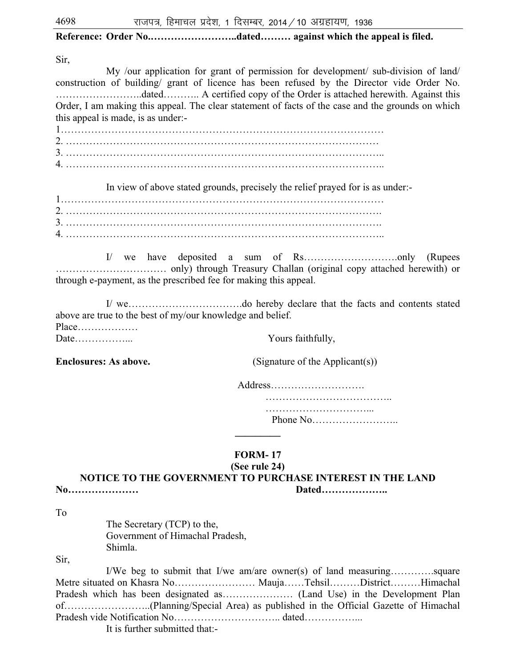# **Reference: Order No.……………………..dated……… against which the appeal is filed.**

Sir,

 My /our application for grant of permission for development/ sub-division of land/ construction of building/ grant of licence has been refused by the Director vide Order No. ……………………..dated……….. A certified copy of the Order is attached herewith. Against this Order, I am making this appeal. The clear statement of facts of the case and the grounds on which this appeal is made, is as under:-

1……………………………………………………………………………………  $2\overline{a}$ 3. ………………………………………………………………………………….. 4. …………………………………………………………………………………..

In view of above stated grounds, precisely the relief prayed for is as under:-

1…………………………………………………………………………………… 2. …………………………………………………………………………………. 3. …………………………………………………………………………………. 4. …………………………………………………………………………………..

 I/ we have deposited a sum of Rs……………………….only (Rupees …………………………… only) through Treasury Challan (original copy attached herewith) or through e-payment, as the prescribed fee for making this appeal.

 I/ we…………………………….do hereby declare that the facts and contents stated above are true to the best of my/our knowledge and belief. Place……………… Date……………... Yours faithfully,

**Enclosures: As above.** (Signature of the Applicant(s))

Address………………………. ………………………………..

 …………………………... Phone No……………………..

# **FORM- 17**

**\_\_\_\_\_\_\_\_\_** 

# **(See rule 24)**

**NOTICE TO THE GOVERNMENT TO PURCHASE INTEREST IN THE LAND No………………… Dated………………..** 

To

 The Secretary (TCP) to the, Government of Himachal Pradesh, Shimla.

Sir,

 I/We beg to submit that I/we am/are owner(s) of land measuring………….square Metre situated on Khasra No…………………… Mauja……Tehsil………District………Himachal Pradesh which has been designated as………………… (Land Use) in the Development Plan of……………………..(Planning/Special Area) as published in the Official Gazette of Himachal Pradesh vide Notification No………………………….. dated……………...

It is further submitted that:-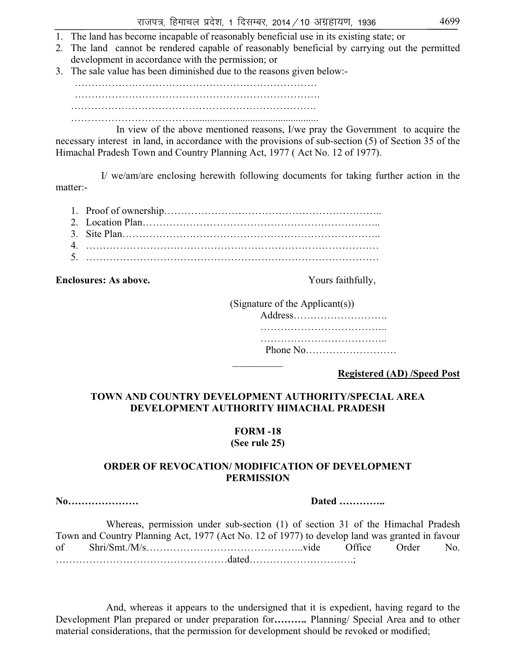- 1. The land has become incapable of reasonably beneficial use in its existing state; or
- 2. The land cannot be rendered capable of reasonably beneficial by carrying out the permitted development in accordance with the permission; or
- 3. The sale value has been diminished due to the reasons given below:-

……………………………………………………………… ………………………………………………………………. ………………………………………………………………. ………………………………..................................................

 In view of the above mentioned reasons, I/we pray the Government to acquire the necessary interest in land, in accordance with the provisions of sub-section (5) of Section 35 of the Himachal Pradesh Town and Country Planning Act, 1977 ( Act No. 12 of 1977).

I/ we/am/are enclosing herewith following documents for taking further action in the matter:-

1. Proof of ownership……………………………………………………….. 2. Location Plan…………………………………………………………….. 3. Site Plan………………………………………………………………….. 4. …………………………………………………………………………… 5. ……………………………………………………………………………

**Enclosures: As above.** The same of the second vertex of the second vertex  $\frac{1}{2}$  and  $\frac{1}{2}$  and  $\frac{1}{2}$  and  $\frac{1}{2}$  and  $\frac{1}{2}$  and  $\frac{1}{2}$  and  $\frac{1}{2}$  and  $\frac{1}{2}$  and  $\frac{1}{2}$  and  $\frac{1}{2}$  and  $\frac{1}{2$ 

 (Signature of the Applicant(s)) Address………………………. ……………………………….. ………………………………………… Phone No………………………  $\frac{1}{2}$ 

**Registered (AD) /Speed Post**

### **TOWN AND COUNTRY DEVELOPMENT AUTHORITY/SPECIAL AREA DEVELOPMENT AUTHORITY HIMACHAL PRADESH**

# **FORM -18**

# **(See rule 25)**

#### **ORDER OF REVOCATION/ MODIFICATION OF DEVELOPMENT PERMISSION**

**No………………… Dated …………..** 

 Whereas, permission under sub-section (1) of section 31 of the Himachal Pradesh Town and Country Planning Act, 1977 (Act No. 12 of 1977) to develop land was granted in favour of Shri/Smt./M/s………………………………………..vide Office Order No. ……………………………………………dated………………………….;

 And, whereas it appears to the undersigned that it is expedient, having regard to the Development Plan prepared or under preparation for*……….* Planning/ Special Area and to other material considerations, that the permission for development should be revoked or modified;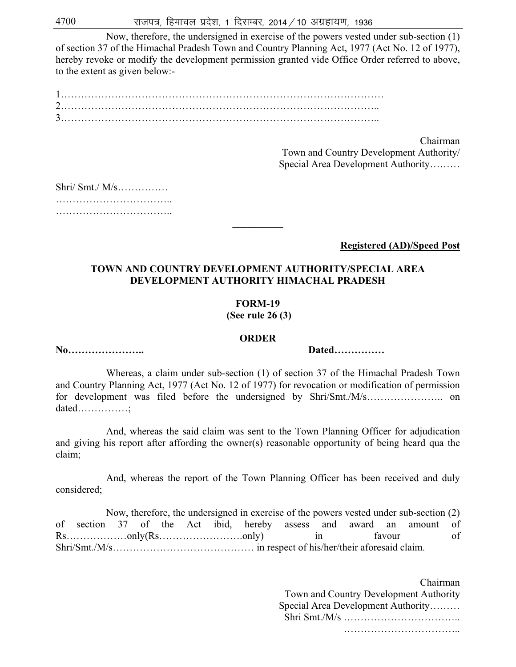Now, therefore, the undersigned in exercise of the powers vested under sub-section (1) of section 37 of the Himachal Pradesh Town and Country Planning Act, 1977 (Act No. 12 of 1977), hereby revoke or modify the development permission granted vide Office Order referred to above, to the extent as given below:-

Chairman

 Town and Country Development Authority/ Special Area Development Authority………

| $\text{Shri}/\text{Smt}/\text{M/s}$ |  |  |  |  |  |  |  |  |  |  |  |  |  |  |  |  |  |  |  |  |  |  |
|-------------------------------------|--|--|--|--|--|--|--|--|--|--|--|--|--|--|--|--|--|--|--|--|--|--|
|                                     |  |  |  |  |  |  |  |  |  |  |  |  |  |  |  |  |  |  |  |  |  |  |
|                                     |  |  |  |  |  |  |  |  |  |  |  |  |  |  |  |  |  |  |  |  |  |  |

**Registered (AD)/Speed Post**

#### **TOWN AND COUNTRY DEVELOPMENT AUTHORITY/SPECIAL AREA DEVELOPMENT AUTHORITY HIMACHAL PRADESH**

 $\frac{1}{2}$ 

# **FORM-19**

 **(See rule 26 (3)** 

#### **ORDER**

**No………………….. Dated……………** 

dated……………;

 Whereas, a claim under sub-section (1) of section 37 of the Himachal Pradesh Town and Country Planning Act, 1977 (Act No. 12 of 1977) for revocation or modification of permission for development was filed before the undersigned by Shri/Smt./M/s………………….. on

 And, whereas the said claim was sent to the Town Planning Officer for adjudication and giving his report after affording the owner(s) reasonable opportunity of being heard qua the claim;

 And, whereas the report of the Town Planning Officer has been received and duly considered;

 Now, therefore, the undersigned in exercise of the powers vested under sub-section (2) of section 37 of the Act ibid, hereby assess and award an amount of Rs……………only(Rs…………………only) in favour of Shri/Smt./M/s…………………………………… in respect of his/her/their aforesaid claim.

> Chairman Town and Country Development Authority Special Area Development Authority……… Shri Smt./M/s …………………………….. …………………………………………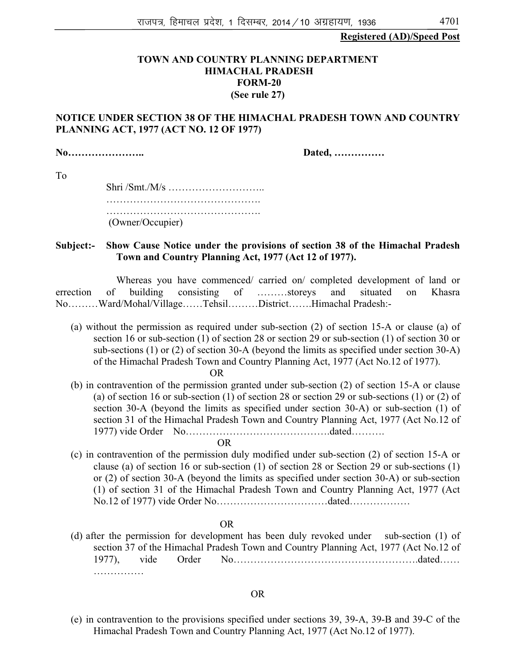#### **Registered (AD)/Speed Post**

#### **TOWN AND COUNTRY PLANNING DEPARTMENT HIMACHAL PRADESH FORM-20 (See rule 27)**

### **NOTICE UNDER SECTION 38 OF THE HIMACHAL PRADESH TOWN AND COUNTRY PLANNING ACT, 1977 (ACT NO. 12 OF 1977)**

**No………………….. Dated, ……………** 

To

 Shri /Smt./M/s ……………………….. ………………………………………. …………………………………………………… (Owner/Occupier)

**Subject:- Show Cause Notice under the provisions of section 38 of the Himachal Pradesh Town and Country Planning Act, 1977 (Act 12 of 1977).** 

Whereas you have commenced/ carried on/ completed development of land or errection of building consisting of ………storeys and situated on Khasra No………Ward/Mohal/Village……Tehsil………District…….Himachal Pradesh:-

(a) without the permission as required under sub-section (2) of section 15-A or clause (a) of section 16 or sub-section (1) of section 28 or section 29 or sub-section (1) of section 30 or sub-sections (1) or (2) of section 30-A (beyond the limits as specified under section 30-A) of the Himachal Pradesh Town and Country Planning Act, 1977 (Act No.12 of 1977).

OR

(b) in contravention of the permission granted under sub-section (2) of section 15-A or clause (a) of section 16 or sub-section (1) of section 28 or section 29 or sub-sections (1) or (2) of section 30-A (beyond the limits as specified under section 30-A) or sub-section (1) of section 31 of the Himachal Pradesh Town and Country Planning Act, 1977 (Act No.12 of 1977) vide Order No…………………………………….dated……….

OR

(c) in contravention of the permission duly modified under sub-section (2) of section 15-A or clause (a) of section 16 or sub-section (1) of section 28 or Section 29 or sub-sections (1) or (2) of section 30-A (beyond the limits as specified under section 30-A) or sub-section (1) of section 31 of the Himachal Pradesh Town and Country Planning Act, 1977 (Act No.12 of 1977) vide Order No……………………………dated………………

OR

(d) after the permission for development has been duly revoked under sub-section (1) of section 37 of the Himachal Pradesh Town and Country Planning Act, 1977 (Act No.12 of 1977), vide Order No……………………………………………….dated…… ……………

#### OR

(e) in contravention to the provisions specified under sections 39, 39-A, 39-B and 39-C of the Himachal Pradesh Town and Country Planning Act, 1977 (Act No.12 of 1977).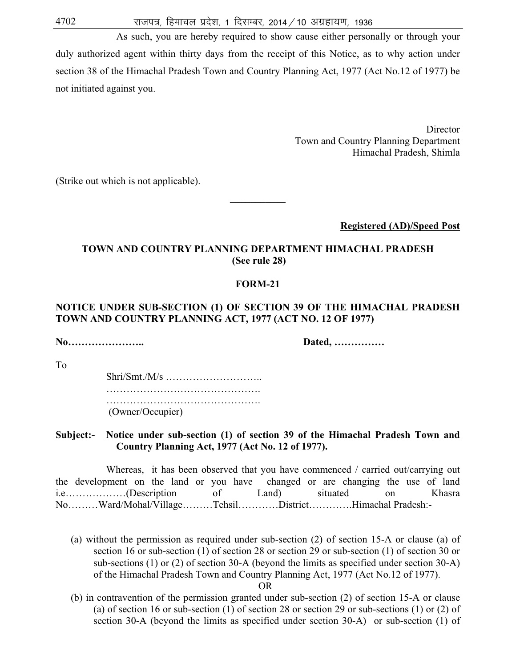As such, you are hereby required to show cause either personally or through your duly authorized agent within thirty days from the receipt of this Notice, as to why action under section 38 of the Himachal Pradesh Town and Country Planning Act, 1977 (Act No.12 of 1977) be not initiated against you.

> Director Town and Country Planning Department Himachal Pradesh, Shimla

(Strike out which is not applicable).

**Registered (AD)/Speed Post**

#### **TOWN AND COUNTRY PLANNING DEPARTMENT HIMACHAL PRADESH (See rule 28)**

 $\mathcal{L}$  , we have the set of  $\mathcal{L}$ 

#### **FORM-21**

#### **NOTICE UNDER SUB-SECTION (1) OF SECTION 39 OF THE HIMACHAL PRADESH TOWN AND COUNTRY PLANNING ACT, 1977 (ACT NO. 12 OF 1977)**

**No………………….. Dated, ……………** 

To

 Shri/Smt./M/s ……………………….. …………………………………………………… …………………………………………………… (Owner/Occupier)

#### **Subject:- Notice under sub-section (1) of section 39 of the Himachal Pradesh Town and Country Planning Act, 1977 (Act No. 12 of 1977).**

Whereas, it has been observed that you have commenced / carried out/carrying out the development on the land or you have changed or are changing the use of land i.e………………(Description of Land) situated on Khasra No………Ward/Mohal/Village………Tehsil…………District………….Himachal Pradesh:-

(a) without the permission as required under sub-section (2) of section 15-A or clause (a) of section 16 or sub-section (1) of section 28 or section 29 or sub-section (1) of section 30 or sub-sections (1) or (2) of section 30-A (beyond the limits as specified under section 30-A) of the Himachal Pradesh Town and Country Planning Act, 1977 (Act No.12 of 1977).

OR

(b) in contravention of the permission granted under sub-section (2) of section 15-A or clause (a) of section 16 or sub-section (1) of section 28 or section 29 or sub-sections (1) or (2) of section 30-A (beyond the limits as specified under section 30-A) or sub-section (1) of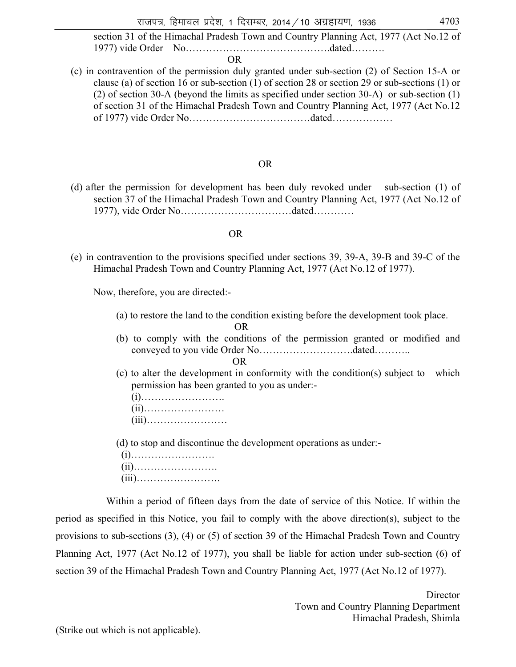section 31 of the Himachal Pradesh Town and Country Planning Act, 1977 (Act No.12 of 1977) vide Order No…………………………………….dated……….

OR

(c) in contravention of the permission duly granted under sub-section (2) of Section 15-A or clause (a) of section 16 or sub-section (1) of section 28 or section 29 or sub-sections (1) or (2) of section 30-A (beyond the limits as specified under section 30-A) or sub-section (1) of section 31 of the Himachal Pradesh Town and Country Planning Act, 1977 (Act No.12 of 1977) vide Order No………………………………dated………………

#### OR

(d) after the permission for development has been duly revoked under sub-section (1) of section 37 of the Himachal Pradesh Town and Country Planning Act, 1977 (Act No.12 of 1977), vide Order No……………………………dated…………

#### OR

(e) in contravention to the provisions specified under sections 39, 39-A, 39-B and 39-C of the Himachal Pradesh Town and Country Planning Act, 1977 (Act No.12 of 1977).

Now, therefore, you are directed:-

(a) to restore the land to the condition existing before the development took place.

OR

(b) to comply with the conditions of the permission granted or modified and conveyed to you vide Order No……………………….dated………..

OR

(c) to alter the development in conformity with the condition(s) subject to which permission has been granted to you as under:-

(i)…………………….

- (ii)……………………
- (iii)……………………

(d) to stop and discontinue the development operations as under:-

 (i)……………………. (ii)……………………. (iii)…………………….

 Within a period of fifteen days from the date of service of this Notice. If within the period as specified in this Notice, you fail to comply with the above direction(s), subject to the provisions to sub-sections (3), (4) or (5) of section 39 of the Himachal Pradesh Town and Country Planning Act, 1977 (Act No.12 of 1977), you shall be liable for action under sub-section (6) of section 39 of the Himachal Pradesh Town and Country Planning Act, 1977 (Act No.12 of 1977).

(Strike out which is not applicable).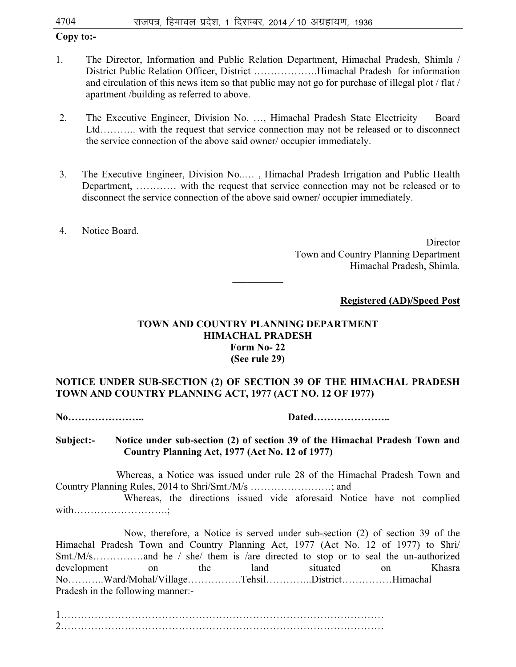# **Copy to:-**

- 1. The Director, Information and Public Relation Department, Himachal Pradesh, Shimla / District Public Relation Officer, District ……………….Himachal Pradesh for information and circulation of this news item so that public may not go for purchase of illegal plot / flat / apartment /building as referred to above.
- 2. The Executive Engineer, Division No. …, Himachal Pradesh State Electricity Board Ltd……….. with the request that service connection may not be released or to disconnect the service connection of the above said owner/ occupier immediately.
- 3. The Executive Engineer, Division No..… , Himachal Pradesh Irrigation and Public Health Department, ………… with the request that service connection may not be released or to disconnect the service connection of the above said owner/ occupier immediately.
- 4. Notice Board.

**Director**  Town and Country Planning Department Himachal Pradesh, Shimla.

# **Registered (AD)/Speed Post**

# **TOWN AND COUNTRY PLANNING DEPARTMENT HIMACHAL PRADESH Form No- 22 (See rule 29)**

 $\frac{1}{2}$ 

# **NOTICE UNDER SUB-SECTION (2) OF SECTION 39 OF THE HIMACHAL PRADESH TOWN AND COUNTRY PLANNING ACT, 1977 (ACT NO. 12 OF 1977)**

**No………………….. Dated…………………..** 

**Subject:- Notice under sub-section (2) of section 39 of the Himachal Pradesh Town and Country Planning Act, 1977 (Act No. 12 of 1977)** 

 Whereas, a Notice was issued under rule 28 of the Himachal Pradesh Town and Country Planning Rules, 2014 to Shri/Smt./M/s ……………………; and

Whereas, the directions issued vide aforesaid Notice have not complied with……………………….;

Now, therefore, a Notice is served under sub-section (2) of section 39 of the Himachal Pradesh Town and Country Planning Act, 1977 (Act No. 12 of 1977) to Shri/ Smt./M/s……………and he / she/ them is /are directed to stop or to seal the un-authorized development on the land situated on Khasra No………..Ward/Mohal/Village…………….Tehsil…………..District……………Himachal Pradesh in the following manner:-

1…………………………………………………………………………………… 2……………………………………………………………………………………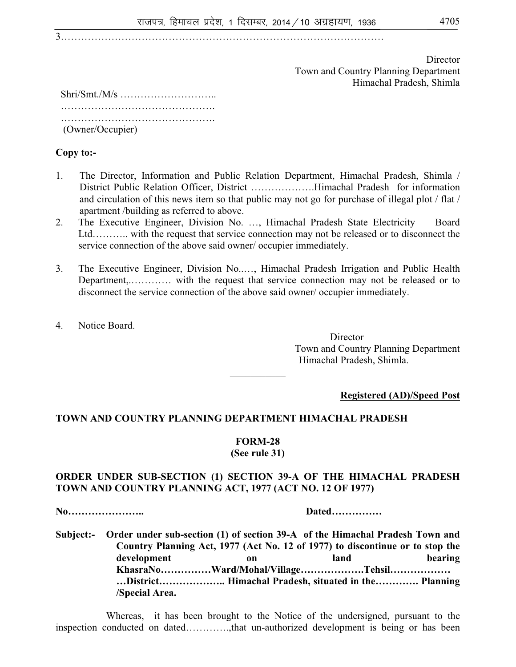3……………………………………………………………………………………

 Director Town and Country Planning Department Himachal Pradesh, Shimla

 Shri/Smt./M/s ……………………….. …………………………………………………… …………………………………………………… (Owner/Occupier)

**Copy to:-** 

- 1. The Director, Information and Public Relation Department, Himachal Pradesh, Shimla / District Public Relation Officer, District ……………….Himachal Pradesh for information and circulation of this news item so that public may not go for purchase of illegal plot / flat / apartment /building as referred to above.
- 2. The Executive Engineer, Division No. …, Himachal Pradesh State Electricity Board Ltd……….. with the request that service connection may not be released or to disconnect the service connection of the above said owner/ occupier immediately.
- 3. The Executive Engineer, Division No..…, Himachal Pradesh Irrigation and Public Health Department,.………… with the request that service connection may not be released or to disconnect the service connection of the above said owner/ occupier immediately.
- 4. Notice Board.

**Director** Town and Country Planning Department Himachal Pradesh, Shimla.

**Registered (AD)/Speed Post**

# **TOWN AND COUNTRY PLANNING DEPARTMENT HIMACHAL PRADESH**

#### **FORM-28**

 $\mathcal{L}$  , we have the set of  $\mathcal{L}$ 

**(See rule 31)** 

### **ORDER UNDER SUB-SECTION (1) SECTION 39-A OF THE HIMACHAL PRADESH TOWN AND COUNTRY PLANNING ACT, 1977 (ACT NO. 12 OF 1977)**

**No………………….. Dated……………** 

**Subject:- Order under sub-section (1) of section 39-A of the Himachal Pradesh Town and Country Planning Act, 1977 (Act No. 12 of 1977) to discontinue or to stop the**  development on on land bearing **KhasraNo……………Ward/Mohal/Village……………….Tehsil……………… …District……………….. Himachal Pradesh, situated in the…………. Planning /Special Area.** 

Whereas, it has been brought to the Notice of the undersigned, pursuant to the inspection conducted on dated………….,that un-authorized development is being or has been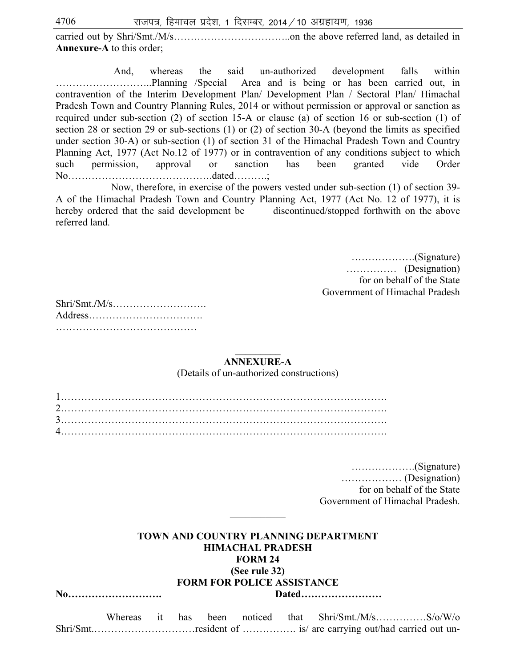$4706$  राजपत्र, हिमाचल प्रदेश, 1 दिसम्बर, 2014 / 10 अग्रहायण, 1936

carried out by Shri/Smt./M/s……………………………..on the above referred land, as detailed in **Annexure-A** to this order;

 And, whereas the said un-authorized development falls within ………………………..Planning /Special Area and is being or has been carried out, in contravention of the Interim Development Plan/ Development Plan / Sectoral Plan/ Himachal Pradesh Town and Country Planning Rules, 2014 or without permission or approval or sanction as required under sub-section (2) of section 15-A or clause (a) of section 16 or sub-section (1) of section 28 or section 29 or sub-sections (1) or (2) of section 30-A (beyond the limits as specified under section 30-A) or sub-section (1) of section 31 of the Himachal Pradesh Town and Country Planning Act, 1977 (Act No.12 of 1977) or in contravention of any conditions subject to which such permission, approval or sanction has been granted vide Order No…………………………………….dated……….;

 Now, therefore, in exercise of the powers vested under sub-section (1) of section 39- A of the Himachal Pradesh Town and Country Planning Act, 1977 (Act No. 12 of 1977), it is hereby ordered that the said development be discontinued/stopped forthwith on the above referred land.

> ……………….(Signature) …………… (Designation) for on behalf of the State Government of Himachal Pradesh

#### **\_\_\_\_\_\_\_\_\_ ANNEXURE-A**

(Details of un-authorized constructions)

 ……………….(Signature) ……………… (Designation) for on behalf of the State Government of Himachal Pradesh.

#### **TOWN AND COUNTRY PLANNING DEPARTMENT HIMACHAL PRADESH FORM 24**

 $\mathcal{L}$  , we have the set of  $\mathcal{L}$ 

**(See rule 32)** 

#### **FORM FOR POLICE ASSISTANCE**

**No………………………. Dated……………………** 

Whereas it has been noticed that Shri/Smt./M/s……………S/o/W/o Shri/Smt.…………………………resident of ……………. is/ are carrying out/had carried out un-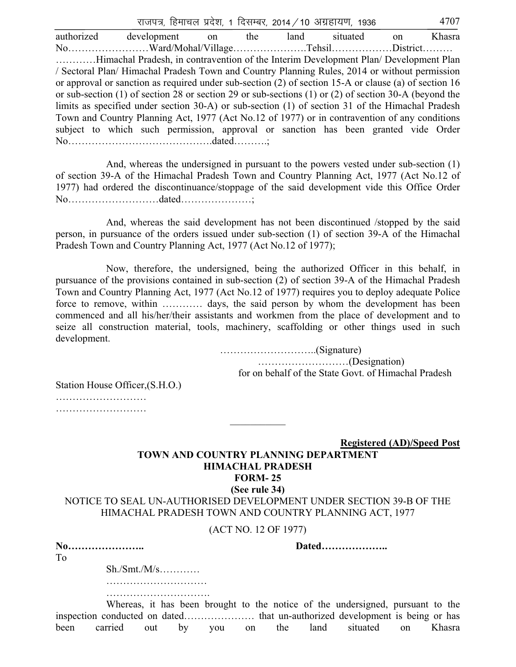राजपत्र, हिमाचल प्रदेश, 1 दिसम्बर, 2014 / 10 अग्रहायण, 1936  $\,$   $\,$   $\,$  4707  $\,$ authorized development on the land situated on Khasra No……………………Ward/Mohal/Village………………….Tehsil………………District……… …………Himachal Pradesh, in contravention of the Interim Development Plan/ Development Plan / Sectoral Plan/ Himachal Pradesh Town and Country Planning Rules, 2014 or without permission or approval or sanction as required under sub-section (2) of section 15-A or clause (a) of section 16 or sub-section (1) of section 28 or section 29 or sub-sections (1) or (2) of section 30-A (beyond the limits as specified under section 30-A) or sub-section (1) of section 31 of the Himachal Pradesh Town and Country Planning Act, 1977 (Act No.12 of 1977) or in contravention of any conditions subject to which such permission, approval or sanction has been granted vide Order No…………………………………….dated……….;

 And, whereas the undersigned in pursuant to the powers vested under sub-section (1) of section 39-A of the Himachal Pradesh Town and Country Planning Act, 1977 (Act No.12 of 1977) had ordered the discontinuance/stoppage of the said development vide this Office Order No………………………dated…………………;

And, whereas the said development has not been discontinued /stopped by the said person, in pursuance of the orders issued under sub-section (1) of section 39-A of the Himachal Pradesh Town and Country Planning Act, 1977 (Act No.12 of 1977);

 Now, therefore, the undersigned, being the authorized Officer in this behalf, in pursuance of the provisions contained in sub-section (2) of section 39-A of the Himachal Pradesh Town and Country Planning Act, 1977 (Act No.12 of 1977) requires you to deploy adequate Police force to remove, within ………… days, the said person by whom the development has been commenced and all his/her/their assistants and workmen from the place of development and to seize all construction material, tools, machinery, scaffolding or other things used in such development.

> ………………………..(Signature) ………………………(Designation) for on behalf of the State Govt. of Himachal Pradesh

Station House Officer,(S.H.O.) ……………………………

…………………………………

**Registered (AD)/Speed Post**

#### **TOWN AND COUNTRY PLANNING DEPARTMENT HIMACHAL PRADESH FORM- 25 (See rule 34)**

NOTICE TO SEAL UN-AUTHORISED DEVELOPMENT UNDER SECTION 39-B OF THE HIMACHAL PRADESH TOWN AND COUNTRY PLANNING ACT, 1977

 $\mathcal{L}$  , we have the set of  $\mathcal{L}$ 

(ACT NO. 12 OF 1977)

| No |  |  |  |  |  |  |  |
|----|--|--|--|--|--|--|--|
| To |  |  |  |  |  |  |  |

**No………………….. Dated………………..** 

 Sh./Smt./M/s………… …………………………

………………………………………

 Whereas, it has been brought to the notice of the undersigned, pursuant to the inspection conducted on dated………………… that un-authorized development is being or has been carried out by you on the land situated on Khasra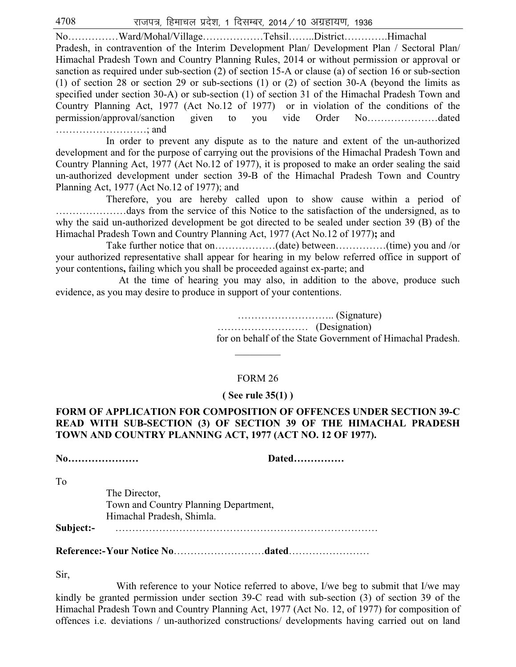$4708$  राजपत्र, हिमाचल प्रदेश, 1 दिसम्बर, 2014 / 10 अग्रहायण, 1936

No……………Ward/Mohal/Village………………Tehsil……..District………….Himachal Pradesh, in contravention of the Interim Development Plan/ Development Plan / Sectoral Plan/ Himachal Pradesh Town and Country Planning Rules, 2014 or without permission or approval or sanction as required under sub-section (2) of section 15-A or clause (a) of section 16 or sub-section (1) of section 28 or section 29 or sub-sections (1) or (2) of section 30-A (beyond the limits as specified under section 30-A) or sub-section (1) of section 31 of the Himachal Pradesh Town and Country Planning Act, 1977 (Act No.12 of 1977) or in violation of the conditions of the permission/approval/sanction given to you vide Order No…………………dated ………………………; and

 In order to prevent any dispute as to the nature and extent of the un-authorized development and for the purpose of carrying out the provisions of the Himachal Pradesh Town and Country Planning Act, 1977 (Act No.12 of 1977), it is proposed to make an order sealing the said un-authorized development under section 39-B of the Himachal Pradesh Town and Country Planning Act, 1977 (Act No.12 of 1977); and

 Therefore, you are hereby called upon to show cause within a period of …………………days from the service of this Notice to the satisfaction of the undersigned, as to why the said un-authorized development be got directed to be sealed under section 39 (B) of the Himachal Pradesh Town and Country Planning Act, 1977 (Act No.12 of 1977)**;** and

 Take further notice that on………………(date) between……………(time) you and /or your authorized representative shall appear for hearing in my below referred office in support of your contentions**,** failing which you shall be proceeded against ex-parte; and

 At the time of hearing you may also, in addition to the above, produce such evidence, as you may desire to produce in support of your contentions.

> ……………………….. (Signature) ……………………… (Designation) for on behalf of the State Government of Himachal Pradesh.

#### FORM 26

 $\frac{1}{2}$ 

#### **( See rule 35(1) )**

# **FORM OF APPLICATION FOR COMPOSITION OF OFFENCES UNDER SECTION 39-C READ WITH SUB-SECTION (3) OF SECTION 39 OF THE HIMACHAL PRADESH TOWN AND COUNTRY PLANNING ACT, 1977 (ACT NO. 12 OF 1977).**

**No………………… Dated……………** 

To

 The Director, Town and Country Planning Department, Himachal Pradesh, Shimla.

**Subject:-** ……………………………………………………………………

**Reference:- Your Notice No**………………………**dated**……………………

Sir,

With reference to your Notice referred to above, I/we beg to submit that I/we may kindly be granted permission under section 39-C read with sub-section (3) of section 39 of the Himachal Pradesh Town and Country Planning Act, 1977 (Act No. 12, of 1977) for composition of offences i.e. deviations / un-authorized constructions/ developments having carried out on land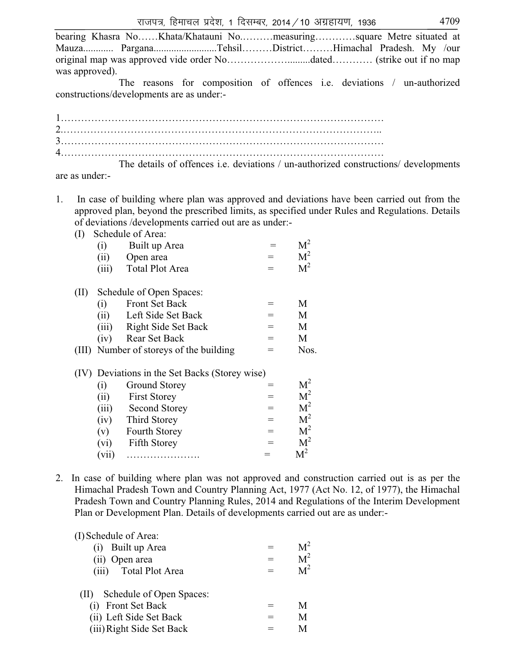|                | bearing Khasra NoKhata/Khatauni Nomeasuringsquare Metre situated at |  |  |  |
|----------------|---------------------------------------------------------------------|--|--|--|
|                |                                                                     |  |  |  |
|                |                                                                     |  |  |  |
| was approved). |                                                                     |  |  |  |

 The reasons for composition of offences i.e. deviations / un-authorized constructions/developments are as under:-

| The details of $\mathcal{C}$ of $\mathcal{C}$ is dependent of the details of $\mathcal{C}$ |
|--------------------------------------------------------------------------------------------|

 The details of offences i.e. deviations / un-authorized constructions/ developments are as under:-

- 1. In case of building where plan was approved and deviations have been carried out from the approved plan, beyond the prescribed limits, as specified under Rules and Regulations. Details of deviations /developments carried out are as under:-
	- (I) Schedule of Area:

| ( L J |       | DUILLAND UI THUA.                              |     |                |
|-------|-------|------------------------------------------------|-----|----------------|
|       | (i)   | Built up Area                                  |     | $\rm M^2$      |
|       | (ii)  | Open area                                      | $=$ | M <sup>2</sup> |
|       | (iii) | <b>Total Plot Area</b>                         |     | M <sup>2</sup> |
| (II)  |       | Schedule of Open Spaces:                       |     |                |
|       | (i)   | <b>Front Set Back</b>                          | =   | M              |
|       | (ii)  | Left Side Set Back                             | $=$ | M              |
|       |       | (iii) Right Side Set Back                      | $=$ | M              |
|       | (iv)  | Rear Set Back                                  | $=$ | M              |
| (III) |       | Number of storeys of the building              | =   | Nos.           |
|       |       | (IV) Deviations in the Set Backs (Storey wise) |     |                |
|       | (i)   | Ground Storey                                  | =   | M <sup>2</sup> |
|       | (ii)  | <b>First Storey</b>                            | $=$ | M <sup>2</sup> |
|       | (iii) | <b>Second Storey</b>                           | $=$ | M <sup>2</sup> |
|       | (iv)  | Third Storey                                   | $=$ | M <sup>2</sup> |
|       | (v)   | Fourth Storey                                  | $=$ | M <sup>2</sup> |
|       | (vi)  | <b>Fifth Storey</b>                            | $=$ | M <sup>2</sup> |
|       | (vii) | .                                              |     | $\rm M^2$      |
|       |       |                                                |     |                |

2. In case of building where plan was not approved and construction carried out is as per the Himachal Pradesh Town and Country Planning Act, 1977 (Act No. 12, of 1977), the Himachal Pradesh Town and Country Planning Rules, 2014 and Regulations of the Interim Development Plan or Development Plan. Details of developments carried out are as under:-

(I)Schedule of Area:

| (i) Built up Area     | $=$ | M <sup>2</sup> |
|-----------------------|-----|----------------|
| (ii) Open area        | $=$ | M <sup>2</sup> |
| (iii) Total Plot Area | $=$ | M <sup>2</sup> |

| Schedule of Open Spaces:<br>(II) |     |   |
|----------------------------------|-----|---|
| (i) Front Set Back               | $=$ | М |
| (ii) Left Side Set Back          | $=$ | M |
| (iii) Right Side Set Back        | $=$ | M |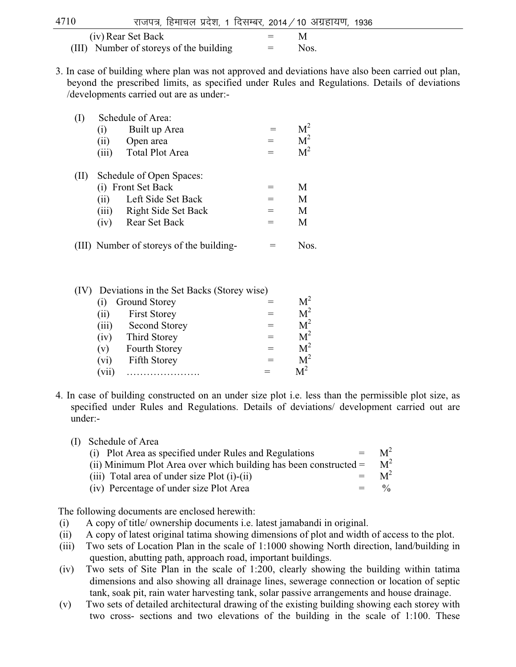| 4710 | राजपत्र, हिमाचल प्रदेश, 1 दिसम्बर, 2014 / 10 अग्रहायण, 1936 |  |         |     |  |
|------|-------------------------------------------------------------|--|---------|-----|--|
|      | (iv) Rear Set Back                                          |  | $=$ $-$ | - M |  |

- (III) Number of storeys of the building  $=$  Nos.
- 3. In case of building where plan was not approved and deviations have also been carried out plan, beyond the prescribed limits, as specified under Rules and Regulations. Details of deviations /developments carried out are as under:-

|      |                   | Schedule of Area:        |     |                |  |  |  |
|------|-------------------|--------------------------|-----|----------------|--|--|--|
|      | (1)               | Built up Area            |     |                |  |  |  |
|      | (ii)              | Open area                |     | M <sup>2</sup> |  |  |  |
|      | (iii)             | <b>Total Plot Area</b>   |     | M <sup>2</sup> |  |  |  |
| (II) |                   | Schedule of Open Spaces: |     |                |  |  |  |
|      | $\left( i\right)$ | <b>Front Set Back</b>    |     | М              |  |  |  |
|      | (i)               | Left Side Set Back       | $=$ | M              |  |  |  |
|      | (iii)             | Right Side Set Back      |     | М              |  |  |  |
|      | (iv)              | Rear Set Back            |     | М              |  |  |  |
|      |                   |                          |     |                |  |  |  |

(III) Number of storeys of the building- = Nos.

| (IV) |       | Deviations in the Set Backs (Storey wise) |                |
|------|-------|-------------------------------------------|----------------|
|      | (1)   | Ground Storey                             |                |
|      | (i)   | <b>First Storey</b>                       | M <sup>2</sup> |
|      | (iii) | <b>Second Storey</b>                      | M <sup>2</sup> |
|      | (iv)  | Third Storey                              | M <sup>2</sup> |
|      | (v)   | <b>Fourth Storey</b>                      | M <sup>2</sup> |
|      | (vi)  | Fifth Storey                              | M <sup>2</sup> |
|      | (vii) |                                           |                |

- 4. In case of building constructed on an under size plot i.e. less than the permissible plot size, as specified under Rules and Regulations. Details of deviations/ development carried out are under:-
	- (I) Schedule of Area

| $=$<br>(i) Plot Area as specified under Rules and Regulations       | $M^2$ |
|---------------------------------------------------------------------|-------|
| (ii) Minimum Plot Area over which building has been constructed $=$ | $M^2$ |
| (iii) Total area of under size $Plot(i)-(ii)$<br>$=$                | $M^2$ |
| (iv) Percentage of under size Plot Area<br>$=$                      | 0/2   |

The following documents are enclosed herewith:

- (i) A copy of title/ ownership documents i.e. latest jamabandi in original.
- (ii) A copy of latest original tatima showing dimensions of plot and width of access to the plot.
- (iii) Two sets of Location Plan in the scale of 1:1000 showing North direction, land/building in question, abutting path, approach road, important buildings.
- (iv) Two sets of Site Plan in the scale of 1:200, clearly showing the building within tatima dimensions and also showing all drainage lines, sewerage connection or location of septic tank, soak pit, rain water harvesting tank, solar passive arrangements and house drainage.
- (v) Two sets of detailed architectural drawing of the existing building showing each storey with two cross- sections and two elevations of the building in the scale of 1:100. These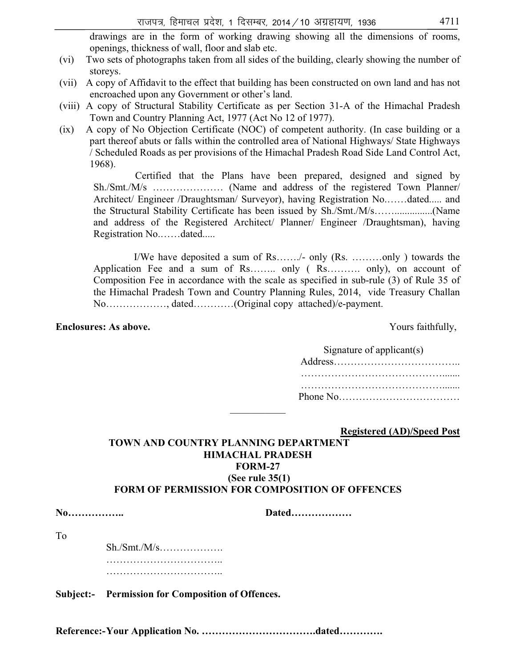drawings are in the form of working drawing showing all the dimensions of rooms, openings, thickness of wall, floor and slab etc.

- (vi) Two sets of photographs taken from all sides of the building, clearly showing the number of storeys.
- (vii) A copy of Affidavit to the effect that building has been constructed on own land and has not encroached upon any Government or other's land.
- (viii) A copy of Structural Stability Certificate as per Section 31-A of the Himachal Pradesh Town and Country Planning Act, 1977 (Act No 12 of 1977).
- (ix) A copy of No Objection Certificate (NOC) of competent authority. (In case building or a part thereof abuts or falls within the controlled area of National Highways/ State Highways / Scheduled Roads as per provisions of the Himachal Pradesh Road Side Land Control Act, 1968).

Certified that the Plans have been prepared, designed and signed by Sh./Smt./M/s ………………… (Name and address of the registered Town Planner/ Architect/ Engineer /Draughtsman/ Surveyor), having Registration No.……dated..... and the Structural Stability Certificate has been issued by Sh./Smt./M/s……...............(Name and address of the Registered Architect/ Planner/ Engineer /Draughtsman), having Registration No.……dated.....

 I/We have deposited a sum of Rs……./- only (Rs. ………only ) towards the Application Fee and a sum of Rs…….. only ( Rs………. only), on account of Composition Fee in accordance with the scale as specified in sub-rule (3) of Rule 35 of the Himachal Pradesh Town and Country Planning Rules, 2014, vide Treasury Challan No………………, dated…………(Original copy attached)/e-payment.

#### **Enclosures: As above. Yours faithfully,**

| Signature of applicant(s) |
|---------------------------|
|                           |
|                           |
|                           |

 **Registered (AD)/Speed Post**

### **TOWN AND COUNTRY PLANNING DEPARTMENT HIMACHAL PRADESH FORM-27 (See rule 35(1) FORM OF PERMISSION FOR COMPOSITION OF OFFENCES**

 $\mathcal{L}$  , we have the set of  $\mathcal{L}$ 

**No…………….. Dated………………** 

To

 Sh./Smt./M/s………………. …………………………….. ……………………………..

**Subject:- Permission for Composition of Offences.** 

**Reference:- Your Application No. …………………………….dated………….**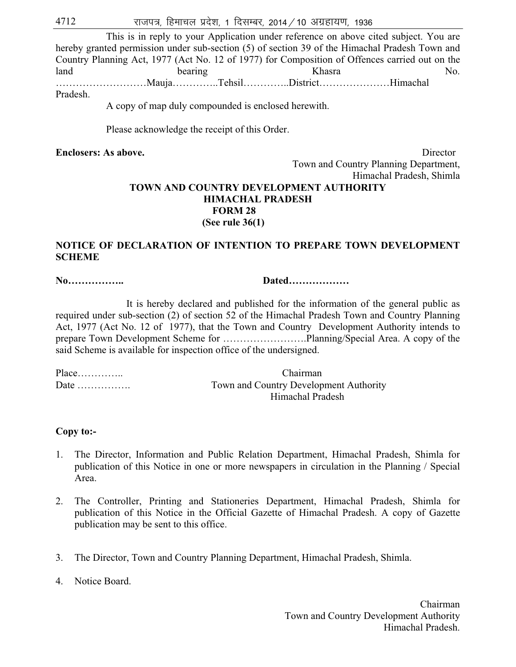# $4712$   $\sqrt{3}$  राजपत्र, हिमाचल प्रदेश, 1 दिसम्बर, 2014 / 10 अग्रहायण, 1936

 This is in reply to your Application under reference on above cited subject. You are hereby granted permission under sub-section (5) of section 39 of the Himachal Pradesh Town and Country Planning Act, 1977 (Act No. 12 of 1977) for Composition of Offences carried out on the land bearing bearing Khasra Ko. ………………………Mauja…………..Tehsil…………..District…………………Himachal Pradesh.

A copy of map duly compounded is enclosed herewith.

Please acknowledge the receipt of this Order.

**Enclosers: As above. Director**  Town and Country Planning Department, Himachal Pradesh, Shimla

# **TOWN AND COUNTRY DEVELOPMENT AUTHORITY HIMACHAL PRADESH FORM 28 (See rule 36(1)**

### **NOTICE OF DECLARATION OF INTENTION TO PREPARE TOWN DEVELOPMENT SCHEME**

**No…………….. Dated………………** 

It is hereby declared and published for the information of the general public as required under sub-section (2) of section 52 of the Himachal Pradesh Town and Country Planning Act, 1977 (Act No. 12 of 1977), that the Town and Country Development Authority intends to prepare Town Development Scheme for …………………….Planning/Special Area. A copy of the said Scheme is available for inspection office of the undersigned.

Place………….. Chairman

Date ……………. Town and Country Development Authority Himachal Pradesh

#### **Copy to:-**

- 1. The Director, Information and Public Relation Department, Himachal Pradesh, Shimla for publication of this Notice in one or more newspapers in circulation in the Planning / Special Area.
- 2. The Controller, Printing and Stationeries Department, Himachal Pradesh, Shimla for publication of this Notice in the Official Gazette of Himachal Pradesh. A copy of Gazette publication may be sent to this office.
- 3. The Director, Town and Country Planning Department, Himachal Pradesh, Shimla.

4. Notice Board.

 Chairman Town and Country Development Authority Himachal Pradesh.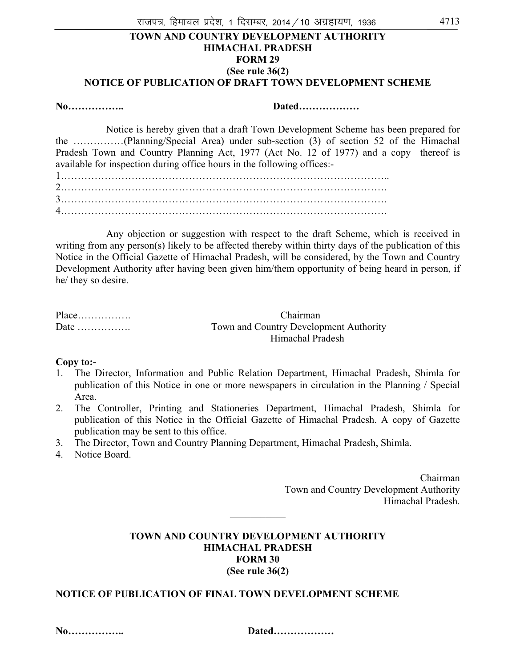### **TOWN AND COUNTRY DEVELOPMENT AUTHORITY HIMACHAL PRADESH FORM 29 (See rule 36(2) NOTICE OF PUBLICATION OF DRAFT TOWN DEVELOPMENT SCHEME**

**No…………….. Dated………………** 

 Notice is hereby given that a draft Town Development Scheme has been prepared for the ……………(Planning/Special Area) under sub-section (3) of section 52 of the Himachal Pradesh Town and Country Planning Act, 1977 (Act No. 12 of 1977) and a copy thereof is available for inspection during office hours in the following offices:-

 Any objection or suggestion with respect to the draft Scheme, which is received in writing from any person(s) likely to be affected thereby within thirty days of the publication of this Notice in the Official Gazette of Himachal Pradesh, will be considered, by the Town and Country Development Authority after having been given him/them opportunity of being heard in person, if he/ they so desire.

|                                  | Chairman                               |
|----------------------------------|----------------------------------------|
| Date $\dots\dots\dots\dots\dots$ | Town and Country Development Authority |
|                                  | Himachal Pradesh                       |

#### **Copy to:-**

- 1. The Director, Information and Public Relation Department, Himachal Pradesh, Shimla for publication of this Notice in one or more newspapers in circulation in the Planning / Special Area.
- 2. The Controller, Printing and Stationeries Department, Himachal Pradesh, Shimla for publication of this Notice in the Official Gazette of Himachal Pradesh. A copy of Gazette publication may be sent to this office.
- 3. The Director, Town and Country Planning Department, Himachal Pradesh, Shimla.
- 4. Notice Board.

 Chairman Town and Country Development Authority Himachal Pradesh.

### **TOWN AND COUNTRY DEVELOPMENT AUTHORITY HIMACHAL PRADESH FORM 30 (See rule 36(2)**

 $\mathcal{L}$  , we have the set of  $\mathcal{L}$ 

# **NOTICE OF PUBLICATION OF FINAL TOWN DEVELOPMENT SCHEME**

**No…………….. Dated………………** 

| Dated |  |  |  |  |  |  |  |  |  |  |  |  |  |  |  |  |  |
|-------|--|--|--|--|--|--|--|--|--|--|--|--|--|--|--|--|--|
|-------|--|--|--|--|--|--|--|--|--|--|--|--|--|--|--|--|--|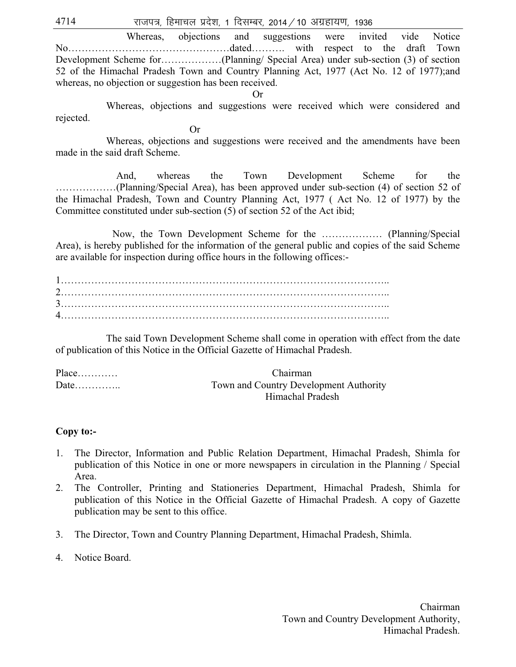$4714$   $\sqrt{36}$  राजपत्र, हिमाचल प्रदेश, 1 दिसम्बर, 2014 / 10 अग्रहायण, 1936

 Whereas, objections and suggestions were invited vide Notice No…………………………………………dated………. with respect to the draft Town Development Scheme for………………(Planning/ Special Area) under sub-section (3) of section 52 of the Himachal Pradesh Town and Country Planning Act, 1977 (Act No. 12 of 1977);and whereas, no objection or suggestion has been received.

Or

 Whereas, objections and suggestions were received which were considered and rejected.

 Or Whereas, objections and suggestions were received and the amendments have been made in the said draft Scheme.

And, whereas the Town Development Scheme for the ………………(Planning/Special Area), has been approved under sub-section (4) of section 52 of the Himachal Pradesh, Town and Country Planning Act, 1977 ( Act No. 12 of 1977) by the Committee constituted under sub-section (5) of section 52 of the Act ibid;

Now, the Town Development Scheme for the ……………… (Planning/Special Area), is hereby published for the information of the general public and copies of the said Scheme are available for inspection during office hours in the following offices:-

1…………………………………………………………………………………….. 2…………………………………………………………………………………….. 3…………………………………………………………………………………….. 4……………………………………………………………………………………..

 The said Town Development Scheme shall come in operation with effect from the date of publication of this Notice in the Official Gazette of Himachal Pradesh.

| $Place$ | <b>Chairman</b>                        |
|---------|----------------------------------------|
| Date    | Town and Country Development Authority |
|         | Himachal Pradesh                       |

#### **Copy to:-**

- 1. The Director, Information and Public Relation Department, Himachal Pradesh, Shimla for publication of this Notice in one or more newspapers in circulation in the Planning / Special Area.
- 2. The Controller, Printing and Stationeries Department, Himachal Pradesh, Shimla for publication of this Notice in the Official Gazette of Himachal Pradesh. A copy of Gazette publication may be sent to this office.
- 3. The Director, Town and Country Planning Department, Himachal Pradesh, Shimla.
- 4. Notice Board.

 Chairman Town and Country Development Authority, Himachal Pradesh.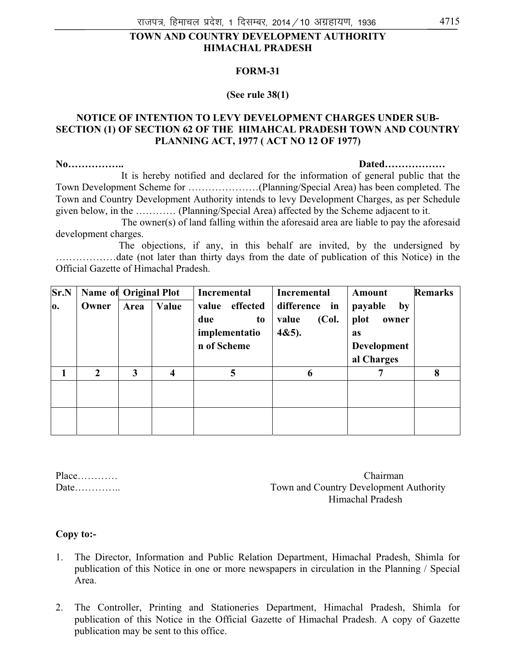### **TOWN AND COUNTRY DEVELOPMENT AUTHORITY HIMACHAL PRADESH**

#### **FORM-31**

#### **(See rule 38(1)**

#### **NOTICE OF INTENTION TO LEVY DEVELOPMENT CHARGES UNDER SUB-SECTION (1) OF SECTION 62 OF THE HIMAHCAL PRADESH TOWN AND COUNTRY PLANNING ACT, 1977 ( ACT NO 12 OF 1977)**

#### **No…………….. Dated………………**

 It is hereby notified and declared for the information of general public that the Town Development Scheme for …………………(Planning/Special Area) has been completed. The Town and Country Development Authority intends to levy Development Charges, as per Schedule given below, in the ………… (Planning/Special Area) affected by the Scheme adjacent to it.

 The owner(s) of land falling within the aforesaid area are liable to pay the aforesaid development charges.

 The objections, if any, in this behalf are invited, by the undersigned by ………………date (not later than thirty days from the date of publication of this Notice) in the Official Gazette of Himachal Pradesh.

| Sr.N |                | <b>Name of Original Plot</b> |       | Incremental                                                    | Incremental                                 | Amount                                                                   | <b>Remarks</b> |
|------|----------------|------------------------------|-------|----------------------------------------------------------------|---------------------------------------------|--------------------------------------------------------------------------|----------------|
| O.   | Owner          | Area                         | Value | effected<br>value<br>due<br>to<br>implementatio<br>n of Scheme | difference in<br>(Col.<br>value<br>$4&5$ ). | payable<br>by<br>plot<br>owner<br><b>as</b><br>Development<br>al Charges |                |
| 1    | $\overline{2}$ | 3                            | 4     | 5                                                              | 6                                           | 7                                                                        | 8              |
|      |                |                              |       |                                                                |                                             |                                                                          |                |
|      |                |                              |       |                                                                |                                             |                                                                          |                |

Place………… Chairman Date………….. Town and Country Development Authority Himachal Pradesh

#### **Copy to:-**

- 1. The Director, Information and Public Relation Department, Himachal Pradesh, Shimla for publication of this Notice in one or more newspapers in circulation in the Planning / Special Area.
- 2. The Controller, Printing and Stationeries Department, Himachal Pradesh, Shimla for publication of this Notice in the Official Gazette of Himachal Pradesh. A copy of Gazette publication may be sent to this office.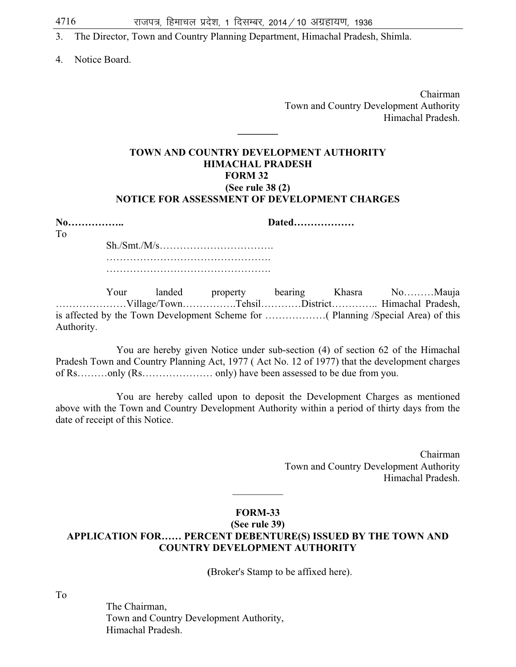- 3. The Director, Town and Country Planning Department, Himachal Pradesh, Shimla.
- 4. Notice Board.

 Chairman Town and Country Development Authority Himachal Pradesh.

#### **TOWN AND COUNTRY DEVELOPMENT AUTHORITY HIMACHAL PRADESH FORM 32 (See rule 38 (2) NOTICE FOR ASSESSMENT OF DEVELOPMENT CHARGES**

**\_\_\_\_\_\_\_\_** 

| No<br>$T_{\Omega}$ | Dated |
|--------------------|-------|
|                    |       |
|                    |       |
|                    |       |

 Your landed property bearing Khasra No………Mauja …………………Village/Town…………….Tehsil…………District………….. Himachal Pradesh, is affected by the Town Development Scheme for ………………( Planning /Special Area) of this Authority.

You are hereby given Notice under sub-section (4) of section 62 of the Himachal Pradesh Town and Country Planning Act, 1977 ( Act No. 12 of 1977) that the development charges of Rs………only (Rs………………… only) have been assessed to be due from you.

You are hereby called upon to deposit the Development Charges as mentioned above with the Town and Country Development Authority within a period of thirty days from the date of receipt of this Notice.

> Chairman Town and Country Development Authority Himachal Pradesh.

#### **FORM-33**

 $\overline{\phantom{a}}$ 

#### **(See rule 39) APPLICATION FOR…… PERCENT DEBENTURE(S) ISSUED BY THE TOWN AND COUNTRY DEVELOPMENT AUTHORITY**

 **(**Broker's Stamp to be affixed here).

To

 The Chairman, Town and Country Development Authority, Himachal Pradesh.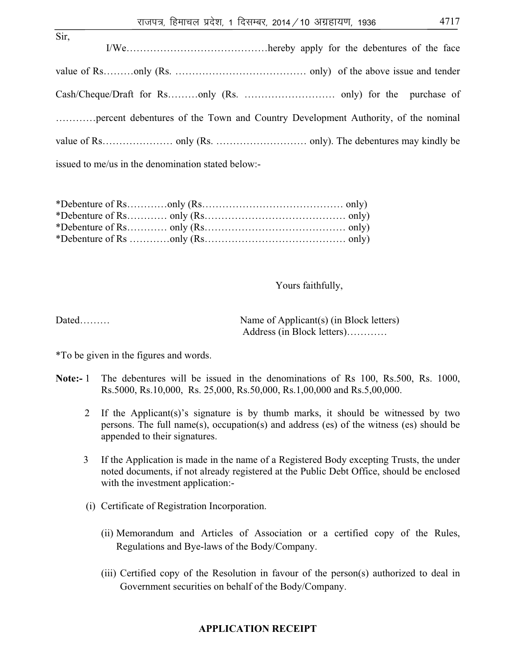| Sir.                                                                             |
|----------------------------------------------------------------------------------|
|                                                                                  |
|                                                                                  |
| percent debentures of the Town and Country Development Authority, of the nominal |
|                                                                                  |
| issued to me/us in the denomination stated below:-                               |

Yours faithfully,

Dated……… Address (in Block letters)…………

\*To be given in the figures and words.

- **Note:-** 1 The debentures will be issued in the denominations of Rs 100, Rs.500, Rs. 1000, Rs.5000, Rs.10,000, Rs. 25,000, Rs.50,000, Rs.1,00,000 and Rs.5,00,000.
	- 2 If the Applicant(s)'s signature is by thumb marks, it should be witnessed by two persons. The full name(s), occupation(s) and address (es) of the witness (es) should be appended to their signatures.
	- 3 If the Application is made in the name of a Registered Body excepting Trusts, the under noted documents, if not already registered at the Public Debt Office, should be enclosed with the investment application:-
	- (i) Certificate of Registration Incorporation.
		- (ii) Memorandum and Articles of Association or a certified copy of the Rules, Regulations and Bye-laws of the Body/Company.
		- (iii) Certified copy of the Resolution in favour of the person(s) authorized to deal in Government securities on behalf of the Body/Company.

# **APPLICATION RECEIPT**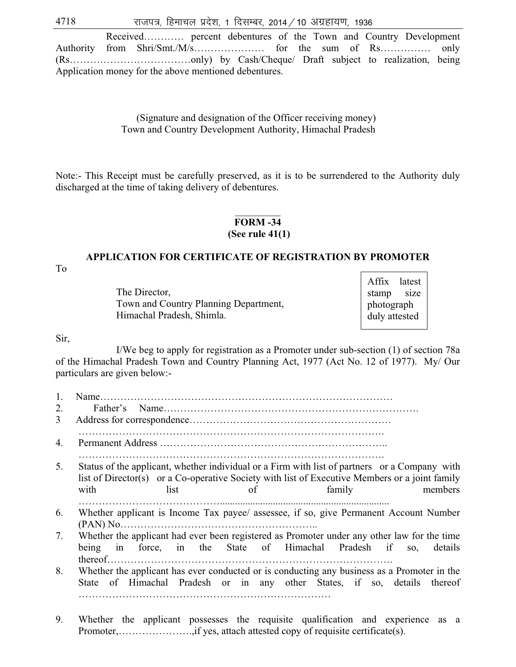$4718$   $\sqrt{3}$  राजपत्र, हिमाचल प्रदेश, 1 दिसम्बर, 2014 / 10 अग्रहायण, 1936

 Received………… percent debentures of the Town and Country Development Authority from Shri/Smt./M/s………………… for the sum of Rs…………… only (Rs………………………………only) by Cash/Cheque/ Draft subject to realization, being Application money for the above mentioned debentures.

#### (Signature and designation of the Officer receiving money) Town and Country Development Authority, Himachal Pradesh

Note:- This Receipt must be carefully preserved, as it is to be surrendered to the Authority duly discharged at the time of taking delivery of debentures.

#### $\overline{\phantom{a}}$ **FORM -34**

#### **(See rule 41(1)**

# **APPLICATION FOR CERTIFICATE OF REGISTRATION BY PROMOTER**

To

The Director, Town and Country Planning Department, Himachal Pradesh, Shimla.

Affix latest stamp size photograph duly attested

#### Sir,

I/We beg to apply for registration as a Promoter under sub-section (1) of section 78a of the Himachal Pradesh Town and Country Planning Act, 1977 (Act No. 12 of 1977). My/ Our particulars are given below:-

| 1. |                                                                                                                                                                                                                                            |
|----|--------------------------------------------------------------------------------------------------------------------------------------------------------------------------------------------------------------------------------------------|
| 2. |                                                                                                                                                                                                                                            |
| 3  |                                                                                                                                                                                                                                            |
| 4. |                                                                                                                                                                                                                                            |
| 5. | Status of the applicant, whether individual or a Firm with list of partners or a Company with<br>list of Director(s) or a Co-operative Society with list of Executive Members or a joint family<br>with<br>list<br>family<br>members<br>of |
| 6. | Whether applicant is Income Tax payee/ assessee, if so, give Permanent Account Number                                                                                                                                                      |
| 7. | Whether the applicant had ever been registered as Promoter under any other law for the time<br>in force, in the State of Himachal Pradesh if so, details<br>being                                                                          |
| 8. | Whether the applicant has ever conducted or is conducting any business as a Promoter in the<br>State of Himachal Pradesh or in any other States, if so, details thereof                                                                    |

9. Whether the applicant possesses the requisite qualification and experience as a Promoter,………………….,if yes, attach attested copy of requisite certificate(s).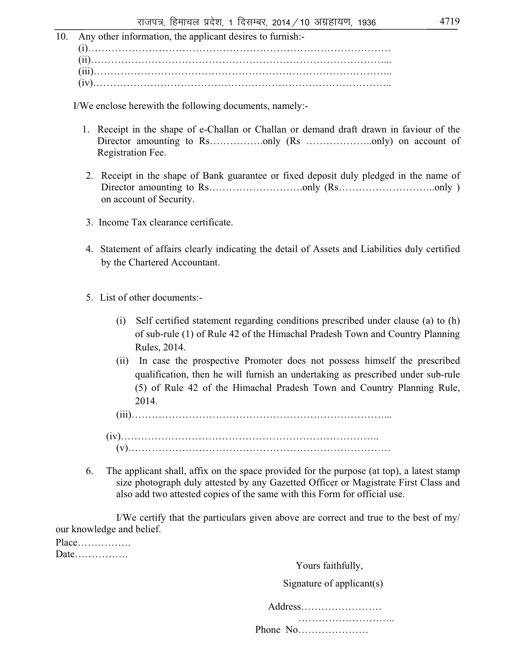10. Any other information, the applicant desires to furnish:- (i)……………………………………………………………………………… (ii)……………………………………………………………………………... (iii)…………………………………………………………………………….. (iv)……………………………………………………………………………..

I/We enclose herewith the following documents, namely:-

- 1. Receipt in the shape of e-Challan or Challan or demand draft drawn in faviour of the Director amounting to Rs…………...only (Rs ………………...only) on account of Registration Fee.
- 2. Receipt in the shape of Bank guarantee or fixed deposit duly pledged in the name of Director amounting to Rs……………………….only (Rs………………………..only ) on account of Security.
- 3. Income Tax clearance certificate.
- 4. Statement of affairs clearly indicating the detail of Assets and Liabilities duly certified by the Chartered Accountant.
- 5. List of other documents:-
	- (i) Self certified statement regarding conditions prescribed under clause (a) to (h) of sub-rule (1) of Rule 42 of the Himachal Pradesh Town and Country Planning Rules, 2014.
	- (ii) In case the prospective Promoter does not possess himself the prescribed qualification, then he will furnish an undertaking as prescribed under sub-rule (5) of Rule 42 of the Himachal Pradesh Town and Country Planning Rule, 2014.

(iii)…………………………………………………………………...

- (iv)………………………………………………………………….. (v)……………………………………………………………………
- 6. The applicant shall, affix on the space provided for the purpose (at top), a latest stamp size photograph duly attested by any Gazetted Officer or Magistrate First Class and also add two attested copies of the same with this Form for official use.

I/We certify that the particulars given above are correct and true to the best of my/ our knowledge and belief.

Place……………. Date…………….

Yours faithfully,

Signature of applicant(s)

Address…………………… …………………………………

Phone No…………………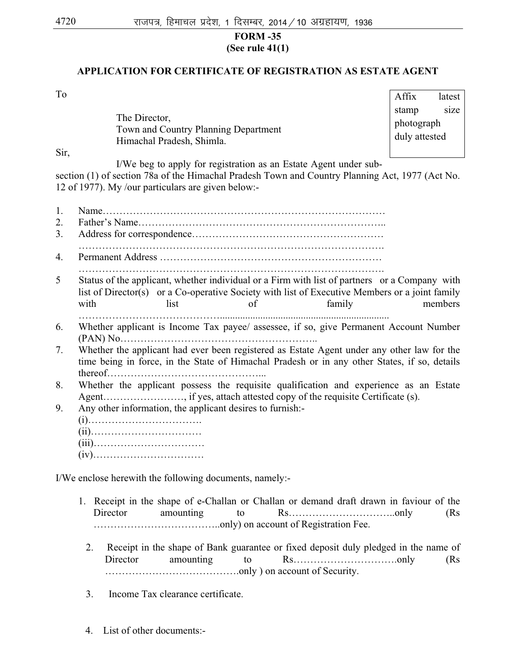### **FORM -35 (See rule 41(1)**

# **APPLICATION FOR CERTIFICATE OF REGISTRATION AS ESTATE AGENT**

To

The Director, Town and Country Planning Department Himachal Pradesh, Shimla.

Affix latest stamp size photograph duly attested

Sir,

I/We beg to apply for registration as an Estate Agent under sub-

section (1) of section 78a of the Himachal Pradesh Town and Country Planning Act, 1977 (Act No. 12 of 1977). My /our particulars are given below:-

- 1. Name………………………………………………………………………… 2. Father's Name……………………………………………………………….. 3. Address for correspondence………………………………………………… ………………………………………………………………………………. 4. Permanent Address ………………………………………………………… ………………………………………………………………………………. 5 Status of the applicant, whether individual or a Firm with list of partners or a Company with list of Director(s) or a Co-operative Society with list of Executive Members or a joint family with list of family members ……………………………………................................................................... 6. Whether applicant is Income Tax payee/ assessee, if so, give Permanent Account Number (PAN) No………………………………………………….. 7. Whether the applicant had ever been registered as Estate Agent under any other law for the time being in force, in the State of Himachal Pradesh or in any other States, if so, details thereof………………………………………... 8. Whether the applicant possess the requisite qualification and experience as an Estate Agent……………………, if yes, attach attested copy of the requisite Certificate (s). 9. Any other information, the applicant desires to furnish:- (i)……………………………. (ii)…………………………… (iii)…………………………… (iv)…………………………… I/We enclose herewith the following documents, namely:- 1. Receipt in the shape of e-Challan or Challan or demand draft drawn in faviour of the Director amounting to Rs…………………………..only (Rs ………………………………..only) on account of Registration Fee.
	- 2. Receipt in the shape of Bank guarantee or fixed deposit duly pledged in the name of Director amounting to Rs………………………….only (Rs ………………………………….only ) on account of Security.
	- 3. Income Tax clearance certificate.
	- 4. List of other documents:-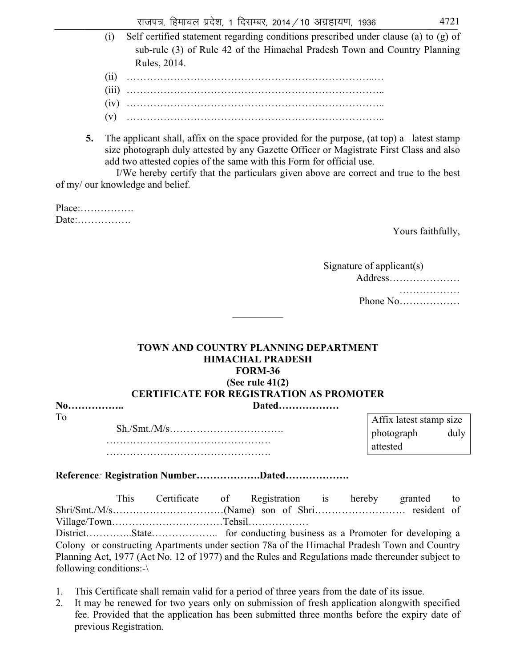- (i) Self certified statement regarding conditions prescribed under clause (a) to (g) of sub-rule (3) of Rule 42 of the Himachal Pradesh Town and Country Planning Rules, 2014.
	- (ii) ………………………………………………………………..…
	- (iii) …………………………………………………………………..
	- (iv) …………………………………………………………………..
	- (v) …………………………………………………………………..
- **5.** The applicant shall, affix on the space provided for the purpose, (at top) a latest stamp size photograph duly attested by any Gazette Officer or Magistrate First Class and also add two attested copies of the same with this Form for official use.

I/We hereby certify that the particulars given above are correct and true to the best of my/ our knowledge and belief.

Place:……………. Date:

To

Yours faithfully,

| Signature of applicant(s) |
|---------------------------|
| Address                   |
| .                         |
| Phone $No$                |

## **TOWN AND COUNTRY PLANNING DEPARTMENT HIMACHAL PRADESH FORM-36 (See rule 41(2)**

 $\mathcal{L}$  . The set of the set of the set of the set of the set of the set of the set of the set of the set of the set of the set of the set of the set of the set of the set of the set of the set of the set of the set of t

## **CERTIFICATE FOR REGISTRATION AS PROMOTER**

| To |  |
|----|--|
|    |  |
|    |  |
|    |  |

**No…………….. Dated………………** 

| Affix latest stamp size |      |
|-------------------------|------|
| photograph              | duly |
| attested                |      |

**Reference***:* **Registration Number……………….Dated……………….**

This Certificate of Registration is hereby granted to Shri/Smt./M/s……………………………(Name) son of Shri……………………… resident of Village/Town……………………………Tehsil………………

District…………..State……………….. for conducting business as a Promoter for developing a Colony or constructing Apartments under section 78a of the Himachal Pradesh Town and Country Planning Act, 1977 (Act No. 12 of 1977) and the Rules and Regulations made thereunder subject to following conditions:-\

- 1. This Certificate shall remain valid for a period of three years from the date of its issue.
- 2. It may be renewed for two years only on submission of fresh application alongwith specified fee. Provided that the application has been submitted three months before the expiry date of previous Registration.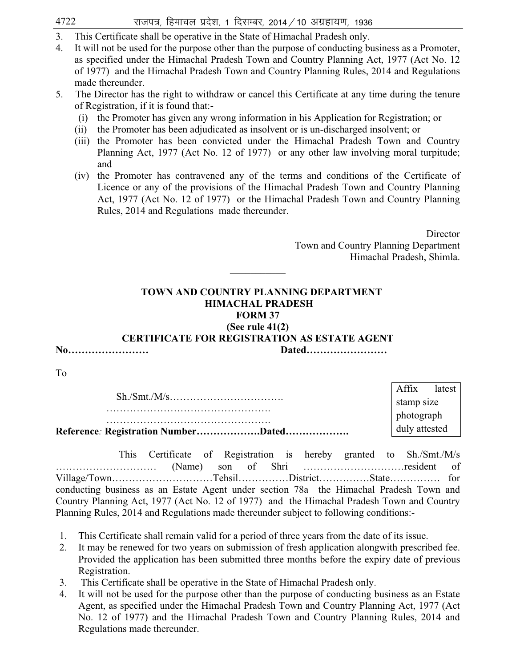$4722$  राजपत्र, हिमाचल प्रदेश, 1 दिसम्बर, 2014 / 10 अग्रहायण, 1936

- 3. This Certificate shall be operative in the State of Himachal Pradesh only.
- 4. It will not be used for the purpose other than the purpose of conducting business as a Promoter, as specified under the Himachal Pradesh Town and Country Planning Act, 1977 (Act No. 12 of 1977) and the Himachal Pradesh Town and Country Planning Rules, 2014 and Regulations made thereunder.
- 5. The Director has the right to withdraw or cancel this Certificate at any time during the tenure of Registration, if it is found that:-
	- (i) the Promoter has given any wrong information in his Application for Registration; or
	- (ii) the Promoter has been adjudicated as insolvent or is un-discharged insolvent; or
	- (iii) the Promoter has been convicted under the Himachal Pradesh Town and Country Planning Act, 1977 (Act No. 12 of 1977) or any other law involving moral turpitude; and
	- (iv) the Promoter has contravened any of the terms and conditions of the Certificate of Licence or any of the provisions of the Himachal Pradesh Town and Country Planning Act, 1977 (Act No. 12 of 1977) or the Himachal Pradesh Town and Country Planning Rules, 2014 and Regulations made thereunder.

**Director**  Town and Country Planning Department Himachal Pradesh, Shimla.

## **TOWN AND COUNTRY PLANNING DEPARTMENT HIMACHAL PRADESH FORM 37**

 $\overline{\phantom{a}}$ 

## **(See rule 41(2)**

## **CERTIFICATE FOR REGISTRATION AS ESTATE AGENT**

| No |  |
|----|--|
|    |  |

**No…………………… Dated……………………** 

To

|                                     | Affix         | latest |
|-------------------------------------|---------------|--------|
|                                     | stamp size    |        |
|                                     | photograph    |        |
| Reference: Registration NumberDated | duly attested |        |
|                                     |               |        |

 This Certificate of Registration is hereby granted to Sh./Smt./M/s ………………………… (Name) son of Shri …………………………resident of Village/Town…………………………Tehsil……………District……………State…………… for conducting business as an Estate Agent under section 78a the Himachal Pradesh Town and Country Planning Act, 1977 (Act No. 12 of 1977) and the Himachal Pradesh Town and Country Planning Rules, 2014 and Regulations made thereunder subject to following conditions:-

- 1. This Certificate shall remain valid for a period of three years from the date of its issue.
- 2. It may be renewed for two years on submission of fresh application alongwith prescribed fee. Provided the application has been submitted three months before the expiry date of previous Registration.
- 3. This Certificate shall be operative in the State of Himachal Pradesh only.
- 4. It will not be used for the purpose other than the purpose of conducting business as an Estate Agent, as specified under the Himachal Pradesh Town and Country Planning Act, 1977 (Act No. 12 of 1977) and the Himachal Pradesh Town and Country Planning Rules, 2014 and Regulations made thereunder.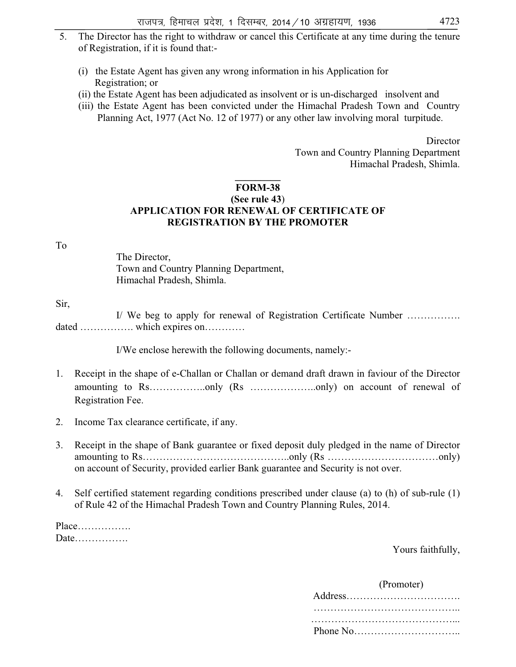- 5. The Director has the right to withdraw or cancel this Certificate at any time during the tenure of Registration, if it is found that:-
	- (i) the Estate Agent has given any wrong information in his Application for Registration; or
	- (ii) the Estate Agent has been adjudicated as insolvent or is un-discharged insolvent and
	- (iii) the Estate Agent has been convicted under the Himachal Pradesh Town and Country Planning Act, 1977 (Act No. 12 of 1977) or any other law involving moral turpitude.

**Director**  Town and Country Planning Department Himachal Pradesh, Shimla.

### **\_\_\_\_\_\_\_\_\_ FORM-38 (See rule 43**) **APPLICATION FOR RENEWAL OF CERTIFICATE OF REGISTRATION BY THE PROMOTER**

To

The Director, Town and Country Planning Department, Himachal Pradesh, Shimla.

Sir,

I/ We beg to apply for renewal of Registration Certificate Number ……………. dated ……………. which expires on…………

I/We enclose herewith the following documents, namely:-

- 1. Receipt in the shape of e-Challan or Challan or demand draft drawn in faviour of the Director amounting to Rs……………..only (Rs ………………..only) on account of renewal of Registration Fee.
- 2. Income Tax clearance certificate, if any.
- 3. Receipt in the shape of Bank guarantee or fixed deposit duly pledged in the name of Director amounting to Rs……………………………………..only (Rs ……………………………only) on account of Security, provided earlier Bank guarantee and Security is not over.
- 4. Self certified statement regarding conditions prescribed under clause (a) to (h) of sub-rule (1) of Rule 42 of the Himachal Pradesh Town and Country Planning Rules, 2014.

Place……………. Date…………….

Yours faithfully,

(Promoter)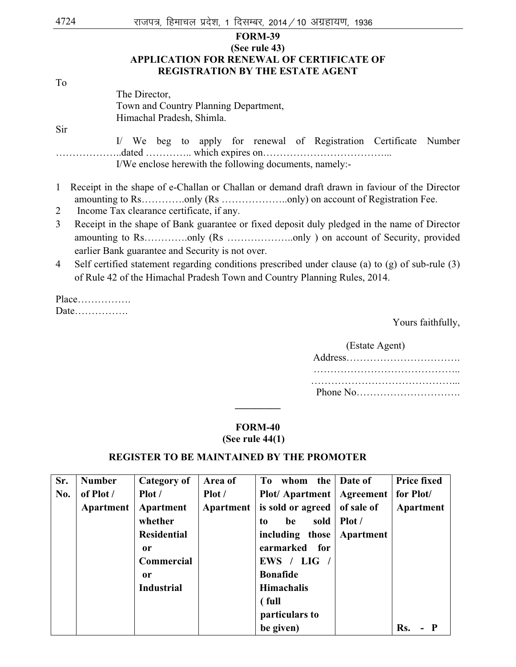| 4724         | राजपत्र, हिमाचल प्रदेश, 1 दिसम्बर, 2014 / 10 अग्रहायण, 1936                                                                     |  |  |  |  |  |  |
|--------------|---------------------------------------------------------------------------------------------------------------------------------|--|--|--|--|--|--|
|              | <b>FORM-39</b>                                                                                                                  |  |  |  |  |  |  |
|              | (See rule 43)                                                                                                                   |  |  |  |  |  |  |
|              | <b>APPLICATION FOR RENEWAL OF CERTIFICATE OF</b>                                                                                |  |  |  |  |  |  |
|              | <b>REGISTRATION BY THE ESTATE AGENT</b>                                                                                         |  |  |  |  |  |  |
| To           |                                                                                                                                 |  |  |  |  |  |  |
|              | The Director,                                                                                                                   |  |  |  |  |  |  |
|              | Town and Country Planning Department,                                                                                           |  |  |  |  |  |  |
|              | Himachal Pradesh, Shimla.                                                                                                       |  |  |  |  |  |  |
| Sir          |                                                                                                                                 |  |  |  |  |  |  |
|              | I/ We beg to apply for renewal of Registration Certificate<br>Number<br>I/We enclose herewith the following documents, namely:- |  |  |  |  |  |  |
| $\mathbf{1}$ | Receipt in the shape of e-Challan or Challan or demand draft drawn in faviour of the Director                                   |  |  |  |  |  |  |
|              |                                                                                                                                 |  |  |  |  |  |  |
| 2            | Income Tax clearance certificate, if any.                                                                                       |  |  |  |  |  |  |
| 3            | Receipt in the shape of Bank guarantee or fixed deposit duly pledged in the name of Director                                    |  |  |  |  |  |  |
|              | earlier Bank guarantee and Security is not over.                                                                                |  |  |  |  |  |  |
| 4            | Self certified statement regarding conditions prescribed under clause (a) to (g) of sub-rule (3)                                |  |  |  |  |  |  |
|              | of Rule 42 of the Himachal Pradesh Town and Country Planning Rules, 2014.                                                       |  |  |  |  |  |  |
|              | $Place$                                                                                                                         |  |  |  |  |  |  |
|              |                                                                                                                                 |  |  |  |  |  |  |

Yours faithfully,

| (Estate Agent) |
|----------------|
|                |
|                |
|                |

## **FORM-40 (See rule 44(1)**

**\_\_\_\_\_\_\_\_\_** 

## **REGISTER TO BE MAINTAINED BY THE PROMOTER**

| Sr. | <b>Number</b> | Category of        | Area of   | To whom the Date of         |            | <b>Price fixed</b> |
|-----|---------------|--------------------|-----------|-----------------------------|------------|--------------------|
| No. | of Plot /     | Plot /             | Plot /    | Plot/ Apartment   Agreement |            | for Plot/          |
|     | Apartment     | Apartment          | Apartment | is sold or agreed           | of sale of | <b>Apartment</b>   |
|     |               | whether            |           | sold<br>be<br>to            | Plot /     |                    |
|     |               | <b>Residential</b> |           | including those             | Apartment  |                    |
|     |               | 0r                 |           | earmarked for               |            |                    |
|     |               | <b>Commercial</b>  |           | EWS / LIG                   |            |                    |
|     |               | 0r                 |           | <b>Bonafide</b>             |            |                    |
|     |               | <b>Industrial</b>  |           | <b>Himachalis</b>           |            |                    |
|     |               |                    |           | (full                       |            |                    |
|     |               |                    |           | particulars to              |            |                    |
|     |               |                    |           | be given)                   |            | Rs.                |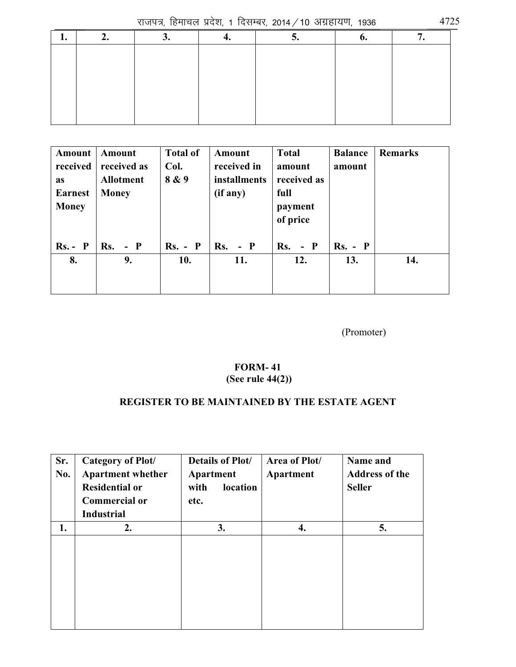राजपत्र, हिमाचल प्रदेश, 1 दिसम्बर, 2014 / 10 अग्रहायण, 1936  $\,$  4725

| Amount         | Amount           | <b>Total of</b> | Amount              | <b>Total</b> | <b>Balance</b> | <b>Remarks</b> |
|----------------|------------------|-----------------|---------------------|--------------|----------------|----------------|
| received       | received as      | Col.            | received in         | amount       | amount         |                |
| <b>as</b>      | <b>Allotment</b> | 8 & 9           | <i>installments</i> | received as  |                |                |
| <b>Earnest</b> | <b>Money</b>     |                 | (if any)            | full         |                |                |
| <b>Money</b>   |                  |                 |                     | payment      |                |                |
|                |                  |                 |                     | of price     |                |                |
|                |                  |                 |                     |              |                |                |
| $Rs. - P$      | $Rs. - P$        | $Rs. - P$       | Rs.<br>$-$ P        | $Rs. - P$    | $Rs. - P$      |                |
| 8.             | 9.               | 10.             | 11.                 | 12.          | 13.            | 14.            |
|                |                  |                 |                     |              |                |                |
|                |                  |                 |                     |              |                |                |

(Promoter)

## **FORM- 41 (See rule 44(2))**

## **REGISTER TO BE MAINTAINED BY THE ESTATE AGENT**

| Sr.<br>No. | Category of Plot/<br><b>Apartment whether</b><br><b>Residential or</b><br><b>Commercial or</b><br><b>Industrial</b> | <b>Details of Plot/</b><br>Apartment<br>location<br>with<br>etc. | Area of Plot/<br>Apartment | Name and<br><b>Address of the</b><br><b>Seller</b> |
|------------|---------------------------------------------------------------------------------------------------------------------|------------------------------------------------------------------|----------------------------|----------------------------------------------------|
| 1.         | 2.                                                                                                                  | 3.                                                               | 4.                         | 5.                                                 |
|            |                                                                                                                     |                                                                  |                            |                                                    |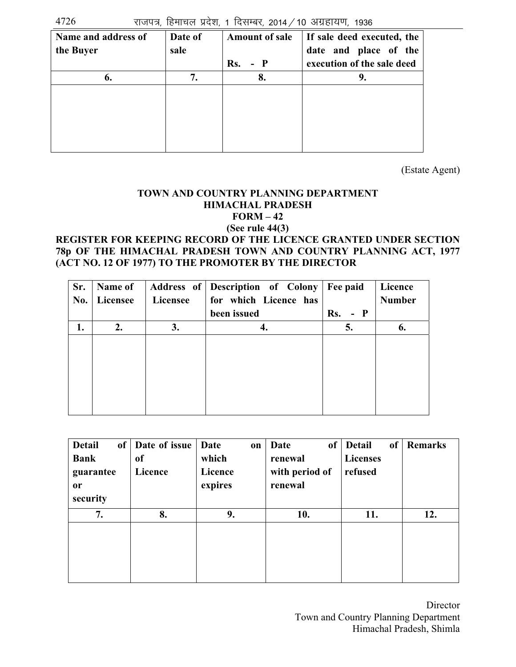$4726$  राजपत्र, हिमाचल प्रदेश, 1 दिसम्बर, 2014 / 10 अग्रहायण, 1936

| Name and address of | Date of | <b>Amount of sale</b> | If sale deed executed, the |
|---------------------|---------|-----------------------|----------------------------|
| the Buyer           | sale    |                       | date and place of the      |
|                     |         | Rs.<br>- P            | execution of the sale deed |
| 6.                  | 7.      | 8.                    | 9.                         |
|                     |         |                       |                            |
|                     |         |                       |                            |
|                     |         |                       |                            |
|                     |         |                       |                            |
|                     |         |                       |                            |

(Estate Agent)

## **TOWN AND COUNTRY PLANNING DEPARTMENT HIMACHAL PRADESH FORM – 42 (See rule 44(3)**

## **REGISTER FOR KEEPING RECORD OF THE LICENCE GRANTED UNDER SECTION 78p OF THE HIMACHAL PRADESH TOWN AND COUNTRY PLANNING ACT, 1977 (ACT NO. 12 OF 1977) TO THE PROMOTER BY THE DIRECTOR**

| Sr. | Name of  |          | Address of Description of Colony   Fee paid |            | Licence       |
|-----|----------|----------|---------------------------------------------|------------|---------------|
| No. | Licensee | Licensee | for which Licence has                       |            | <b>Number</b> |
|     |          |          | been issued                                 | Rs.<br>- P |               |
| 1.  | 2.       | 3.       | 4.                                          | 5.         | 6.            |
|     |          |          |                                             |            |               |
|     |          |          |                                             |            |               |
|     |          |          |                                             |            |               |
|     |          |          |                                             |            |               |
|     |          |          |                                             |            |               |
|     |          |          |                                             |            |               |

| <b>Detail</b><br>of<br><b>Bank</b><br>guarantee<br><b>or</b><br>security | Date of issue<br><sub>of</sub><br>Licence | <b>Date</b><br>on<br>which<br>Licence<br>expires | <sub>of</sub><br>Date<br>renewal<br>with period of<br>renewal | <b>Detail</b><br><sub>of</sub><br><b>Licenses</b><br>refused | <b>Remarks</b> |
|--------------------------------------------------------------------------|-------------------------------------------|--------------------------------------------------|---------------------------------------------------------------|--------------------------------------------------------------|----------------|
| 7.                                                                       | 8.                                        | 9.                                               | 10.                                                           | 11.                                                          | 12.            |
|                                                                          |                                           |                                                  |                                                               |                                                              |                |

 Director Town and Country Planning Department Himachal Pradesh, Shimla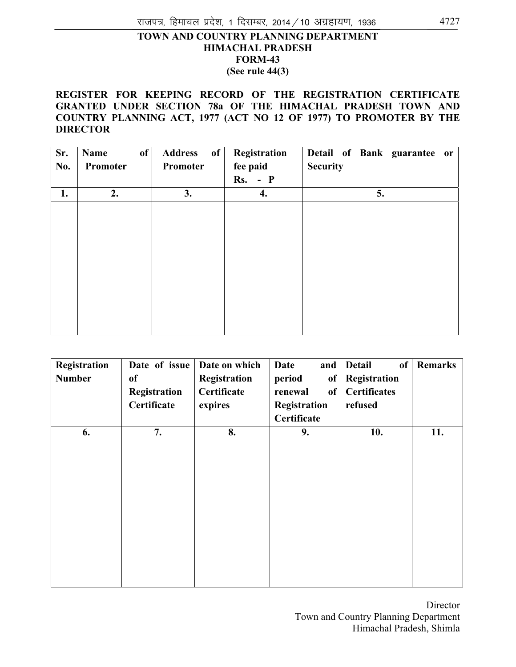## **TOWN AND COUNTRY PLANNING DEPARTMENT HIMACHAL PRADESH FORM-43 (See rule 44(3)**

**REGISTER FOR KEEPING RECORD OF THE REGISTRATION CERTIFICATE GRANTED UNDER SECTION 78a OF THE HIMACHAL PRADESH TOWN AND COUNTRY PLANNING ACT, 1977 (ACT NO 12 OF 1977) TO PROMOTER BY THE DIRECTOR** 

| Sr. | of<br>Name | of<br><b>Address</b> | Registration | Detail of Bank guarantee or |
|-----|------------|----------------------|--------------|-----------------------------|
| No. | Promoter   | Promoter             | fee paid     | <b>Security</b>             |
|     |            |                      | $Rs. - P$    |                             |
| 1.  | 2.         | 3.                   | 4.           | 5.                          |
|     |            |                      |              |                             |
|     |            |                      |              |                             |
|     |            |                      |              |                             |
|     |            |                      |              |                             |
|     |            |                      |              |                             |
|     |            |                      |              |                             |
|     |            |                      |              |                             |
|     |            |                      |              |                             |
|     |            |                      |              |                             |
|     |            |                      |              |                             |
|     |            |                      |              |                             |

| Registration<br><b>Number</b> | Date of issue<br>of<br>Registration | Date on which<br>Registration<br>Certificate | <b>Date</b><br>and<br>period<br>of<br>renewal<br><b>of</b> | <b>Detail</b><br>of<br>Registration<br><b>Certificates</b> | <b>Remarks</b> |
|-------------------------------|-------------------------------------|----------------------------------------------|------------------------------------------------------------|------------------------------------------------------------|----------------|
|                               | Certificate                         | expires                                      | Registration<br>Certificate                                | refused                                                    |                |
| 6.                            | 7.                                  | 8.                                           | 9.                                                         | 10.                                                        | 11.            |
|                               |                                     |                                              |                                                            |                                                            |                |
|                               |                                     |                                              |                                                            |                                                            |                |
|                               |                                     |                                              |                                                            |                                                            |                |
|                               |                                     |                                              |                                                            |                                                            |                |
|                               |                                     |                                              |                                                            |                                                            |                |
|                               |                                     |                                              |                                                            |                                                            |                |
|                               |                                     |                                              |                                                            |                                                            |                |
|                               |                                     |                                              |                                                            |                                                            |                |

 Director Town and Country Planning Department Himachal Pradesh, Shimla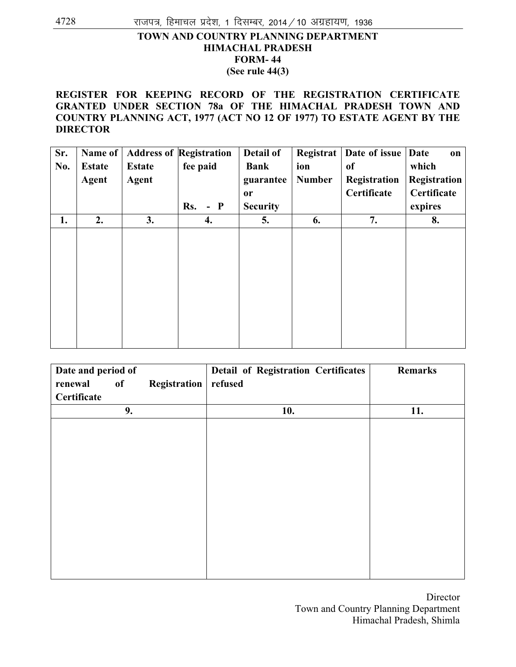## **TOWN AND COUNTRY PLANNING DEPARTMENT HIMACHAL PRADESH FORM- 44 (See rule 44(3)**

### **REGISTER FOR KEEPING RECORD OF THE REGISTRATION CERTIFICATE GRANTED UNDER SECTION 78a OF THE HIMACHAL PRADESH TOWN AND COUNTRY PLANNING ACT, 1977 (ACT NO 12 OF 1977) TO ESTATE AGENT BY THE DIRECTOR**

| Sr.<br>No. | Name of<br><b>Estate</b><br><b>Agent</b> | <b>Estate</b><br><b>Agent</b> | <b>Address of Registration</b><br>fee paid | Detail of<br><b>Bank</b><br>guarantee<br><b>or</b> | Registrat<br>ion<br><b>Number</b> | Date of issue<br>of<br>Registration<br>Certificate | <b>Date</b><br>on<br>which<br>Registration<br>Certificate |
|------------|------------------------------------------|-------------------------------|--------------------------------------------|----------------------------------------------------|-----------------------------------|----------------------------------------------------|-----------------------------------------------------------|
|            |                                          |                               | $-$ P<br>Rs.                               | <b>Security</b>                                    |                                   |                                                    | expires                                                   |
| 1.         | 2.                                       | 3.                            | 4.                                         | 5.                                                 | 6.                                | 7.                                                 | 8.                                                        |
|            |                                          |                               |                                            |                                                    |                                   |                                                    |                                                           |

| Date and period of |    |              | <b>Detail of Registration Certificates</b> | Remarks |
|--------------------|----|--------------|--------------------------------------------|---------|
| renewal            | of | Registration | refused                                    |         |
| Certificate        |    |              |                                            |         |
|                    | 9. |              | 10.                                        | 11.     |
|                    |    |              |                                            |         |
|                    |    |              |                                            |         |
|                    |    |              |                                            |         |
|                    |    |              |                                            |         |
|                    |    |              |                                            |         |
|                    |    |              |                                            |         |
|                    |    |              |                                            |         |
|                    |    |              |                                            |         |
|                    |    |              |                                            |         |
|                    |    |              |                                            |         |
|                    |    |              |                                            |         |
|                    |    |              |                                            |         |

 Director Town and Country Planning Department Himachal Pradesh, Shimla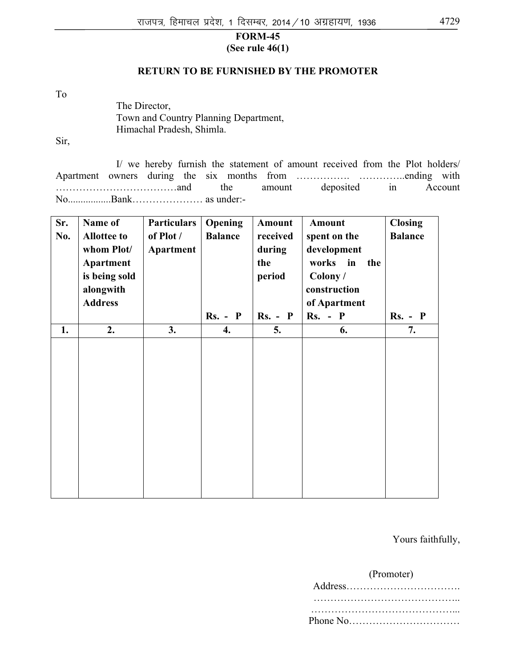## **FORM-45 (See rule 46(1)**

### **RETURN TO BE FURNISHED BY THE PROMOTER**

To

The Director, Town and Country Planning Department, Himachal Pradesh, Shimla.

Sir,

I/ we hereby furnish the statement of amount received from the Plot holders/ Apartment owners during the six months from ……………. …………..ending with ………………………………and the amount deposited in Account No.................Bank………………… as under:-

| Sr.<br>No. | Name of<br><b>Allottee to</b><br>whom Plot/<br><b>Apartment</b><br>is being sold<br>alongwith<br><b>Address</b> | <b>Particulars</b><br>of Plot /<br>Apartment | Opening<br><b>Balance</b> | <b>Amount</b><br>received<br>during<br>the<br>period | <b>Amount</b><br>spent on the<br>development<br>works<br>in<br>the<br>Colony/<br>construction<br>of Apartment | <b>Closing</b><br><b>Balance</b> |
|------------|-----------------------------------------------------------------------------------------------------------------|----------------------------------------------|---------------------------|------------------------------------------------------|---------------------------------------------------------------------------------------------------------------|----------------------------------|
|            |                                                                                                                 |                                              | $Rs. - P$                 | $Rs. - P$                                            | $Rs. - P$                                                                                                     | $Rs. - P$                        |
| 1.         | 2.                                                                                                              | 3.                                           | 4.                        | 5.                                                   | 6.                                                                                                            | 7.                               |
|            |                                                                                                                 |                                              |                           |                                                      |                                                                                                               |                                  |

Yours faithfully,

#### (Promoter)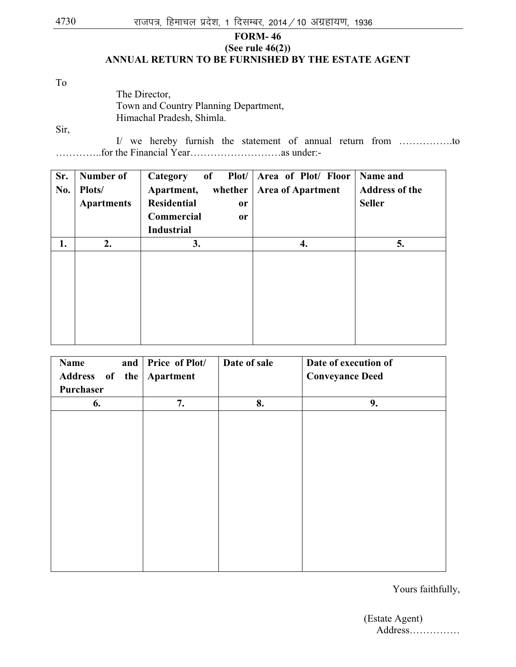## **FORM- 46 (See rule 46(2)) ANNUAL RETURN TO BE FURNISHED BY THE ESTATE AGENT**

To

## The Director, Town and Country Planning Department, Himachal Pradesh, Shimla.

Sir,

I/ we hereby furnish the statement of annual return from …………….to …………..for the Financial Year………………………as under:-

| Number of         | Plot/<br>$\overline{\textbf{of}}$<br>Category | Area of Plot/ Floor      | Name and              |
|-------------------|-----------------------------------------------|--------------------------|-----------------------|
| Plots/            | Apartment,                                    | <b>Area of Apartment</b> | <b>Address of the</b> |
| <b>Apartments</b> | <b>Residential</b><br><sub>or</sub>           |                          | <b>Seller</b>         |
|                   | Commercial<br><sub>or</sub>                   |                          |                       |
|                   | <b>Industrial</b>                             |                          |                       |
| 2.                | 3.                                            | 4.                       | 5.                    |
|                   |                                               |                          |                       |
|                   |                                               |                          | whether               |

| Name                     | and   Price of Plot/ | Date of sale | Date of execution of   |
|--------------------------|----------------------|--------------|------------------------|
| Address of the Apartment |                      |              | <b>Conveyance Deed</b> |
| Purchaser                |                      |              |                        |
| 6.                       | 7.                   | 8.           | 9.                     |
|                          |                      |              |                        |
|                          |                      |              |                        |
|                          |                      |              |                        |
|                          |                      |              |                        |
|                          |                      |              |                        |
|                          |                      |              |                        |
|                          |                      |              |                        |
|                          |                      |              |                        |
|                          |                      |              |                        |
|                          |                      |              |                        |
|                          |                      |              |                        |
|                          |                      |              |                        |

Yours faithfully,

 (Estate Agent) Address……………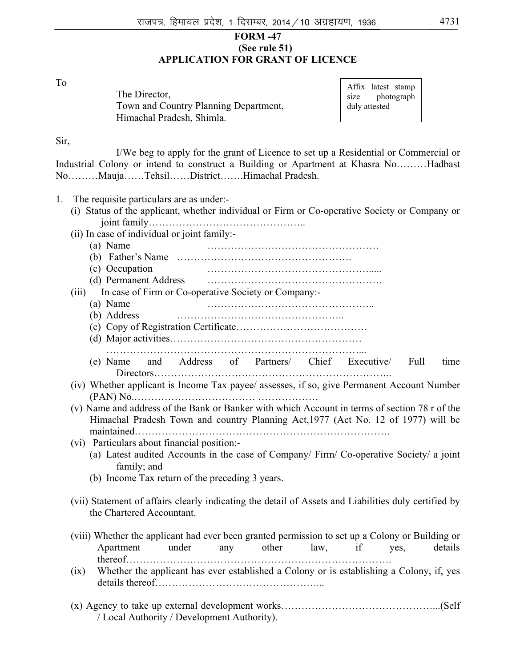#### **FORM -47 (See rule 51) APPLICATION FOR GRANT OF LICENCE**

To

| The Director,                         |  |
|---------------------------------------|--|
| Town and Country Planning Department, |  |
| Himachal Pradesh, Shimla.             |  |

|               | Affix latest stamp |            |  |  |  |  |  |  |  |
|---------------|--------------------|------------|--|--|--|--|--|--|--|
| size          |                    | photograph |  |  |  |  |  |  |  |
| duly attested |                    |            |  |  |  |  |  |  |  |

Sir,

I/We beg to apply for the grant of Licence to set up a Residential or Commercial or Industrial Colony or intend to construct a Building or Apartment at Khasra No………Hadbast No………Mauja……Tehsil……District…….Himachal Pradesh.

- 1. The requisite particulars are as under:-
	- (i) Status of the applicant, whether individual or Firm or Co-operative Society or Company or joint family………………………………………..
	- (ii) In case of individual or joint family:-
		- (a) Name ……………………………………………
		- (b) Father's Name …………………………………………….
		- (c) Occupation ………………………………………….....
		- (d) Permanent Address …………………………………………….
	- (iii) In case of Firm or Co-operative Society or Company:-
		- (a) Name …………………………………………..
		- (b) Address …………………………………………..
		- (c) Copy of Registration Certificate…………………………………
		- (d) Major activities…………………………………………………
		- …………………………………………………………………...
		- (e) Name and Address of Partners/ Chief Executive/ Full time Directors……………………………………………………………..

(iv) Whether applicant is Income Tax payee/ assesses, if so, give Permanent Account Number (PAN) No.……………………………… ………………

- (v) Name and address of the Bank or Banker with which Account in terms of section 78 r of the Himachal Pradesh Town and country Planning Act,1977 (Act No. 12 of 1977) will be maintained………………………………………………………………….
- (vi) Particulars about financial position:-
	- (a) Latest audited Accounts in the case of Company/ Firm/ Co-operative Society/ a joint family; and
	- (b) Income Tax return of the preceding 3 years.
- (vii) Statement of affairs clearly indicating the detail of Assets and Liabilities duly certified by the Chartered Accountant.
- (viii) Whether the applicant had ever been granted permission to set up a Colony or Building or Apartment under any other law, if yes, details thereof…………………………………………………………………….
- (ix) Whether the applicant has ever established a Colony or is establishing a Colony, if, yes details thereof…………………………………………...
- (x) Agency to take up external development works………………………………………...(Self / Local Authority / Development Authority).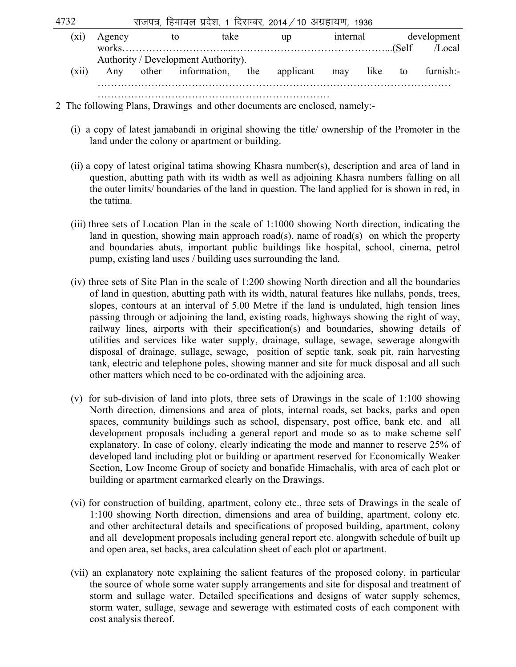$4732$  , राजपत्र, हिमाचल प्रदेश, 1 दिसम्बर, 2014 / 10 अग्रहायण, 1936

|       | Agency | to | take                                                       | up | internal | development |
|-------|--------|----|------------------------------------------------------------|----|----------|-------------|
|       |        |    |                                                            |    |          |             |
|       |        |    | Authority / Development Authority).                        |    |          |             |
| (xii) |        |    | Any other information, the applicant may like to furnish:- |    |          |             |
|       |        |    |                                                            |    |          |             |
|       |        |    |                                                            |    |          |             |

2 The following Plans, Drawings and other documents are enclosed, namely:-

- (i) a copy of latest jamabandi in original showing the title/ ownership of the Promoter in the land under the colony or apartment or building.
- (ii) a copy of latest original tatima showing Khasra number(s), description and area of land in question, abutting path with its width as well as adjoining Khasra numbers falling on all the outer limits/ boundaries of the land in question. The land applied for is shown in red, in the tatima.
- (iii) three sets of Location Plan in the scale of 1:1000 showing North direction, indicating the land in question, showing main approach road(s), name of road(s) on which the property and boundaries abuts, important public buildings like hospital, school, cinema, petrol pump, existing land uses / building uses surrounding the land.
- (iv) three sets of Site Plan in the scale of 1:200 showing North direction and all the boundaries of land in question, abutting path with its width, natural features like nullahs, ponds, trees, slopes, contours at an interval of 5.00 Metre if the land is undulated, high tension lines passing through or adjoining the land, existing roads, highways showing the right of way, railway lines, airports with their specification(s) and boundaries, showing details of utilities and services like water supply, drainage, sullage, sewage, sewerage alongwith disposal of drainage, sullage, sewage, position of septic tank, soak pit, rain harvesting tank, electric and telephone poles, showing manner and site for muck disposal and all such other matters which need to be co-ordinated with the adjoining area.
- (v) for sub-division of land into plots, three sets of Drawings in the scale of 1:100 showing North direction, dimensions and area of plots, internal roads, set backs, parks and open spaces, community buildings such as school, dispensary, post office, bank etc. and all development proposals including a general report and mode so as to make scheme self explanatory. In case of colony, clearly indicating the mode and manner to reserve 25% of developed land including plot or building or apartment reserved for Economically Weaker Section, Low Income Group of society and bonafide Himachalis, with area of each plot or building or apartment earmarked clearly on the Drawings.
- (vi) for construction of building, apartment, colony etc., three sets of Drawings in the scale of 1:100 showing North direction, dimensions and area of building, apartment, colony etc. and other architectural details and specifications of proposed building, apartment, colony and all development proposals including general report etc. alongwith schedule of built up and open area, set backs, area calculation sheet of each plot or apartment.
- (vii) an explanatory note explaining the salient features of the proposed colony, in particular the source of whole some water supply arrangements and site for disposal and treatment of storm and sullage water. Detailed specifications and designs of water supply schemes, storm water, sullage, sewage and sewerage with estimated costs of each component with cost analysis thereof.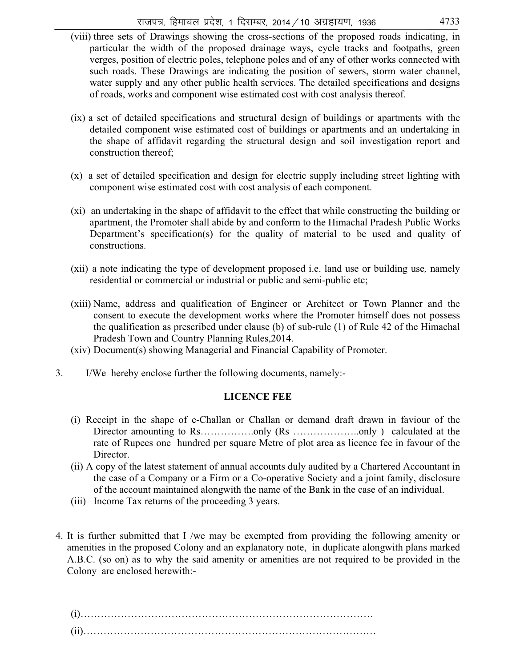- (viii) three sets of Drawings showing the cross-sections of the proposed roads indicating, in particular the width of the proposed drainage ways, cycle tracks and footpaths, green verges, position of electric poles, telephone poles and of any of other works connected with such roads. These Drawings are indicating the position of sewers, storm water channel, water supply and any other public health services. The detailed specifications and designs of roads, works and component wise estimated cost with cost analysis thereof.
- (ix) a set of detailed specifications and structural design of buildings or apartments with the detailed component wise estimated cost of buildings or apartments and an undertaking in the shape of affidavit regarding the structural design and soil investigation report and construction thereof;
- (x) a set of detailed specification and design for electric supply including street lighting with component wise estimated cost with cost analysis of each component.
- (xi) an undertaking in the shape of affidavit to the effect that while constructing the building or apartment, the Promoter shall abide by and conform to the Himachal Pradesh Public Works Department's specification(s) for the quality of material to be used and quality of constructions.
- (xii) a note indicating the type of development proposed i.e. land use or building use*,* namely residential or commercial or industrial or public and semi-public etc;
- (xiii) Name, address and qualification of Engineer or Architect or Town Planner and the consent to execute the development works where the Promoter himself does not possess the qualification as prescribed under clause (b) of sub-rule (1) of Rule 42 of the Himachal Pradesh Town and Country Planning Rules,2014.
- (xiv) Document(s) showing Managerial and Financial Capability of Promoter.
- 3. I/We hereby enclose further the following documents, namely:-

## **LICENCE FEE**

- (i) Receipt in the shape of e-Challan or Challan or demand draft drawn in faviour of the Director amounting to Rs……………..only (Rs ……………………..only) calculated at the rate of Rupees one hundred per square Metre of plot area as licence fee in favour of the Director.
- (ii) A copy of the latest statement of annual accounts duly audited by a Chartered Accountant in the case of a Company or a Firm or a Co-operative Society and a joint family, disclosure of the account maintained alongwith the name of the Bank in the case of an individual.
- (iii) Income Tax returns of the proceeding 3 years.
- 4. It is further submitted that I /we may be exempted from providing the following amenity or amenities in the proposed Colony and an explanatory note, in duplicate alongwith plans marked A.B.C. (so on) as to why the said amenity or amenities are not required to be provided in the Colony are enclosed herewith:-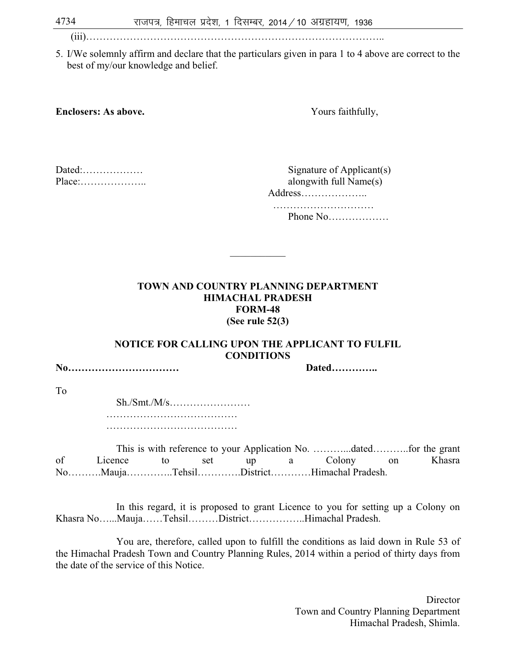(iii)……………………………………………………………………………..

5. I/We solemnly affirm and declare that the particulars given in para 1 to 4 above are correct to the best of my/our knowledge and belief.

**Enclosers: As above.** Yours faithfully,

| Dated:                                      |  |
|---------------------------------------------|--|
| $Place: \ldots \ldots \ldots \ldots \ldots$ |  |

Signature of Applicant $(s)$ alongwith full Name $(s)$ Address………………..

 ………………………… Phone No………………

## **TOWN AND COUNTRY PLANNING DEPARTMENT HIMACHAL PRADESH FORM-48 (See rule 52(3)**

 $\mathcal{L}$  and  $\mathcal{L}$  and  $\mathcal{L}$ 

## **NOTICE FOR CALLING UPON THE APPLICANT TO FULFIL CONDITIONS**

**No…………………………… Dated…………..** 

To

 Sh./Smt./M/s…………………… ………………………………… ……………………………………………

This is with reference to your Application No. ………...dated………..for the grant of Licence to set up a Colony on Khasra No……….Mauja…………..Tehsil………….District…………Himachal Pradesh.

 In this regard, it is proposed to grant Licence to you for setting up a Colony on Khasra No…...Mauja……Tehsil………District……………..Himachal Pradesh.

You are, therefore, called upon to fulfill the conditions as laid down in Rule 53 of the Himachal Pradesh Town and Country Planning Rules, 2014 within a period of thirty days from the date of the service of this Notice.

> **Director**  Town and Country Planning Department Himachal Pradesh, Shimla.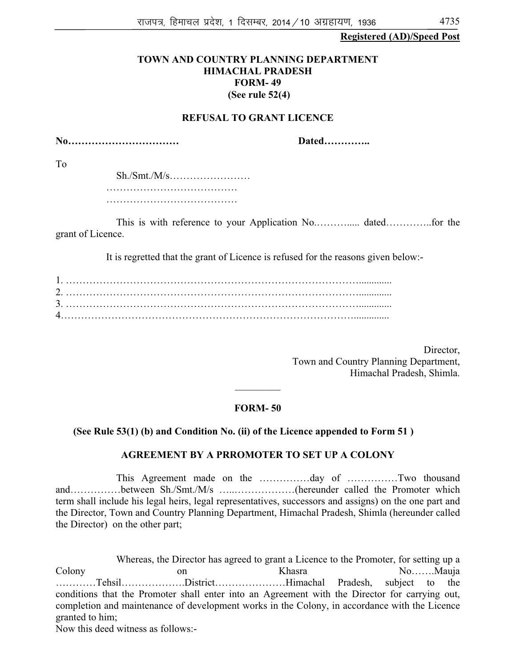#### **Registered (AD)/Speed Post**

#### **TOWN AND COUNTRY PLANNING DEPARTMENT HIMACHAL PRADESH FORM- 49 (See rule 52(4)**

#### **REFUSAL TO GRANT LICENCE**

**No…………………………… Dated…………..** 

To

 Sh./Smt./M/s…………………… ………………………………… ……………………………………………

This is with reference to your Application No.………..... dated…………..for the grant of Licence.

It is regretted that the grant of Licence is refused for the reasons given below:-

 Director, Town and Country Planning Department, Himachal Pradesh, Shimla.

#### **FORM- 50**

 $\frac{1}{2}$ 

#### **(See Rule 53(1) (b) and Condition No. (ii) of the Licence appended to Form 51 )**

#### **AGREEMENT BY A PRROMOTER TO SET UP A COLONY**

This Agreement made on the ……………day of ……………Two thousand and……………between Sh./Smt./M/s …..………………(hereunder called the Promoter which term shall include his legal heirs, legal representatives, successors and assigns) on the one part and the Director, Town and Country Planning Department, Himachal Pradesh, Shimla (hereunder called the Director) on the other part;

Whereas, the Director has agreed to grant a Licence to the Promoter, for setting up a Colony on on Khasra No……Mauja …………Tehsil……………….District…………………Himachal Pradesh, subject to the conditions that the Promoter shall enter into an Agreement with the Director for carrying out, completion and maintenance of development works in the Colony, in accordance with the Licence granted to him;

Now this deed witness as follows:-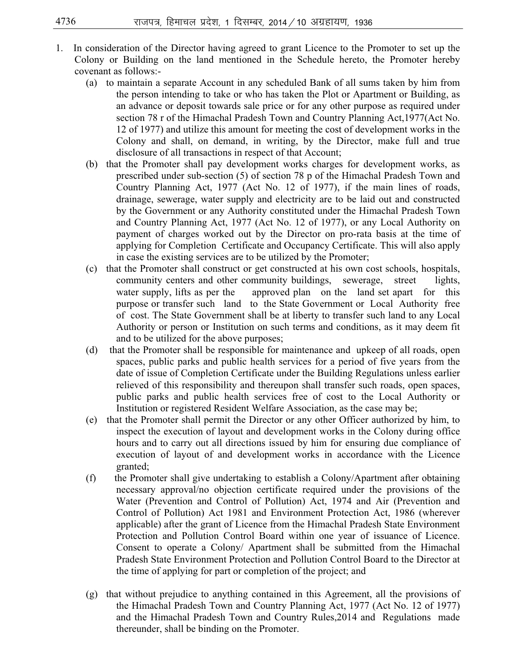- 1. In consideration of the Director having agreed to grant Licence to the Promoter to set up the Colony or Building on the land mentioned in the Schedule hereto, the Promoter hereby covenant as follows:-
	- (a) to maintain a separate Account in any scheduled Bank of all sums taken by him from the person intending to take or who has taken the Plot or Apartment or Building, as an advance or deposit towards sale price or for any other purpose as required under section 78 r of the Himachal Pradesh Town and Country Planning Act,1977(Act No. 12 of 1977) and utilize this amount for meeting the cost of development works in the Colony and shall, on demand, in writing, by the Director, make full and true disclosure of all transactions in respect of that Account;
	- (b) that the Promoter shall pay development works charges for development works, as prescribed under sub-section (5) of section 78 p of the Himachal Pradesh Town and Country Planning Act, 1977 (Act No. 12 of 1977), if the main lines of roads, drainage, sewerage, water supply and electricity are to be laid out and constructed by the Government or any Authority constituted under the Himachal Pradesh Town and Country Planning Act, 1977 (Act No. 12 of 1977), or any Local Authority on payment of charges worked out by the Director on pro-rata basis at the time of applying for Completion Certificate and Occupancy Certificate. This will also apply in case the existing services are to be utilized by the Promoter;
	- (c) that the Promoter shall construct or get constructed at his own cost schools, hospitals, community centers and other community buildings, sewerage, street lights, water supply, lifts as per the approved plan on the land set apart for this purpose or transfer such land to the State Government or Local Authority free of cost. The State Government shall be at liberty to transfer such land to any Local Authority or person or Institution on such terms and conditions, as it may deem fit and to be utilized for the above purposes;
	- (d) that the Promoter shall be responsible for maintenance and upkeep of all roads, open spaces, public parks and public health services for a period of five years from the date of issue of Completion Certificate under the Building Regulations unless earlier relieved of this responsibility and thereupon shall transfer such roads, open spaces, public parks and public health services free of cost to the Local Authority or Institution or registered Resident Welfare Association, as the case may be;
	- (e) that the Promoter shall permit the Director or any other Officer authorized by him, to inspect the execution of layout and development works in the Colony during office hours and to carry out all directions issued by him for ensuring due compliance of execution of layout of and development works in accordance with the Licence granted;
	- (f) the Promoter shall give undertaking to establish a Colony/Apartment after obtaining necessary approval/no objection certificate required under the provisions of the Water (Prevention and Control of Pollution) Act, 1974 and Air (Prevention and Control of Pollution) Act 1981 and Environment Protection Act, 1986 (wherever applicable) after the grant of Licence from the Himachal Pradesh State Environment Protection and Pollution Control Board within one year of issuance of Licence. Consent to operate a Colony/ Apartment shall be submitted from the Himachal Pradesh State Environment Protection and Pollution Control Board to the Director at the time of applying for part or completion of the project; and
	- (g) that without prejudice to anything contained in this Agreement, all the provisions of the Himachal Pradesh Town and Country Planning Act, 1977 (Act No. 12 of 1977) and the Himachal Pradesh Town and Country Rules,2014 and Regulations made thereunder, shall be binding on the Promoter.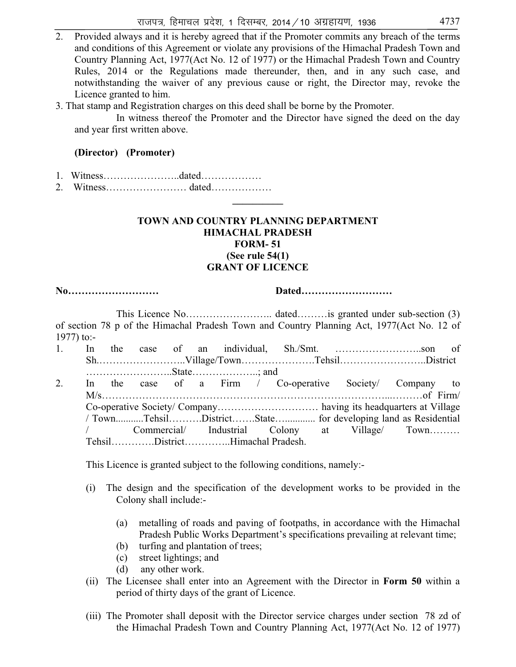- 2. Provided always and it is hereby agreed that if the Promoter commits any breach of the terms and conditions of this Agreement or violate any provisions of the Himachal Pradesh Town and Country Planning Act, 1977(Act No. 12 of 1977) or the Himachal Pradesh Town and Country Rules, 2014 or the Regulations made thereunder, then, and in any such case, and notwithstanding the waiver of any previous cause or right, the Director may, revoke the Licence granted to him.
- 3. That stamp and Registration charges on this deed shall be borne by the Promoter.

In witness thereof the Promoter and the Director have signed the deed on the day and year first written above.

## **(Director) (Promoter)**

- 1. Witness…………………..dated………………
- 2. Witness…………………… dated……………… **\_\_\_\_\_\_\_\_\_\_**

#### **TOWN AND COUNTRY PLANNING DEPARTMENT HIMACHAL PRADESH FORM- 51 (See rule 54(1) GRANT OF LICENCE**

**No……………………… Dated………………………** 

This Licence No…………………….. dated………is granted under sub-section (3) of section 78 p of the Himachal Pradesh Town and Country Planning Act, 1977(Act No. 12 of 1977) to:-

| 1. |  |  |  |                                 |  |                                                              |  |
|----|--|--|--|---------------------------------|--|--------------------------------------------------------------|--|
|    |  |  |  |                                 |  | ShVillage/TownTehsilDistrict                                 |  |
|    |  |  |  |                                 |  |                                                              |  |
| 2. |  |  |  |                                 |  | In the case of a Firm / Co-operative Society Company to      |  |
|    |  |  |  |                                 |  |                                                              |  |
|    |  |  |  |                                 |  |                                                              |  |
|    |  |  |  |                                 |  | / TownTehsilDistrictState for developing land as Residential |  |
|    |  |  |  |                                 |  | / Commercial/ Industrial Colony at Village/ Town             |  |
|    |  |  |  | TehsilDistrictHimachal Pradesh. |  |                                                              |  |

This Licence is granted subject to the following conditions, namely:-

- (i) The design and the specification of the development works to be provided in the Colony shall include:-
	- (a) metalling of roads and paving of footpaths, in accordance with the Himachal Pradesh Public Works Department's specifications prevailing at relevant time;
	- (b) turfing and plantation of trees;
	- (c) street lightings; and
	- (d) any other work.
- (ii) The Licensee shall enter into an Agreement with the Director in **Form 50** within a period of thirty days of the grant of Licence.
- (iii) The Promoter shall deposit with the Director service charges under section 78 zd of the Himachal Pradesh Town and Country Planning Act, 1977(Act No. 12 of 1977)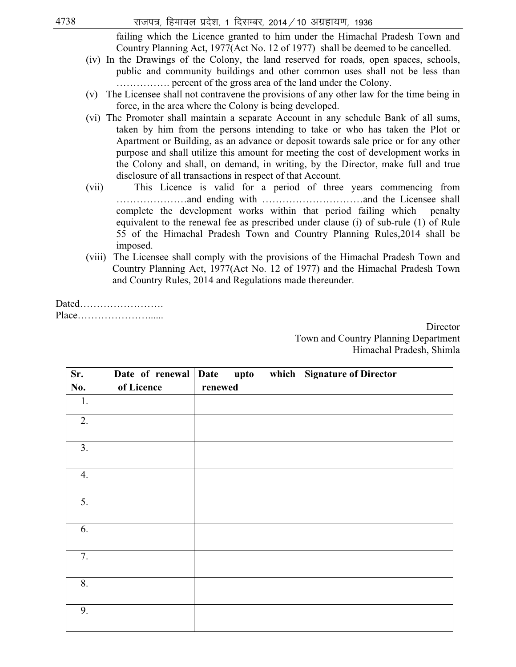failing which the Licence granted to him under the Himachal Pradesh Town and Country Planning Act, 1977(Act No. 12 of 1977) shall be deemed to be cancelled.

- (iv) In the Drawings of the Colony, the land reserved for roads, open spaces, schools, public and community buildings and other common uses shall not be less than ……………. percent of the gross area of the land under the Colony.
- (v) The Licensee shall not contravene the provisions of any other law for the time being in force, in the area where the Colony is being developed.
- (vi) The Promoter shall maintain a separate Account in any schedule Bank of all sums, taken by him from the persons intending to take or who has taken the Plot or Apartment or Building, as an advance or deposit towards sale price or for any other purpose and shall utilize this amount for meeting the cost of development works in the Colony and shall, on demand, in writing, by the Director, make full and true disclosure of all transactions in respect of that Account.
- (vii) This Licence is valid for a period of three years commencing from …………………and ending with …………………………and the Licensee shall complete the development works within that period failing which penalty equivalent to the renewal fee as prescribed under clause (i) of sub-rule (1) of Rule 55 of the Himachal Pradesh Town and Country Planning Rules,2014 shall be imposed.
- (viii) The Licensee shall comply with the provisions of the Himachal Pradesh Town and Country Planning Act, 1977(Act No. 12 of 1977) and the Himachal Pradesh Town and Country Rules, 2014 and Regulations made thereunder.

Dated……………………. Place…………………......

> **Director**  Town and Country Planning Department Himachal Pradesh, Shimla

| Sr. | Date of renewal Date | upto<br>which | <b>Signature of Director</b> |
|-----|----------------------|---------------|------------------------------|
| No. | of Licence           | renewed       |                              |
| 1.  |                      |               |                              |
| 2.  |                      |               |                              |
| 3.  |                      |               |                              |
| 4.  |                      |               |                              |
| 5.  |                      |               |                              |
| 6.  |                      |               |                              |
| 7.  |                      |               |                              |
| 8.  |                      |               |                              |
| 9.  |                      |               |                              |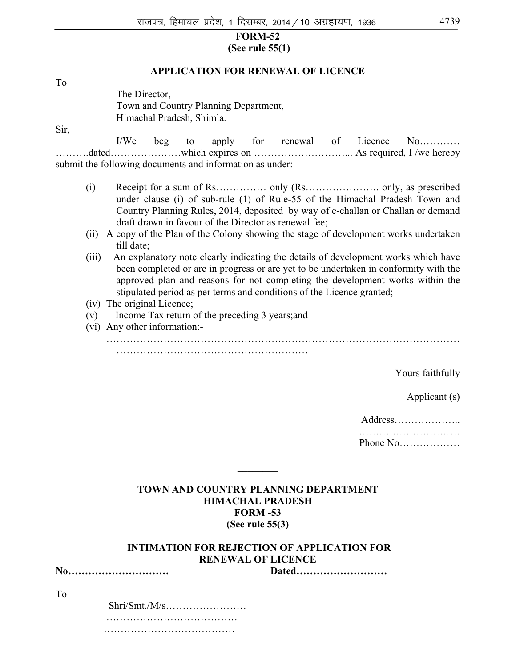#### **FORM-52 (See rule 55(1)**

#### **APPLICATION FOR RENEWAL OF LICENCE**

To

The Director, Town and Country Planning Department, Himachal Pradesh, Shimla.

Sir,

I/We beg to apply for renewal of Licence No………… ……….dated…………………which expires on ………………………... As required, I /we hereby submit the following documents and information as under:-

- (i) Receipt for a sum of Rs…………… only (Rs…………………. only, as prescribed under clause (i) of sub-rule (1) of Rule-55 of the Himachal Pradesh Town and Country Planning Rules, 2014, deposited by way of e-challan or Challan or demand draft drawn in favour of the Director as renewal fee;
- (ii) A copy of the Plan of the Colony showing the stage of development works undertaken till date;
- (iii) An explanatory note clearly indicating the details of development works which have been completed or are in progress or are yet to be undertaken in conformity with the approved plan and reasons for not completing the development works within the stipulated period as per terms and conditions of the Licence granted;
- (iv) The original Licence;
- (v) Income Tax return of the preceding 3 years;and
- (vi) Any other information:-

 …………………………………………………………………………………………… …………………………………………………

Yours faithfully

Applicant (s)

 Address……………….. …………………………………… Phone No………………

**TOWN AND COUNTRY PLANNING DEPARTMENT HIMACHAL PRADESH FORM -53 (See rule 55(3)** 

 $\mathcal{L}$  and  $\mathcal{L}$ 

 **INTIMATION FOR REJECTION OF APPLICATION FOR RENEWAL OF LICENCE** 

**No………………………… Dated………………………** 

To

 Shri/Smt./M/s…………………… ………………………………… …………………………………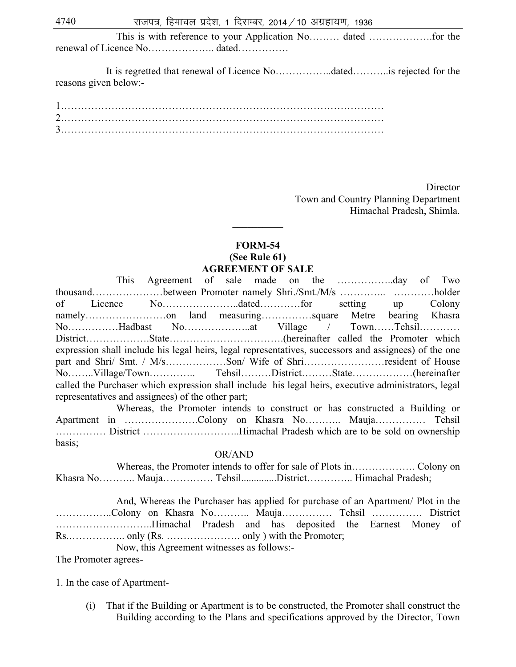This is with reference to your Application No……… dated ……………….for the renewal of Licence No……………….. dated……………

 It is regretted that renewal of Licence No……………..dated………..is rejected for the reasons given below:-

**Director**  Town and Country Planning Department Himachal Pradesh, Shimla.

#### **FORM-54 (See Rule 61) AGREEMENT OF SALE**

 $\frac{1}{2}$ 

This Agreement of sale made on the ……………..day of Two thousand…………………between Promoter namely Shri./Smt./M/s ………….. …………holder of Licence No…………………..dated…………for setting up Colony namely…………………on land measuring……………square Metre bearing Khasra No……………Hadbast No………………..at Village / Town……Tehsil………… District……………….State…………………………….(hereinafter called the Promoter which expression shall include his legal heirs, legal representatives, successors and assignees) of the one part and Shri/ Smt. / M/s………………Son/ Wife of Shri……………………resident of House No……..Village/Town………….. Tehsil………District………State………………(hereinafter called the Purchaser which expression shall include his legal heirs, executive administrators, legal representatives and assignees) of the other part;

Whereas, the Promoter intends to construct or has constructed a Building or Apartment in ………………….Colony on Khasra No……….. Mauja…………… Tehsil …………… District ………………………..Himachal Pradesh which are to be sold on ownership basis;

#### OR/AND

Whereas, the Promoter intends to offer for sale of Plots in………………. Colony on Khasra No……….. Mauja…………… Tehsil..............District………….. Himachal Pradesh;

And, Whereas the Purchaser has applied for purchase of an Apartment/ Plot in the ……………..Colony on Khasra No……….. Mauja…………… Tehsil …………… District ………………………..Himachal Pradesh and has deposited the Earnest Money of Rs.…………….. only (Rs. …………………. only ) with the Promoter;

Now, this Agreement witnesses as follows:-

The Promoter agrees-

1. In the case of Apartment-

(i) That if the Building or Apartment is to be constructed, the Promoter shall construct the Building according to the Plans and specifications approved by the Director, Town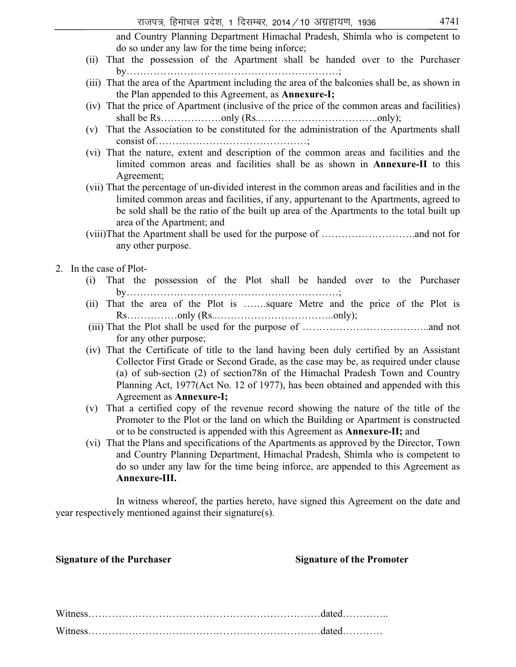and Country Planning Department Himachal Pradesh, Shimla who is competent to do so under any law for the time being inforce;

- (ii) That the possession of the Apartment shall be handed over to the Purchaser by………………………………………………………;
- (iii) That the area of the Apartment including the area of the balconies shall be, as shown in the Plan appended to this Agreement, as **Annexure-I;**
- (iv) That the price of Apartment (inclusive of the price of the common areas and facilities) shall be Rs………………only (Rs……………………………only);
- (v) That the Association to be constituted for the administration of the Apartments shall consist of………………………………………;
- (vi) That the nature, extent and description of the common areas and facilities and the limited common areas and facilities shall be as shown in **Annexure-II** to this Agreement;
- (vii) That the percentage of un-divided interest in the common areas and facilities and in the limited common areas and facilities, if any, appurtenant to the Apartments, agreed to be sold shall be the ratio of the built up area of the Apartments to the total built up area of the Apartment; and
- (viii)That the Apartment shall be used for the purpose of ……………………….and not for any other purpose.

#### 2. In the case of Plot-

- (i) That the possession of the Plot shall be handed over to the Purchaser by………………………………………………………;
- (ii) That the area of the Plot is …….square Metre and the price of the Plot is Rs……………only (Rs..……………………………..only);
- (iii) That the Plot shall be used for the purpose of ………………………………..and not for any other purpose;
- (iv) That the Certificate of title to the land having been duly certified by an Assistant Collector First Grade or Second Grade, as the case may be, as required under clause (a) of sub-section (2) of section78n of the Himachal Pradesh Town and Country Planning Act, 1977(Act No. 12 of 1977), has been obtained and appended with this Agreement as **Annexure-I;**
- (v) That a certified copy of the revenue record showing the nature of the title of the Promoter to the Plot or the land on which the Building or Apartment is constructed or to be constructed is appended with this Agreement as **Annexure-II;** and
- (vi) That the Plans and specifications of the Apartments as approved by the Director, Town and Country Planning Department, Himachal Pradesh, Shimla who is competent to do so under any law for the time being inforce, are appended to this Agreement as **Annexure-III.**

In witness whereof, the parties hereto, have signed this Agreement on the date and year respectively mentioned against their signature(s).

#### **Signature of the Purchaser Signature of the Promoter Signature of the Promoter**

Witness……………………………………………………………dated………….. Witness……………………………………………………………dated…………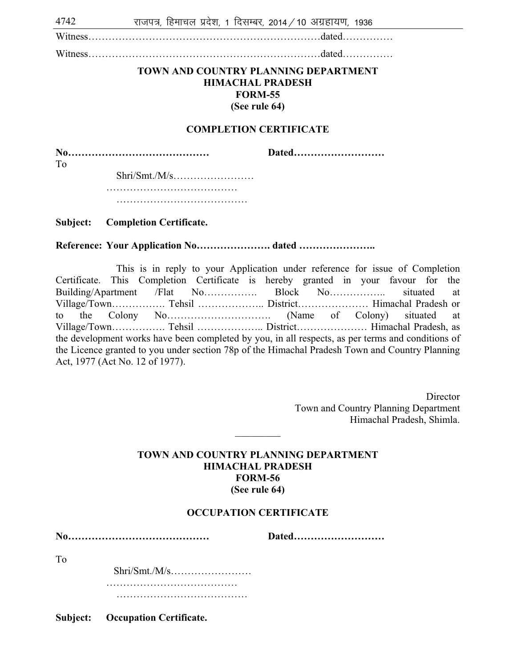$4742$  राजपत्र, हिमाचल प्रदेश, 1 दिसम्बर, 2014 / 10 अग्रहायण, 1936

Witness……………………………………………………………dated……………

Witness……………………………………………………………dated……………

#### **TOWN AND COUNTRY PLANNING DEPARTMENT HIMACHAL PRADESH FORM-55 (See rule 64)**

#### **COMPLETION CERTIFICATE**

**No…………………………………… Dated………………………**  To Shri/Smt./M/s……………………

> ……………………………………… ……………………………………………

#### **Subject: Completion Certificate.**

#### **Reference: Your Application No…………………. dated …………………..**

This is in reply to your Application under reference for issue of Completion Certificate. This Completion Certificate is hereby granted in your favour for the Building/Apartment /Flat No……………. Block No…………….. situated at Village/Town……………. Tehsil ……………….. District………………… Himachal Pradesh or to the Colony No…………………………. (Name of Colony) situated at Village/Town……………. Tehsil ……………….. District………………… Himachal Pradesh, as the development works have been completed by you, in all respects, as per terms and conditions of the Licence granted to you under section 78p of the Himachal Pradesh Town and Country Planning Act, 1977 (Act No. 12 of 1977).

> **Director** Town and Country Planning Department Himachal Pradesh, Shimla.

#### **TOWN AND COUNTRY PLANNING DEPARTMENT HIMACHAL PRADESH FORM-56 (See rule 64)**

 $\overline{\phantom{a}}$ 

#### **OCCUPATION CERTIFICATE**

**No…………………………………… Dated………………………**  To Shri/Smt./M/s……………………

> ………………………………… ……………………………………………

**Subject: Occupation Certificate.**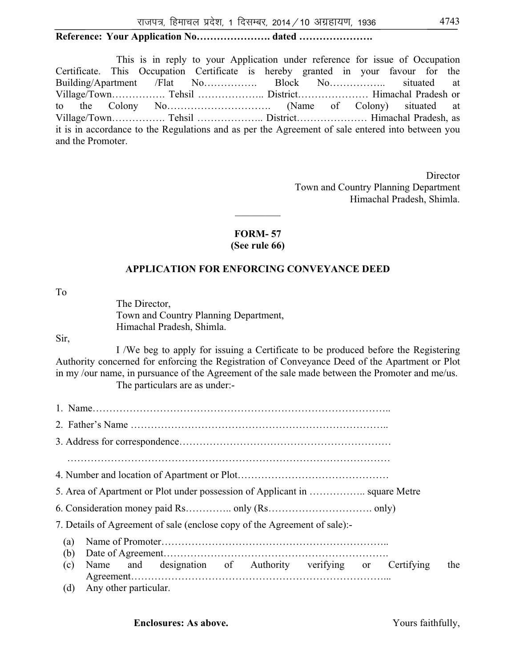# **Reference: Your Application No…………………. dated ………………….**

This is in reply to your Application under reference for issue of Occupation Certificate. This Occupation Certificate is hereby granted in your favour for the Building/Apartment /Flat No……………. Block No…………….. situated at Village/Town……………. Tehsil ……………….. District………………… Himachal Pradesh or to the Colony No…………………………. (Name of Colony) situated at Village/Town……………. Tehsil ……………….. District………………… Himachal Pradesh, as it is in accordance to the Regulations and as per the Agreement of sale entered into between you and the Promoter.

> **Director** Town and Country Planning Department Himachal Pradesh, Shimla.

### **FORM- 57 (See rule 66)**

 $\overline{\phantom{a}}$ 

## **APPLICATION FOR ENFORCING CONVEYANCE DEED**

To

The Director, Town and Country Planning Department, Himachal Pradesh, Shimla.

#### Sir,

I /We beg to apply for issuing a Certificate to be produced before the Registering Authority concerned for enforcing the Registration of Conveyance Deed of the Apartment or Plot in my /our name, in pursuance of the Agreement of the sale made between the Promoter and me/us. The particulars are as under:-

1. Name…………………………………………………………………………….. 2. Father's Name ………………………………………………………………….. 3. Address for correspondence……………………………………………………… …………………………………………………………………………………… 4. Number and location of Apartment or Plot……………………………………… 5. Area of Apartment or Plot under possession of Applicant in …………….. square Metre 6. Consideration money paid Rs………….. only (Rs…………………………. only) 7. Details of Agreement of sale (enclose copy of the Agreement of sale):- (a) Name of Promoter………………………………………………………….. (b) Date of Agreement…………………………………………………………. (c) Name and designation of Authority verifying or Certifying the Agreement…………………………………………………………………... (d) Any other particular.

**Enclosures: As above. We are above. Yours faithfully,**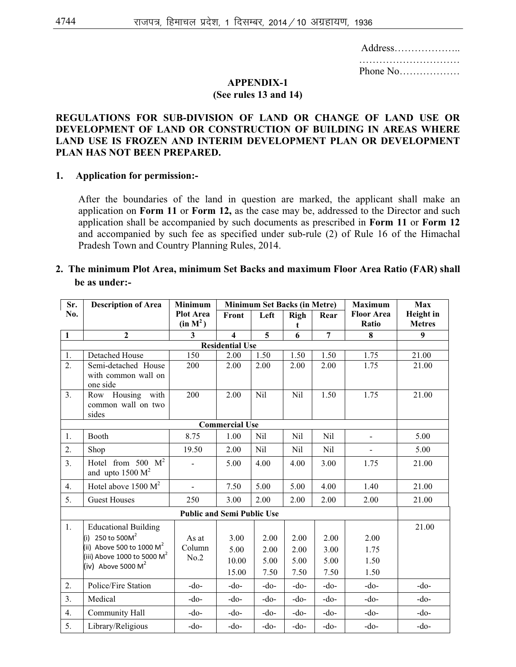| Address |
|---------|
|         |
|         |

#### **APPENDIX-1**

#### **(See rules 13 and 14)**

### **REGULATIONS FOR SUB-DIVISION OF LAND OR CHANGE OF LAND USE OR DEVELOPMENT OF LAND OR CONSTRUCTION OF BUILDING IN AREAS WHERE LAND USE IS FROZEN AND INTERIM DEVELOPMENT PLAN OR DEVELOPMENT PLAN HAS NOT BEEN PREPARED.**

#### **1. Application for permission:-**

 After the boundaries of the land in question are marked, the applicant shall make an application on **Form 11** or **Form 12,** as the case may be, addressed to the Director and such application shall be accompanied by such documents as prescribed in **Form 11** or **Form 12** and accompanied by such fee as specified under sub-rule (2) of Rule 16 of the Himachal Pradesh Town and Country Planning Rules, 2014.

#### **2. The minimum Plot Area, minimum Set Backs and maximum Floor Area Ratio (FAR) shall be as under:-**

| Sr.              | <b>Description of Area</b><br><b>Minimum Set Backs (in Metre)</b><br><b>Minimum</b><br><b>Maximum</b> |                      |                         |        |            |                | Max               |                  |
|------------------|-------------------------------------------------------------------------------------------------------|----------------------|-------------------------|--------|------------|----------------|-------------------|------------------|
| No.              |                                                                                                       | <b>Plot Area</b>     | Left<br>Front           |        | Righ       | Rear           | <b>Floor Area</b> | <b>Height</b> in |
|                  |                                                                                                       | (in M <sup>2</sup> ) |                         |        | t.         |                | Ratio             | <b>Metres</b>    |
| $\mathbf{1}$     | $\overline{2}$                                                                                        | 3                    | $\overline{\mathbf{4}}$ | 5      | 6          | $\overline{7}$ | 8                 | 9                |
|                  | <b>Residential Use</b>                                                                                |                      |                         |        |            |                |                   |                  |
| 1.               | Detached House                                                                                        | 150                  | 2.00                    | 1.50   | 1.50       | 1.50           | 1.75              | 21.00            |
| $\overline{2}$ . | Semi-detached House                                                                                   | 200                  | 2.00                    | 2.00   | 2.00       | 2.00           | 1.75              | 21.00            |
|                  | with common wall on<br>one side                                                                       |                      |                         |        |            |                |                   |                  |
| 3.               | Housing with<br>Row                                                                                   | 200                  | 2.00                    | Nil    | Nil        | 1.50           | 1.75              | 21.00            |
|                  | common wall on two<br>sides                                                                           |                      |                         |        |            |                |                   |                  |
|                  |                                                                                                       |                      | <b>Commercial Use</b>   |        |            |                |                   |                  |
| 1.               | Booth                                                                                                 | 8.75                 | 1.00                    | Nil    | <b>Nil</b> | Nil            | $\blacksquare$    | 5.00             |
| 2.               | Shop                                                                                                  | 19.50                | 2.00                    | Nil    | Nil        | Nil            | $\blacksquare$    | 5.00             |
| 3.               | Hotel from 500 $M^2$<br>and upto $1500 \text{ M}^2$                                                   |                      | 5.00                    | 4.00   | 4.00       | 3.00           | 1.75              | 21.00            |
| 4.               | Hotel above $1500 \text{ M}^2$                                                                        | $\blacksquare$       | 7.50                    | 5.00   | 5.00       | 4.00           | 1.40              | 21.00            |
| 5.               | <b>Guest Houses</b>                                                                                   | 250                  | 3.00                    | 2.00   | 2.00       | 2.00           | 2.00              | 21.00            |
|                  | <b>Public and Semi Public Use</b>                                                                     |                      |                         |        |            |                |                   |                  |
| 1.               | <b>Educational Building</b>                                                                           |                      |                         |        |            |                |                   | 21.00            |
|                  | (i) 250 to 500 $M^2$                                                                                  | As at                | 3.00                    | 2.00   | 2.00       | 2.00           | 2.00              |                  |
|                  | (ii) Above 500 to 1000 $\mathsf{M}^2$                                                                 | Column               | 5.00                    | 2.00   | 2.00       | 3.00           | 1.75              |                  |
|                  | (iii) Above 1000 to 5000 $M^2$                                                                        | No.2                 | 10.00                   | 5.00   | 5.00       | 5.00           | 1.50              |                  |
|                  | (iv) Above 5000 $M^2$                                                                                 |                      | 15.00                   | 7.50   | 7.50       | 7.50           | 1.50              |                  |
| 2.               | Police/Fire Station                                                                                   | $-do-$               | $-do-$                  | $-do-$ | $-do$      | $-do$          | $-do$             | $-do-$           |
| 3.               | Medical                                                                                               | $-do-$               | $-do-$                  | $-do-$ | $-do-$     | $-do-$         | $-do-$            | $-do-$           |
| 4.               | Community Hall                                                                                        | $-do-$               | $-do-$                  | $-do-$ | $-do-$     | $-do-$         | $-do-$            | $-do-$           |
| 5.               | Library/Religious                                                                                     | $-do-$               | $-do-$                  | $-do-$ | $-do-$     | $-do-$         | $-do-$            | $-do-$           |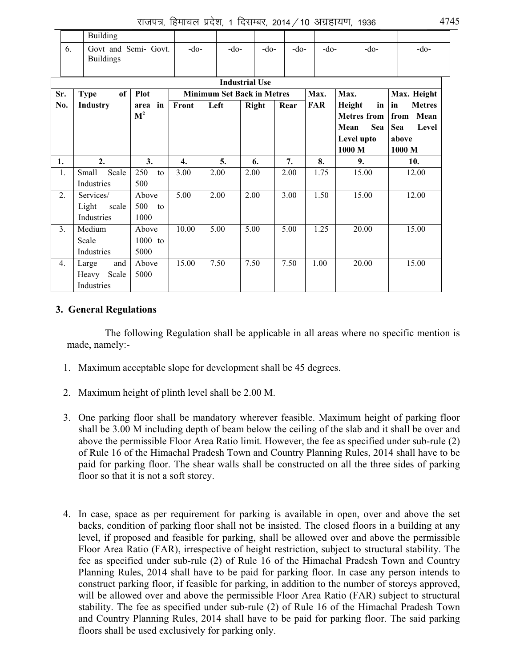|     | <b>Building</b>                              |                              |                  |                                   |      |              |        |            |                                                                           |                                                                        |  |
|-----|----------------------------------------------|------------------------------|------------------|-----------------------------------|------|--------------|--------|------------|---------------------------------------------------------------------------|------------------------------------------------------------------------|--|
| 6.  | Govt and Semi- Govt.<br><b>Buildings</b>     |                              | $-do-$           | $-do-$                            |      | $-do-$       | $-do-$ | $-do-$     | $-do-$                                                                    | -do-                                                                   |  |
|     | <b>Industrial Use</b>                        |                              |                  |                                   |      |              |        |            |                                                                           |                                                                        |  |
| Sr. | of<br><b>Type</b>                            | <b>Plot</b>                  |                  | <b>Minimum Set Back in Metres</b> |      |              |        | Max.       | Max.                                                                      | Max. Height                                                            |  |
| No. | <b>Industry</b>                              | in<br>area<br>M <sup>2</sup> | Front            | Left                              |      | <b>Right</b> | Rear   | <b>FAR</b> | Height<br>in<br><b>Metres</b> from<br>Mean<br>Sea<br>Level upto<br>1000 M | <b>Metres</b><br>in<br>Mean<br>from<br>Sea<br>Level<br>above<br>1000 M |  |
| 1.  | 2.                                           | 3.                           | $\overline{4}$ . | 5.                                |      | 6.           | 7.     | 8.         | 9.                                                                        | 10.                                                                    |  |
| 1.  | Scale<br>Small<br>Industries                 | 250<br>to<br>500             | 3.00             | 2.00                              | 2.00 |              | 2.00   | 1.75       | 15.00                                                                     | 12.00                                                                  |  |
| 2.  | Services/<br>Light<br>scale<br>Industries    | Above<br>500 to<br>1000      | 5.00             | 2.00                              | 2.00 |              | 3.00   | 1.50       | 15.00                                                                     | 12.00                                                                  |  |
| 3.  | Medium<br>Scale<br>Industries                | Above<br>$1000$ to<br>5000   | 10.00            | 5.00                              | 5.00 |              | 5.00   | 1.25       | 20.00                                                                     | 15.00                                                                  |  |
| 4.  | and<br>Large<br>Scale<br>Heavy<br>Industries | Above<br>5000                | 15.00            | 7.50                              | 7.50 |              | 7.50   | 1.00       | 20.00                                                                     | 15.00                                                                  |  |

## **3. General Regulations**

 The following Regulation shall be applicable in all areas where no specific mention is made, namely:-

- 1. Maximum acceptable slope for development shall be 45 degrees.
- 2. Maximum height of plinth level shall be 2.00 M.
- 3. One parking floor shall be mandatory wherever feasible. Maximum height of parking floor shall be 3.00 M including depth of beam below the ceiling of the slab and it shall be over and above the permissible Floor Area Ratio limit. However, the fee as specified under sub-rule (2) of Rule 16 of the Himachal Pradesh Town and Country Planning Rules, 2014 shall have to be paid for parking floor. The shear walls shall be constructed on all the three sides of parking floor so that it is not a soft storey.
- 4. In case, space as per requirement for parking is available in open, over and above the set backs, condition of parking floor shall not be insisted. The closed floors in a building at any level, if proposed and feasible for parking, shall be allowed over and above the permissible Floor Area Ratio (FAR), irrespective of height restriction, subject to structural stability. The fee as specified under sub-rule (2) of Rule 16 of the Himachal Pradesh Town and Country Planning Rules, 2014 shall have to be paid for parking floor. In case any person intends to construct parking floor, if feasible for parking, in addition to the number of storeys approved, will be allowed over and above the permissible Floor Area Ratio (FAR) subject to structural stability. The fee as specified under sub-rule (2) of Rule 16 of the Himachal Pradesh Town and Country Planning Rules, 2014 shall have to be paid for parking floor. The said parking floors shall be used exclusively for parking only.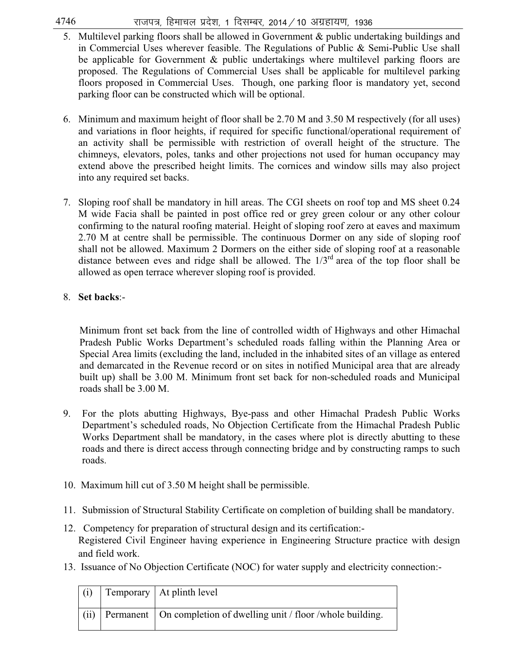- $4746$  राजपत्र, हिमाचल प्रदेश, 1 दिसम्बर, 2014 / 10 अग्रहायण, 1936
	- 5. Multilevel parking floors shall be allowed in Government & public undertaking buildings and in Commercial Uses wherever feasible. The Regulations of Public & Semi-Public Use shall be applicable for Government & public undertakings where multilevel parking floors are proposed. The Regulations of Commercial Uses shall be applicable for multilevel parking floors proposed in Commercial Uses. Though, one parking floor is mandatory yet, second parking floor can be constructed which will be optional.
	- 6. Minimum and maximum height of floor shall be 2.70 M and 3.50 M respectively (for all uses) and variations in floor heights, if required for specific functional/operational requirement of an activity shall be permissible with restriction of overall height of the structure. The chimneys, elevators, poles, tanks and other projections not used for human occupancy may extend above the prescribed height limits. The cornices and window sills may also project into any required set backs.
	- 7. Sloping roof shall be mandatory in hill areas. The CGI sheets on roof top and MS sheet 0.24 M wide Facia shall be painted in post office red or grey green colour or any other colour confirming to the natural roofing material. Height of sloping roof zero at eaves and maximum 2.70 M at centre shall be permissible. The continuous Dormer on any side of sloping roof shall not be allowed. Maximum 2 Dormers on the either side of sloping roof at a reasonable distance between eves and ridge shall be allowed. The  $1/3<sup>rd</sup>$  area of the top floor shall be allowed as open terrace wherever sloping roof is provided.

## 8. **Set backs**:-

Minimum front set back from the line of controlled width of Highways and other Himachal Pradesh Public Works Department's scheduled roads falling within the Planning Area or Special Area limits (excluding the land, included in the inhabited sites of an village as entered and demarcated in the Revenue record or on sites in notified Municipal area that are already built up) shall be 3.00 M. Minimum front set back for non-scheduled roads and Municipal roads shall be 3.00 M.

- 9. For the plots abutting Highways, Bye-pass and other Himachal Pradesh Public Works Department's scheduled roads, No Objection Certificate from the Himachal Pradesh Public Works Department shall be mandatory, in the cases where plot is directly abutting to these roads and there is direct access through connecting bridge and by constructing ramps to such roads.
- 10. Maximum hill cut of 3.50 M height shall be permissible.
- 11. Submission of Structural Stability Certificate on completion of building shall be mandatory.
- 12. Competency for preparation of structural design and its certification:- Registered Civil Engineer having experience in Engineering Structure practice with design and field work.
- 13. Issuance of No Objection Certificate (NOC) for water supply and electricity connection:-

| (i)  | Temporary   At plinth level                                         |
|------|---------------------------------------------------------------------|
| (ii) | Permanent   On completion of dwelling unit / floor /whole building. |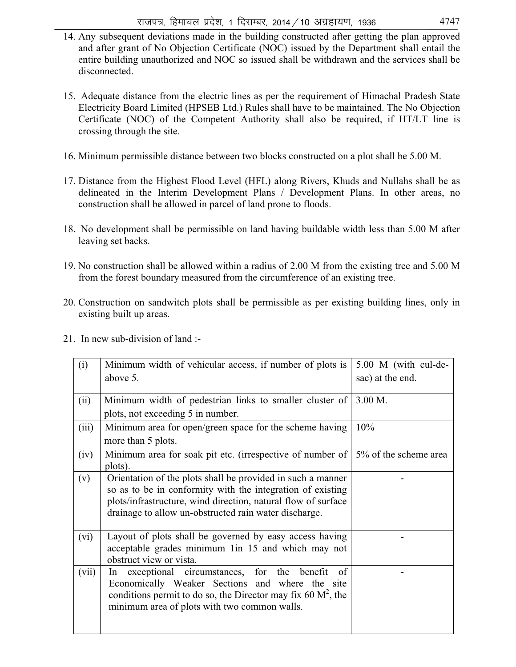- 14. Any subsequent deviations made in the building constructed after getting the plan approved and after grant of No Objection Certificate (NOC) issued by the Department shall entail the entire building unauthorized and NOC so issued shall be withdrawn and the services shall be disconnected.
- 15. Adequate distance from the electric lines as per the requirement of Himachal Pradesh State Electricity Board Limited (HPSEB Ltd.) Rules shall have to be maintained. The No Objection Certificate (NOC) of the Competent Authority shall also be required, if HT/LT line is crossing through the site.
- 16. Minimum permissible distance between two blocks constructed on a plot shall be 5.00 M.
- 17. Distance from the Highest Flood Level (HFL) along Rivers, Khuds and Nullahs shall be as delineated in the Interim Development Plans / Development Plans. In other areas, no construction shall be allowed in parcel of land prone to floods.
- 18. No development shall be permissible on land having buildable width less than 5.00 M after leaving set backs.
- 19. No construction shall be allowed within a radius of 2.00 M from the existing tree and 5.00 M from the forest boundary measured from the circumference of an existing tree.
- 20. Construction on sandwitch plots shall be permissible as per existing building lines, only in existing built up areas.

| (i)   | Minimum width of vehicular access, if number of plots is                                 | 5.00 M (with cul-de- |
|-------|------------------------------------------------------------------------------------------|----------------------|
|       | above 5.                                                                                 | sac) at the end.     |
| (ii)  | Minimum width of pedestrian links to smaller cluster of                                  | 3.00 M.              |
|       | plots, not exceeding 5 in number.                                                        |                      |
| (iii) | Minimum area for open/green space for the scheme having                                  | 10%                  |
|       | more than 5 plots.                                                                       |                      |
| (iv)  | Minimum area for soak pit etc. (irrespective of number of $\vert 5\%$ of the scheme area |                      |
|       | plots).                                                                                  |                      |
| (v)   | Orientation of the plots shall be provided in such a manner                              |                      |
|       | so as to be in conformity with the integration of existing                               |                      |
|       | plots/infrastructure, wind direction, natural flow of surface                            |                      |
|       | drainage to allow un-obstructed rain water discharge.                                    |                      |
| (vi)  | Layout of plots shall be governed by easy access having                                  |                      |
|       | acceptable grades minimum 1in 15 and which may not                                       |                      |
|       | obstruct view or vista.                                                                  |                      |
| (vii) | exceptional circumstances, for the benefit<br>of<br>In.                                  |                      |
|       | Economically Weaker Sections and where the site                                          |                      |
|       | conditions permit to do so, the Director may fix 60 $M^2$ , the                          |                      |
|       | minimum area of plots with two common walls.                                             |                      |
|       |                                                                                          |                      |

21. In new sub-division of land :-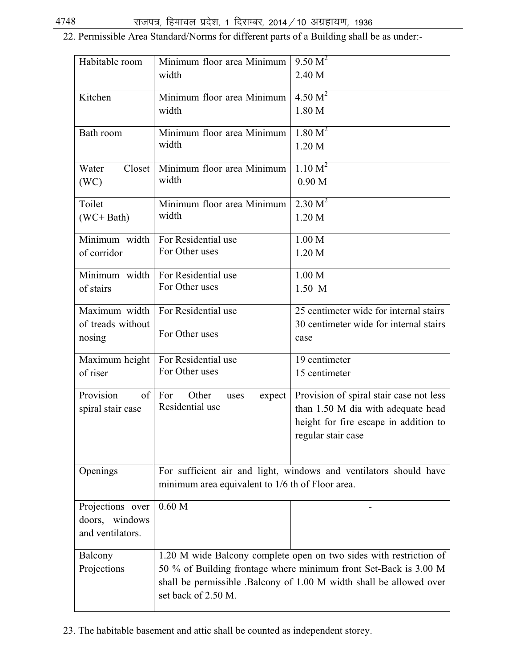22. Permissible Area Standard/Norms for different parts of a Building shall be as under:-

| Habitable room                                                                                                                                                                                                                                                 | Minimum floor area Minimum<br>width               | 9.50 M <sup>2</sup><br>2.40 M                                                                                                                |
|----------------------------------------------------------------------------------------------------------------------------------------------------------------------------------------------------------------------------------------------------------------|---------------------------------------------------|----------------------------------------------------------------------------------------------------------------------------------------------|
| Kitchen                                                                                                                                                                                                                                                        | Minimum floor area Minimum<br>width               | 4.50 M <sup>2</sup><br>1.80 M                                                                                                                |
| Bath room                                                                                                                                                                                                                                                      | Minimum floor area Minimum<br>width               | 1.80 M <sup>2</sup><br>1.20 M                                                                                                                |
| Water<br>Closet<br>(WC)                                                                                                                                                                                                                                        | Minimum floor area Minimum<br>width               | 1.10 M <sup>2</sup><br>0.90 <sub>M</sub>                                                                                                     |
| Toilet<br>(WC+ Bath)                                                                                                                                                                                                                                           | Minimum floor area Minimum<br>width               | 2.30 M <sup>2</sup><br>1.20 <sub>M</sub>                                                                                                     |
| Minimum width<br>of corridor                                                                                                                                                                                                                                   | For Residential use<br>For Other uses             | 1.00 M<br>1.20 M                                                                                                                             |
| Minimum width<br>of stairs                                                                                                                                                                                                                                     | For Residential use<br>For Other uses             | 1.00 M<br>1.50 M                                                                                                                             |
| Maximum width<br>of treads without<br>nosing                                                                                                                                                                                                                   | For Residential use<br>For Other uses             | 25 centimeter wide for internal stairs<br>30 centimeter wide for internal stairs<br>case                                                     |
| Maximum height<br>of riser                                                                                                                                                                                                                                     | For Residential use<br>For Other uses             | 19 centimeter<br>15 centimeter                                                                                                               |
| Provision<br>of<br>spiral stair case                                                                                                                                                                                                                           | Other<br>For<br>expect<br>uses<br>Residential use | Provision of spiral stair case not less<br>than 1.50 M dia with adequate head<br>height for fire escape in addition to<br>regular stair case |
| Openings                                                                                                                                                                                                                                                       | minimum area equivalent to 1/6 th of Floor area.  | For sufficient air and light, windows and ventilators should have                                                                            |
| Projections over<br>doors, windows<br>and ventilators.                                                                                                                                                                                                         | 0.60 <sub>M</sub>                                 |                                                                                                                                              |
| 1.20 M wide Balcony complete open on two sides with restriction of<br>Balcony<br>Projections<br>50 % of Building frontage where minimum front Set-Back is 3.00 M<br>shall be permissible .Balcony of 1.00 M width shall be allowed over<br>set back of 2.50 M. |                                                   |                                                                                                                                              |

23. The habitable basement and attic shall be counted as independent storey.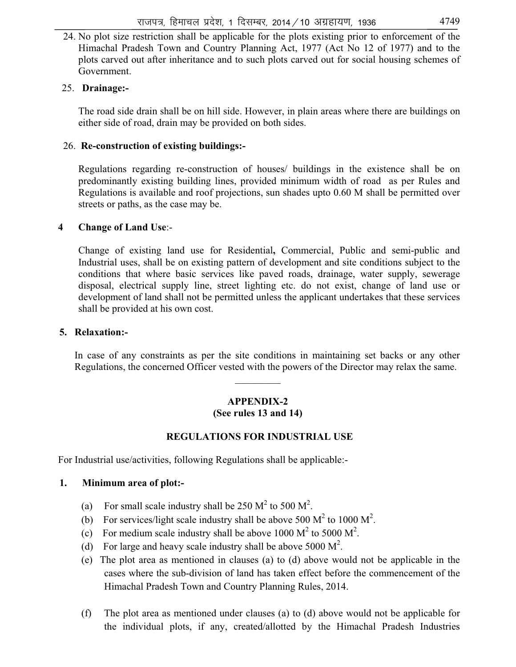24. No plot size restriction shall be applicable for the plots existing prior to enforcement of the Himachal Pradesh Town and Country Planning Act, 1977 (Act No 12 of 1977) and to the plots carved out after inheritance and to such plots carved out for social housing schemes of Government.

## 25. **Drainage:-**

The road side drain shall be on hill side. However, in plain areas where there are buildings on either side of road, drain may be provided on both sides.

## 26. **Re-construction of existing buildings:-**

Regulations regarding re-construction of houses/ buildings in the existence shall be on predominantly existing building lines, provided minimum width of road as per Rules and Regulations is available and roof projections, sun shades upto 0.60 M shall be permitted over streets or paths, as the case may be.

## **4 Change of Land Use**:-

Change of existing land use for Residential**,** Commercial, Public and semi-public and Industrial uses, shall be on existing pattern of development and site conditions subject to the conditions that where basic services like paved roads, drainage, water supply, sewerage disposal, electrical supply line, street lighting etc. do not exist, change of land use or development of land shall not be permitted unless the applicant undertakes that these services shall be provided at his own cost.

## **5. Relaxation:-**

 In case of any constraints as per the site conditions in maintaining set backs or any other Regulations, the concerned Officer vested with the powers of the Director may relax the same.

# **APPENDIX-2**

 $\overline{\phantom{a}}$ 

## **(See rules 13 and 14)**

## **REGULATIONS FOR INDUSTRIAL USE**

For Industrial use/activities, following Regulations shall be applicable:-

## **1. Minimum area of plot:-**

- (a) For small scale industry shall be  $250 \text{ M}^2$  to  $500 \text{ M}^2$ .
- (b) For services/light scale industry shall be above 500  $M^2$  to 1000  $M^2$ .
- (c) For medium scale industry shall be above 1000  $M^2$  to 5000  $M^2$ .
- (d) For large and heavy scale industry shall be above 5000  $M^2$ .
- (e) The plot area as mentioned in clauses (a) to (d) above would not be applicable in the cases where the sub-division of land has taken effect before the commencement of the Himachal Pradesh Town and Country Planning Rules, 2014.
- (f) The plot area as mentioned under clauses (a) to (d) above would not be applicable for the individual plots, if any, created/allotted by the Himachal Pradesh Industries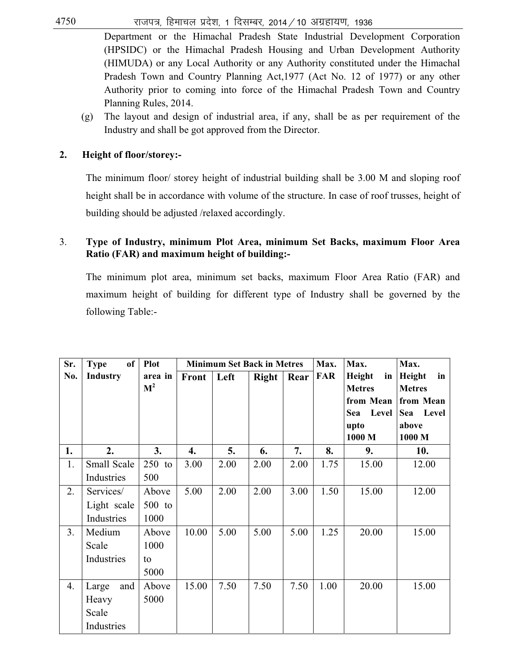$4750$  राजपत्र, हिमाचल प्रदेश, 1 दिसम्बर, 2014 / 10 अग्रहायण, 1936

Department or the Himachal Pradesh State Industrial Development Corporation (HPSIDC) or the Himachal Pradesh Housing and Urban Development Authority (HIMUDA) or any Local Authority or any Authority constituted under the Himachal Pradesh Town and Country Planning Act,1977 (Act No. 12 of 1977) or any other Authority prior to coming into force of the Himachal Pradesh Town and Country Planning Rules, 2014.

(g) The layout and design of industrial area, if any, shall be as per requirement of the Industry and shall be got approved from the Director.

## **2. Height of floor/storey:-**

The minimum floor/ storey height of industrial building shall be 3.00 M and sloping roof height shall be in accordance with volume of the structure. In case of roof trusses, height of building should be adjusted /relaxed accordingly.

## 3. **Type of Industry, minimum Plot Area, minimum Set Backs, maximum Floor Area Ratio (FAR) and maximum height of building:-**

The minimum plot area, minimum set backs, maximum Floor Area Ratio (FAR) and maximum height of building for different type of Industry shall be governed by the following Table:-

| Sr. | of<br><b>Type</b> | <b>Plot</b>    | <b>Minimum Set Back in Metres</b> |      |              | Max. | Max.       | Max.          |               |
|-----|-------------------|----------------|-----------------------------------|------|--------------|------|------------|---------------|---------------|
| No. | Industry          | area in        | <b>Front</b>                      | Left | <b>Right</b> | Rear | <b>FAR</b> | Height<br>in  | Height<br>in  |
|     |                   | $\mathbf{M}^2$ |                                   |      |              |      |            | <b>Metres</b> | <b>Metres</b> |
|     |                   |                |                                   |      |              |      |            | from Mean     | from Mean     |
|     |                   |                |                                   |      |              |      |            | Level<br>Sea  | Level<br>Sea  |
|     |                   |                |                                   |      |              |      |            | upto          | above         |
|     |                   |                |                                   |      |              |      |            | 1000 M        | 1000 M        |
| 1.  | 2.                | 3.             | 4.                                | 5.   | 6.           | 7.   | 8.         | 9.            | 10.           |
| 1.  | Small Scale       | $250$ to       | 3.00                              | 2.00 | 2.00         | 2.00 | 1.75       | 15.00         | 12.00         |
|     | Industries        | 500            |                                   |      |              |      |            |               |               |
| 2.  | Services/         | Above          | 5.00                              | 2.00 | 2.00         | 3.00 | 1.50       | 15.00         | 12.00         |
|     | Light scale       | $500$ to       |                                   |      |              |      |            |               |               |
|     | Industries        | 1000           |                                   |      |              |      |            |               |               |
| 3.  | Medium            | Above          | 10.00                             | 5.00 | 5.00         | 5.00 | 1.25       | 20.00         | 15.00         |
|     | Scale             | 1000           |                                   |      |              |      |            |               |               |
|     | Industries        | to             |                                   |      |              |      |            |               |               |
|     |                   | 5000           |                                   |      |              |      |            |               |               |
| 4.  | Large<br>and      | Above          | 15.00                             | 7.50 | 7.50         | 7.50 | 1.00       | 20.00         | 15.00         |
|     | Heavy             | 5000           |                                   |      |              |      |            |               |               |
|     | Scale             |                |                                   |      |              |      |            |               |               |
|     | Industries        |                |                                   |      |              |      |            |               |               |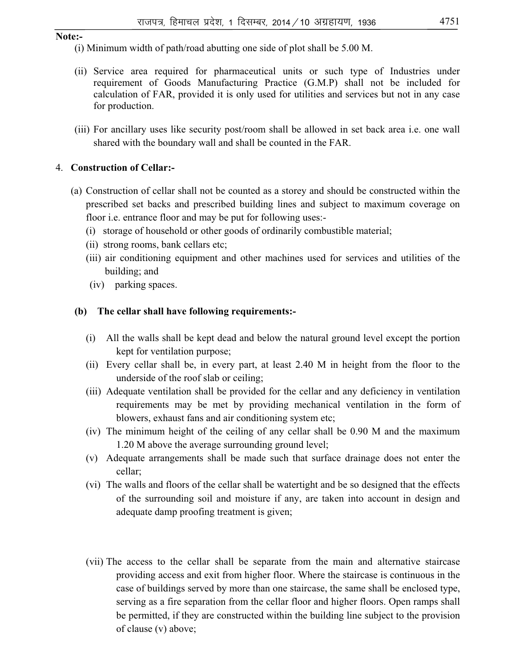#### **Note:-**

- (i) Minimum width of path/road abutting one side of plot shall be 5.00 M.
- (ii) Service area required for pharmaceutical units or such type of Industries under requirement of Goods Manufacturing Practice (G.M.P) shall not be included for calculation of FAR, provided it is only used for utilities and services but not in any case for production.
- (iii) For ancillary uses like security post/room shall be allowed in set back area i.e. one wall shared with the boundary wall and shall be counted in the FAR.

#### 4. **Construction of Cellar:-**

- (a) Construction of cellar shall not be counted as a storey and should be constructed within the prescribed set backs and prescribed building lines and subject to maximum coverage on floor i.e. entrance floor and may be put for following uses:-
	- (i) storage of household or other goods of ordinarily combustible material;
	- (ii) strong rooms, bank cellars etc;
	- (iii) air conditioning equipment and other machines used for services and utilities of the building; and
	- (iv) parking spaces.

#### **(b) The cellar shall have following requirements:-**

- (i) All the walls shall be kept dead and below the natural ground level except the portion kept for ventilation purpose;
- (ii) Every cellar shall be, in every part, at least 2.40 M in height from the floor to the underside of the roof slab or ceiling;
- (iii) Adequate ventilation shall be provided for the cellar and any deficiency in ventilation requirements may be met by providing mechanical ventilation in the form of blowers, exhaust fans and air conditioning system etc;
- (iv) The minimum height of the ceiling of any cellar shall be 0.90 M and the maximum 1.20 M above the average surrounding ground level;
- (v) Adequate arrangements shall be made such that surface drainage does not enter the cellar;
- (vi) The walls and floors of the cellar shall be watertight and be so designed that the effects of the surrounding soil and moisture if any, are taken into account in design and adequate damp proofing treatment is given;
- (vii) The access to the cellar shall be separate from the main and alternative staircase providing access and exit from higher floor. Where the staircase is continuous in the case of buildings served by more than one staircase, the same shall be enclosed type, serving as a fire separation from the cellar floor and higher floors. Open ramps shall be permitted, if they are constructed within the building line subject to the provision of clause (v) above;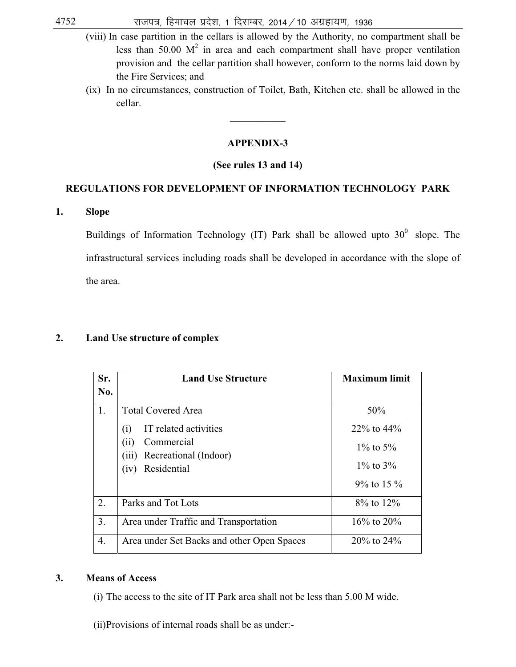- (viii) In case partition in the cellars is allowed by the Authority, no compartment shall be less than 50.00  $M^2$  in area and each compartment shall have proper ventilation provision and the cellar partition shall however, conform to the norms laid down by the Fire Services; and
- (ix) In no circumstances, construction of Toilet, Bath, Kitchen etc. shall be allowed in the cellar.

#### **APPENDIX-3**

 $\mathcal{L}$  and  $\mathcal{L}$  and  $\mathcal{L}$ 

#### **(See rules 13 and 14)**

#### **REGULATIONS FOR DEVELOPMENT OF INFORMATION TECHNOLOGY PARK**

**1. Slope** 

Buildings of Information Technology (IT) Park shall be allowed upto  $30^0$  slope. The infrastructural services including roads shall be developed in accordance with the slope of the area.

#### **2. Land Use structure of complex**

| Sr. | <b>Land Use Structure</b>                    | <b>Maximum limit</b> |
|-----|----------------------------------------------|----------------------|
| No. |                                              |                      |
| 1.  | <b>Total Covered Area</b>                    | 50%                  |
|     | IT related activities<br>$\left( i\right)$   | $22\%$ to $44\%$     |
|     | (ii)<br>Commercial<br>(iii)                  | $1\%$ to 5%          |
|     | Recreational (Indoor)<br>Residential<br>(iv) | $1\%$ to $3\%$       |
|     |                                              | $9\%$ to 15 $\%$     |
| 2.  | Parks and Tot Lots                           | $8\%$ to $12\%$      |
| 3.  | Area under Traffic and Transportation        | $16\%$ to $20\%$     |
| 4.  | Area under Set Backs and other Open Spaces   | $20\%$ to $24\%$     |

#### **3. Means of Access**

- (i) The access to the site of IT Park area shall not be less than 5.00 M wide.
- (ii) Provisions of internal roads shall be as under:-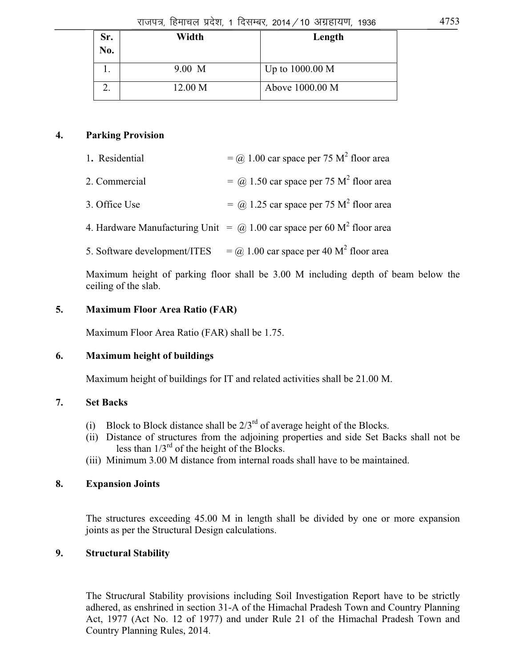| Sr.<br>No. | Width   | Length          |
|------------|---------|-----------------|
|            | 9.00 M  | Up to 1000.00 M |
|            | 12.00 M | Above 1000.00 M |

## **4. Parking Provision**

| 2. Commercial | $=$ (a) 1.50 car space per 75 M <sup>2</sup> floor area |
|---------------|---------------------------------------------------------|
|               |                                                         |

3. Office Use  $\qquad \qquad = \omega$  1.25 car space per 75 M<sup>2</sup> floor area

4. Hardware Manufacturing Unit  $=$   $\omega$  1.00 car space per 60 M<sup>2</sup> floor area

5. Software development/ITES  $f(a) = (a) 1.00$  car space per 40 M<sup>2</sup> floor area

 Maximum height of parking floor shall be 3.00 M including depth of beam below the ceiling of the slab.

## **5. Maximum Floor Area Ratio (FAR)**

Maximum Floor Area Ratio (FAR) shall be 1.75.

## **6. Maximum height of buildings**

Maximum height of buildings for IT and related activities shall be 21.00 M.

## **7. Set Backs**

- (i) Block to Block distance shall be  $2/3^{rd}$  of average height of the Blocks.
- (ii) Distance of structures from the adjoining properties and side Set Backs shall not be less than  $1/3^{rd}$  of the height of the Blocks.
- (iii) Minimum 3.00 M distance from internal roads shall have to be maintained.

## **8. Expansion Joints**

 The structures exceeding 45.00 M in length shall be divided by one or more expansion joints as per the Structural Design calculations.

## **9. Structural Stability**

 The Struc*t*ural Stability provisions including Soil Investigation Report have to be strictly adhered, as enshrined in section 31-A of the Himachal Pradesh Town and Country Planning Act, 1977 (Act No. 12 of 1977) and under Rule 21 of the Himachal Pradesh Town and Country Planning Rules, 2014.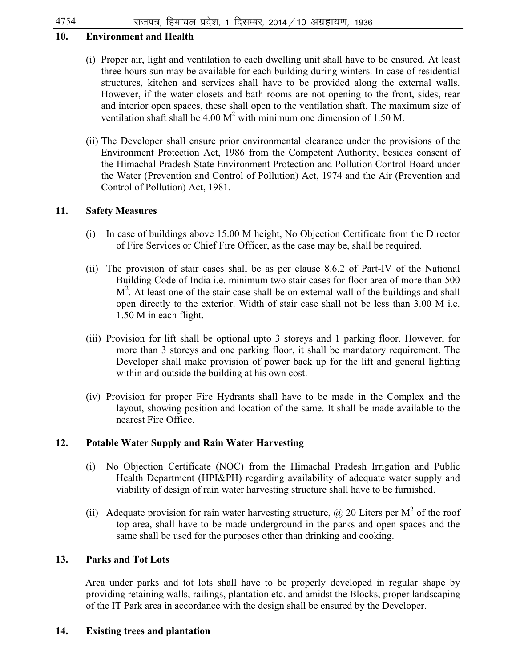## **10. Environment and Health**

- (i) Proper air, light and ventilation to each dwelling unit shall have to be ensured. At least three hours sun may be available for each building during winters. In case of residential structures, kitchen and services shall have to be provided along the external walls. However, if the water closets and bath rooms are not opening to the front, sides, rear and interior open spaces, these shall open to the ventilation shaft. The maximum size of ventilation shaft shall be 4.00  $M^2$  with minimum one dimension of 1.50 M.
- (ii) The Developer shall ensure prior environmental clearance under the provisions of the Environment Protection Act, 1986 from the Competent Authority, besides consent of the Himachal Pradesh State Environment Protection and Pollution Control Board under the Water (Prevention and Control of Pollution) Act, 1974 and the Air (Prevention and Control of Pollution) Act, 1981.

## **11. Safety Measures**

- (i) In case of buildings above 15.00 M height, No Objection Certificate from the Director of Fire Services or Chief Fire Officer, as the case may be, shall be required.
- (ii) The provision of stair cases shall be as per clause 8.6.2 of Part-IV of the National Building Code of India i.e. minimum two stair cases for floor area of more than 500  $M<sup>2</sup>$ . At least one of the stair case shall be on external wall of the buildings and shall open directly to the exterior. Width of stair case shall not be less than 3.00 M i.e. 1.50 M in each flight.
- (iii) Provision for lift shall be optional upto 3 storeys and 1 parking floor. However, for more than 3 storeys and one parking floor, it shall be mandatory requirement. The Developer shall make provision of power back up for the lift and general lighting within and outside the building at his own cost.
- (iv) Provision for proper Fire Hydrants shall have to be made in the Complex and the layout, showing position and location of the same. It shall be made available to the nearest Fire Office.

## **12. Potable Water Supply and Rain Water Harvesting**

- (i) No Objection Certificate (NOC) from the Himachal Pradesh Irrigation and Public Health Department (HPI&PH) regarding availability of adequate water supply and viability of design of rain water harvesting structure shall have to be furnished.
- (ii) Adequate provision for rain water harvesting structure,  $\omega$  20 Liters per M<sup>2</sup> of the roof top area, shall have to be made underground in the parks and open spaces and the same shall be used for the purposes other than drinking and cooking.

## **13. Parks and Tot Lots**

 Area under parks and tot lots shall have to be properly developed in regular shape by providing retaining walls, railings, plantation etc. and amidst the Blocks, proper landscaping of the IT Park area in accordance with the design shall be ensured by the Developer.

## **14. Existing trees and plantation**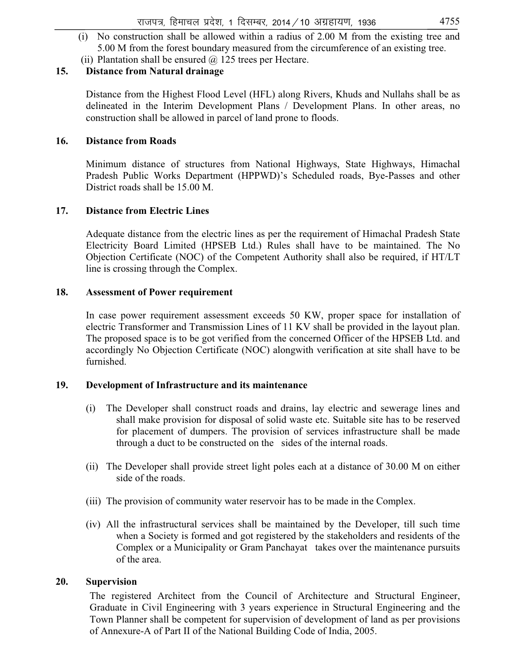- (i) No construction shall be allowed within a radius of 2.00 M from the existing tree and 5.00 M from the forest boundary measured from the circumference of an existing tree.
- (ii) Plantation shall be ensured  $\omega$  125 trees per Hectare.

## **15. Distance from Natural drainage**

 Distance from the Highest Flood Level (HFL) along Rivers, Khuds and Nullahs shall be as delineated in the Interim Development Plans / Development Plans. In other areas, no construction shall be allowed in parcel of land prone to floods.

#### **16. Distance from Roads**

Minimum distance of structures from National Highways, State Highways, Himachal Pradesh Public Works Department (HPPWD)'s Scheduled roads, Bye-Passes and other District roads shall be 15.00 M.

#### **17. Distance from Electric Lines**

Adequate distance from the electric lines as per the requirement of Himachal Pradesh State Electricity Board Limited (HPSEB Ltd.) Rules shall have to be maintained. The No Objection Certificate (NOC) of the Competent Authority shall also be required, if HT/LT line is crossing through the Complex.

#### **18. Assessment of Power requirement**

 In case power requirement assessment exceeds 50 KW, proper space for installation of electric Transformer and Transmission Lines of 11 KV shall be provided in the layout plan. The proposed space is to be got verified from the concerned Officer of the HPSEB Ltd. and accordingly No Objection Certificate (NOC) alongwith verification at site shall have to be furnished.

#### **19. Development of Infrastructure and its maintenance**

- (i) The Developer shall construct roads and drains, lay electric and sewerage lines and shall make provision for disposal of solid waste etc. Suitable site has to be reserved for placement of dumpers. The provision of services infrastructure shall be made through a duct to be constructed on the sides of the internal roads.
- (ii) The Developer shall provide street light poles each at a distance of 30.00 M on either side of the roads.
- (iii) The provision of community water reservoir has to be made in the Complex.
- (iv) All the infrastructural services shall be maintained by the Developer, till such time when a Society is formed and got registered by the stakeholders and residents of the Complex or a Municipality or Gram Panchayat takes over the maintenance pursuits of the area.

#### **20. Supervision**

The registered Architect from the Council of Architecture and Structural Engineer, Graduate in Civil Engineering with 3 years experience in Structural Engineering and the Town Planner shall be competent for supervision of development of land as per provisions of Annexure-A of Part II of the National Building Code of India, 2005.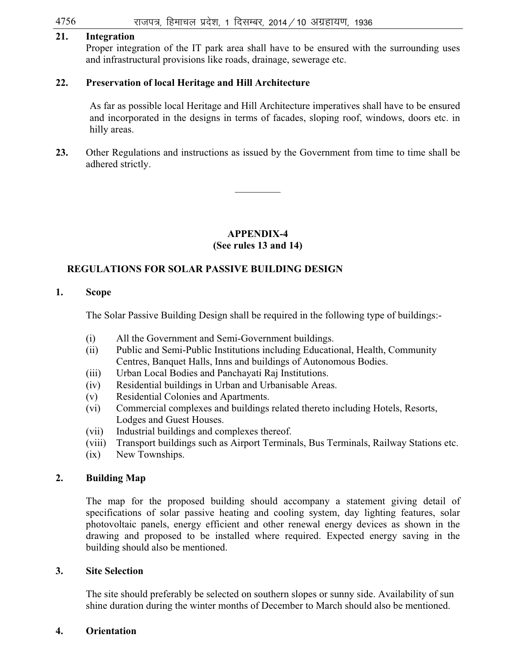#### $4756$   $\hspace{1cm}$  राजपत्र, हिमाचल प्रदेश, 1 दिसम्बर, 2014 / 10 अग्रहायण, 1936

#### **21. Integration**

 Proper integration of the IT park area shall have to be ensured with the surrounding uses and infrastructural provisions like roads, drainage, sewerage etc.

#### **22. Preservation of local Heritage and Hill Architecture**

As far as possible local Heritage and Hill Architecture imperatives shall have to be ensured and incorporated in the designs in terms of facades, sloping roof, windows, doors etc. in hilly areas.

**23.** Other Regulations and instructions as issued by the Government from time to time shall be adhered strictly.

*\_\_\_\_\_\_\_\_\_* 

### **APPENDIX-4 (See rules 13 and 14)**

#### **REGULATIONS FOR SOLAR PASSIVE BUILDING DESIGN**

### **1. Scope**

The Solar Passive Building Design shall be required in the following type of buildings:-

- (i) All the Government and Semi-Government buildings.
- (ii) Public and Semi-Public Institutions including Educational, Health, Community Centres, Banquet Halls, Inns and buildings of Autonomous Bodies.
- (iii) Urban Local Bodies and Panchayati Raj Institutions.
- (iv) Residential buildings in Urban and Urbanisable Areas.
- (v) Residential Colonies and Apartments.
- (vi) Commercial complexes and buildings related thereto including Hotels, Resorts, Lodges and Guest Houses.
- (vii) Industrial buildings and complexes thereof.
- (viii) Transport buildings such as Airport Terminals, Bus Terminals, Railway Stations etc.
- (ix) New Townships.

#### **2. Building Map**

 The map for the proposed building should accompany a statement giving detail of specifications of solar passive heating and cooling system, day lighting features, solar photovoltaic panels, energy efficient and other renewal energy devices as shown in the drawing and proposed to be installed where required. Expected energy saving in the building should also be mentioned.

#### **3. Site Selection**

 The site should preferably be selected on southern slopes or sunny side. Availability of sun shine duration during the winter months of December to March should also be mentioned.

#### **4. Orientation**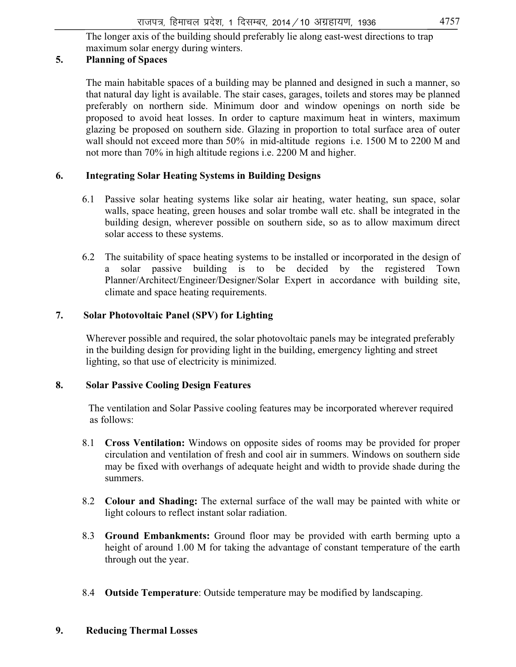The longer axis of the building should preferably lie along east-west directions to trap maximum solar energy during winters.

# **5. Planning of Spaces**

The main habitable spaces of a building may be planned and designed in such a manner, so that natural day light is available. The stair cases, garages, toilets and stores may be planned preferably on northern side. Minimum door and window openings on north side be proposed to avoid heat losses. In order to capture maximum heat in winters, maximum glazing be proposed on southern side. Glazing in proportion to total surface area of outer wall should not exceed more than 50% in mid-altitude regions i.e. 1500 M to 2200 M and not more than 70% in high altitude regions i.e. 2200 M and higher.

#### **6. Integrating Solar Heating Systems in Building Designs**

- 6.1 Passive solar heating systems like solar air heating, water heating, sun space, solar walls, space heating, green houses and solar trombe wall etc. shall be integrated in the building design, wherever possible on southern side, so as to allow maximum direct solar access to these systems.
- 6.2 The suitability of space heating systems to be installed or incorporated in the design of a solar passive building is to be decided by the registered Town Planner/Architect/Engineer/Designer/Solar Expert in accordance with building site, climate and space heating requirements.

#### **7. Solar Photovoltaic Panel (SPV) for Lighting**

 Wherever possible and required, the solar photovoltaic panels may be integrated preferably in the building design for providing light in the building, emergency lighting and street lighting, so that use of electricity is minimized.

#### **8. Solar Passive Cooling Design Features**

 The ventilation and Solar Passive cooling features may be incorporated wherever required as follows:

- 8.1 **Cross Ventilation:** Windows on opposite sides of rooms may be provided for proper circulation and ventilation of fresh and cool air in summers. Windows on southern side may be fixed with overhangs of adequate height and width to provide shade during the summers.
- 8.2 **Colour and Shading:** The external surface of the wall may be painted with white or light colours to reflect instant solar radiation.
- 8.3 **Ground Embankments:** Ground floor may be provided with earth berming upto a height of around 1.00 M for taking the advantage of constant temperature of the earth through out the year.
- 8.4 **Outside Temperature**: Outside temperature may be modified by landscaping.

# **9. Reducing Thermal Losses**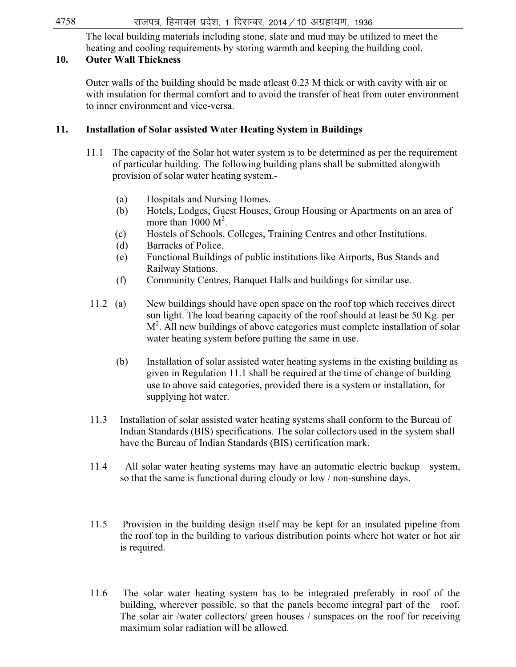The local building materials including stone, slate and mud may be utilized to meet the heating and cooling requirements by storing warmth and keeping the building cool.

#### **10. Outer Wall Thickness**

 Outer walls of the building should be made atleast 0.23 M thick or with cavity with air or with insulation for thermal comfort and to avoid the transfer of heat from outer environment to inner environment and vice-versa.

#### **11. Installation of Solar assisted Water Heating System in Buildings**

- 11.1 The capacity of the Solar hot water system is to be determined as per the requirement of particular building. The following building plans shall be submitted alongwith provision of solar water heating system.-
	- (a) Hospitals and Nursing Homes.
	- (b) Hotels, Lodges, Guest Houses, Group Housing or Apartments on an area of more than  $1000 \text{ M}^2$ .
	- (c) Hostels of Schools, Colleges, Training Centres and other Institutions.
	- (d) Barracks of Police.
	- (e) Functional Buildings of public institutions like Airports, Bus Stands and Railway Stations.
	- (f) Community Centres, Banquet Halls and buildings for similar use.
- 11.2 (a) New buildings should have open space on the roof top which receives direct sun light. The load bearing capacity of the roof should at least be 50 Kg. per M<sup>2</sup>. All new buildings of above categories must complete installation of solar water heating system before putting the same in use.
	- (b) Installation of solar assisted water heating systems in the existing building as given in Regulation 11.1 shall be required at the time of change of building use to above said categories, provided there is a system or installation, for supplying hot water.
- 11.3 Installation of solar assisted water heating systems shall conform to the Bureau of Indian Standards (BIS) specifications. The solar collectors used in the system shall have the Bureau of Indian Standards (BIS) certification mark.
- 11.4 All solar water heating systems may have an automatic electric backup system, so that the same is functional during cloudy or low / non-sunshine days.
- 11.5 Provision in the building design itself may be kept for an insulated pipeline from the roof top in the building to various distribution points where hot water or hot air is required.
- 11.6 The solar water heating system has to be integrated preferably in roof of the building, wherever possible, so that the panels become integral part of the roof. The solar air /water collectors/ green houses / sunspaces on the roof for receiving maximum solar radiation will be allowed.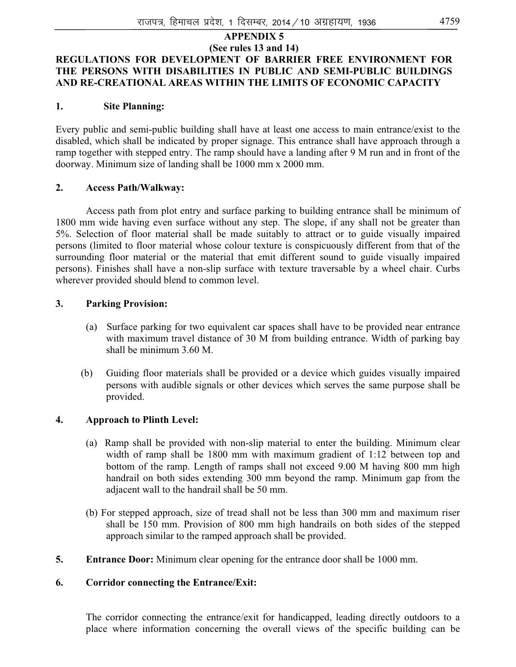#### **APPENDIX 5 (See rules 13 and 14) REGULATIONS FOR DEVELOPMENT OF BARRIER FREE ENVIRONMENT FOR THE PERSONS WITH DISABILITIES IN PUBLIC AND SEMI-PUBLIC BUILDINGS AND RE-CREATIONAL AREAS WITHIN THE LIMITS OF ECONOMIC CAPACITY**

#### **1. Site Planning:**

Every public and semi-public building shall have at least one access to main entrance/exist to the disabled, which shall be indicated by proper signage. This entrance shall have approach through a ramp together with stepped entry. The ramp should have a landing after 9 M run and in front of the doorway. Minimum size of landing shall be 1000 mm x 2000 mm.

#### **2. Access Path/Walkway:**

 Access path from plot entry and surface parking to building entrance shall be minimum of 1800 mm wide having even surface without any step. The slope, if any shall not be greater than 5%. Selection of floor material shall be made suitably to attract or to guide visually impaired persons (limited to floor material whose colour texture is conspicuously different from that of the surrounding floor material or the material that emit different sound to guide visually impaired persons). Finishes shall have a non-slip surface with texture traversable by a wheel chair. Curbs wherever provided should blend to common level.

#### **3. Parking Provision:**

- (a) Surface parking for two equivalent car spaces shall have to be provided near entrance with maximum travel distance of 30 M from building entrance. Width of parking bay shall be minimum 3.60 M.
- (b) Guiding floor materials shall be provided or a device which guides visually impaired persons with audible signals or other devices which serves the same purpose shall be provided.

#### **4. Approach to Plinth Level:**

- (a) Ramp shall be provided with non-slip material to enter the building. Minimum clear width of ramp shall be 1800 mm with maximum gradient of 1:12 between top and bottom of the ramp. Length of ramps shall not exceed 9.00 M having 800 mm high handrail on both sides extending 300 mm beyond the ramp. Minimum gap from the adjacent wall to the handrail shall be 50 mm.
- (b) For stepped approach, size of tread shall not be less than 300 mm and maximum riser shall be 150 mm. Provision of 800 mm high handrails on both sides of the stepped approach similar to the ramped approach shall be provided.
- **5. Entrance Door:** Minimum clear opening for the entrance door shall be 1000 mm.

#### **6. Corridor connecting the Entrance/Exit:**

The corridor connecting the entrance/exit for handicapped, leading directly outdoors to a place where information concerning the overall views of the specific building can be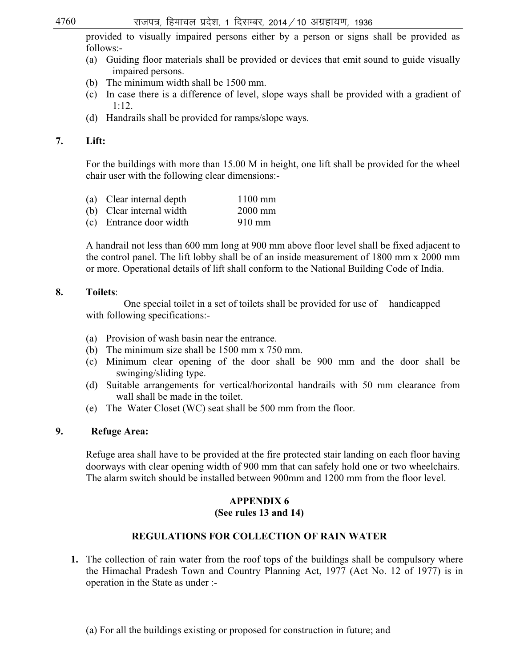provided to visually impaired persons either by a person or signs shall be provided as follows:-

- (a) Guiding floor materials shall be provided or devices that emit sound to guide visually impaired persons.
- (b) The minimum width shall be 1500 mm.
- (c) In case there is a difference of level, slope ways shall be provided with a gradient of 1:12.
- (d) Handrails shall be provided for ramps/slope ways.

# **7. Lift:**

For the buildings with more than 15.00 M in height, one lift shall be provided for the wheel chair user with the following clear dimensions:-

- (a) Clear internal depth 1100 mm
- (b) Clear internal width 2000 mm
- (c) Entrance door width 910 mm

A handrail not less than 600 mm long at 900 mm above floor level shall be fixed adjacent to the control panel. The lift lobby shall be of an inside measurement of 1800 mm x 2000 mm or more. Operational details of lift shall conform to the National Building Code of India.

#### **8. Toilets**:

 One special toilet in a set of toilets shall be provided for use of handicapped with following specifications:-

- (a) Provision of wash basin near the entrance.
- (b) The minimum size shall be 1500 mm x 750 mm.
- (c) Minimum clear opening of the door shall be 900 mm and the door shall be swinging/sliding type.
- (d) Suitable arrangements for vertical/horizontal handrails with 50 mm clearance from wall shall be made in the toilet.
- (e) The Water Closet (WC) seat shall be 500 mm from the floor.

# **9. Refuge Area:**

Refuge area shall have to be provided at the fire protected stair landing on each floor having doorways with clear opening width of 900 mm that can safely hold one or two wheelchairs. The alarm switch should be installed between 900mm and 1200 mm from the floor level.

# **APPENDIX 6**

#### **(See rules 13 and 14)**

# **REGULATIONS FOR COLLECTION OF RAIN WATER**

- **1.** The collection of rain water from the roof tops of the buildings shall be compulsory where the Himachal Pradesh Town and Country Planning Act, 1977 (Act No. 12 of 1977) is in operation in the State as under :-
	- (a) For all the buildings existing or proposed for construction in future; and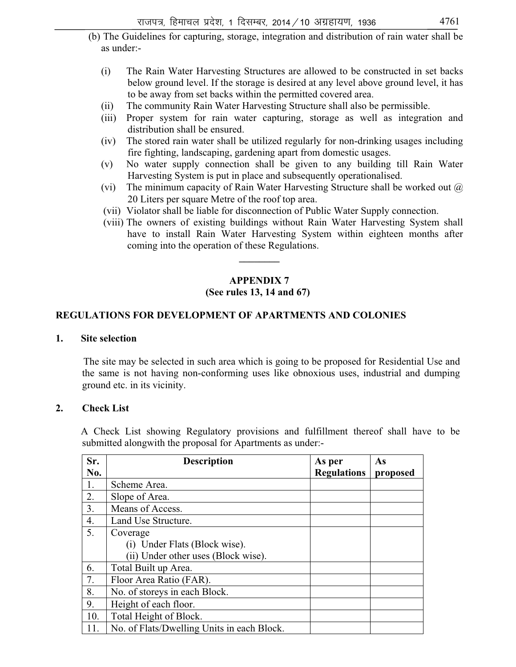- (b) The Guidelines for capturing, storage, integration and distribution of rain water shall be as under:-
	- (i) The Rain Water Harvesting Structures are allowed to be constructed in set backs below ground level. If the storage is desired at any level above ground level, it has to be away from set backs within the permitted covered area.
	- (ii) The community Rain Water Harvesting Structure shall also be permissible.
	- (iii) Proper system for rain water capturing, storage as well as integration and distribution shall be ensured.
	- (iv) The stored rain water shall be utilized regularly for non-drinking usages including fire fighting, landscaping, gardening apart from domestic usages.
	- (v) No water supply connection shall be given to any building till Rain Water Harvesting System is put in place and subsequently operationalised.
	- (vi) The minimum capacity of Rain Water Harvesting Structure shall be worked out  $\omega$ 20 Liters per square Metre of the roof top area.
	- (vii) Violator shall be liable for disconnection of Public Water Supply connection.
	- (viii) The owners of existing buildings without Rain Water Harvesting System shall have to install Rain Water Harvesting System within eighteen months after coming into the operation of these Regulations.

# **APPENDIX 7 (See rules 13, 14 and 67)**

**\_\_\_\_\_\_\_\_** 

#### **REGULATIONS FOR DEVELOPMENT OF APARTMENTS AND COLONIES**

#### **1. Site selection**

 The site may be selected in such area which is going to be proposed for Residential Use and the same is not having non-conforming uses like obnoxious uses, industrial and dumping ground etc. in its vicinity.

#### **2. Check List**

 A Check List showing Regulatory provisions and fulfillment thereof shall have to be submitted alongwith the proposal for Apartments as under:-

| Sr. | <b>Description</b>                         | As per             | As       |
|-----|--------------------------------------------|--------------------|----------|
| No. |                                            | <b>Regulations</b> | proposed |
| 1.  | Scheme Area.                               |                    |          |
| 2.  | Slope of Area.                             |                    |          |
| 3.  | Means of Access.                           |                    |          |
| 4.  | Land Use Structure.                        |                    |          |
| 5.  | Coverage                                   |                    |          |
|     | (i) Under Flats (Block wise).              |                    |          |
|     | (ii) Under other uses (Block wise).        |                    |          |
| 6.  | Total Built up Area.                       |                    |          |
| 7.  | Floor Area Ratio (FAR).                    |                    |          |
| 8.  | No. of storeys in each Block.              |                    |          |
| 9.  | Height of each floor.                      |                    |          |
| 10. | Total Height of Block.                     |                    |          |
| 11. | No. of Flats/Dwelling Units in each Block. |                    |          |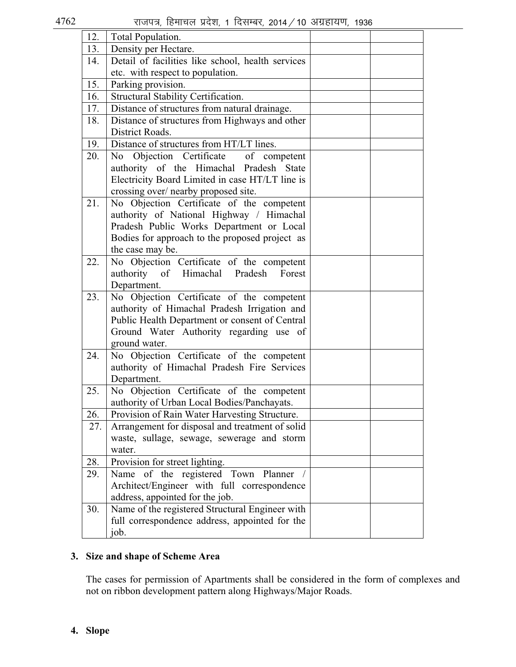| 12. | Total Population.                                        |  |
|-----|----------------------------------------------------------|--|
| 13. | Density per Hectare.                                     |  |
| 14. | Detail of facilities like school, health services        |  |
|     | etc. with respect to population.                         |  |
| 15. | Parking provision.                                       |  |
| 16. | Structural Stability Certification.                      |  |
| 17. | Distance of structures from natural drainage.            |  |
| 18. | Distance of structures from Highways and other           |  |
|     | District Roads.                                          |  |
| 19. | Distance of structures from HT/LT lines.                 |  |
| 20. | No Objection Certificate of competent                    |  |
|     | authority of the Himachal Pradesh State                  |  |
|     | Electricity Board Limited in case HT/LT line is          |  |
|     | crossing over/ nearby proposed site.                     |  |
| 21. | No Objection Certificate of the competent                |  |
|     | authority of National Highway / Himachal                 |  |
|     | Pradesh Public Works Department or Local                 |  |
|     | Bodies for approach to the proposed project as           |  |
|     | the case may be.                                         |  |
| 22. | No Objection Certificate of the competent                |  |
|     | authority of Himachal Pradesh<br>Forest                  |  |
| 23. | Department.<br>No Objection Certificate of the competent |  |
|     | authority of Himachal Pradesh Irrigation and             |  |
|     | Public Health Department or consent of Central           |  |
|     | Ground Water Authority regarding use of                  |  |
|     | ground water.                                            |  |
| 24. | No Objection Certificate of the competent                |  |
|     | authority of Himachal Pradesh Fire Services              |  |
|     | Department.                                              |  |
| 25. | No Objection Certificate of the competent                |  |
|     | authority of Urban Local Bodies/Panchayats.              |  |
| 26. | Provision of Rain Water Harvesting Structure.            |  |
| 27. | Arrangement for disposal and treatment of solid          |  |
|     | waste, sullage, sewage, sewerage and storm               |  |
|     | water.                                                   |  |
| 28. | Provision for street lighting.                           |  |
| 29. | Name of the registered Town Planner                      |  |
|     | Architect/Engineer with full correspondence              |  |
|     | address, appointed for the job.                          |  |
| 30. | Name of the registered Structural Engineer with          |  |
|     | full correspondence address, appointed for the           |  |
|     | job.                                                     |  |

# **3. Size and shape of Scheme Area**

The cases for permission of Apartments shall be considered in the form of complexes and not on ribbon development pattern along Highways/Major Roads.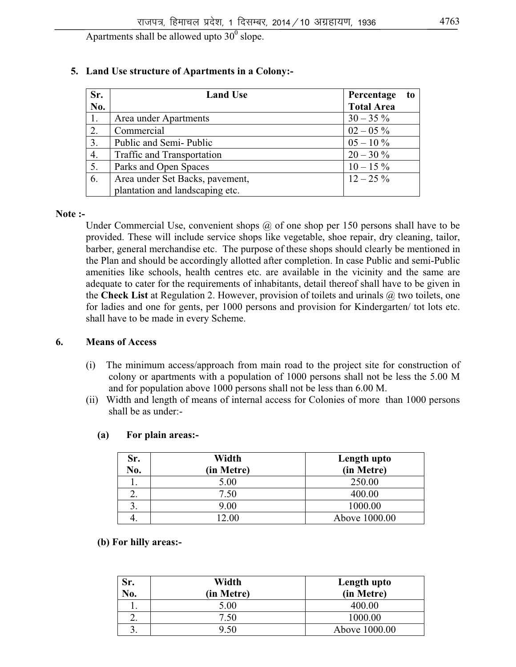Apartments shall be allowed upto  $30^0$  slope.

| Sr. | <b>Land Use</b>                   | Percentage<br>to  |
|-----|-----------------------------------|-------------------|
| No. |                                   | <b>Total Area</b> |
|     | Area under Apartments             | $30 - 35\%$       |
| 2.  | Commercial                        | $02 - 05\%$       |
| 3.  | Public and Semi-Public            | $05 - 10\%$       |
| 4.  | <b>Traffic and Transportation</b> | $20 - 30 \%$      |
| 5.  | Parks and Open Spaces             | $10 - 15\%$       |
| 6.  | Area under Set Backs, pavement,   | $12 - 25\%$       |
|     | plantation and landscaping etc.   |                   |

### **5. Land Use structure of Apartments in a Colony:-**

#### **Note :-**

Under Commercial Use, convenient shops @ of one shop per 150 persons shall have to be provided. These will include service shops like vegetable, shoe repair, dry cleaning, tailor, barber, general merchandise etc. The purpose of these shops should clearly be mentioned in the Plan and should be accordingly allotted after completion. In case Public and semi-Public amenities like schools, health centres etc. are available in the vicinity and the same are adequate to cater for the requirements of inhabitants, detail thereof shall have to be given in the **Check List** at Regulation 2. However, provision of toilets and urinals @ two toilets, one for ladies and one for gents, per 1000 persons and provision for Kindergarten/ tot lots etc. shall have to be made in every Scheme.

#### **6. Means of Access**

- (i) The minimum access/approach from main road to the project site for construction of colony or apartments with a population of 1000 persons shall not be less the 5.00 M and for population above 1000 persons shall not be less than 6.00 M.
- (ii) Width and length of means of internal access for Colonies of more than 1000 persons shall be as under:-

| Sr.<br>No. | Width<br>(in Metre) | Length upto<br>(in Metre) |
|------------|---------------------|---------------------------|
|            | 5.00                | 250.00                    |
|            | 7.50                | 400.00                    |
| ۷.         | 9.00                | 1000.00                   |
|            |                     |                           |
|            | 12.00               | Above 1000.00             |

#### **(a) For plain areas:-**

#### **(b) For hilly areas:-**

| Sr.<br>No. | Width<br>(in Metre) | Length upto<br>(in Metre) |
|------------|---------------------|---------------------------|
|            | 5.00                | 400.00                    |
| ـ.         | 7.50                | 1000.00                   |
| ິ.         | 9.50                | Above 1000.00             |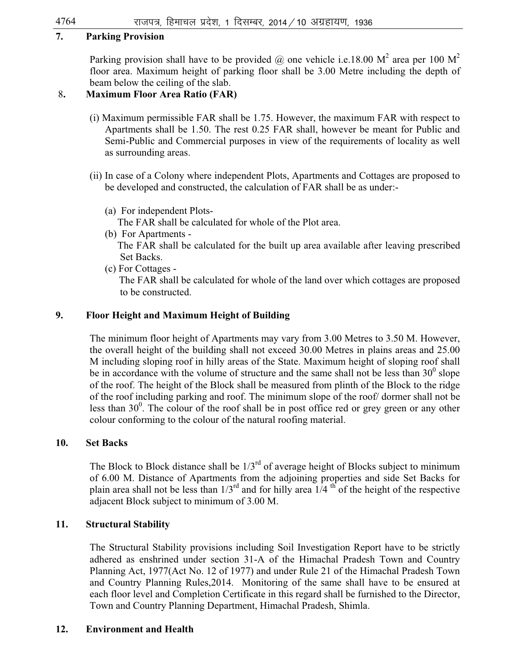### **7. Parking Provision**

Parking provision shall have to be provided  $@$  one vehicle i.e.18.00 M<sup>2</sup> area per 100 M<sup>2</sup> floor area. Maximum height of parking floor shall be 3.00 Metre including the depth of beam below the ceiling of the slab.

# 8**. Maximum Floor Area Ratio (FAR)**

- (i) Maximum permissible FAR shall be 1.75. However, the maximum FAR with respect to Apartments shall be 1.50. The rest 0.25 FAR shall, however be meant for Public and Semi-Public and Commercial purposes in view of the requirements of locality as well as surrounding areas.
- (ii) In case of a Colony where independent Plots, Apartments and Cottages are proposed to be developed and constructed, the calculation of FAR shall be as under:-
	- (a) For independent Plots-

The FAR shall be calculated for whole of the Plot area.

(b) For Apartments -

 The FAR shall be calculated for the built up area available after leaving prescribed Set Backs.

(c) For Cottages -

 The FAR shall be calculated for whole of the land over which cottages are proposed to be constructed.

# **9. Floor Height and Maximum Height of Building**

The minimum floor height of Apartments may vary from 3.00 Metres to 3.50 M. However, the overall height of the building shall not exceed 30.00 Metres in plains areas and 25.00 M including sloping roof in hilly areas of the State. Maximum height of sloping roof shall be in accordance with the volume of structure and the same shall not be less than  $30^{\circ}$  slope of the roof. The height of the Block shall be measured from plinth of the Block to the ridge of the roof including parking and roof. The minimum slope of the roof/ dormer shall not be less than  $30^0$ . The colour of the roof shall be in post office red or grey green or any other colour conforming to the colour of the natural roofing material.

#### **10. Set Backs**

The Block to Block distance shall be  $1/3<sup>rd</sup>$  of average height of Blocks subject to minimum of 6.00 M. Distance of Apartments from the adjoining properties and side Set Backs for plain area shall not be less than  $1/3^{rd}$  and for hilly area  $1/4^{th}$  of the height of the respective adjacent Block subject to minimum of 3.00 M.

# **11. Structural Stability**

The Structural Stability provisions including Soil Investigation Report have to be strictly adhered as enshrined under section 31-A of the Himachal Pradesh Town and Country Planning Act, 1977(Act No. 12 of 1977) and under Rule 21 of the Himachal Pradesh Town and Country Planning Rules,2014. Monitoring of the same shall have to be ensured at each floor level and Completion Certificate in this regard shall be furnished to the Director, Town and Country Planning Department, Himachal Pradesh, Shimla.

#### **12. Environment and Health**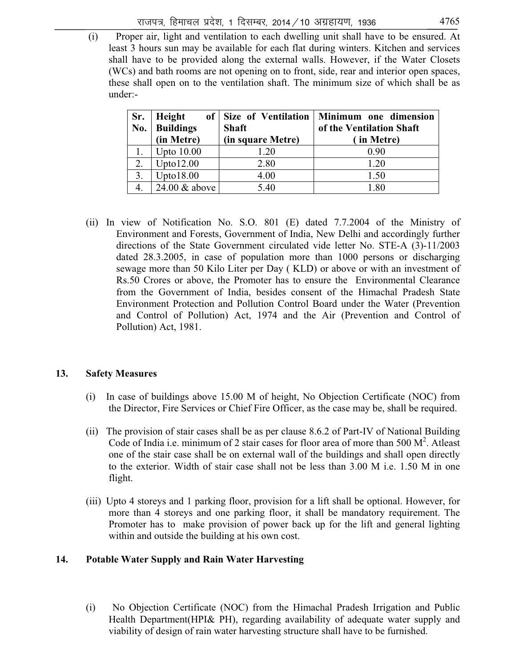(i) Proper air, light and ventilation to each dwelling unit shall have to be ensured. At least 3 hours sun may be available for each flat during winters. Kitchen and services shall have to be provided along the external walls. However, if the Water Closets (WCs) and bath rooms are not opening on to front, side, rear and interior open spaces, these shall open on to the ventilation shaft. The minimum size of which shall be as under:-

| Sr. | Height           |                   | of   Size of Ventilation   Minimum one dimension |
|-----|------------------|-------------------|--------------------------------------------------|
| No. | <b>Buildings</b> | <b>Shaft</b>      | of the Ventilation Shaft                         |
|     | (in Metre)       | (in square Metre) | (in Metre)                                       |
|     | Upto $10.00$     | 1.20              | 0.90                                             |
|     | Upto12.00        | 2.80              | 1.20                                             |
|     | Upto18.00        | 4.00              | 1.50                                             |
|     | 24.00 & above    | 5.40              | -80                                              |

(ii) In view of Notification No. S.O. 801 (E) dated 7.7.2004 of the Ministry of Environment and Forests, Government of India, New Delhi and accordingly further directions of the State Government circulated vide letter No. STE-A (3)-11/2003 dated 28.3.2005, in case of population more than 1000 persons or discharging sewage more than 50 Kilo Liter per Day ( KLD) or above or with an investment of Rs.50 Crores or above, the Promoter has to ensure the Environmental Clearance from the Government of India, besides consent of the Himachal Pradesh State Environment Protection and Pollution Control Board under the Water (Prevention and Control of Pollution) Act, 1974 and the Air (Prevention and Control of Pollution) Act, 1981.

#### **13. Safety Measures**

- (i) In case of buildings above 15.00 M of height, No Objection Certificate (NOC) from the Director, Fire Services or Chief Fire Officer, as the case may be, shall be required.
- (ii) The provision of stair cases shall be as per clause 8.6.2 of Part-IV of National Building Code of India i.e. minimum of 2 stair cases for floor area of more than  $500 \text{ M}^2$ . Atleast one of the stair case shall be on external wall of the buildings and shall open directly to the exterior. Width of stair case shall not be less than 3.00 M i.e. 1.50 M in one flight.
- (iii) Upto 4 storeys and 1 parking floor, provision for a lift shall be optional. However, for more than 4 storeys and one parking floor, it shall be mandatory requirement. The Promoter has to make provision of power back up for the lift and general lighting within and outside the building at his own cost.

#### **14. Potable Water Supply and Rain Water Harvesting**

(i) No Objection Certificate (NOC) from the Himachal Pradesh Irrigation and Public Health Department(HPI& PH), regarding availability of adequate water supply and viability of design of rain water harvesting structure shall have to be furnished.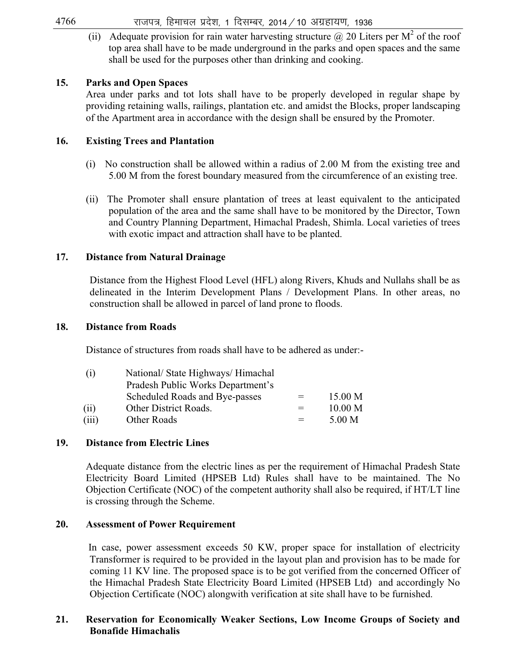$4766$  राजपत्र, हिमाचल प्रदेश, 1 दिसम्बर, 2014 / 10 अग्रहायण, 1936

(ii) Adequate provision for rain water harvesting structure  $@$  20 Liters per  $M^2$  of the roof top area shall have to be made underground in the parks and open spaces and the same shall be used for the purposes other than drinking and cooking.

#### **15. Parks and Open Spaces**

Area under parks and tot lots shall have to be properly developed in regular shape by providing retaining walls, railings, plantation etc. and amidst the Blocks, proper landscaping of the Apartment area in accordance with the design shall be ensured by the Promoter.

#### **16. Existing Trees and Plantation**

- (i) No construction shall be allowed within a radius of 2.00 M from the existing tree and 5.00 M from the forest boundary measured from the circumference of an existing tree.
- (ii) The Promoter shall ensure plantation of trees at least equivalent to the anticipated population of the area and the same shall have to be monitored by the Director, Town and Country Planning Department, Himachal Pradesh, Shimla. Local varieties of trees with exotic impact and attraction shall have to be planted.

#### **17. Distance from Natural Drainage**

Distance from the Highest Flood Level (HFL) along Rivers, Khuds and Nullahs shall be as delineated in the Interim Development Plans / Development Plans. In other areas, no construction shall be allowed in parcel of land prone to floods.

#### **18. Distance from Roads**

Distance of structures from roads shall have to be adhered as under:-

| (1)   | National/ State Highways/ Himachal |     |         |
|-------|------------------------------------|-----|---------|
|       | Pradesh Public Works Department's  |     |         |
|       | Scheduled Roads and Bye-passes     | $=$ | 15.00 M |
| (i)   | Other District Roads.              | $=$ | 10.00 M |
| (iii) | Other Roads                        |     | 5.00 M  |

#### **19. Distance from Electric Lines**

Adequate distance from the electric lines as per the requirement of Himachal Pradesh State Electricity Board Limited (HPSEB Ltd) Rules shall have to be maintained. The No Objection Certificate (NOC) of the competent authority shall also be required, if HT/LT line is crossing through the Scheme.

#### **20. Assessment of Power Requirement**

 In case, power assessment exceeds 50 KW, proper space for installation of electricity Transformer is required to be provided in the layout plan and provision has to be made for coming 11 KV line. The proposed space is to be got verified from the concerned Officer of the Himachal Pradesh State Electricity Board Limited (HPSEB Ltd) and accordingly No Objection Certificate (NOC) alongwith verification at site shall have to be furnished.

#### **21. Reservation for Economically Weaker Sections, Low Income Groups of Society and Bonafide Himachalis**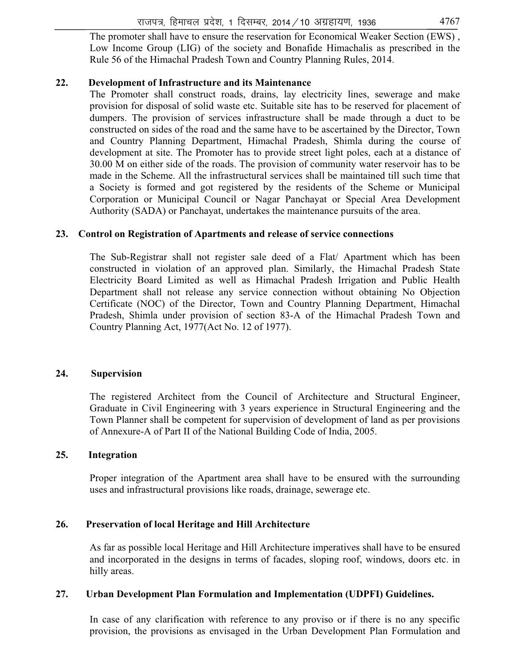The promoter shall have to ensure the reservation for Economical Weaker Section (EWS) , Low Income Group (LIG) of the society and Bonafide Himachalis as prescribed in the Rule 56 of the Himachal Pradesh Town and Country Planning Rules, 2014.

#### **22. Development of Infrastructure and its Maintenance**

The Promoter shall construct roads, drains, lay electricity lines, sewerage and make provision for disposal of solid waste etc. Suitable site has to be reserved for placement of dumpers. The provision of services infrastructure shall be made through a duct to be constructed on sides of the road and the same have to be ascertained by the Director, Town and Country Planning Department, Himachal Pradesh, Shimla during the course of development at site. The Promoter has to provide street light poles, each at a distance of 30.00 M on either side of the roads. The provision of community water reservoir has to be made in the Scheme. All the infrastructural services shall be maintained till such time that a Society is formed and got registered by the residents of the Scheme or Municipal Corporation or Municipal Council or Nagar Panchayat or Special Area Development Authority (SADA) or Panchayat, undertakes the maintenance pursuits of the area.

#### **23. Control on Registration of Apartments and release of service connections**

The Sub-Registrar shall not register sale deed of a Flat/ Apartment which has been constructed in violation of an approved plan. Similarly, the Himachal Pradesh State Electricity Board Limited as well as Himachal Pradesh Irrigation and Public Health Department shall not release any service connection without obtaining No Objection Certificate (NOC) of the Director, Town and Country Planning Department, Himachal Pradesh, Shimla under provision of section 83-A of the Himachal Pradesh Town and Country Planning Act, 1977(Act No. 12 of 1977).

#### **24. Supervision**

The registered Architect from the Council of Architecture and Structural Engineer, Graduate in Civil Engineering with 3 years experience in Structural Engineering and the Town Planner shall be competent for supervision of development of land as per provisions of Annexure-A of Part II of the National Building Code of India, 2005.

#### **25. Integration**

Proper integration of the Apartment area shall have to be ensured with the surrounding uses and infrastructural provisions like roads, drainage, sewerage etc.

#### **26. Preservation of local Heritage and Hill Architecture**

As far as possible local Heritage and Hill Architecture imperatives shall have to be ensured and incorporated in the designs in terms of facades, sloping roof, windows, doors etc. in hilly areas.

#### **27. Urban Development Plan Formulation and Implementation (UDPFI) Guidelines.**

In case of any clarification with reference to any proviso or if there is no any specific provision, the provisions as envisaged in the Urban Development Plan Formulation and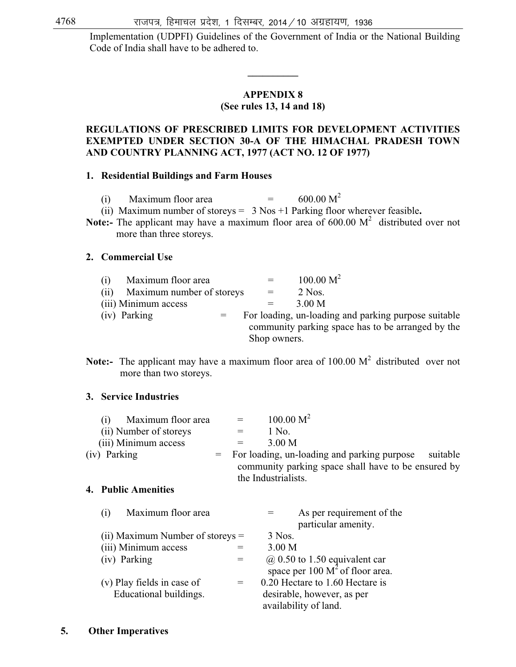Implementation (UDPFI) Guidelines of the Government of India or the National Building Code of India shall have to be adhered to.

# **APPENDIX 8**

**\_\_\_\_\_\_\_\_\_\_** 

### **(See rules 13, 14 and 18)**

#### **REGULATIONS OF PRESCRIBED LIMITS FOR DEVELOPMENT ACTIVITIES EXEMPTED UNDER SECTION 30-A OF THE HIMACHAL PRADESH TOWN AND COUNTRY PLANNING ACT, 1977 (ACT NO. 12 OF 1977)**

#### **1. Residential Buildings and Farm Houses**

|  |  | Maximum floor area |  | $600.00 M^2$ |
|--|--|--------------------|--|--------------|
|--|--|--------------------|--|--------------|

(ii) Maximum number of storeys = 3 Nos +1 Parking floor wherever feasible**.** 

**Note:-** The applicant may have a maximum floor area of  $600.00 \text{ M}^2$  distributed over not more than three storeys.

#### **2. Commercial Use**

| (1) | Maximum floor area        | $=$ $-$      | 100.00 M <sup>2</sup>                                |
|-----|---------------------------|--------------|------------------------------------------------------|
| (i) | Maximum number of storeys | $=$          | $2$ Nos.                                             |
|     | (iii) Minimum access      |              | 3.00 M                                               |
|     | (iv) Parking              |              | For loading, un-loading and parking purpose suitable |
|     |                           |              | community parking space has to be arranged by the    |
|     |                           | Shop owners. |                                                      |

**Note:-** The applicant may have a maximum floor area of  $100.00 \text{ M}^2$  distributed over not more than two storeys.

#### **3. Service Industries**

| Maximum floor area     |  | $=$ $-$ | 100.00 M <sup>2</sup>                               |          |
|------------------------|--|---------|-----------------------------------------------------|----------|
| (ii) Number of storeys |  | $=$     | 1 No.                                               |          |
| (iii) Minimum access   |  | $=$     | 3.00 M                                              |          |
| (iv) Parking           |  |         | $=$ For loading, un-loading and parking purpose     | suitable |
|                        |  |         | community parking space shall have to be ensured by |          |
|                        |  |         | the Industrialists.                                 |          |

#### **4. Public Amenities**

| Maximum floor area<br>(1)          |     | As per requirement of the<br>particular amenity.                                    |
|------------------------------------|-----|-------------------------------------------------------------------------------------|
| (ii) Maximum Number of storeys $=$ |     | 3 Nos.                                                                              |
| (iii) Minimum access               |     | 3.00 <sub>M</sub>                                                                   |
| (iv) Parking                       | $=$ |                                                                                     |
|                                    |     | $\omega$ 0.50 to 1.50 equivalent car<br>space per 100 M <sup>2</sup> of floor area. |
| (v) Play fields in case of         | $=$ | 0.20 Hectare to 1.60 Hectare is                                                     |
| Educational buildings.             |     | desirable, however, as per                                                          |
|                                    |     | availability of land.                                                               |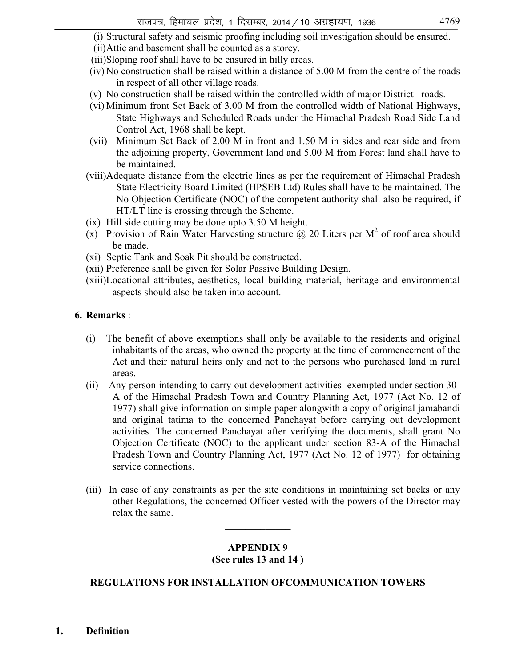(i) Structural safety and seismic proofing including soil investigation should be ensured.

- (ii) Attic and basement shall be counted as a storey.
- (iii)Sloping roof shall have to be ensured in hilly areas.
- (iv) No construction shall be raised within a distance of 5.00 M from the centre of the roads in respect of all other village roads.
- (v) No construction shall be raised within the controlled width of major District roads.
- (vi) Minimum front Set Back of 3.00 M from the controlled width of National Highways, State Highways and Scheduled Roads under the Himachal Pradesh Road Side Land Control Act, 1968 shall be kept.
- (vii) Minimum Set Back of 2.00 M in front and 1.50 M in sides and rear side and from the adjoining property, Government land and 5.00 M from Forest land shall have to be maintained.
- (viii)Adequate distance from the electric lines as per the requirement of Himachal Pradesh State Electricity Board Limited (HPSEB Ltd) Rules shall have to be maintained. The No Objection Certificate (NOC) of the competent authority shall also be required, if HT/LT line is crossing through the Scheme.
- (ix) Hill side cutting may be done upto 3.50 M height.
- (x) Provision of Rain Water Harvesting structure  $\omega$  20 Liters per M<sup>2</sup> of roof area should be made.
- (xi) Septic Tank and Soak Pit should be constructed.
- (xii) Preference shall be given for Solar Passive Building Design.
- (xiii)Locational attributes, aesthetics, local building material, heritage and environmental aspects should also be taken into account.

# **6. Remarks** :

- (i) The benefit of above exemptions shall only be available to the residents and original inhabitants of the areas, who owned the property at the time of commencement of the Act and their natural heirs only and not to the persons who purchased land in rural areas.
- (ii) Any person intending to carry out development activities exempted under section 30- A of the Himachal Pradesh Town and Country Planning Act, 1977 (Act No. 12 of 1977) shall give information on simple paper alongwith a copy of original jamabandi and original tatima to the concerned Panchayat before carrying out development activities. The concerned Panchayat after verifying the documents, shall grant No Objection Certificate (NOC) to the applicant under section 83-A of the Himachal Pradesh Town and Country Planning Act, 1977 (Act No. 12 of 1977) for obtaining service connections.
- (iii) In case of any constraints as per the site conditions in maintaining set backs or any other Regulations, the concerned Officer vested with the powers of the Director may relax the same.

# **APPENDIX 9 (See rules 13 and 14 )**

 $\mathcal{L}=\mathcal{L}=\mathcal{L}=\mathcal{L}=\mathcal{L}=\mathcal{L}=\mathcal{L}$ 

# **REGULATIONS FOR INSTALLATION OFCOMMUNICATION TOWERS**

**1. Definition**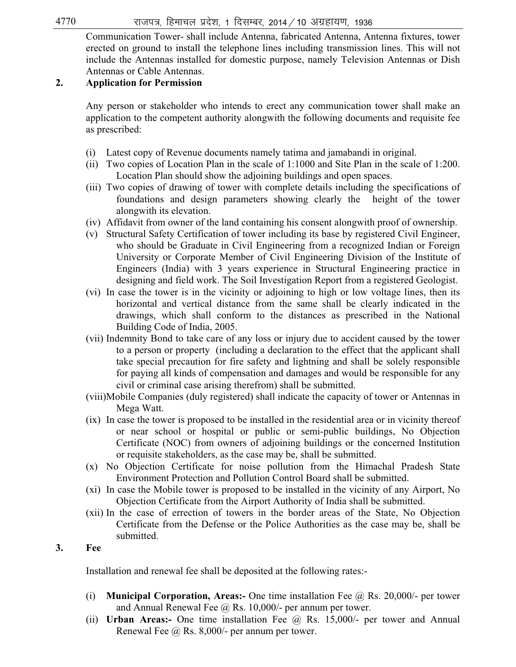$4770$   $\sigma$  राजपत्र, हिमाचल प्रदेश, 1 दिसम्बर, 2014 / 10 अग्रहायण, 1936

Communication Tower- shall include Antenna, fabricated Antenna, Antenna fixtures, tower erected on ground to install the telephone lines including transmission lines. This will not include the Antennas installed for domestic purpose, namely Television Antennas or Dish Antennas or Cable Antennas.

### **2. Application for Permission**

Any person or stakeholder who intends to erect any communication tower shall make an application to the competent authority alongwith the following documents and requisite fee as prescribed:

- (i) Latest copy of Revenue documents namely tatima and jamabandi in original.
- (ii) Two copies of Location Plan in the scale of 1:1000 and Site Plan in the scale of 1:200. Location Plan should show the adjoining buildings and open spaces.
- (iii) Two copies of drawing of tower with complete details including the specifications of foundations and design parameters showing clearly the height of the tower alongwith its elevation.
- (iv) Affidavit from owner of the land containing his consent alongwith proof of ownership.
- (v) Structural Safety Certification of tower including its base by registered Civil Engineer, who should be Graduate in Civil Engineering from a recognized Indian or Foreign University or Corporate Member of Civil Engineering Division of the Institute of Engineers (India) with 3 years experience in Structural Engineering practice in designing and field work. The Soil Investigation Report from a registered Geologist.
- (vi) In case the tower is in the vicinity or adjoining to high or low voltage lines, then its horizontal and vertical distance from the same shall be clearly indicated in the drawings, which shall conform to the distances as prescribed in the National Building Code of India, 2005.
- (vii) Indemnity Bond to take care of any loss or injury due to accident caused by the tower to a person or property (including a declaration to the effect that the applicant shall take special precaution for fire safety and lightning and shall be solely responsible for paying all kinds of compensation and damages and would be responsible for any civil or criminal case arising therefrom) shall be submitted.
- (viii)Mobile Companies (duly registered) shall indicate the capacity of tower or Antennas in Mega Watt.
- (ix) In case the tower is proposed to be installed in the residential area or in vicinity thereof or near school or hospital or public or semi-public buildings, No Objection Certificate (NOC) from owners of adjoining buildings or the concerned Institution or requisite stakeholders, as the case may be, shall be submitted.
- (x) No Objection Certificate for noise pollution from the Himachal Pradesh State Environment Protection and Pollution Control Board shall be submitted.
- (xi) In case the Mobile tower is proposed to be installed in the vicinity of any Airport, No Objection Certificate from the Airport Authority of India shall be submitted.
- (xii) In the case of errection of towers in the border areas of the State, No Objection Certificate from the Defense or the Police Authorities as the case may be, shall be submitted.

### **3. Fee**

Installation and renewal fee shall be deposited at the following rates:-

- (i) **Municipal Corporation, Areas:-** One time installation Fee @ Rs. 20,000/- per tower and Annual Renewal Fee  $\omega$  Rs. 10,000/- per annum per tower.
- (ii) **Urban Areas:-** One time installation Fee @ Rs. 15,000/- per tower and Annual Renewal Fee @ Rs. 8,000/- per annum per tower.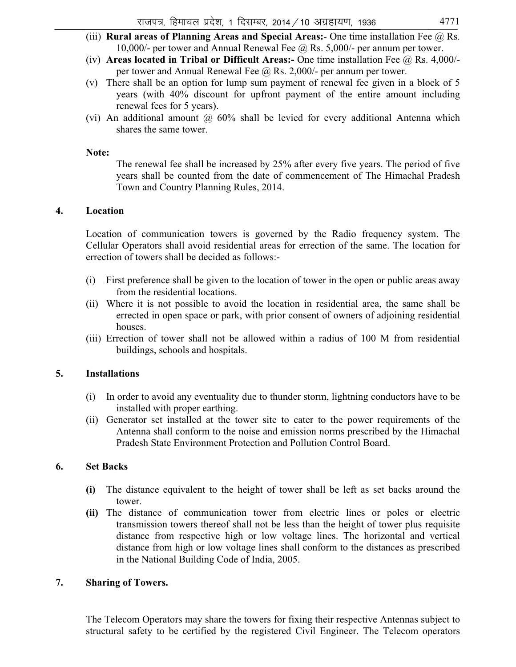- (iii) **Rural areas of Planning Areas and Special Areas:** One time installation Fee @ Rs. 10,000/- per tower and Annual Renewal Fee @ Rs. 5,000/- per annum per tower.
- (iv) **Areas located in Tribal or Difficult Areas:-** One time installation Fee @ Rs. 4,000/ per tower and Annual Renewal Fee @ Rs. 2,000/- per annum per tower.
- (v) There shall be an option for lump sum payment of renewal fee given in a block of 5 years (with 40% discount for upfront payment of the entire amount including renewal fees for 5 years).
- (vi) An additional amount  $\omega$  60% shall be levied for every additional Antenna which shares the same tower.

#### **Note:**

The renewal fee shall be increased by 25% after every five years. The period of five years shall be counted from the date of commencement of The Himachal Pradesh Town and Country Planning Rules, 2014.

#### **4. Location**

Location of communication towers is governed by the Radio frequency system. The Cellular Operators shall avoid residential areas for errection of the same. The location for errection of towers shall be decided as follows:-

- (i) First preference shall be given to the location of tower in the open or public areas away from the residential locations.
- (ii) Where it is not possible to avoid the location in residential area, the same shall be errected in open space or park, with prior consent of owners of adjoining residential houses.
- (iii) Errection of tower shall not be allowed within a radius of 100 M from residential buildings, schools and hospitals.

#### **5. Installations**

- (i) In order to avoid any eventuality due to thunder storm, lightning conductors have to be installed with proper earthing.
- (ii) Generator set installed at the tower site to cater to the power requirements of the Antenna shall conform to the noise and emission norms prescribed by the Himachal Pradesh State Environment Protection and Pollution Control Board.

#### **6. Set Backs**

- **(i)** The distance equivalent to the height of tower shall be left as set backs around the tower.
- **(ii)** The distance of communication tower from electric lines or poles or electric transmission towers thereof shall not be less than the height of tower plus requisite distance from respective high or low voltage lines. The horizontal and vertical distance from high or low voltage lines shall conform to the distances as prescribed in the National Building Code of India, 2005.

#### **7. Sharing of Towers.**

The Telecom Operators may share the towers for fixing their respective Antennas subject to structural safety to be certified by the registered Civil Engineer. The Telecom operators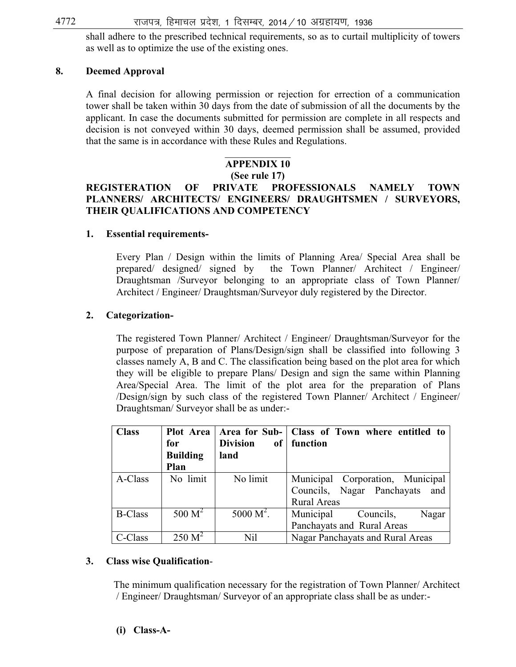shall adhere to the prescribed technical requirements, so as to curtail multiplicity of towers as well as to optimize the use of the existing ones.

#### **8. Deemed Approval**

A final decision for allowing permission or rejection for errection of a communication tower shall be taken within 30 days from the date of submission of all the documents by the applicant. In case the documents submitted for permission are complete in all respects and decision is not conveyed within 30 days, deemed permission shall be assumed, provided that the same is in accordance with these Rules and Regulations.

#### $\overline{\phantom{a}}$ **APPENDIX 10**

#### **(See rule 17)**

# **REGISTERATION OF PRIVATE PROFESSIONALS NAMELY TOWN PLANNERS/ ARCHITECTS/ ENGINEERS/ DRAUGHTSMEN / SURVEYORS, THEIR QUALIFICATIONS AND COMPETENCY**

#### **1. Essential requirements-**

 Every Plan / Design within the limits of Planning Area/ Special Area shall be prepared/ designed/ signed by the Town Planner/ Architect / Engineer/ Draughtsman /Surveyor belonging to an appropriate class of Town Planner/ Architect / Engineer/ Draughtsman/Surveyor duly registered by the Director.

#### **2. Categorization-**

The registered Town Planner/ Architect / Engineer/ Draughtsman/Surveyor for the purpose of preparation of Plans/Design/sign shall be classified into following 3 classes namely A, B and C. The classification being based on the plot area for which they will be eligible to prepare Plans/ Design and sign the same within Planning Area/Special Area. The limit of the plot area for the preparation of Plans /Design/sign by such class of the registered Town Planner/ Architect / Engineer/ Draughtsman/ Surveyor shall be as under:-

| <b>Class</b>   | Plot Area          |                 | Area for Sub-   Class of Town where entitled to |
|----------------|--------------------|-----------------|-------------------------------------------------|
|                | for                | <b>Division</b> | of   function                                   |
|                | <b>Building</b>    | land            |                                                 |
|                | Plan               |                 |                                                 |
| A-Class        | No limit           | No limit        | Municipal Corporation, Municipal                |
|                |                    |                 | Councils, Nagar Panchayats<br>and               |
|                |                    |                 | <b>Rural Areas</b>                              |
| <b>B-Class</b> | 500 M <sup>2</sup> | $5000 M^2$ .    | Municipal<br>Councils,<br>Nagar                 |
|                |                    |                 | Panchayats and Rural Areas                      |
| C-Class        | $250 M^2$          | Nil             | Nagar Panchayats and Rural Areas                |

#### **3. Class wise Qualification**-

 The minimum qualification necessary for the registration of Town Planner/ Architect / Engineer/ Draughtsman/ Surveyor of an appropriate class shall be as under:-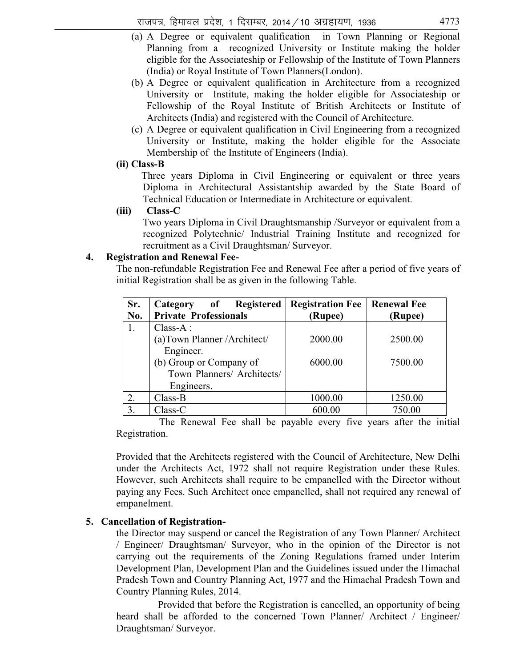- (a) A Degree or equivalent qualification in Town Planning or Regional Planning from a recognized University or Institute making the holder eligible for the Associateship or Fellowship of the Institute of Town Planners (India) or Royal Institute of Town Planners(London).
- (b) A Degree or equivalent qualification in Architecture from a recognized University or Institute, making the holder eligible for Associateship or Fellowship of the Royal Institute of British Architects or Institute of Architects (India) and registered with the Council of Architecture.
- (c) A Degree or equivalent qualification in Civil Engineering from a recognized University or Institute, making the holder eligible for the Associate Membership of the Institute of Engineers (India).

#### **(ii) Class-B**

 Three years Diploma in Civil Engineering or equivalent or three years Diploma in Architectural Assistantship awarded by the State Board of Technical Education or Intermediate in Architecture or equivalent.

#### **(iii) Class-C**

Two years Diploma in Civil Draughtsmanship /Surveyor or equivalent from a recognized Polytechnic/ Industrial Training Institute and recognized for recruitment as a Civil Draughtsman/ Surveyor.

#### **4. Registration and Renewal Fee-**

 The non-refundable Registration Fee and Renewal Fee after a period of five years of initial Registration shall be as given in the following Table.

| Sr. | Category of Registered       | <b>Registration Fee</b> | <b>Renewal Fee</b> |
|-----|------------------------------|-------------------------|--------------------|
| No. | <b>Private Professionals</b> | (Rupee)                 | (Rupee)            |
| 1.  | $Class-A$ :                  |                         |                    |
|     | (a)Town Planner / Architect/ | 2000.00                 | 2500.00            |
|     | Engineer.                    |                         |                    |
|     | (b) Group or Company of      | 6000.00                 | 7500.00            |
|     | Town Planners/ Architects/   |                         |                    |
|     | Engineers.                   |                         |                    |
| 2.  | $Class-B$                    | 1000.00                 | 1250.00            |
| 3.  | Class-C                      | 600.00                  | 750.00             |

 The Renewal Fee shall be payable every five years after the initial Registration.

Provided that the Architects registered with the Council of Architecture, New Delhi under the Architects Act, 1972 shall not require Registration under these Rules. However, such Architects shall require to be empanelled with the Director without paying any Fees. Such Architect once empanelled, shall not required any renewal of empanelment.

#### **5. Cancellation of Registration-**

the Director may suspend or cancel the Registration of any Town Planner/ Architect / Engineer/ Draughtsman/ Surveyor, who in the opinion of the Director is not carrying out the requirements of the Zoning Regulations framed under Interim Development Plan, Development Plan and the Guidelines issued under the Himachal Pradesh Town and Country Planning Act, 1977 and the Himachal Pradesh Town and Country Planning Rules, 2014.

Provided that before the Registration is cancelled, an opportunity of being heard shall be afforded to the concerned Town Planner/ Architect / Engineer/ Draughtsman/ Surveyor.